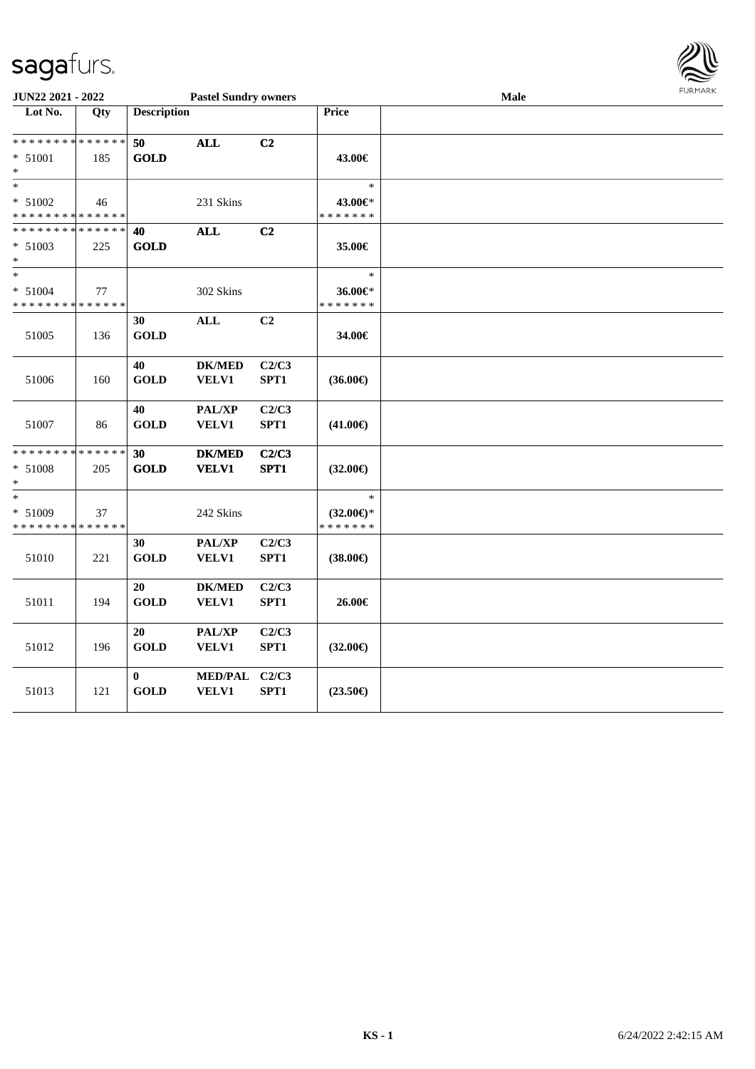

| JUN22 2021 - 2022                      |     |                    | <b>Pastel Sundry owners</b> |       |                          | <b>Male</b> | <b>FUNITANN</b> |
|----------------------------------------|-----|--------------------|-----------------------------|-------|--------------------------|-------------|-----------------|
| Lot No.                                | Qty | <b>Description</b> |                             |       | Price                    |             |                 |
|                                        |     |                    |                             |       |                          |             |                 |
| * * * * * * * * * * * * * *            |     | 50                 | <b>ALL</b>                  | C2    |                          |             |                 |
| $* 51001$                              | 185 | <b>GOLD</b>        |                             |       | 43.00€                   |             |                 |
| $*$                                    |     |                    |                             |       |                          |             |                 |
| $\ast$                                 |     |                    |                             |       | $\ast$                   |             |                 |
| * 51002<br>* * * * * * * * * * * * * * | 46  |                    | 231 Skins                   |       | 43.00€*<br>* * * * * * * |             |                 |
| * * * * * * * * * * * * * *            |     | 40                 | <b>ALL</b>                  | C2    |                          |             |                 |
| $* 51003$                              | 225 | <b>GOLD</b>        |                             |       | 35.00€                   |             |                 |
| $*$                                    |     |                    |                             |       |                          |             |                 |
| $\ast$                                 |     |                    |                             |       | $\ast$                   |             |                 |
| $* 51004$                              | 77  |                    | 302 Skins                   |       | 36.00€*                  |             |                 |
| * * * * * * * * * * * * * *            |     |                    |                             |       | * * * * * * *            |             |                 |
|                                        |     | 30                 | <b>ALL</b>                  | C2    |                          |             |                 |
| 51005                                  | 136 | <b>GOLD</b>        |                             |       | 34.00€                   |             |                 |
|                                        |     |                    |                             |       |                          |             |                 |
|                                        |     | 40                 | <b>DK/MED</b>               | C2/C3 |                          |             |                 |
| 51006                                  | 160 | <b>GOLD</b>        | VELV1                       | SPT1  | $(36.00\epsilon)$        |             |                 |
|                                        |     |                    |                             |       |                          |             |                 |
|                                        |     | 40                 | PAL/XP                      | C2/C3 |                          |             |                 |
| 51007                                  | 86  | <b>GOLD</b>        | VELV1                       | SPT1  | $(41.00\epsilon)$        |             |                 |
| ******** <mark>******</mark>           |     | 30                 | <b>DK/MED</b>               | C2/C3 |                          |             |                 |
| * 51008                                | 205 | <b>GOLD</b>        | <b>VELV1</b>                | SPT1  | $(32.00\epsilon)$        |             |                 |
| $*$                                    |     |                    |                             |       |                          |             |                 |
| $\ast$                                 |     |                    |                             |       | $\ast$                   |             |                 |
| $* 51009$                              | 37  |                    | 242 Skins                   |       | $(32.00\epsilon)$ *      |             |                 |
| * * * * * * * * * * * * * *            |     |                    |                             |       | * * * * * * *            |             |                 |
|                                        |     | 30                 | $\mathbf{PAL}/\mathbf{XP}$  | C2/C3 |                          |             |                 |
| 51010                                  | 221 | <b>GOLD</b>        | VELV1                       | SPT1  | $(38.00\epsilon)$        |             |                 |
|                                        |     |                    |                             |       |                          |             |                 |
|                                        |     | 20                 | <b>DK/MED</b>               | C2/C3 |                          |             |                 |
| 51011                                  | 194 | <b>GOLD</b>        | <b>VELV1</b>                | SPT1  | 26.00€                   |             |                 |
|                                        |     |                    |                             |       |                          |             |                 |
|                                        |     | 20                 | PAL/XP                      | C2/C3 |                          |             |                 |
| 51012                                  | 196 | <b>GOLD</b>        | VELV1                       | SPT1  | $(32.00\epsilon)$        |             |                 |
|                                        |     | $\bf{0}$           | <b>MED/PAL</b>              | C2/C3 |                          |             |                 |
| 51013                                  | 121 | <b>GOLD</b>        | <b>VELV1</b>                | SPT1  | $(23.50\epsilon)$        |             |                 |
|                                        |     |                    |                             |       |                          |             |                 |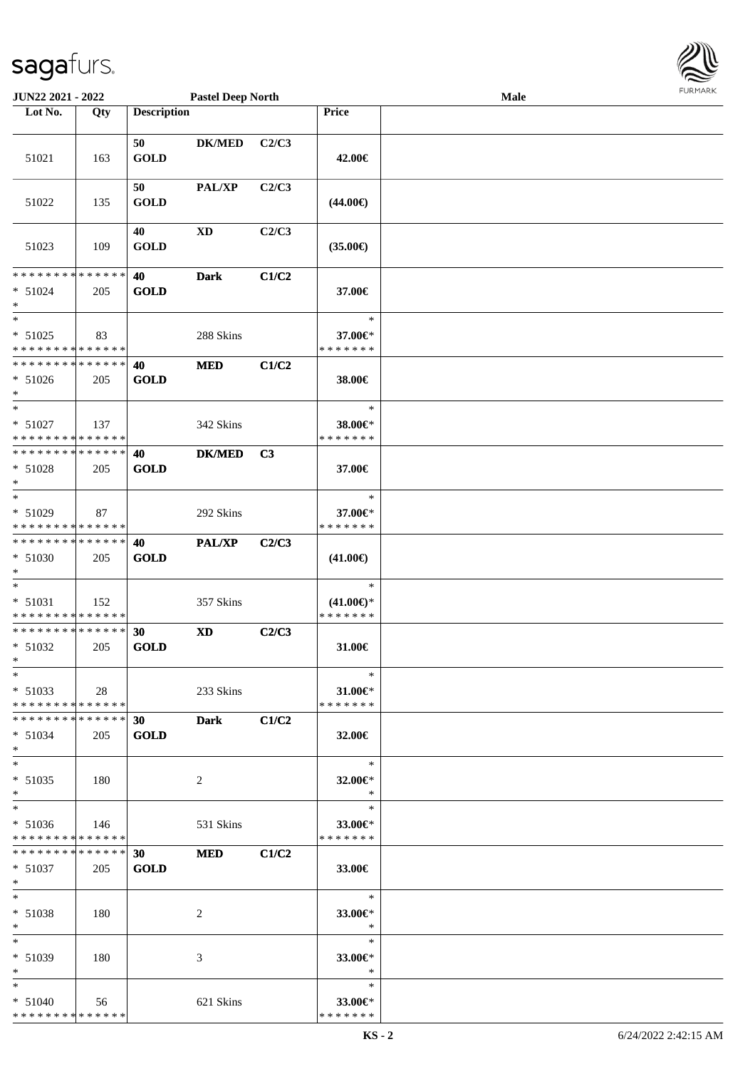| JUN22 2021 - 2022                        |     |                    | <b>Pastel Deep North</b> |       |                          | Male |  |
|------------------------------------------|-----|--------------------|--------------------------|-------|--------------------------|------|--|
| Lot No.                                  | Qty | <b>Description</b> |                          |       | Price                    |      |  |
|                                          |     |                    |                          |       |                          |      |  |
|                                          |     | 50                 | <b>DK/MED</b>            | C2/C3 |                          |      |  |
| 51021                                    | 163 | <b>GOLD</b>        |                          |       | 42.00€                   |      |  |
|                                          |     |                    |                          |       |                          |      |  |
|                                          |     | 50                 | PAL/XP                   | C2/C3 |                          |      |  |
| 51022                                    | 135 | <b>GOLD</b>        |                          |       | $(44.00\epsilon)$        |      |  |
|                                          |     |                    |                          |       |                          |      |  |
|                                          |     | 40                 | <b>XD</b>                | C2/C3 |                          |      |  |
| 51023                                    | 109 | <b>GOLD</b>        |                          |       | $(35.00\epsilon)$        |      |  |
|                                          |     |                    |                          |       |                          |      |  |
| * * * * * * * * * * * * * * *            |     | 40                 | <b>Dark</b>              | C1/C2 |                          |      |  |
| $* 51024$                                | 205 | <b>GOLD</b>        |                          |       | 37.00€                   |      |  |
| $\ast$                                   |     |                    |                          |       |                          |      |  |
| $\ast$                                   |     |                    |                          |       | $\ast$                   |      |  |
| $* 51025$                                | 83  |                    | 288 Skins                |       | 37.00€*                  |      |  |
| * * * * * * * * * * * * * * *            |     |                    |                          |       | * * * * * * *            |      |  |
| **************                           |     | 40                 | $\bf MED$                | C1/C2 |                          |      |  |
| $* 51026$                                | 205 | <b>GOLD</b>        |                          |       | 38.00€                   |      |  |
| $\ast$                                   |     |                    |                          |       |                          |      |  |
| $\ast$                                   |     |                    |                          |       | $\ast$                   |      |  |
| $* 51027$                                | 137 |                    | 342 Skins                |       | 38.00€*                  |      |  |
| * * * * * * * * * * * * * * *            |     |                    |                          |       | * * * * * * *            |      |  |
| **************                           |     | 40                 | <b>DK/MED</b>            | C3    |                          |      |  |
| $* 51028$                                | 205 | <b>GOLD</b>        |                          |       | 37.00€                   |      |  |
| $\ast$                                   |     |                    |                          |       |                          |      |  |
| $\ast$                                   |     |                    |                          |       | $\ast$                   |      |  |
| * 51029                                  | 87  |                    | 292 Skins                |       | 37.00€*                  |      |  |
| * * * * * * * * * * * * * *              |     |                    |                          |       | * * * * * * *            |      |  |
| **************                           |     | 40                 | PAL/XP                   | C2/C3 |                          |      |  |
| $* 51030$                                | 205 | <b>GOLD</b>        |                          |       | $(41.00\epsilon)$        |      |  |
| $\ast$                                   |     |                    |                          |       |                          |      |  |
| $\ast$                                   |     |                    |                          |       | $\ast$                   |      |  |
| $* 51031$                                | 152 |                    | 357 Skins                |       | $(41.00\epsilon)$ *      |      |  |
| * * * * * * * * * * * * * * *            |     |                    |                          |       | * * * * * * *            |      |  |
| ******** <mark>******</mark>             |     | 30                 | $\mathbf{X}\mathbf{D}$   | C2/C3 |                          |      |  |
| $* 51032$                                | 205 | <b>GOLD</b>        |                          |       | 31.00€                   |      |  |
| $*$                                      |     |                    |                          |       |                          |      |  |
| $*$                                      |     |                    |                          |       | $\ast$                   |      |  |
| $* 51033$                                | 28  |                    | 233 Skins                |       | 31.00€*                  |      |  |
| * * * * * * * * * * * * * * *            |     |                    |                          |       | * * * * * * *            |      |  |
| ******** <mark>******</mark>             |     | 30                 | <b>Dark</b>              | C1/C2 |                          |      |  |
| $* 51034$                                |     | <b>GOLD</b>        |                          |       | 32.00€                   |      |  |
| $*$                                      | 205 |                    |                          |       |                          |      |  |
| $*$                                      |     |                    |                          |       | $\ast$                   |      |  |
|                                          |     |                    |                          |       |                          |      |  |
| $* 51035$<br>$*$                         | 180 |                    | 2                        |       | 32.00€*<br>$\ast$        |      |  |
| $\ast$                                   |     |                    |                          |       | $\ast$                   |      |  |
|                                          |     |                    |                          |       |                          |      |  |
| $* 51036$<br>* * * * * * * * * * * * * * | 146 |                    | 531 Skins                |       | 33.00€*<br>* * * * * * * |      |  |
| * * * * * * * * * * * * * * *            |     |                    |                          |       |                          |      |  |
|                                          |     | 30 <sup>1</sup>    | <b>MED</b>               | C1/C2 |                          |      |  |
| $* 51037$                                | 205 | <b>GOLD</b>        |                          |       | 33.00€                   |      |  |
| $*$ and $*$<br>$*$                       |     |                    |                          |       | $\ast$                   |      |  |
|                                          |     |                    |                          |       |                          |      |  |
| $* 51038$                                | 180 |                    | 2                        |       | 33.00€*<br>$\ast$        |      |  |
| $*$<br>$\ast$                            |     |                    |                          |       | $\ast$                   |      |  |
|                                          |     |                    |                          |       |                          |      |  |
| * 51039                                  | 180 |                    | 3                        |       | 33.00€*                  |      |  |
| $\ast$                                   |     |                    |                          |       | $\ast$                   |      |  |
| $*$                                      |     |                    |                          |       | $\ast$                   |      |  |
| $* 51040$                                | 56  |                    | 621 Skins                |       | 33.00 $\in$ *            |      |  |
| * * * * * * * * * * * * * * *            |     |                    |                          |       | * * * * * * *            |      |  |

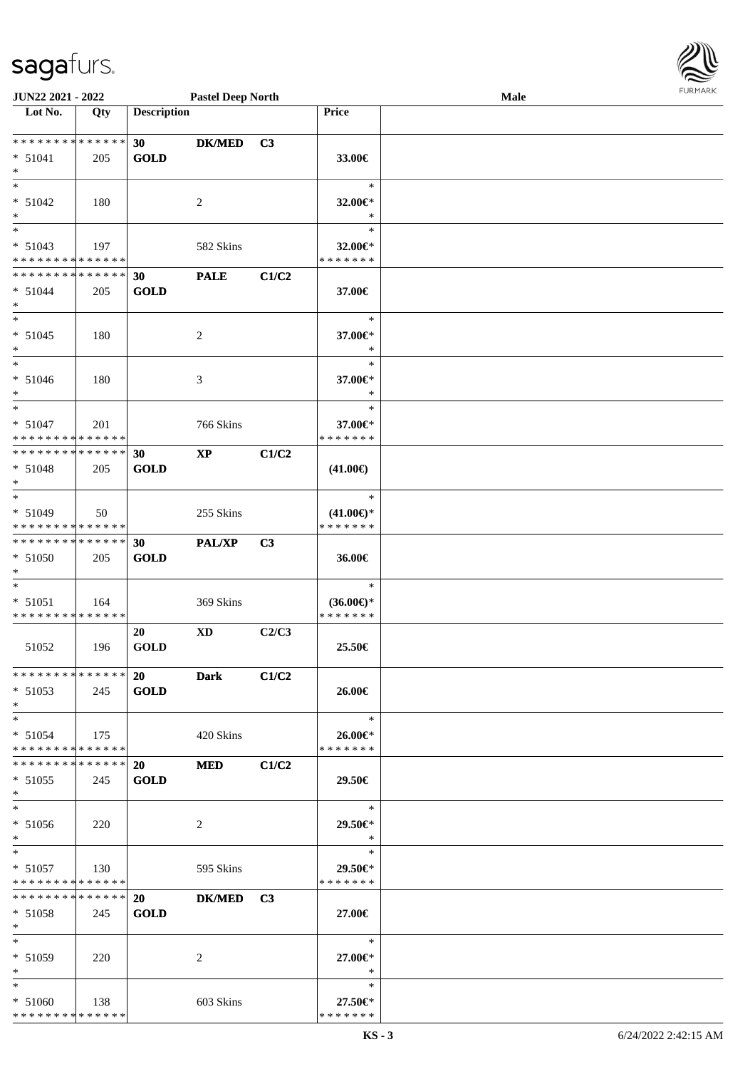\* \* \* \* \* \* \* \* \* \* \* \* \* \* \*

| <b>JUN22 2021 - 2022</b>                   |     |                    | <b>Pastel Deep North</b> |                |                     | Male |  |
|--------------------------------------------|-----|--------------------|--------------------------|----------------|---------------------|------|--|
| Lot No.                                    | Qty | <b>Description</b> |                          |                | Price               |      |  |
|                                            |     |                    |                          |                |                     |      |  |
| * * * * * * * * * * * * * * <mark>*</mark> |     | 30                 | <b>DK/MED</b>            | C3             |                     |      |  |
| $* 51041$                                  | 205 | <b>GOLD</b>        |                          |                | 33.00€              |      |  |
| $*$                                        |     |                    |                          |                |                     |      |  |
| $\ast$                                     |     |                    |                          |                | $\ast$              |      |  |
| $* 51042$                                  | 180 |                    | 2                        |                | 32.00€*             |      |  |
| $\ast$                                     |     |                    |                          |                | $\ast$              |      |  |
|                                            |     |                    |                          |                | $\ast$              |      |  |
| $* 51043$                                  | 197 |                    | 582 Skins                |                | 32.00 $\in$ *       |      |  |
| * * * * * * * * * * * * * * *              |     |                    |                          |                | * * * * * * *       |      |  |
| ******** <mark>******</mark>               |     | 30                 | <b>PALE</b>              | C1/C2          |                     |      |  |
| $* 51044$                                  | 205 | <b>GOLD</b>        |                          |                | 37.00€              |      |  |
| $*$                                        |     |                    |                          |                |                     |      |  |
| $\ddot{x}$                                 |     |                    |                          |                | $\ast$              |      |  |
| $* 51045$                                  | 180 |                    | 2                        |                | 37.00€*             |      |  |
| $\ast$                                     |     |                    |                          |                | $\ast$              |      |  |
| $\ast$                                     |     |                    |                          |                | $\ast$              |      |  |
| $* 51046$                                  | 180 |                    | 3                        |                | 37.00€*             |      |  |
| $\ast$                                     |     |                    |                          |                | $\ast$              |      |  |
| $\overline{\ast}$                          |     |                    |                          |                | $\ast$              |      |  |
| $* 51047$                                  | 201 |                    | 766 Skins                |                | 37.00€*             |      |  |
| * * * * * * * * <mark>* * * * * * *</mark> |     |                    |                          |                | * * * * * * *       |      |  |
| * * * * * * * * <mark>* * * * * * *</mark> |     | 30                 | <b>XP</b>                | C1/C2          |                     |      |  |
| $* 51048$                                  | 205 | <b>GOLD</b>        |                          |                | $(41.00\epsilon)$   |      |  |
| $\ast$                                     |     |                    |                          |                |                     |      |  |
| $\ast$                                     |     |                    |                          |                | $\ast$              |      |  |
| $* 51049$                                  | 50  |                    | 255 Skins                |                | $(41.00\epsilon)$ * |      |  |
| * * * * * * * * <mark>* * * * * *</mark>   |     |                    |                          |                | * * * * * * *       |      |  |
| * * * * * * * * <mark>* * * * * *</mark>   |     | 30                 | PAL/XP                   | C <sub>3</sub> |                     |      |  |
| $* 51050$                                  | 205 | <b>GOLD</b>        |                          |                | 36.00€              |      |  |
| $\ast$                                     |     |                    |                          |                |                     |      |  |
| $\ast$                                     |     |                    |                          |                | $\ast$              |      |  |
| $* 51051$                                  | 164 |                    | 369 Skins                |                | $(36.00\epsilon)$ * |      |  |
| * * * * * * * * * * * * * * *              |     |                    |                          |                | * * * * * * *       |      |  |
|                                            |     | 20                 | <b>XD</b>                | C2/C3          |                     |      |  |
| 51052                                      | 196 | <b>GOLD</b>        |                          |                | 25.50€              |      |  |
|                                            |     |                    |                          |                |                     |      |  |
| * * * * * * * * * * * * * * <mark>*</mark> |     | 20                 | <b>Dark</b>              | C1/C2          |                     |      |  |
| $* 51053$                                  | 245 | <b>GOLD</b>        |                          |                | 26.00€              |      |  |
| $\ast$                                     |     |                    |                          |                |                     |      |  |
| $*$                                        |     |                    |                          |                | $\ast$              |      |  |
| $* 51054$                                  | 175 |                    | 420 Skins                |                | 26.00€*             |      |  |
| * * * * * * * * * * * * * * <mark>*</mark> |     |                    |                          |                | * * * * * * *       |      |  |
|                                            |     |                    | <b>MED</b>               | C1/C2          |                     |      |  |
| $* 51055$                                  | 245 | <b>GOLD</b>        |                          |                | 29.50€              |      |  |
| $\ast$                                     |     |                    |                          |                |                     |      |  |
| $\ast$                                     |     |                    |                          |                | $*$                 |      |  |
| $* 51056$                                  | 220 |                    | 2                        |                | 29.50€*             |      |  |
| $\ast$                                     |     |                    |                          |                | $\ast$              |      |  |
| $\ddot{x}$                                 |     |                    |                          |                | $\ast$              |      |  |
| $* 51057$                                  | 130 |                    | 595 Skins                |                | 29.50€*             |      |  |
| * * * * * * * * <mark>* * * * * *</mark>   |     |                    |                          |                | * * * * * * *       |      |  |
| * * * * * * * * * * * * * * <mark>*</mark> |     | 20                 | DK/MED C3                |                |                     |      |  |
| $* 51058$                                  | 245 | <b>GOLD</b>        |                          |                | 27.00€              |      |  |
| $\ast$                                     |     |                    |                          |                |                     |      |  |
| $*$ $*$                                    |     |                    |                          |                | $\ast$              |      |  |
| * 51059                                    | 220 |                    | 2                        |                | 27.00€*             |      |  |
| $\ddot{x}$                                 |     |                    |                          |                | $*$                 |      |  |
| $\ast$                                     |     |                    |                          |                | $\ast$              |      |  |
| $* 51060$                                  | 138 |                    | 603 Skins                |                | 27.50€*             |      |  |
|                                            |     |                    |                          |                |                     |      |  |

\* \* \* \* \* \* \*

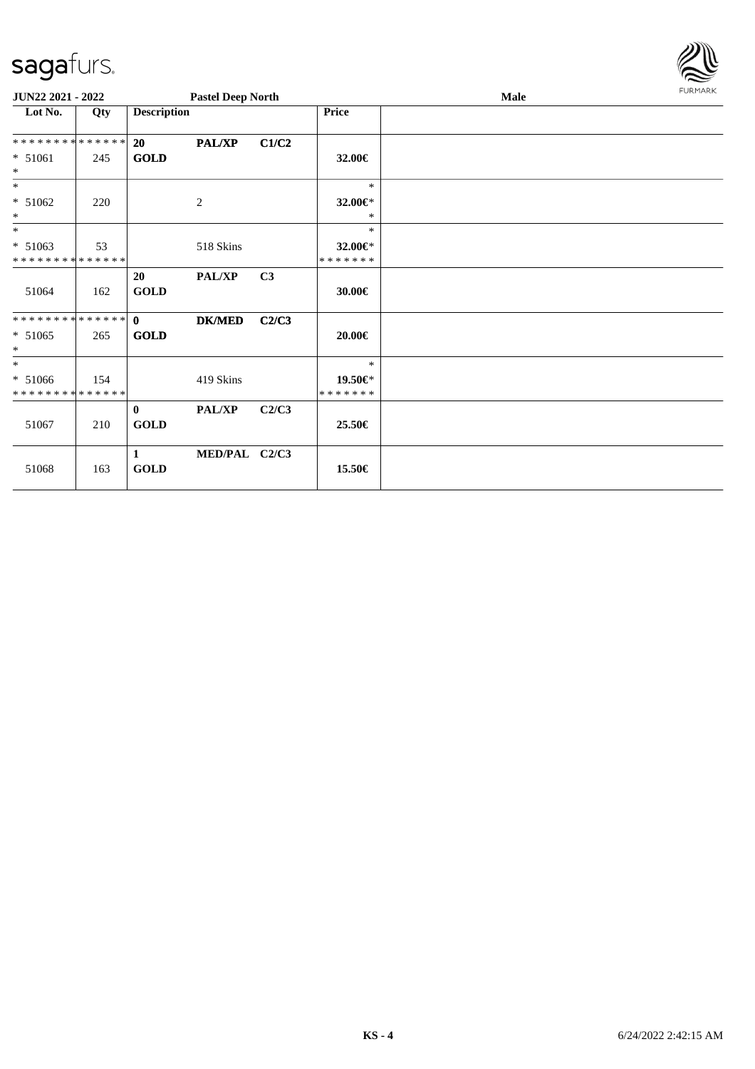| <b>FURMARK</b> |
|----------------|

| JUN22 2021 - 2022                                  |     |                             | <b>Pastel Deep North</b> |       |                              | Male | <b>FURMARK</b> |
|----------------------------------------------------|-----|-----------------------------|--------------------------|-------|------------------------------|------|----------------|
| Lot No.                                            | Qty | <b>Description</b>          |                          |       | <b>Price</b>                 |      |                |
| **************                                     |     | <b>20</b>                   | <b>PAL/XP</b>            | C1/C2 |                              |      |                |
| * 51061<br>$\ast$                                  | 245 | <b>GOLD</b>                 |                          |       | 32.00€                       |      |                |
| $\ast$                                             |     |                             |                          |       | $\ast$                       |      |                |
| $* 51062$<br>$\ast$                                | 220 |                             | $\overline{c}$           |       | 32.00€*<br>$\ast$            |      |                |
| $\ast$                                             |     |                             |                          |       | $\ast$                       |      |                |
| $* 51063$<br>* * * * * * * * * * * * * *           | 53  |                             | 518 Skins                |       | 32.00€*<br>*******           |      |                |
| 51064                                              | 162 | 20<br><b>GOLD</b>           | PAL/XP                   | C3    | 30.00€                       |      |                |
| **************<br>$* 51065$<br>$\ast$              | 265 | $\mathbf{0}$<br><b>GOLD</b> | <b>DK/MED</b>            | C2/C3 | 20.00€                       |      |                |
| $\ast$<br>$* 51066$<br>* * * * * * * * * * * * * * | 154 |                             | 419 Skins                |       | $\ast$<br>19.50€*<br>******* |      |                |
| 51067                                              | 210 | $\mathbf{0}$<br><b>GOLD</b> | PAL/XP                   | C2/C3 | 25.50€                       |      |                |
| 51068                                              | 163 | $\mathbf{1}$<br><b>GOLD</b> | MED/PAL C2/C3            |       | 15.50€                       |      |                |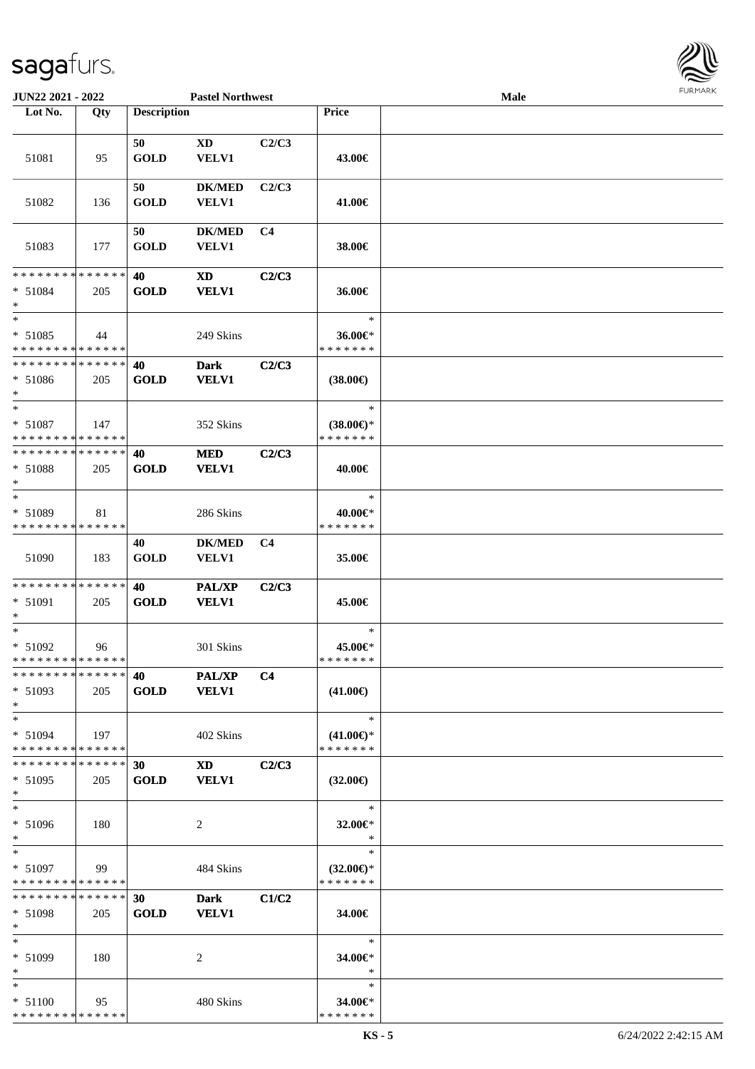

| JUN22 2021 - 2022             |     |                    | <b>Pastel Northwest</b> |                |                     | <b>Male</b> |  |
|-------------------------------|-----|--------------------|-------------------------|----------------|---------------------|-------------|--|
| Lot No.                       | Qty | <b>Description</b> |                         |                | <b>Price</b>        |             |  |
|                               |     |                    |                         |                |                     |             |  |
|                               |     | 50                 | XD                      | C2/C3          |                     |             |  |
| 51081                         | 95  | <b>GOLD</b>        | VELV1                   |                | 43.00€              |             |  |
|                               |     |                    |                         |                |                     |             |  |
|                               |     | 50                 | <b>DK/MED</b>           | C2/C3          |                     |             |  |
|                               |     | <b>GOLD</b>        |                         |                |                     |             |  |
| 51082                         | 136 |                    | VELV1                   |                | 41.00€              |             |  |
|                               |     |                    |                         |                |                     |             |  |
|                               |     | 50                 | <b>DK/MED</b>           | C <sub>4</sub> |                     |             |  |
| 51083                         | 177 | <b>GOLD</b>        | VELV1                   |                | 38.00€              |             |  |
|                               |     |                    |                         |                |                     |             |  |
| * * * * * * * * * * * * * *   |     | 40                 | <b>XD</b>               | C2/C3          |                     |             |  |
| $* 51084$                     | 205 | <b>GOLD</b>        | <b>VELV1</b>            |                | 36.00€              |             |  |
| $\ast$                        |     |                    |                         |                |                     |             |  |
| $\ast$                        |     |                    |                         |                | $\ast$              |             |  |
| $* 51085$                     | 44  |                    | 249 Skins               |                | 36.00€*             |             |  |
| * * * * * * * * * * * * * *   |     |                    |                         |                | * * * * * * *       |             |  |
| * * * * * * * * * * * * * *   |     | 40                 | <b>Dark</b>             | C2/C3          |                     |             |  |
| $* 51086$                     | 205 | <b>GOLD</b>        | <b>VELV1</b>            |                | $(38.00\epsilon)$   |             |  |
| $*$                           |     |                    |                         |                |                     |             |  |
| $\ast$                        |     |                    |                         |                | $\ast$              |             |  |
| $* 51087$                     | 147 |                    | 352 Skins               |                | $(38.00€)$ *        |             |  |
| * * * * * * * * * * * * * * * |     |                    |                         |                | * * * * * * *       |             |  |
| * * * * * * * * * * * * * *   |     |                    |                         |                |                     |             |  |
|                               |     | 40                 | <b>MED</b>              | C2/C3          |                     |             |  |
| $* 51088$                     | 205 | <b>GOLD</b>        | <b>VELV1</b>            |                | 40.00€              |             |  |
| $\ast$                        |     |                    |                         |                |                     |             |  |
| $\ast$                        |     |                    |                         |                | $\ast$              |             |  |
| * 51089                       | 81  |                    | 286 Skins               |                | 40.00€*             |             |  |
| * * * * * * * * * * * * * *   |     |                    |                         |                | * * * * * * *       |             |  |
|                               |     | 40                 | <b>DK/MED</b>           | C <sub>4</sub> |                     |             |  |
| 51090                         | 183 | <b>GOLD</b>        | <b>VELV1</b>            |                | 35.00€              |             |  |
|                               |     |                    |                         |                |                     |             |  |
| **************                |     | 40                 | PAL/XP                  | C2/C3          |                     |             |  |
| * 51091                       | 205 | <b>GOLD</b>        | <b>VELV1</b>            |                | 45.00€              |             |  |
| *                             |     |                    |                         |                |                     |             |  |
| $\ast$                        |     |                    |                         |                | $\ast$              |             |  |
| $* 51092$                     |     |                    | 301 Skins               |                | 45.00€*             |             |  |
| **************                | 96  |                    |                         |                | * * * * * * *       |             |  |
| * * * * * * * * * * * * * * * |     |                    |                         |                |                     |             |  |
|                               |     | 40 — 10            | <b>PAL/XP</b>           | C <sub>4</sub> |                     |             |  |
| $* 51093$                     | 205 | <b>GOLD</b>        | <b>VELV1</b>            |                | $(41.00\epsilon)$   |             |  |
| $*$                           |     |                    |                         |                |                     |             |  |
| $*$                           |     |                    |                         |                | $\ast$              |             |  |
| $* 51094$                     | 197 |                    | 402 Skins               |                | $(41.00\epsilon)$ * |             |  |
| * * * * * * * * * * * * * *   |     |                    |                         |                | * * * * * * *       |             |  |
| * * * * * * * * * * * * * * * |     | 30                 | XD 3                    | C2/C3          |                     |             |  |
| $* 51095$                     | 205 | <b>GOLD</b>        | <b>VELV1</b>            |                | $(32.00\epsilon)$   |             |  |
| $*$                           |     |                    |                         |                |                     |             |  |
| $\ast$                        |     |                    |                         |                | $\ast$              |             |  |
| * 51096                       | 180 |                    | 2                       |                | 32.00€*             |             |  |
| *                             |     |                    |                         |                | $\ast$              |             |  |
| $*$                           |     |                    |                         |                | $\ast$              |             |  |
| $* 51097$                     | 99  |                    | 484 Skins               |                | $(32.00\epsilon)$ * |             |  |
| * * * * * * * * * * * * * *   |     |                    |                         |                | * * * * * * *       |             |  |
| * * * * * * * * * * * * * * * |     |                    |                         |                |                     |             |  |
|                               |     | 30 <sup>°</sup>    | <b>Dark</b>             | C1/C2          |                     |             |  |
| $* 51098$                     | 205 | <b>GOLD</b>        | <b>VELV1</b>            |                | 34.00€              |             |  |
| $*$                           |     |                    |                         |                |                     |             |  |
| $*$                           |     |                    |                         |                | $\ast$              |             |  |
| * 51099                       | 180 |                    | 2                       |                | 34.00€*             |             |  |
| $*$                           |     |                    |                         |                | $\ast$              |             |  |
| $*$                           |     |                    |                         |                | $\ast$              |             |  |
| $* 51100$                     | 95  |                    | 480 Skins               |                | 34.00€*             |             |  |
| * * * * * * * * * * * * * *   |     |                    |                         |                | * * * * * * *       |             |  |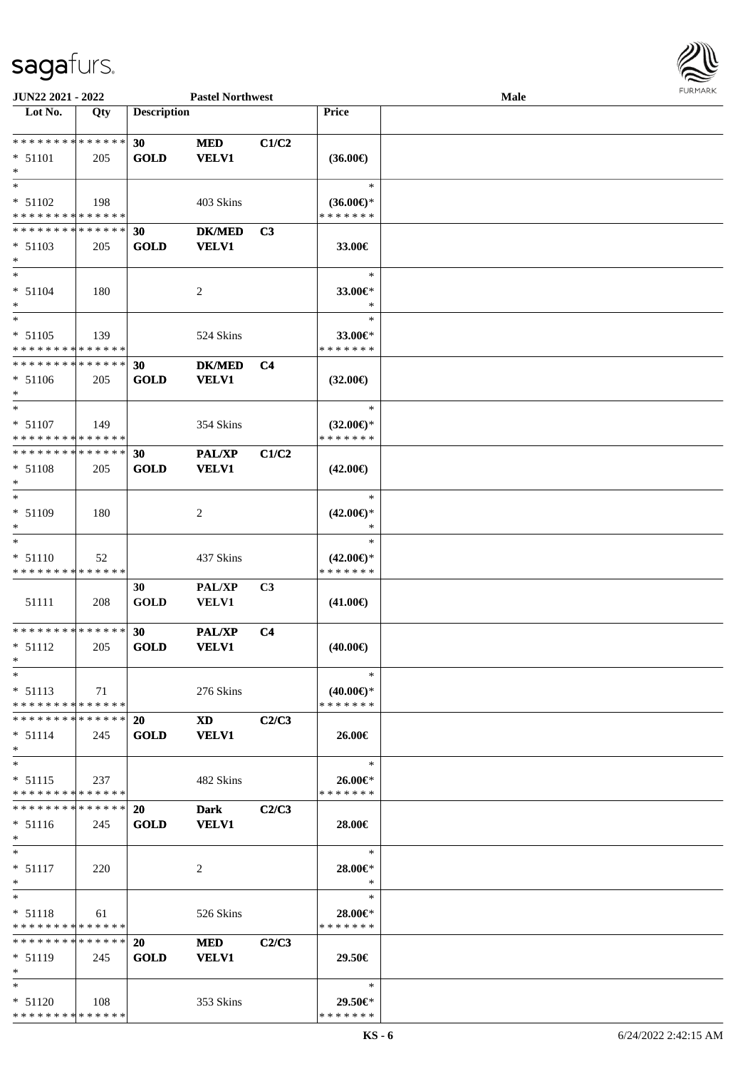

| JUN22 2021 - 2022                                          |        |                    | <b>Pastel Northwest</b>                                                                                                                                                                                                        |                |                                      | Male |  |
|------------------------------------------------------------|--------|--------------------|--------------------------------------------------------------------------------------------------------------------------------------------------------------------------------------------------------------------------------|----------------|--------------------------------------|------|--|
| Lot No.                                                    | Qty    | <b>Description</b> |                                                                                                                                                                                                                                |                | Price                                |      |  |
|                                                            |        |                    |                                                                                                                                                                                                                                |                |                                      |      |  |
| **************                                             |        | 30                 | <b>MED</b>                                                                                                                                                                                                                     | C1/C2          |                                      |      |  |
| $* 51101$                                                  | 205    | <b>GOLD</b>        | <b>VELV1</b>                                                                                                                                                                                                                   |                | $(36.00\epsilon)$                    |      |  |
| $\ast$                                                     |        |                    |                                                                                                                                                                                                                                |                |                                      |      |  |
| $\ast$                                                     |        |                    |                                                                                                                                                                                                                                |                | $\ast$                               |      |  |
| * 51102                                                    | 198    |                    | 403 Skins                                                                                                                                                                                                                      |                | $(36.00€)$ *                         |      |  |
| * * * * * * * * * * * * * *                                |        |                    |                                                                                                                                                                                                                                |                | * * * * * * *                        |      |  |
| * * * * * * * * * * * * * *                                |        | 30                 | <b>DK/MED</b>                                                                                                                                                                                                                  | C <sub>3</sub> |                                      |      |  |
| $* 51103$                                                  | 205    | <b>GOLD</b>        | <b>VELV1</b>                                                                                                                                                                                                                   |                | 33.00€                               |      |  |
| $\ast$                                                     |        |                    |                                                                                                                                                                                                                                |                |                                      |      |  |
| $\ast$                                                     |        |                    |                                                                                                                                                                                                                                |                | $\ast$                               |      |  |
| $* 51104$                                                  | 180    |                    |                                                                                                                                                                                                                                |                | 33.00€*                              |      |  |
| $\ast$                                                     |        |                    | $\overline{c}$                                                                                                                                                                                                                 |                | $\ast$                               |      |  |
| $\ast$                                                     |        |                    |                                                                                                                                                                                                                                |                | $\ast$                               |      |  |
| $* 51105$                                                  |        |                    |                                                                                                                                                                                                                                |                |                                      |      |  |
| * * * * * * * * * * * * * *                                | 139    |                    | 524 Skins                                                                                                                                                                                                                      |                | 33.00€*<br>* * * * * * *             |      |  |
| * * * * * * * * * * * * * *                                |        |                    |                                                                                                                                                                                                                                |                |                                      |      |  |
|                                                            |        | 30                 | <b>DK/MED</b>                                                                                                                                                                                                                  | C <sub>4</sub> |                                      |      |  |
| $* 51106$<br>$\ast$                                        | 205    | <b>GOLD</b>        | <b>VELV1</b>                                                                                                                                                                                                                   |                | $(32.00\epsilon)$                    |      |  |
| $\ast$                                                     |        |                    |                                                                                                                                                                                                                                |                | $\ast$                               |      |  |
|                                                            |        |                    |                                                                                                                                                                                                                                |                |                                      |      |  |
| $* 51107$                                                  | 149    |                    | 354 Skins                                                                                                                                                                                                                      |                | $(32.00\epsilon)$ *<br>* * * * * * * |      |  |
| * * * * * * * * * * * * * *<br>* * * * * * * * * * * * * * |        |                    |                                                                                                                                                                                                                                |                |                                      |      |  |
|                                                            |        | 30                 | <b>PAL/XP</b>                                                                                                                                                                                                                  | C1/C2          |                                      |      |  |
| $* 51108$                                                  | 205    | <b>GOLD</b>        | <b>VELV1</b>                                                                                                                                                                                                                   |                | $(42.00\epsilon)$                    |      |  |
| $\ast$                                                     |        |                    |                                                                                                                                                                                                                                |                |                                      |      |  |
| $\ast$                                                     |        |                    |                                                                                                                                                                                                                                |                | $\ast$                               |      |  |
| * 51109                                                    | 180    |                    | $\overline{c}$                                                                                                                                                                                                                 |                | $(42.00\epsilon)$ *                  |      |  |
| $\ast$<br>$\ast$                                           |        |                    |                                                                                                                                                                                                                                |                | $\ast$                               |      |  |
|                                                            |        |                    |                                                                                                                                                                                                                                |                | $\ast$                               |      |  |
| $* 51110$                                                  | 52     |                    | 437 Skins                                                                                                                                                                                                                      |                | $(42.00\epsilon)$ *                  |      |  |
| * * * * * * * * * * * * * *                                |        |                    |                                                                                                                                                                                                                                |                | * * * * * * *                        |      |  |
|                                                            |        | 30                 | PAL/XP                                                                                                                                                                                                                         | C3             |                                      |      |  |
| 51111                                                      | 208    | <b>GOLD</b>        | VELV1                                                                                                                                                                                                                          |                | $(41.00\epsilon)$                    |      |  |
| **************                                             |        |                    |                                                                                                                                                                                                                                |                |                                      |      |  |
|                                                            |        | 30                 | <b>PAL/XP</b>                                                                                                                                                                                                                  | C <sub>4</sub> |                                      |      |  |
| $* 51112$<br>$*$                                           | 205    | <b>GOLD</b>        | <b>VELV1</b>                                                                                                                                                                                                                   |                | $(40.00\epsilon)$                    |      |  |
| $*$                                                        |        |                    |                                                                                                                                                                                                                                |                | ∗                                    |      |  |
|                                                            |        |                    |                                                                                                                                                                                                                                |                |                                      |      |  |
| $* 51113$<br>* * * * * * * * * * * * * *                   | 71     |                    | 276 Skins                                                                                                                                                                                                                      |                | $(40.00\epsilon)$ *<br>* * * * * * * |      |  |
|                                                            |        |                    |                                                                                                                                                                                                                                |                |                                      |      |  |
| * * * * * * * * * * * * * * *                              |        | <b>20</b>          | XD and the set of the set of the set of the set of the set of the set of the set of the set of the set of the set of the set of the set of the set of the set of the set of the set of the set of the set of the set of the se | C2/C3          |                                      |      |  |
| $* 51114$                                                  | 245    | <b>GOLD</b>        | <b>VELV1</b>                                                                                                                                                                                                                   |                | 26.00€                               |      |  |
| $\ast$                                                     |        |                    |                                                                                                                                                                                                                                |                |                                      |      |  |
| $\ast$                                                     |        |                    |                                                                                                                                                                                                                                |                | $\ast$                               |      |  |
| $* 51115$<br>* * * * * * * * * * * * * *                   | 237    |                    | 482 Skins                                                                                                                                                                                                                      |                | 26.00€*<br>* * * * * * *             |      |  |
| * * * * * * * * * * * * * *                                |        |                    |                                                                                                                                                                                                                                |                |                                      |      |  |
|                                                            |        | <b>20</b>          | <b>Dark</b>                                                                                                                                                                                                                    | C2/C3          |                                      |      |  |
| $* 51116$                                                  | 245    | <b>GOLD</b>        | VELV1                                                                                                                                                                                                                          |                | 28.00€                               |      |  |
| $*$                                                        |        |                    |                                                                                                                                                                                                                                |                |                                      |      |  |
| $*$                                                        |        |                    |                                                                                                                                                                                                                                |                | $\ast$                               |      |  |
| $* 51117$                                                  | 220    |                    | 2                                                                                                                                                                                                                              |                | 28.00€*                              |      |  |
| $\ast$<br>$*$                                              |        |                    |                                                                                                                                                                                                                                |                | $\ast$<br>$\ast$                     |      |  |
|                                                            |        |                    |                                                                                                                                                                                                                                |                |                                      |      |  |
| $* 51118$                                                  | 61     |                    | 526 Skins                                                                                                                                                                                                                      |                | 28.00€*                              |      |  |
| * * * * * * * * * * * * * *                                |        |                    |                                                                                                                                                                                                                                |                | * * * * * * *                        |      |  |
| * * * * * * * * * * * * * *                                |        | 20                 | MED                                                                                                                                                                                                                            | C2/C3          |                                      |      |  |
| $* 51119$                                                  | 245    | <b>GOLD</b>        | <b>VELV1</b>                                                                                                                                                                                                                   |                | 29.50€                               |      |  |
| $*$                                                        |        |                    |                                                                                                                                                                                                                                |                |                                      |      |  |
| $*$                                                        |        |                    |                                                                                                                                                                                                                                |                | $\ast$                               |      |  |
| $* 51120$                                                  | -- 108 |                    | 353 Skins                                                                                                                                                                                                                      |                | 29.50€*                              |      |  |
| ******** <mark>******</mark>                               |        |                    |                                                                                                                                                                                                                                |                | * * * * * * *                        |      |  |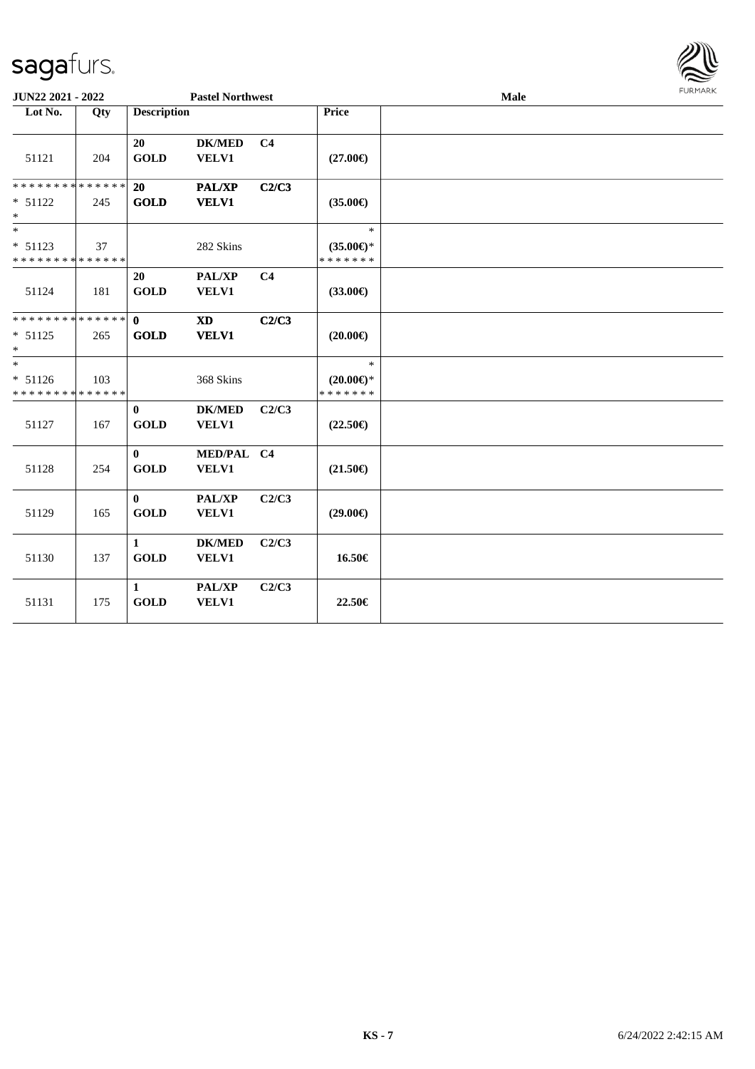

| JUN22 2021 - 2022                                  |     |                             | <b>Pastel Northwest</b>                |                |                                                   | Male | FURMARK |
|----------------------------------------------------|-----|-----------------------------|----------------------------------------|----------------|---------------------------------------------------|------|---------|
| Lot No.                                            | Qty | <b>Description</b>          |                                        |                | <b>Price</b>                                      |      |         |
| 51121                                              | 204 | 20<br><b>GOLD</b>           | <b>DK/MED</b><br>VELV1                 | C <sub>4</sub> | $(27.00\epsilon)$                                 |      |         |
| * * * * * * * * * * * * * *<br>$* 51122$<br>$*$    | 245 | <b>20</b><br><b>GOLD</b>    | <b>PAL/XP</b><br><b>VELV1</b>          | C2/C3          | $(35.00\epsilon)$                                 |      |         |
| $\ast$<br>$* 51123$<br>* * * * * * * * * * * * * * | 37  |                             | 282 Skins                              |                | $\ast$<br>$(35.00\epsilon)$ *<br>* * * * * * *    |      |         |
| 51124                                              | 181 | <b>20</b><br><b>GOLD</b>    | PAL/XP<br>VELV1                        | C <sub>4</sub> | $(33.00\epsilon)$                                 |      |         |
| ************** 0<br>$* 51125$<br>$*$               | 265 | <b>GOLD</b>                 | $\mathbf{X}\mathbf{D}$<br><b>VELV1</b> | C2/C3          | $(20.00\epsilon)$                                 |      |         |
| $*$<br>$* 51126$<br>* * * * * * * * * * * * * *    | 103 |                             | 368 Skins                              |                | $\ast$<br>$(20.00\varepsilon)$ *<br>* * * * * * * |      |         |
| 51127                                              | 167 | $\bf{0}$<br><b>GOLD</b>     | <b>DK/MED</b><br>VELV1                 | C2/C3          | $(22.50\epsilon)$                                 |      |         |
| 51128                                              | 254 | $\bf{0}$<br><b>GOLD</b>     | MED/PAL C4<br>VELV1                    |                | $(21.50\epsilon)$                                 |      |         |
| 51129                                              | 165 | $\bf{0}$<br><b>GOLD</b>     | PAL/XP<br>VELV1                        | C2/C3          | $(29.00\epsilon)$                                 |      |         |
| 51130                                              | 137 | $\mathbf{1}$<br><b>GOLD</b> | <b>DK/MED</b><br>VELV1                 | C2/C3          | 16.50€                                            |      |         |
| 51131                                              | 175 | $\mathbf{1}$<br><b>GOLD</b> | PAL/XP<br>VELV1                        | C2/C3          | 22.50€                                            |      |         |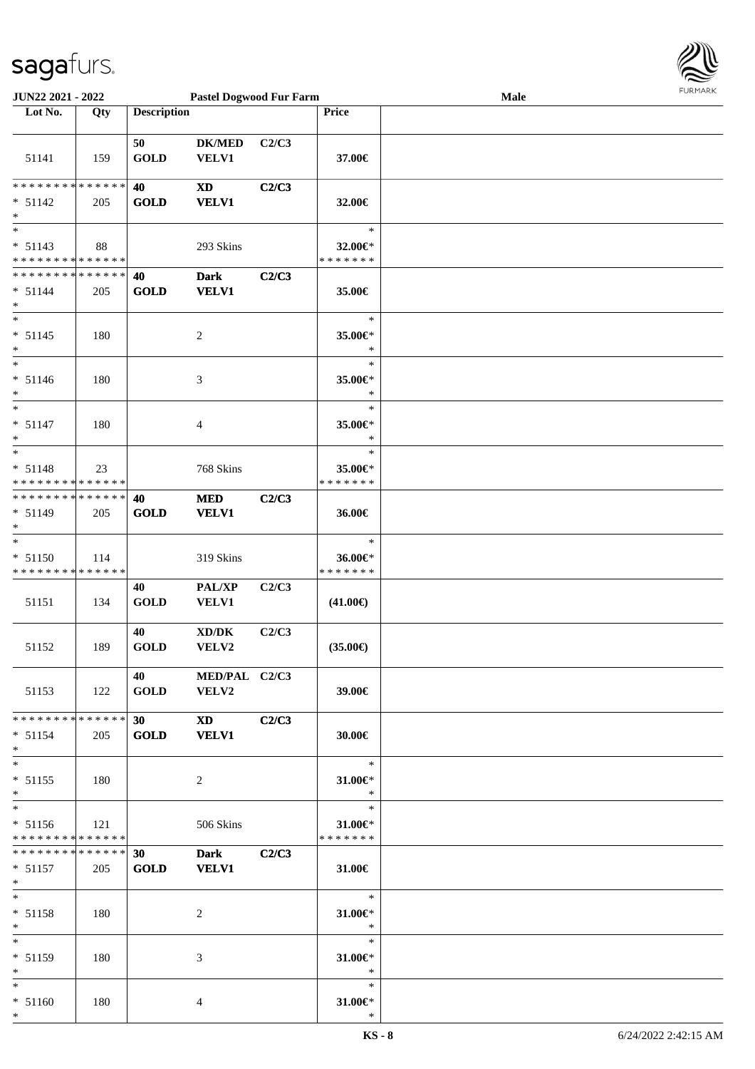

| <b>JUN22 2021 - 2022</b>                                                    |     |                    | <b>Pastel Dogwood Fur Farm</b>                                                                                                                                                                                                                 |       |                                                  | Male |  |
|-----------------------------------------------------------------------------|-----|--------------------|------------------------------------------------------------------------------------------------------------------------------------------------------------------------------------------------------------------------------------------------|-------|--------------------------------------------------|------|--|
| Lot No.                                                                     | Qty | <b>Description</b> |                                                                                                                                                                                                                                                |       | <b>Price</b>                                     |      |  |
| 51141                                                                       | 159 | 50<br><b>GOLD</b>  | <b>DK/MED</b><br>VELV1                                                                                                                                                                                                                         | C2/C3 | 37.00€                                           |      |  |
| * * * * * * * * <mark>* * * * * *</mark><br>$* 51142$<br>$\ast$             | 205 | 40<br><b>GOLD</b>  | <b>XD</b><br><b>VELV1</b>                                                                                                                                                                                                                      | C2/C3 | 32.00€                                           |      |  |
| $\ast$<br>$* 51143$<br>* * * * * * * * * * * * * *                          | 88  |                    | 293 Skins                                                                                                                                                                                                                                      |       | $\ast$<br>32.00€*<br>* * * * * * *               |      |  |
| * * * * * * * * <mark>* * * * * * *</mark><br>$* 51144$<br>$\ast$<br>$\ast$ | 205 | 40<br><b>GOLD</b>  | <b>Dark</b><br><b>VELV1</b>                                                                                                                                                                                                                    | C2/C3 | 35.00€<br>$\ast$                                 |      |  |
| $* 51145$<br>*<br>$\ast$                                                    | 180 |                    | $\overline{c}$                                                                                                                                                                                                                                 |       | 35.00€*<br>$\ast$<br>$\ast$                      |      |  |
| $* 51146$<br>$\ast$<br>$\overline{\ast}$                                    | 180 |                    | 3                                                                                                                                                                                                                                              |       | 35.00€*<br>$\ast$<br>$\ast$                      |      |  |
| $* 51147$<br>$\ast$<br>$\ast$                                               | 180 |                    | 4                                                                                                                                                                                                                                              |       | 35.00€*<br>$\ast$                                |      |  |
| $* 51148$<br>* * * * * * * * <mark>* * * * * * *</mark>                     | 23  |                    | 768 Skins                                                                                                                                                                                                                                      |       | $\ast$<br>35.00€*<br>* * * * * * *               |      |  |
| * * * * * * * * <mark>* * * * * *</mark><br>$* 51149$<br>$\ast$             | 205 | 40<br><b>GOLD</b>  | <b>MED</b><br><b>VELV1</b>                                                                                                                                                                                                                     | C2/C3 | 36.00€                                           |      |  |
| $\ast$<br>$* 51150$<br>* * * * * * * * * * * * * *                          | 114 |                    | 319 Skins                                                                                                                                                                                                                                      |       | $\ast$<br>36.00€*<br>* * * * * * *               |      |  |
| 51151                                                                       | 134 | 40<br><b>GOLD</b>  | PAL/XP<br><b>VELV1</b>                                                                                                                                                                                                                         | C2/C3 | $(41.00\epsilon)$                                |      |  |
| 51152                                                                       | 189 | 40<br><b>GOLD</b>  | $\bold{X}\bold{D}/\bold{D}\bold{K}$<br>VELV2                                                                                                                                                                                                   | C2/C3 | $(35.00\epsilon)$                                |      |  |
| 51153                                                                       | 122 | 40<br><b>GOLD</b>  | MED/PAL C2/C3<br>VELV2                                                                                                                                                                                                                         |       | 39.00€                                           |      |  |
| * * * * * * * * * * * * * * <mark>*</mark><br>$* 51154$<br>$\ast$           | 205 | 30<br>GOLD         | XD and the set of the set of the set of the set of the set of the set of the set of the set of the set of the set of the set of the set of the set of the set of the set of the set of the set of the set of the set of the se<br><b>VELV1</b> | C2/C3 | 30.00€                                           |      |  |
| $\ast$<br>$* 51155$<br>$\ast$<br>$\overline{\ast}$                          | 180 |                    | 2                                                                                                                                                                                                                                              |       | $\ast$<br>$31.00 \in$<br>$\rightarrow$<br>$\ast$ |      |  |
| $* 51156$<br>* * * * * * * * <mark>* * * * * *</mark>                       | 121 |                    | 506 Skins                                                                                                                                                                                                                                      |       | $31.00 \in$<br>* * * * * * *                     |      |  |
| * * * * * * * * <mark>* * * * * *</mark><br>$* 51157$<br>$*$                | 205 | 30<br><b>GOLD</b>  | <b>Dark</b><br><b>VELV1</b>                                                                                                                                                                                                                    | C2/C3 | 31.00€                                           |      |  |
| $*$ $-$<br>$* 51158$<br>$\ast$                                              | 180 |                    | 2                                                                                                                                                                                                                                              |       | $\ast$<br>$31.00 \in$ *<br>$*$                   |      |  |
| $*$<br>$* 51159$<br>$*$                                                     | 180 |                    | 3                                                                                                                                                                                                                                              |       | $\ast$<br>31.00 $\in$ *<br>$\ast$                |      |  |
| $\ast$<br>$* 51160$                                                         | 180 |                    | 4                                                                                                                                                                                                                                              |       | $\ast$<br>$31.00 \in$ *                          |      |  |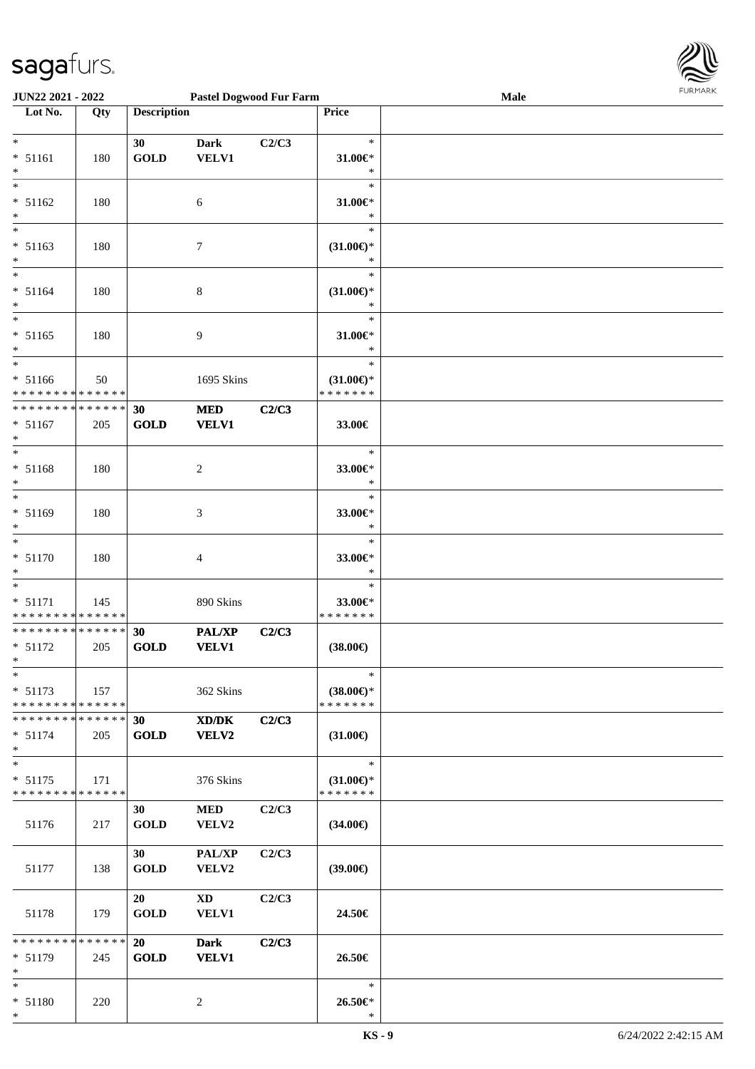

| <b>JUN22 2021 - 2022</b>                                                             |             |                    | <b>Pastel Dogwood Fur Farm</b> |       |                                      | Male | <b>FURPIARA</b> |
|--------------------------------------------------------------------------------------|-------------|--------------------|--------------------------------|-------|--------------------------------------|------|-----------------|
| Lot No.                                                                              | Qty         | <b>Description</b> |                                |       | Price                                |      |                 |
|                                                                                      |             |                    |                                |       |                                      |      |                 |
| $*$                                                                                  |             | 30                 | <b>Dark</b>                    | C2/C3 | $\ast$                               |      |                 |
| $* 51161$<br>$\ast$                                                                  | 180         | <b>GOLD</b>        | <b>VELV1</b>                   |       | 31.00€*<br>$\ast$                    |      |                 |
| $_{*}$                                                                               |             |                    |                                |       | $\ast$                               |      |                 |
| $* 51162$                                                                            | 180         |                    | 6                              |       | $31.00 \in$                          |      |                 |
| $*$                                                                                  |             |                    |                                |       | $\ast$                               |      |                 |
| $*$                                                                                  |             |                    |                                |       | $\ast$                               |      |                 |
| $* 51163$<br>$*$                                                                     | 180         |                    | 7                              |       | $(31.00\epsilon)$ *<br>$\ast$        |      |                 |
| $\overline{\ast}$                                                                    |             |                    |                                |       | $\ast$                               |      |                 |
| $* 51164$                                                                            | 180         |                    | 8                              |       | $(31.00\epsilon)$ *                  |      |                 |
| $*$                                                                                  |             |                    |                                |       | ∗                                    |      |                 |
| $* 51165$                                                                            | 180         |                    | 9                              |       | $\ast$<br>$31.00 \in$ *              |      |                 |
| $*$                                                                                  |             |                    |                                |       | $\ast$                               |      |                 |
| $*$                                                                                  |             |                    |                                |       | $\ast$                               |      |                 |
| $* 51166$                                                                            | 50          |                    | 1695 Skins                     |       | $(31.00\epsilon)$ *                  |      |                 |
| * * * * * * * * * * * * * *<br>* * * * * * * * <mark>* * * * * * *</mark>            |             | 30                 | <b>MED</b>                     | C2/C3 | * * * * * * *                        |      |                 |
| $* 51167$                                                                            | 205         | <b>GOLD</b>        | <b>VELV1</b>                   |       | 33.00€                               |      |                 |
| $*$                                                                                  |             |                    |                                |       |                                      |      |                 |
| $\overline{\phantom{0}}$                                                             |             |                    |                                |       | $\ast$                               |      |                 |
| $* 51168$<br>$*$                                                                     | 180         |                    | $\overline{c}$                 |       | 33.00€*<br>$\ast$                    |      |                 |
| $*$                                                                                  |             |                    |                                |       | $\ast$                               |      |                 |
| $* 51169$                                                                            | 180         |                    | 3                              |       | 33.00€*                              |      |                 |
| $*$                                                                                  |             |                    |                                |       | $\ast$                               |      |                 |
| $\overline{\phantom{0}}$<br>$* 51170$                                                |             |                    |                                |       | $\ast$<br>33.00€*                    |      |                 |
| $\ast$                                                                               | 180         |                    | 4                              |       | $\ast$                               |      |                 |
| $\overline{\phantom{0}}$                                                             |             |                    |                                |       | $\ast$                               |      |                 |
| $* 51171$                                                                            | 145         |                    | 890 Skins                      |       | 33.00€*                              |      |                 |
| * * * * * * * * <mark>* * * * * *</mark><br>* * * * * * * * <mark>* * * * * *</mark> |             | 30                 | <b>PAL/XP</b>                  | C2/C3 | * * * * * * *                        |      |                 |
| $* 51172$                                                                            | 205         | GOLD               | <b>VELV1</b>                   |       | $(38.00\in)$                         |      |                 |
| $\mathbf{k}$ .                                                                       |             |                    |                                |       |                                      |      |                 |
| $*$                                                                                  |             |                    |                                |       | $\ast$                               |      |                 |
| $* 51173$<br>* * * * * * * * * * * * * * *                                           | 157         |                    | 362 Skins                      |       | $(38.00\epsilon)$ *<br>* * * * * * * |      |                 |
| * * * * * * * * * * * * * * *                                                        |             | 30 <sup>°</sup>    | XD/DK                          | C2/C3 |                                      |      |                 |
| $* 51174$                                                                            | 205         | <b>GOLD</b>        | VELV2                          |       | $(31.00\epsilon)$                    |      |                 |
| $*$                                                                                  |             |                    |                                |       |                                      |      |                 |
| $*$<br>$* 51175$                                                                     | 171         |                    | 376 Skins                      |       | $\ast$<br>$(31.00\epsilon)$ *        |      |                 |
| * * * * * * * * * * * * * * *                                                        |             |                    |                                |       | * * * * * * *                        |      |                 |
|                                                                                      |             | 30                 | <b>MED</b>                     | C2/C3 |                                      |      |                 |
| 51176                                                                                | 217         | <b>GOLD</b>        | <b>VELV2</b>                   |       | $(34.00\epsilon)$                    |      |                 |
|                                                                                      |             | 30                 | <b>PAL/XP</b>                  | C2/C3 |                                      |      |                 |
| 51177                                                                                | 138         | <b>GOLD</b>        | VELV2                          |       | $(39.00\epsilon)$                    |      |                 |
|                                                                                      |             |                    |                                |       |                                      |      |                 |
|                                                                                      |             | 20                 | XD                             | C2/C3 |                                      |      |                 |
| 51178                                                                                | 179         | <b>GOLD</b>        | <b>VELV1</b>                   |       | 24.50€                               |      |                 |
| * * * * * * * *                                                                      | * * * * * * | 20                 | <b>Dark</b>                    | C2/C3 |                                      |      |                 |
| $* 51179$                                                                            | 245         | <b>GOLD</b>        | <b>VELV1</b>                   |       | 26.50€                               |      |                 |
| $*$                                                                                  |             |                    |                                |       |                                      |      |                 |
| $*$<br>* 51180                                                                       | 220         |                    | 2                              |       | $\ast$<br>26.50€*                    |      |                 |
| $*$                                                                                  |             |                    |                                |       | $\ast$                               |      |                 |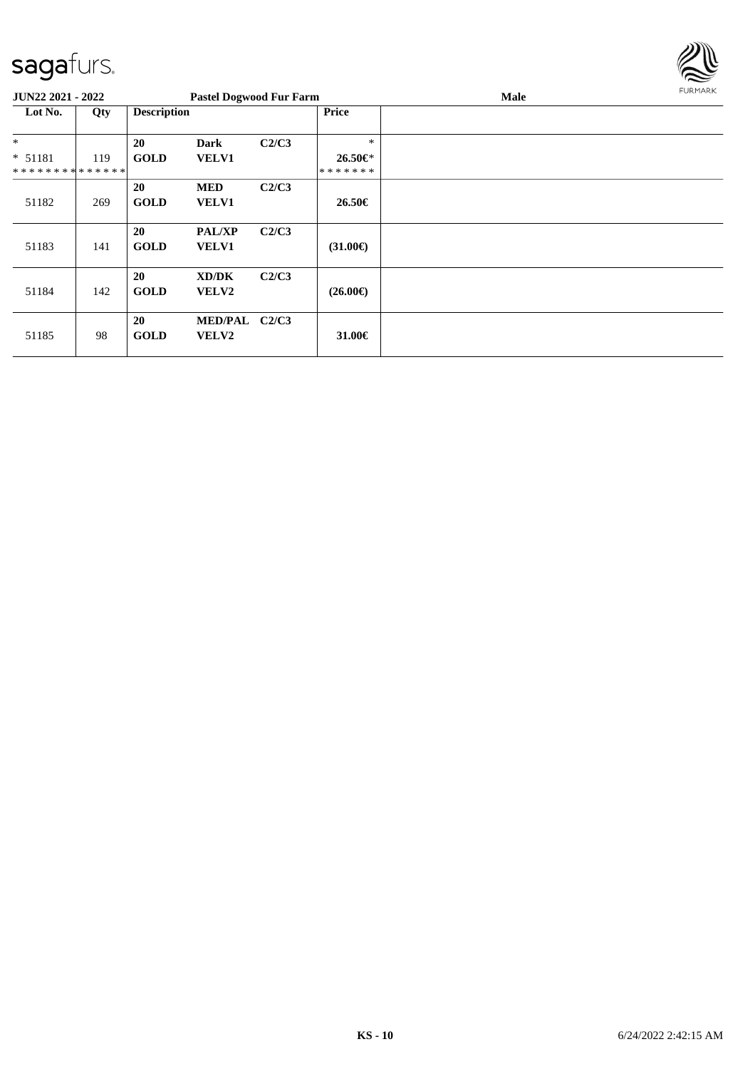

| <b>JUN22 2021 - 2022</b>      |     |                    | <b>Pastel Dogwood Fur Farm</b> |       |                   | Male | FURMARK |
|-------------------------------|-----|--------------------|--------------------------------|-------|-------------------|------|---------|
| Lot No.                       | Qty | <b>Description</b> |                                |       | Price             |      |         |
| $*$                           |     | 20                 | <b>Dark</b>                    | C2/C3 | $\ast$            |      |         |
| * 51181                       | 119 | <b>GOLD</b>        | <b>VELV1</b>                   |       | 26.50€*           |      |         |
| * * * * * * * * * * * * * * * |     |                    |                                |       | *******           |      |         |
| 51182                         | 269 | 20<br><b>GOLD</b>  | <b>MED</b><br><b>VELV1</b>     | C2/C3 | 26.50€            |      |         |
| 51183                         | 141 | 20<br><b>GOLD</b>  | <b>PAL/XP</b><br><b>VELV1</b>  | C2/C3 | $(31.00\epsilon)$ |      |         |
| 51184                         | 142 | 20<br><b>GOLD</b>  | XD/DK<br><b>VELV2</b>          | C2/C3 | $(26.00\epsilon)$ |      |         |
| 51185                         | 98  | 20<br><b>GOLD</b>  | MED/PAL C2/C3<br>VELV2         |       | 31.00 $\in$       |      |         |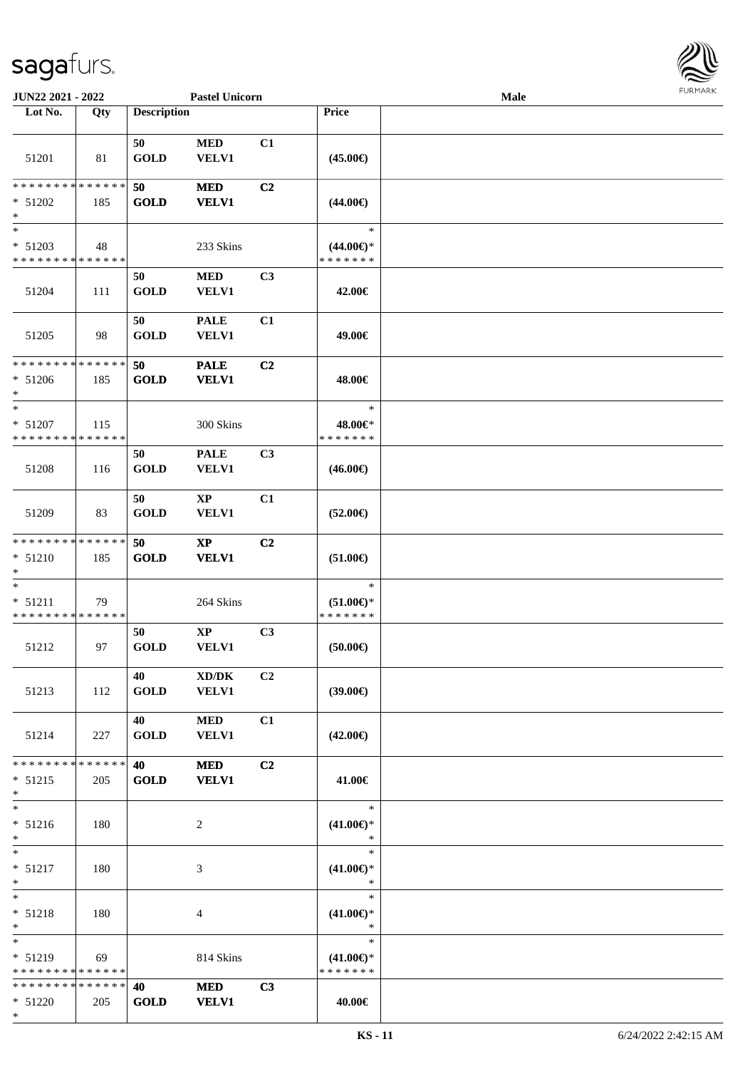

| JUN22 2021 - 2022                                                    |     |                          | <b>Pastel Unicorn</b>                  |                |                                                | Male | 1.91117177 |
|----------------------------------------------------------------------|-----|--------------------------|----------------------------------------|----------------|------------------------------------------------|------|------------|
| Lot No.                                                              | Qty | <b>Description</b>       |                                        |                | Price                                          |      |            |
| 51201                                                                | 81  | 50<br><b>GOLD</b>        | $\bf MED$<br><b>VELV1</b>              | C1             | $(45.00\epsilon)$                              |      |            |
| **************<br>$* 51202$<br>$\ast$                                | 185 | 50<br><b>GOLD</b>        | <b>MED</b><br><b>VELV1</b>             | C2             | $(44.00\epsilon)$                              |      |            |
| $\ast$<br>$* 51203$<br>* * * * * * * * * * * * * *                   | 48  |                          | 233 Skins                              |                | $\ast$<br>$(44.00\epsilon)$ *<br>* * * * * * * |      |            |
| 51204                                                                | 111 | 50<br><b>GOLD</b>        | <b>MED</b><br><b>VELV1</b>             | C3             | 42.00€                                         |      |            |
| 51205                                                                | 98  | 50<br><b>GOLD</b>        | <b>PALE</b><br><b>VELV1</b>            | C1             | 49.00€                                         |      |            |
| * * * * * * * * * * * * * *<br>$* 51206$<br>$\ast$                   | 185 | 50<br><b>GOLD</b>        | <b>PALE</b><br><b>VELV1</b>            | C2             | 48.00€                                         |      |            |
| $\ast$<br>$* 51207$<br>* * * * * * * * * * * * * *                   | 115 |                          | 300 Skins                              |                | $\ast$<br>48.00€*<br>* * * * * * *             |      |            |
| 51208                                                                | 116 | 50<br><b>GOLD</b>        | <b>PALE</b><br><b>VELV1</b>            | C3             | $(46.00\epsilon)$                              |      |            |
| 51209                                                                | 83  | 50<br><b>GOLD</b>        | $\mathbf{X}\mathbf{P}$<br><b>VELV1</b> | C1             | $(52.00\epsilon)$                              |      |            |
| * * * * * * * * * * * * * *<br>$* 51210$<br>$\ast$                   | 185 | 50<br><b>GOLD</b>        | $\mathbf{X}\mathbf{P}$<br><b>VELV1</b> | C <sub>2</sub> | $(51.00\epsilon)$                              |      |            |
| $\overline{\phantom{0}}$<br>$* 51211$<br>* * * * * * * * * * * * * * | 79  |                          | 264 Skins                              |                | $\ast$<br>$(51.00\epsilon)$ *<br>* * * * * * * |      |            |
| 51212                                                                | 97  | 50<br><b>GOLD</b>        | $\bold{XP}$<br>VELV1                   | C3             | (50.00)                                        |      |            |
| 51213                                                                | 112 | 40<br><b>GOLD</b>        | XD/DK<br>VELV1                         | C2             | (39.00)                                        |      |            |
| 51214                                                                | 227 | 40<br><b>GOLD</b>        | <b>MED</b><br><b>VELV1</b>             | C1             | $(42.00\epsilon)$                              |      |            |
| * * * * * * * * * * * * * *<br>$* 51215$<br>$\ast$                   | 205 | <b>40</b><br><b>GOLD</b> | <b>MED</b><br><b>VELV1</b>             | C2             | 41.00€                                         |      |            |
| $*$<br>$* 51216$<br>$\ast$                                           | 180 |                          | 2                                      |                | $\ast$<br>$(41.00\epsilon)$ *<br>$\ast$        |      |            |
| $\ast$<br>$* 51217$<br>$\ast$                                        | 180 |                          | 3                                      |                | $\ast$<br>$(41.00\epsilon)$ *<br>$\ast$        |      |            |
| $\ast$<br>$* 51218$<br>$*$                                           | 180 |                          | $\overline{4}$                         |                | $\ast$<br>$(41.00\epsilon)$ *<br>$\ast$        |      |            |
| $*$<br>* 51219<br>* * * * * * * * * * * * * *                        | 69  |                          | 814 Skins                              |                | $\ast$<br>$(41.00\epsilon)$ *<br>* * * * * * * |      |            |
| * * * * * * * * * * * * * *<br>$* 51220$<br>$*$                      | 205 | 40<br><b>GOLD</b>        | <b>MED</b><br><b>VELV1</b>             | C3             | 40.00€                                         |      |            |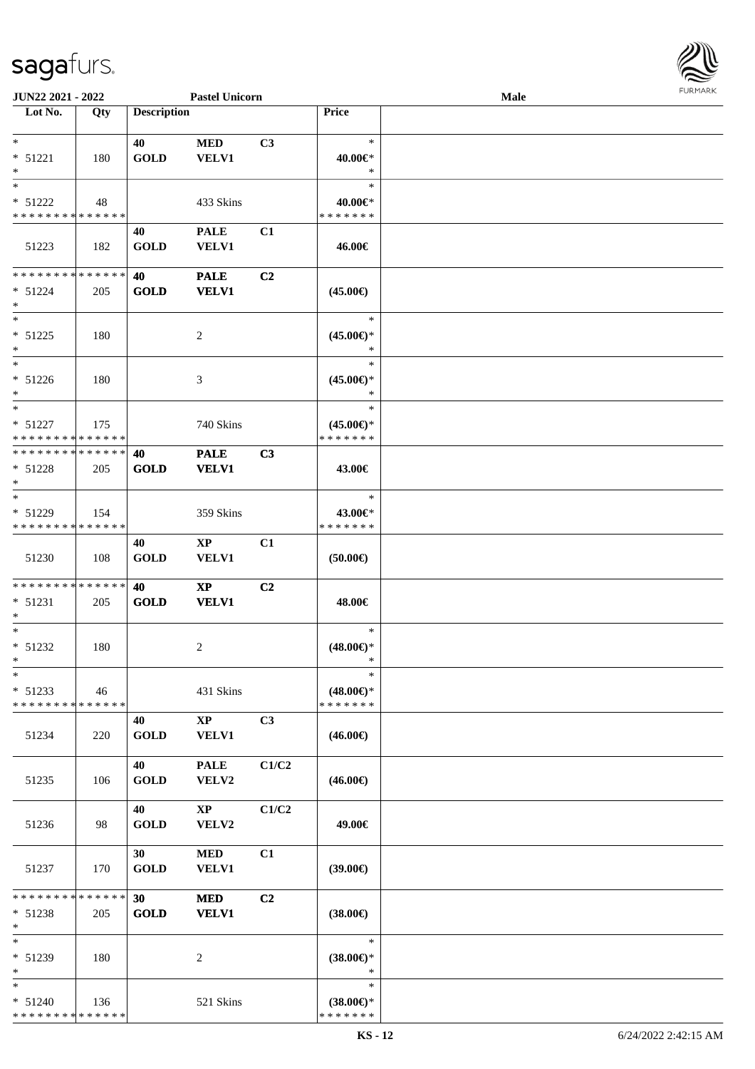

| JUN22 2021 - 2022                        |     |                    | <b>Pastel Unicorn</b>  |       |                                      | <b>Male</b> |  |
|------------------------------------------|-----|--------------------|------------------------|-------|--------------------------------------|-------------|--|
| Lot No.                                  | Qty | <b>Description</b> |                        |       | Price                                |             |  |
|                                          |     |                    |                        |       |                                      |             |  |
| $\ast$                                   |     | 40                 | $\bf MED$              | C3    | $\ast$                               |             |  |
| $* 51221$                                | 180 | <b>GOLD</b>        | <b>VELV1</b>           |       | 40.00€*                              |             |  |
| $\ast$                                   |     |                    |                        |       | $\ast$                               |             |  |
| $\overline{\phantom{0}}$                 |     |                    |                        |       | $\ast$                               |             |  |
| * 51222                                  | 48  |                    | 433 Skins              |       | 40.00€*                              |             |  |
| * * * * * * * * * * * * * *              |     |                    |                        |       | * * * * * * *                        |             |  |
|                                          |     | 40                 | <b>PALE</b>            | C1    |                                      |             |  |
| 51223                                    | 182 | <b>GOLD</b>        | VELV1                  |       | 46.00€                               |             |  |
|                                          |     |                    |                        |       |                                      |             |  |
| **************                           |     | 40                 | <b>PALE</b>            | C2    |                                      |             |  |
| $* 51224$                                | 205 | <b>GOLD</b>        | <b>VELV1</b>           |       | $(45.00\epsilon)$                    |             |  |
| $\ast$<br>$*$                            |     |                    |                        |       |                                      |             |  |
|                                          |     |                    |                        |       | $\ast$                               |             |  |
| $* 51225$                                | 180 |                    | $\overline{c}$         |       | $(45.00\epsilon)$ *                  |             |  |
| $\ast$<br>$\overline{\phantom{1}}$       |     |                    |                        |       | $\ast$<br>$\ast$                     |             |  |
|                                          |     |                    |                        |       |                                      |             |  |
| $* 51226$<br>$*$                         | 180 |                    | 3                      |       | $(45.00\epsilon)$ *<br>$\ast$        |             |  |
| $\ast$                                   |     |                    |                        |       | $\ast$                               |             |  |
| $* 51227$                                |     |                    |                        |       |                                      |             |  |
| * * * * * * * * * * * * * * *            | 175 |                    | 740 Skins              |       | $(45.00\epsilon)$ *<br>* * * * * * * |             |  |
| **************                           |     | 40                 | <b>PALE</b>            | C3    |                                      |             |  |
| $* 51228$                                | 205 | <b>GOLD</b>        | <b>VELV1</b>           |       | 43.00€                               |             |  |
| $*$                                      |     |                    |                        |       |                                      |             |  |
| $\ast$                                   |     |                    |                        |       | $\ast$                               |             |  |
| $* 51229$                                | 154 |                    | 359 Skins              |       | 43.00€*                              |             |  |
| * * * * * * * * * * * * * *              |     |                    |                        |       | * * * * * * *                        |             |  |
|                                          |     | 40                 | $\mathbf{X}\mathbf{P}$ | C1    |                                      |             |  |
| 51230                                    | 108 | <b>GOLD</b>        | <b>VELV1</b>           |       | $(50.00\epsilon)$                    |             |  |
|                                          |     |                    |                        |       |                                      |             |  |
| **************                           |     | 40                 | $\mathbf{X}\mathbf{P}$ | C2    |                                      |             |  |
| $* 51231$                                | 205 | <b>GOLD</b>        | <b>VELV1</b>           |       | 48.00€                               |             |  |
| $\ast$                                   |     |                    |                        |       |                                      |             |  |
| $\ast$                                   |     |                    |                        |       | $\ast$                               |             |  |
| * 51232                                  | 180 |                    | 2                      |       | $(48.00\epsilon)$ *                  |             |  |
| $*$                                      |     |                    |                        |       | $\ast$                               |             |  |
| $*$                                      |     |                    |                        |       | $\ast$                               |             |  |
| $* 51233$                                | 46  |                    | 431 Skins              |       | $(48.00\epsilon)$ *                  |             |  |
| * * * * * * * * * * * * * * *            |     |                    |                        |       | * * * * * * *                        |             |  |
|                                          |     | 40                 | $\mathbf{XP}$          | C3    |                                      |             |  |
| 51234                                    | 220 | <b>GOLD</b>        | <b>VELV1</b>           |       | $(46.00\epsilon)$                    |             |  |
|                                          |     | 40                 | <b>PALE</b>            | C1/C2 |                                      |             |  |
| 51235                                    | 106 | <b>GOLD</b>        | VELV2                  |       | $(46.00\epsilon)$                    |             |  |
|                                          |     |                    |                        |       |                                      |             |  |
|                                          |     | 40                 | $\mathbf{XP}$          | C1/C2 |                                      |             |  |
| 51236                                    | 98  | <b>GOLD</b>        | VELV2                  |       | 49.00€                               |             |  |
|                                          |     |                    |                        |       |                                      |             |  |
|                                          |     | 30 <sup>1</sup>    | $\bf MED$              | C1    |                                      |             |  |
| 51237                                    | 170 | <b>GOLD</b>        | VELV1                  |       | $(39.00\epsilon)$                    |             |  |
|                                          |     |                    |                        |       |                                      |             |  |
| ******** <mark>******</mark>             |     | 30 <sub>1</sub>    | <b>MED</b>             | C2    |                                      |             |  |
| $* 51238$                                | 205 | <b>GOLD</b>        | <b>VELV1</b>           |       | $(38.00\epsilon)$                    |             |  |
| $\ast$                                   |     |                    |                        |       |                                      |             |  |
| $*$                                      |     |                    |                        |       | $\ast$                               |             |  |
| * 51239                                  | 180 |                    | 2                      |       | $(38.00\epsilon)$ *                  |             |  |
| $\ast$                                   |     |                    |                        |       | $\ast$                               |             |  |
| $*$                                      |     |                    |                        |       | $\ast$                               |             |  |
| $* 51240$<br>* * * * * * * * * * * * * * | 136 |                    | 521 Skins              |       | $(38.00\epsilon)$ *<br>* * * * * * * |             |  |
|                                          |     |                    |                        |       |                                      |             |  |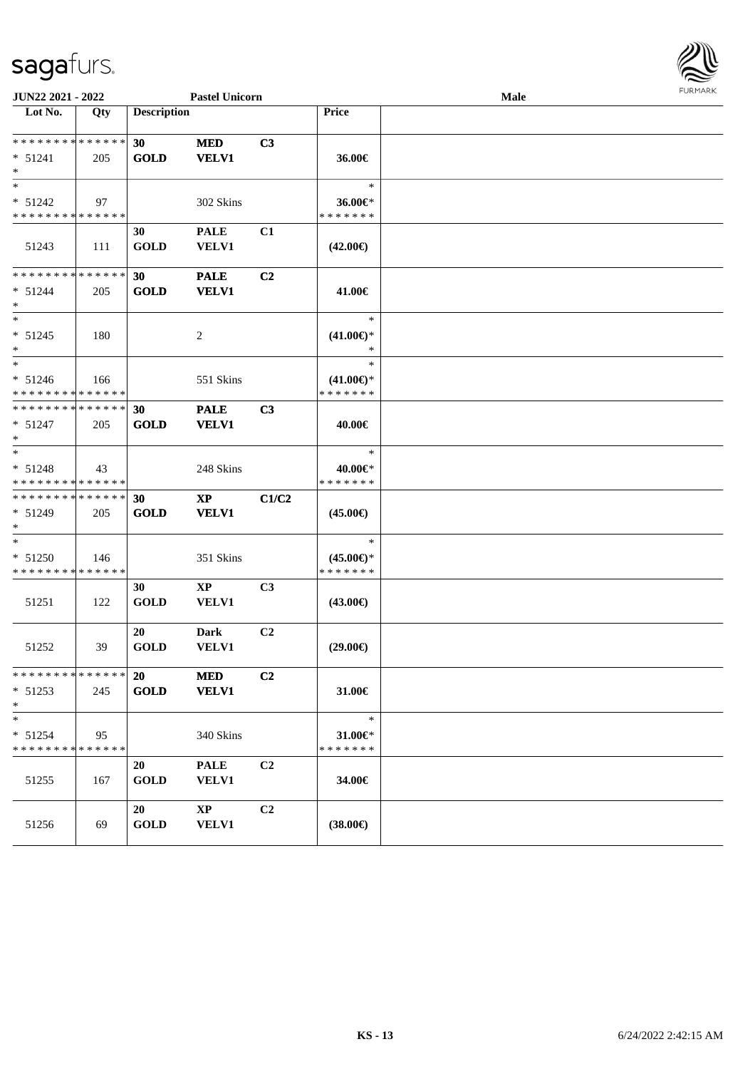

| JUN22 2021 - 2022                                  |     |                    | <b>Pastel Unicorn</b>                  |                |                                         | Male | <b>FURPIARR</b> |
|----------------------------------------------------|-----|--------------------|----------------------------------------|----------------|-----------------------------------------|------|-----------------|
| Lot No.                                            | Qty | <b>Description</b> |                                        |                | Price                                   |      |                 |
| * * * * * * * * * * * * * *                        |     | 30                 | <b>MED</b>                             | C3             |                                         |      |                 |
| $* 51241$<br>$\ast$                                | 205 | <b>GOLD</b>        | <b>VELV1</b>                           |                | 36.00€                                  |      |                 |
| $\ast$                                             |     |                    |                                        |                | $\ast$                                  |      |                 |
| $* 51242$                                          | 97  |                    | 302 Skins                              |                | 36.00€*                                 |      |                 |
| * * * * * * * * * * * * * *                        |     |                    |                                        |                | * * * * * * *                           |      |                 |
| 51243                                              | 111 | 30<br><b>GOLD</b>  | <b>PALE</b><br><b>VELV1</b>            | C1             | $(42.00\epsilon)$                       |      |                 |
| **************                                     |     | 30                 | <b>PALE</b>                            | C <sub>2</sub> |                                         |      |                 |
| $* 51244$<br>$\ast$                                | 205 | <b>GOLD</b>        | <b>VELV1</b>                           |                | 41.00€                                  |      |                 |
| $*$<br>$* 51245$<br>$\ast$                         | 180 |                    | 2                                      |                | $\ast$<br>$(41.00\epsilon)$ *<br>$\ast$ |      |                 |
| $\overline{\phantom{a}^*}$                         |     |                    |                                        |                | $\ast$                                  |      |                 |
| $* 51246$<br>* * * * * * * * * * * * * *           | 166 |                    | 551 Skins                              |                | $(41.00\epsilon)$ *<br>* * * * * * *    |      |                 |
| **************                                     |     | 30                 | <b>PALE</b>                            | C3             |                                         |      |                 |
| $* 51247$<br>$\ast$                                | 205 | <b>GOLD</b>        | <b>VELV1</b>                           |                | 40.00€                                  |      |                 |
| $\ast$                                             |     |                    |                                        |                | $\ast$                                  |      |                 |
| $* 51248$                                          | 43  |                    | 248 Skins                              |                | 40.00€*                                 |      |                 |
| * * * * * * * * * * * * * *                        |     |                    |                                        |                | * * * * * * *                           |      |                 |
| * * * * * * * * * * * * * *<br>$* 51249$<br>$\ast$ | 205 | 30<br><b>GOLD</b>  | $\mathbf{X}\mathbf{P}$<br><b>VELV1</b> | C1/C2          | $(45.00\epsilon)$                       |      |                 |
| $\ast$                                             |     |                    |                                        |                | $\ast$                                  |      |                 |
| $* 51250$                                          | 146 |                    | 351 Skins                              |                | $(45.00\epsilon)$ *                     |      |                 |
| * * * * * * * * * * * * * *                        |     |                    |                                        |                | * * * * * * *                           |      |                 |
| 51251                                              | 122 | 30<br><b>GOLD</b>  | $\bold{XP}$<br><b>VELV1</b>            | C3             | $(43.00\epsilon)$                       |      |                 |
| 51252                                              | 39  | 20<br><b>GOLD</b>  | <b>Dark</b><br><b>VELV1</b>            | C2             | $(29.00\epsilon)$                       |      |                 |
| * * * * * * * * * * * * * *                        |     | <b>20</b>          | <b>MED</b>                             | C2             |                                         |      |                 |
| $* 51253$<br>$*$                                   | 245 | GOLD               | <b>VELV1</b>                           |                | 31.00€                                  |      |                 |
| $\ast$                                             |     |                    |                                        |                | $\ast$                                  |      |                 |
| $* 51254$                                          | 95  |                    | 340 Skins                              |                | 31.00 $\in$ *                           |      |                 |
| * * * * * * * * * * * * * *                        |     |                    |                                        |                | * * * * * * *                           |      |                 |
| 51255                                              | 167 | 20<br><b>GOLD</b>  | <b>PALE</b><br><b>VELV1</b>            | C <sub>2</sub> | 34.00€                                  |      |                 |
| 51256                                              | 69  | 20<br><b>GOLD</b>  | $\mathbf{X}\mathbf{P}$<br><b>VELV1</b> | C2             | $(38.00\in)$                            |      |                 |
|                                                    |     |                    |                                        |                |                                         |      |                 |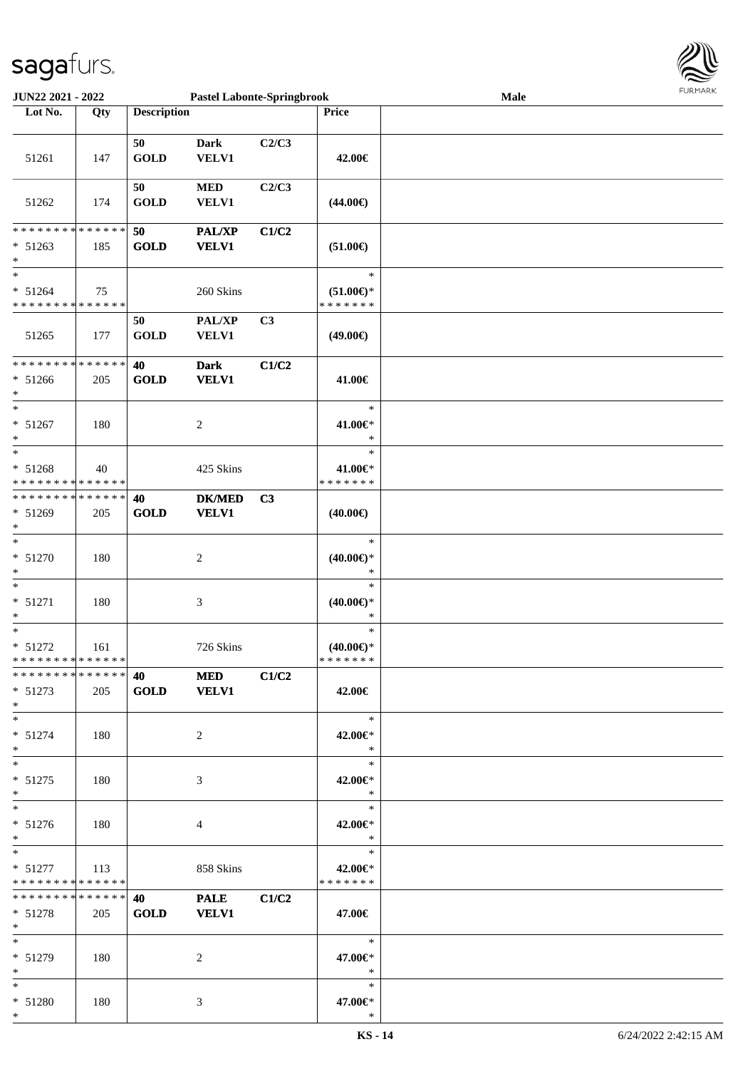

| <b>JUN22 2021 - 2022</b>                                                            |     |                    | <b>Pastel Labonte-Springbrook</b> |       |                                                | Male | <b>FURMARK</b> |
|-------------------------------------------------------------------------------------|-----|--------------------|-----------------------------------|-------|------------------------------------------------|------|----------------|
| Lot No.                                                                             | Qty | <b>Description</b> |                                   |       | Price                                          |      |                |
|                                                                                     |     |                    |                                   |       |                                                |      |                |
| 51261                                                                               | 147 | 50<br><b>GOLD</b>  | <b>Dark</b><br><b>VELV1</b>       | C2/C3 | 42.00€                                         |      |                |
| 51262                                                                               | 174 | 50<br><b>GOLD</b>  | $\bf MED$<br>VELV1                | C2/C3 | $(44.00\epsilon)$                              |      |                |
| * * * * * * * * <mark>* * * * * *</mark><br>$* 51263$<br>$*$                        | 185 | 50<br><b>GOLD</b>  | PAL/XP<br><b>VELV1</b>            | C1/C2 | $(51.00\epsilon)$                              |      |                |
| $\ast$<br>$* 51264$<br>* * * * * * * * <mark>* * * * * * *</mark>                   | 75  |                    | 260 Skins                         |       | $\ast$<br>$(51.00\epsilon)$ *<br>* * * * * * * |      |                |
| 51265                                                                               | 177 | 50<br><b>GOLD</b>  | PAL/XP<br><b>VELV1</b>            | C3    | (49.00€)                                       |      |                |
| * * * * * * * * <mark>* * * * * * *</mark><br>$* 51266$<br>$\ast$                   | 205 | 40<br><b>GOLD</b>  | <b>Dark</b><br><b>VELV1</b>       | C1/C2 | 41.00€                                         |      |                |
| $*$<br>$* 51267$<br>$\ast$                                                          | 180 |                    | $\overline{c}$                    |       | $\ast$<br>41.00€*<br>$\ast$                    |      |                |
| $\overline{\phantom{0}}$<br>$* 51268$<br>* * * * * * * * <mark>* * * * * * *</mark> | 40  |                    | 425 Skins                         |       | $\ast$<br>41.00€*<br>* * * * * * *             |      |                |
| * * * * * * * * <mark>* * * * * * *</mark><br>$* 51269$<br>$\ast$                   | 205 | 40<br><b>GOLD</b>  | <b>DK/MED</b><br><b>VELV1</b>     | C3    | $(40.00\epsilon)$                              |      |                |
| $\ast$<br>$* 51270$<br>*                                                            | 180 |                    | $\overline{c}$                    |       | $\ast$<br>$(40.00\epsilon)$ *<br>$\ast$        |      |                |
| $\ast$<br>$* 51271$<br>$\ast$                                                       | 180 |                    | 3                                 |       | $\ast$<br>$(40.00\epsilon)$ *<br>$\ast$        |      |                |
| $\ast$<br>$* 51272$<br>* * * * * * * * * * * * * * *                                | 161 |                    | 726 Skins                         |       | $\ast$<br>$(40.00\epsilon)$ *<br>*******       |      |                |
| * * * * * * * * * * * * * * *<br>$* 51273$<br>$\ast$                                | 205 | 40<br><b>GOLD</b>  | <b>MED</b><br><b>VELV1</b>        | C1/C2 | 42.00€                                         |      |                |
| $\ast$<br>$* 51274$<br>$\ast$                                                       | 180 |                    | 2                                 |       | $\ast$<br>42.00€*<br>$\ast$                    |      |                |
| $\ddot{x}$<br>$* 51275$<br>$*$                                                      | 180 |                    | 3                                 |       | $\ast$<br>42.00€*<br>$\ast$                    |      |                |
| $*$<br>$* 51276$<br>$*$                                                             | 180 |                    | 4                                 |       | $\ast$<br>42.00€*<br>$\ast$                    |      |                |
| $\ast$<br>$* 51277$<br>* * * * * * * * <mark>* * * * * *</mark>                     | 113 |                    | 858 Skins                         |       | $\ast$<br>42.00€*<br>* * * * * * *             |      |                |
| * * * * * * * * <mark>* * * * * *</mark><br>$* 51278$<br>$\ast$                     | 205 | 40<br><b>GOLD</b>  | <b>PALE</b><br><b>VELV1</b>       | C1/C2 | 47.00€                                         |      |                |
| $\ast$<br>$* 51279$<br>$\ast$                                                       | 180 |                    | 2                                 |       | $\ast$<br>47.00€*<br>$\ast$                    |      |                |
| $\ast$<br>* 51280<br>$\ast$                                                         | 180 |                    | 3                                 |       | $\ast$<br>47.00€*<br>$\ast$                    |      |                |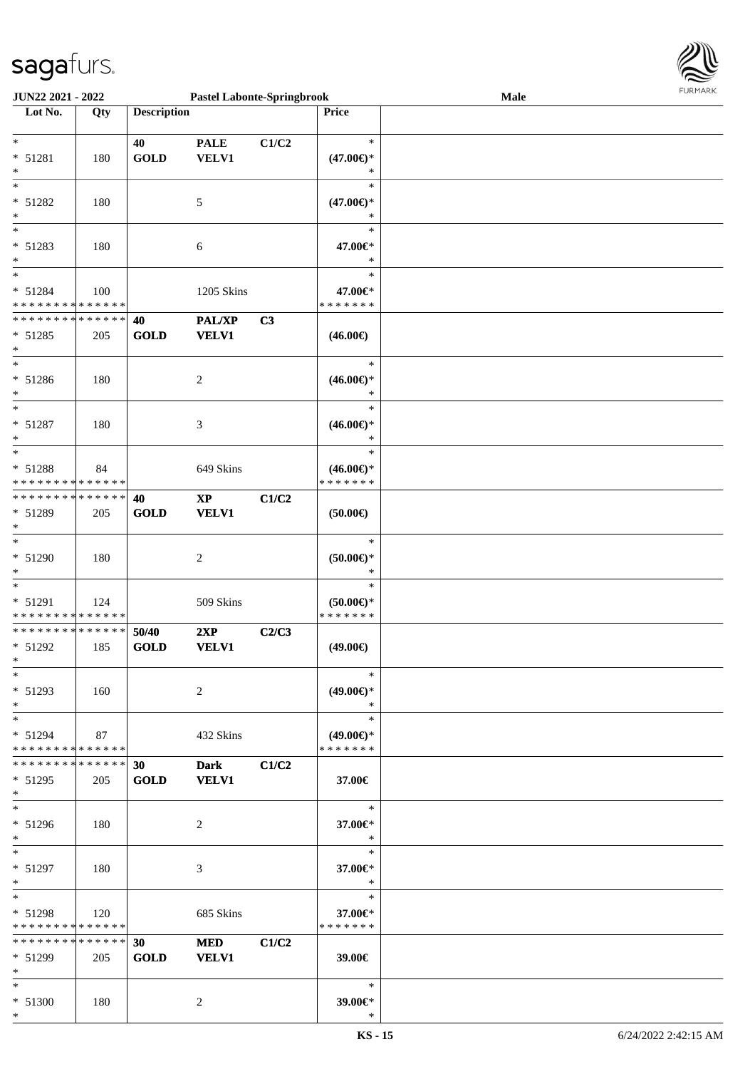

| <b>JUN22 2021 - 2022</b>                   |     |                    | <b>Pastel Labonte-Springbrook</b> |       |                                | Male |  |
|--------------------------------------------|-----|--------------------|-----------------------------------|-------|--------------------------------|------|--|
| Lot No.                                    | Qty | <b>Description</b> |                                   |       | <b>Price</b>                   |      |  |
|                                            |     |                    |                                   |       |                                |      |  |
| $\ast$                                     |     | 40                 | <b>PALE</b>                       | C1/C2 | $\ast$                         |      |  |
| $* 51281$                                  | 180 | <b>GOLD</b>        | VELV1                             |       | $(47.00\epsilon)$ *            |      |  |
| $\ast$                                     |     |                    |                                   |       | ∗                              |      |  |
|                                            |     |                    |                                   |       | $\ast$                         |      |  |
|                                            |     |                    |                                   |       |                                |      |  |
| * 51282                                    | 180 |                    | 5                                 |       | $(47.00\epsilon)$ *            |      |  |
| $\ast$                                     |     |                    |                                   |       | $\ast$                         |      |  |
|                                            |     |                    |                                   |       | $\ast$                         |      |  |
| $* 51283$                                  | 180 |                    | 6                                 |       | 47.00€*                        |      |  |
| $\ast$                                     |     |                    |                                   |       | $\ast$                         |      |  |
| $\ddot{x}$                                 |     |                    |                                   |       | $\ast$                         |      |  |
| $* 51284$                                  | 100 |                    | 1205 Skins                        |       | 47.00€*                        |      |  |
| * * * * * * * * <mark>* * * * * *</mark>   |     |                    |                                   |       | * * * * * * *                  |      |  |
| * * * * * * * * <mark>* * * * * * *</mark> |     | 40                 | PAL/XP                            | C3    |                                |      |  |
| $* 51285$                                  | 205 | <b>GOLD</b>        | <b>VELV1</b>                      |       | $(46.00\epsilon)$              |      |  |
| $\ast$                                     |     |                    |                                   |       |                                |      |  |
| $\ast$                                     |     |                    |                                   |       | $\ast$                         |      |  |
| * 51286                                    | 180 |                    | 2                                 |       | $(46.00\epsilon)$ *            |      |  |
| $\ast$                                     |     |                    |                                   |       | $\ast$                         |      |  |
| $\ast$                                     |     |                    |                                   |       | $\ast$                         |      |  |
|                                            |     |                    |                                   |       |                                |      |  |
| $* 51287$                                  | 180 |                    | 3                                 |       | $(46.00\epsilon)$ *            |      |  |
| $\ast$                                     |     |                    |                                   |       | $\ast$                         |      |  |
|                                            |     |                    |                                   |       | $\ast$                         |      |  |
| $* 51288$                                  | 84  |                    | 649 Skins                         |       | $(46.00\epsilon)$ *            |      |  |
| * * * * * * * * <mark>* * * * * *</mark>   |     |                    |                                   |       | * * * * * * *                  |      |  |
| * * * * * * * * * * * * * * *              |     | 40                 | $\mathbf{X}\mathbf{P}$            | C1/C2 |                                |      |  |
| $* 51289$                                  | 205 | <b>GOLD</b>        | <b>VELV1</b>                      |       | $(50.00\epsilon)$              |      |  |
| $\ast$                                     |     |                    |                                   |       |                                |      |  |
| $\ast$                                     |     |                    |                                   |       | $\ast$                         |      |  |
| $* 51290$                                  | 180 |                    | 2                                 |       | $(50.00\varepsilon)$ *         |      |  |
| $\ast$                                     |     |                    |                                   |       | $\ast$                         |      |  |
| $\ast$                                     |     |                    |                                   |       | $\ast$                         |      |  |
| * 51291                                    |     |                    | 509 Skins                         |       |                                |      |  |
| * * * * * * * * <mark>* * * * * *</mark>   | 124 |                    |                                   |       | $(50.00\epsilon)$ *<br>******* |      |  |
| * * * * * * * * <mark>* * * * * * *</mark> |     |                    |                                   |       |                                |      |  |
|                                            |     | 50/40              | 2XP                               | C2/C3 |                                |      |  |
| $* 51292$                                  | 185 | <b>GOLD</b>        | <b>VELV1</b>                      |       | $(49.00\epsilon)$              |      |  |
| $\ddot{x}$                                 |     |                    |                                   |       |                                |      |  |
| $\ast$                                     |     |                    |                                   |       | $\ast$                         |      |  |
| $* 51293$                                  | 160 |                    | 2                                 |       | $(49.00€)$ *                   |      |  |
| $\ast$                                     |     |                    |                                   |       | $\ast$                         |      |  |
| $*$                                        |     |                    |                                   |       | $\ast$                         |      |  |
| $* 51294$                                  | 87  |                    | 432 Skins                         |       | $(49.00€)$ *                   |      |  |
| * * * * * * * * <mark>* * * * * *</mark>   |     |                    |                                   |       | *******                        |      |  |
| * * * * * * * * * * * * * * *              |     | 30                 | <b>Dark</b>                       | C1/C2 |                                |      |  |
| $* 51295$                                  | 205 | <b>GOLD</b>        | <b>VELV1</b>                      |       | 37.00€                         |      |  |
| $\ast$                                     |     |                    |                                   |       |                                |      |  |
| $\ast$                                     |     |                    |                                   |       | $\ast$                         |      |  |
| $* 51296$                                  | 180 |                    | 2                                 |       | 37.00€*                        |      |  |
| $*$                                        |     |                    |                                   |       | $\ast$                         |      |  |
| $*$ $*$                                    |     |                    |                                   |       | $\ast$                         |      |  |
| $* 51297$                                  |     |                    |                                   |       |                                |      |  |
|                                            | 180 |                    | 3                                 |       | 37.00€*<br>$\ast$              |      |  |
| $*$<br>$\ddot{x}$                          |     |                    |                                   |       | $\ast$                         |      |  |
|                                            |     |                    |                                   |       |                                |      |  |
| $* 51298$                                  | 120 |                    | 685 Skins                         |       | 37.00€*                        |      |  |
| * * * * * * * * <mark>* * * * * *</mark>   |     |                    |                                   |       | * * * * * * *                  |      |  |
| * * * * * * * * * * * * * * *              |     | 30                 | <b>MED</b>                        | C1/C2 |                                |      |  |
| $* 51299$                                  | 205 | <b>GOLD</b>        | <b>VELV1</b>                      |       | 39.00€                         |      |  |
| $\ast$                                     |     |                    |                                   |       |                                |      |  |
| $\ast$                                     |     |                    |                                   |       | $\ast$                         |      |  |
| * 51300                                    | 180 |                    | 2                                 |       | 39.00€*                        |      |  |
| $\ast$                                     |     |                    |                                   |       | $\ast$                         |      |  |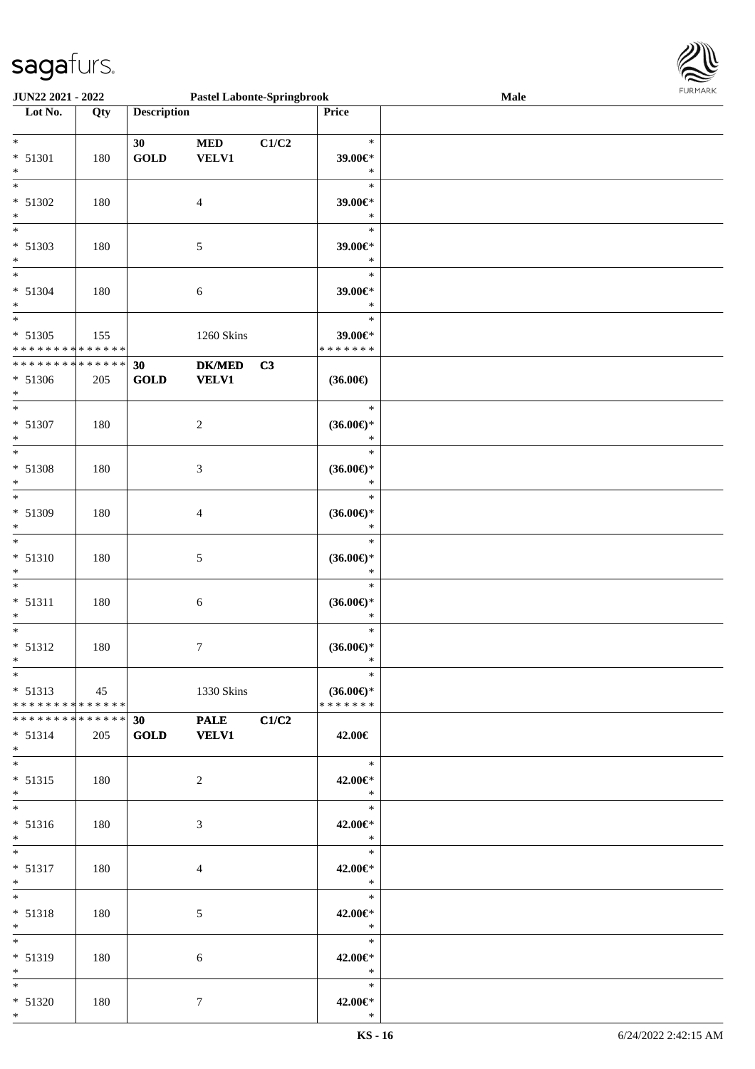

| <b>JUN22 2021 - 2022</b>                   |     |                    | <b>Pastel Labonte-Springbrook</b> |                |                               | Male | <b>FURPIARA</b> |
|--------------------------------------------|-----|--------------------|-----------------------------------|----------------|-------------------------------|------|-----------------|
| Lot No.                                    | Qty | <b>Description</b> |                                   |                | Price                         |      |                 |
|                                            |     |                    |                                   |                |                               |      |                 |
| $\ddot{x}$                                 |     | 30 <sup>°</sup>    | <b>MED</b>                        | C1/C2          | $\ast$                        |      |                 |
| $* 51301$                                  | 180 | <b>GOLD</b>        | <b>VELV1</b>                      |                | 39.00€*                       |      |                 |
| $\ast$                                     |     |                    |                                   |                | $\ast$                        |      |                 |
|                                            |     |                    |                                   |                | $\ast$                        |      |                 |
| $* 51302$                                  | 180 |                    | $\overline{4}$                    |                | 39.00€*                       |      |                 |
| $*$                                        |     |                    |                                   |                | $\ast$                        |      |                 |
| $\overline{\ast}$                          |     |                    |                                   |                | $\ast$                        |      |                 |
| $* 51303$                                  | 180 |                    | 5                                 |                | 39.00€*                       |      |                 |
| $*$                                        |     |                    |                                   |                | $\ast$                        |      |                 |
| $\overline{\ast}$                          |     |                    |                                   |                | $\ast$                        |      |                 |
| $* 51304$                                  | 180 |                    | 6                                 |                | 39.00€*                       |      |                 |
| $*$                                        |     |                    |                                   |                | $\ast$                        |      |                 |
|                                            |     |                    |                                   |                | $\ast$                        |      |                 |
| $* 51305$                                  | 155 |                    | 1260 Skins                        |                | 39.00€*                       |      |                 |
| * * * * * * * * <mark>* * * * * * *</mark> |     |                    |                                   |                | * * * * * * *                 |      |                 |
| * * * * * * * * <mark>* * * * * * *</mark> |     | 30                 | <b>DK/MED</b>                     | C <sub>3</sub> |                               |      |                 |
| * 51306                                    | 205 | GOLD               | <b>VELV1</b>                      |                | $(36.00\epsilon)$             |      |                 |
| $*$                                        |     |                    |                                   |                |                               |      |                 |
| $*$                                        |     |                    |                                   |                | $\ast$                        |      |                 |
|                                            |     |                    |                                   |                |                               |      |                 |
| $* 51307$<br>$\ast$                        | 180 |                    | $\overline{c}$                    |                | $(36.00\epsilon)$ *<br>$\ast$ |      |                 |
| $\overline{\phantom{0}}$                   |     |                    |                                   |                | $\ast$                        |      |                 |
|                                            |     |                    |                                   |                |                               |      |                 |
| $* 51308$                                  | 180 |                    | $\mathfrak{Z}$                    |                | $(36.00\epsilon)$ *           |      |                 |
| $*$<br>$\overline{\ast}$                   |     |                    |                                   |                | $\ast$                        |      |                 |
|                                            |     |                    |                                   |                | $\ast$                        |      |                 |
| * 51309                                    | 180 |                    | $\overline{4}$                    |                | $(36.00\epsilon)$ *           |      |                 |
| $\ast$                                     |     |                    |                                   |                | $\ast$                        |      |                 |
| $\ddot{x}$                                 |     |                    |                                   |                | $\ast$                        |      |                 |
| $* 51310$                                  | 180 |                    | 5                                 |                | $(36.00\epsilon)$ *           |      |                 |
| $\ast$                                     |     |                    |                                   |                | $\ast$                        |      |                 |
| $\overline{\ast}$                          |     |                    |                                   |                | $\ast$                        |      |                 |
| $* 51311$                                  | 180 |                    | 6                                 |                | $(36.00\epsilon)$ *           |      |                 |
| $\ast$                                     |     |                    |                                   |                | $\ast$                        |      |                 |
| $\ast$                                     |     |                    |                                   |                | $\ast$                        |      |                 |
| $* 51312$                                  | 180 |                    | $\tau$                            |                | $(36.00\epsilon)$ *           |      |                 |
| $\ddot{x}$                                 |     |                    |                                   |                | $\mathbf{k}$                  |      |                 |
| $\ast$                                     |     |                    |                                   |                | $\ast$                        |      |                 |
| $* 51313$                                  | 45  |                    | 1330 Skins                        |                | $(36.00\epsilon)$ *           |      |                 |
| * * * * * * * * <mark>* * * * * * *</mark> |     |                    |                                   |                | *******                       |      |                 |
| * * * * * * * * * * * * * * *              |     | 30 <sub>1</sub>    | PALE C1/C2                        |                |                               |      |                 |
| $* 51314$                                  | 205 | GOLD VELV1         |                                   |                | 42.00€                        |      |                 |
| $*$ $-$                                    |     |                    |                                   |                |                               |      |                 |
|                                            |     |                    |                                   |                | $\ast$                        |      |                 |
| $* 51315$                                  | 180 |                    | $\overline{2}$                    |                | 42.00€*                       |      |                 |
| $*$                                        |     |                    |                                   |                | $\ast$                        |      |                 |
|                                            |     |                    |                                   |                | $\ast$                        |      |                 |
| $* 51316$                                  | 180 |                    | 3                                 |                | 42.00€*                       |      |                 |
| $\ast$                                     |     |                    |                                   |                | $\ast$                        |      |                 |
| $*$                                        |     |                    |                                   |                | $*$                           |      |                 |
| $* 51317$                                  | 180 |                    | $\overline{4}$                    |                | 42.00€*                       |      |                 |
| $\ast$                                     |     |                    |                                   |                | $\ast$                        |      |                 |
| $*$                                        |     |                    |                                   |                | $\ast$                        |      |                 |
| $* 51318$                                  | 180 |                    | 5                                 |                | 42.00€*                       |      |                 |
| $*$                                        |     |                    |                                   |                | $\ast$                        |      |                 |
| $*$ $*$                                    |     |                    |                                   |                |                               |      |                 |
| $* 51319$                                  | 180 |                    | 6                                 |                | 42.00€*                       |      |                 |
| $*$                                        |     |                    |                                   |                | $\ast$                        |      |                 |
| $*$ $*$                                    |     |                    |                                   |                | $\ast$                        |      |                 |
| $* 51320$                                  | 180 |                    | $\tau$                            |                | 42.00€*                       |      |                 |
| $*$                                        |     |                    |                                   |                | $\ast$                        |      |                 |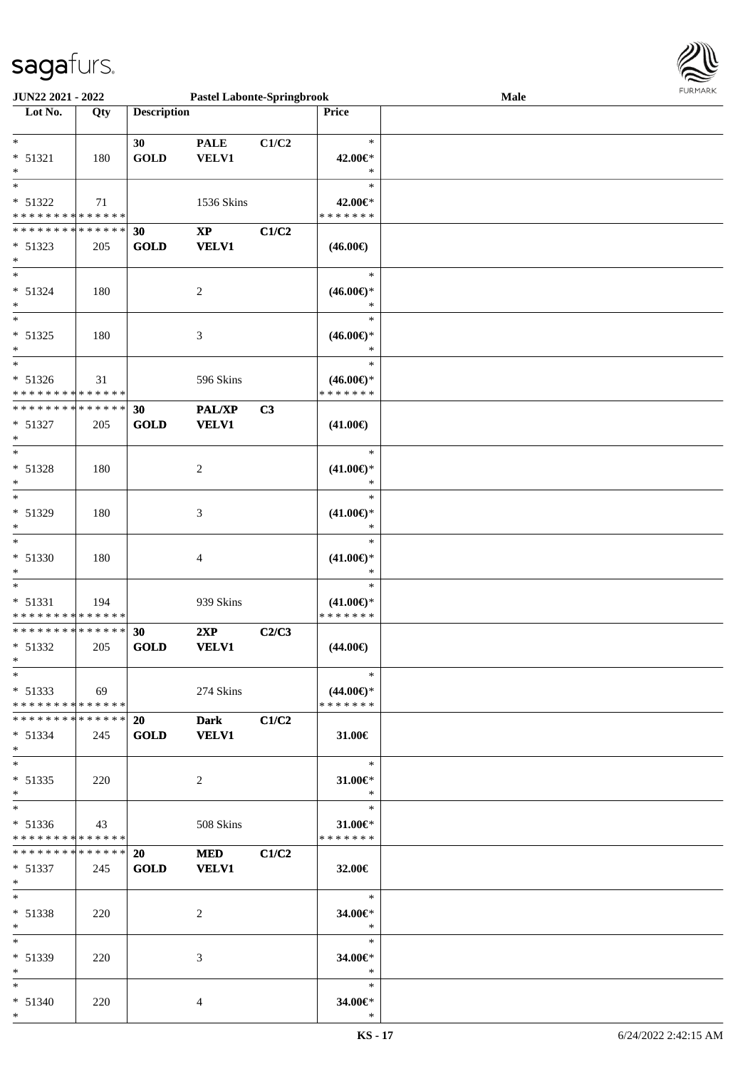

| <b>JUN22 2021 - 2022</b>                   |     |                    | <b>Pastel Labonte-Springbrook</b> |                |                                      | Male | 1.91111111 |
|--------------------------------------------|-----|--------------------|-----------------------------------|----------------|--------------------------------------|------|------------|
| Lot No.                                    | Qty | <b>Description</b> |                                   |                | <b>Price</b>                         |      |            |
|                                            |     |                    |                                   |                |                                      |      |            |
| $*$                                        |     | 30                 | <b>PALE</b>                       | C1/C2          | $\ast$                               |      |            |
| $* 51321$                                  | 180 | <b>GOLD</b>        | <b>VELV1</b>                      |                | 42.00€*                              |      |            |
| $\ast$                                     |     |                    |                                   |                | $\ast$                               |      |            |
|                                            |     |                    |                                   |                | $\ast$                               |      |            |
| $* 51322$                                  | 71  |                    | 1536 Skins                        |                | 42.00€*                              |      |            |
| * * * * * * * * <mark>* * * * * * *</mark> |     |                    |                                   |                | * * * * * * *                        |      |            |
| * * * * * * * * <mark>* * * * * *</mark>   |     |                    |                                   |                |                                      |      |            |
|                                            |     | 30                 | $\bold{XP}$                       | C1/C2          |                                      |      |            |
| $* 51323$                                  | 205 | <b>GOLD</b>        | <b>VELV1</b>                      |                | $(46.00\epsilon)$                    |      |            |
| $\ast$                                     |     |                    |                                   |                |                                      |      |            |
| $*$                                        |     |                    |                                   |                | $\ast$                               |      |            |
| $* 51324$                                  | 180 |                    | $\overline{c}$                    |                | $(46.00ε)$ *                         |      |            |
| $\ast$                                     |     |                    |                                   |                | $\ast$                               |      |            |
|                                            |     |                    |                                   |                | $\ast$                               |      |            |
| $* 51325$                                  | 180 |                    | 3                                 |                | $(46.00\epsilon)$ *                  |      |            |
| $*$                                        |     |                    |                                   |                | $\ast$                               |      |            |
| $*$                                        |     |                    |                                   |                | $\ast$                               |      |            |
| $* 51326$                                  | 31  |                    | 596 Skins                         |                | $(46.00\epsilon)$ *                  |      |            |
| * * * * * * * * <mark>* * * * * * *</mark> |     |                    |                                   |                | * * * * * * *                        |      |            |
| * * * * * * * * <mark>* * * * * * *</mark> |     |                    |                                   |                |                                      |      |            |
|                                            |     | 30                 | PAL/XP                            | C <sub>3</sub> |                                      |      |            |
| $* 51327$                                  | 205 | <b>GOLD</b>        | <b>VELV1</b>                      |                | $(41.00\epsilon)$                    |      |            |
| $\ast$                                     |     |                    |                                   |                |                                      |      |            |
| $\ast$                                     |     |                    |                                   |                | $\ast$                               |      |            |
| * 51328                                    | 180 |                    | 2                                 |                | $(41.00\epsilon)$ *                  |      |            |
| $*$                                        |     |                    |                                   |                | $\ast$                               |      |            |
| $\ast$                                     |     |                    |                                   |                | $\ast$                               |      |            |
| * 51329                                    | 180 |                    | 3                                 |                | $(41.00\epsilon)$ *                  |      |            |
| $\ast$                                     |     |                    |                                   |                | $\ast$                               |      |            |
| $\ddot{x}$                                 |     |                    |                                   |                | $\ast$                               |      |            |
| $* 51330$                                  | 180 |                    | 4                                 |                | $(41.00\epsilon)$ *                  |      |            |
| $\ast$                                     |     |                    |                                   |                | $\ast$                               |      |            |
| $\ast$                                     |     |                    |                                   |                | $\ast$                               |      |            |
|                                            |     |                    |                                   |                |                                      |      |            |
| $* 51331$                                  | 194 |                    | 939 Skins                         |                | $(41.00\epsilon)$ *<br>* * * * * * * |      |            |
| * * * * * * * * * * * * * *                |     |                    |                                   |                |                                      |      |            |
| * * * * * * * * <mark>* * * * * *</mark>   |     | 30                 | 2XP                               | C2/C3          |                                      |      |            |
| $* 51332$                                  | 205 | <b>GOLD</b>        | <b>VELV1</b>                      |                | $(44.00\epsilon)$                    |      |            |
| $\ddot{x}$                                 |     |                    |                                   |                |                                      |      |            |
| $*$                                        |     |                    |                                   |                | $\ast$                               |      |            |
| $* 51333$                                  | 69  |                    | 274 Skins                         |                | $(44.00\epsilon)$ *                  |      |            |
| * * * * * * * * <mark>* * * * * *</mark> * |     |                    |                                   |                | * * * * * * *                        |      |            |
| * * * * * * * * <mark>* * * * * * *</mark> |     | 20                 | Dark C1/C2                        |                |                                      |      |            |
| $* 51334$                                  | 245 | <b>GOLD</b>        | <b>VELV1</b>                      |                | 31.00€                               |      |            |
| $\ast$                                     |     |                    |                                   |                |                                      |      |            |
| $*$ $-$                                    |     |                    |                                   |                | $*$                                  |      |            |
| $* 51335$                                  |     |                    |                                   |                |                                      |      |            |
| $\ast$                                     | 220 |                    | $\overline{2}$                    |                | 31.00 $\in$ *<br>$\ast$              |      |            |
|                                            |     |                    |                                   |                | $\ast$                               |      |            |
| $\ddot{x}$                                 |     |                    |                                   |                |                                      |      |            |
| $* 51336$                                  | 43  |                    | 508 Skins                         |                | $31.00 \in$                          |      |            |
| * * * * * * * * <mark>* * * * * *</mark>   |     |                    |                                   |                | * * * * * * *                        |      |            |
| * * * * * * * * * * * * * * <mark>*</mark> |     | 20                 | <b>MED</b>                        | C1/C2          |                                      |      |            |
| $* 51337$                                  | 245 | <b>GOLD</b>        | <b>VELV1</b>                      |                | 32.00€                               |      |            |
| $*$                                        |     |                    |                                   |                |                                      |      |            |
| $\ddot{x}$                                 |     |                    |                                   |                | $-$ *                                |      |            |
| * 51338                                    | 220 |                    | 2                                 |                | 34.00€*                              |      |            |
| $*$                                        |     |                    |                                   |                | $\ast$                               |      |            |
| $*$ $*$                                    |     |                    |                                   |                | $*$                                  |      |            |
| $* 51339$                                  | 220 |                    | 3                                 |                | 34.00€*                              |      |            |
| $\ast$                                     |     |                    |                                   |                | $\rightarrow$                        |      |            |
| $\ast$                                     |     |                    |                                   |                | $\ast$                               |      |            |
|                                            |     |                    |                                   |                |                                      |      |            |
| $* 51340$                                  | 220 |                    | 4                                 |                | 34.00€*                              |      |            |
| $\ast$                                     |     |                    |                                   |                | $\ast$                               |      |            |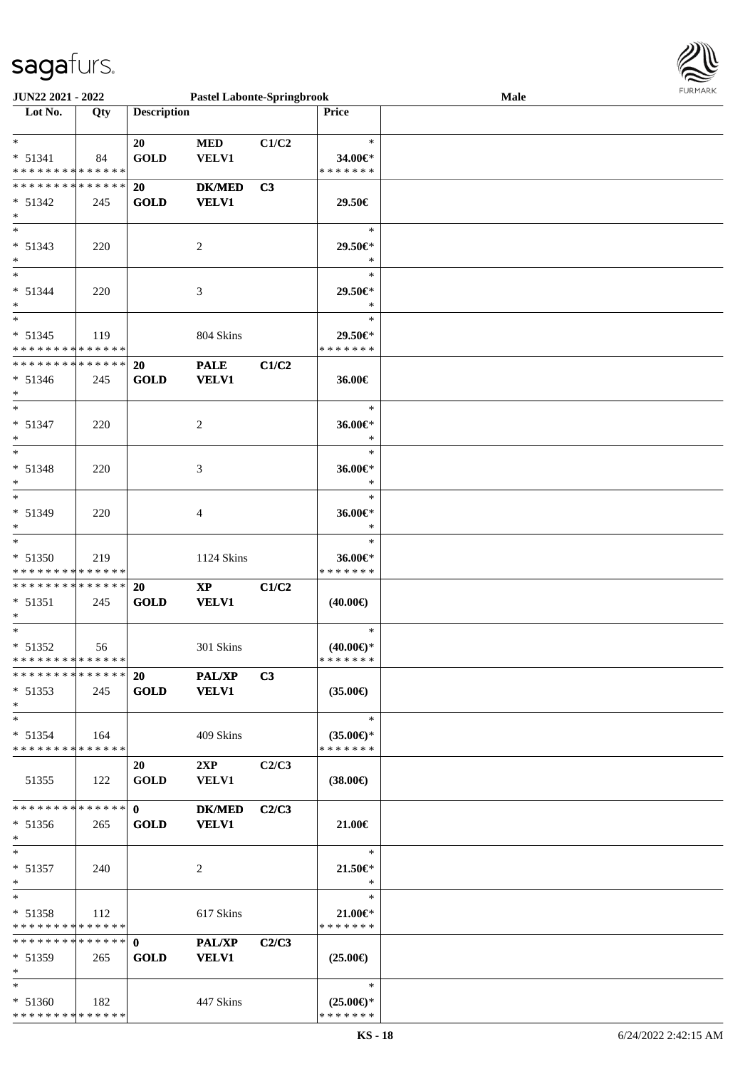

| JUN22 2021 - 2022             |       |                    | <b>Pastel Labonte-Springbrook</b> |                |                     | Male |  |
|-------------------------------|-------|--------------------|-----------------------------------|----------------|---------------------|------|--|
| Lot No.                       | Qty   | <b>Description</b> |                                   |                | <b>Price</b>        |      |  |
|                               |       |                    |                                   |                |                     |      |  |
| $*$                           |       | 20                 | <b>MED</b>                        | C1/C2          | $\ast$              |      |  |
| $* 51341$                     | 84    | <b>GOLD</b>        | <b>VELV1</b>                      |                | 34.00€*             |      |  |
| * * * * * * * * * * * * * *   |       |                    |                                   |                | * * * * * * *       |      |  |
| **************                |       | 20                 | <b>DK/MED</b>                     | C3             |                     |      |  |
|                               |       |                    |                                   |                |                     |      |  |
| $* 51342$                     | 245   | <b>GOLD</b>        | <b>VELV1</b>                      |                | 29.50€              |      |  |
| $\ast$                        |       |                    |                                   |                |                     |      |  |
| $\overline{\phantom{0}}$      |       |                    |                                   |                | $\ast$              |      |  |
| $* 51343$                     | 220   |                    | 2                                 |                | 29.50€*             |      |  |
| $\ast$                        |       |                    |                                   |                | $\ast$              |      |  |
| $\ast$                        |       |                    |                                   |                | $\ast$              |      |  |
| $* 51344$                     | 220   |                    | 3                                 |                | 29.50€*             |      |  |
| $\ast$                        |       |                    |                                   |                | $\ast$              |      |  |
| $\overline{\ast}$             |       |                    |                                   |                | $\ast$              |      |  |
| $* 51345$                     | 119   |                    | 804 Skins                         |                | 29.50€*             |      |  |
| * * * * * * * * * * * * * *   |       |                    |                                   |                | * * * * * * *       |      |  |
| **************                |       | 20                 | <b>PALE</b>                       | C1/C2          |                     |      |  |
|                               |       |                    |                                   |                |                     |      |  |
| $* 51346$                     | 245   | <b>GOLD</b>        | <b>VELV1</b>                      |                | 36.00€              |      |  |
| $\ast$                        |       |                    |                                   |                |                     |      |  |
| $\ast$                        |       |                    |                                   |                | $\ast$              |      |  |
| $* 51347$                     | 220   |                    | $\overline{2}$                    |                | 36.00€*             |      |  |
| $\ast$                        |       |                    |                                   |                | $\ast$              |      |  |
| $\overline{\phantom{1}}$      |       |                    |                                   |                | $\ast$              |      |  |
| * 51348                       | 220   |                    | 3                                 |                | 36.00€*             |      |  |
| $\ast$                        |       |                    |                                   |                | $\ast$              |      |  |
| $\overline{\phantom{a}^*}$    |       |                    |                                   |                | $\ast$              |      |  |
| * 51349                       | 220   |                    | 4                                 |                | 36.00€*             |      |  |
| $\ast$                        |       |                    |                                   |                | $\ast$              |      |  |
| $\ast$                        |       |                    |                                   |                | $\ast$              |      |  |
|                               |       |                    |                                   |                |                     |      |  |
| * 51350                       | 219   |                    | 1124 Skins                        |                | 36.00€*             |      |  |
| * * * * * * * * * * * * * *   |       |                    |                                   |                | * * * * * * *       |      |  |
| **************                |       | 20                 | $\bold{XP}$                       | C1/C2          |                     |      |  |
| $* 51351$                     | 245   | <b>GOLD</b>        | <b>VELV1</b>                      |                | $(40.00\epsilon)$   |      |  |
| $\ast$                        |       |                    |                                   |                |                     |      |  |
| $*$                           |       |                    |                                   |                | $\ast$              |      |  |
| $* 51352$                     | 56    |                    | 301 Skins                         |                | $(40.00\epsilon)$ * |      |  |
| **************                |       |                    |                                   |                | *******             |      |  |
| * * * * * * * * * * * * * * * |       | 20                 | <b>PAL/XP</b>                     | C <sub>3</sub> |                     |      |  |
| $* 51353$                     | 245   | <b>GOLD</b>        | <b>VELV1</b>                      |                | $(35.00\epsilon)$   |      |  |
| $\ast$                        |       |                    |                                   |                |                     |      |  |
| $\ast$                        |       |                    |                                   |                | $\ast$              |      |  |
| $* 51354$                     | - 164 |                    | 409 Skins                         |                | $(35.00\epsilon)$ * |      |  |
| * * * * * * * * * * * * * *   |       |                    |                                   |                | * * * * * * *       |      |  |
|                               |       |                    |                                   |                |                     |      |  |
|                               |       | 20                 | 2XP                               | C2/C3          |                     |      |  |
| 51355                         | 122   | <b>GOLD</b>        | <b>VELV1</b>                      |                | $(38.00\epsilon)$   |      |  |
|                               |       |                    |                                   |                |                     |      |  |
| * * * * * * * * * * * * * *   |       | $\mathbf{0}$       | <b>DK/MED</b>                     | C2/C3          |                     |      |  |
| $* 51356$                     | 265   | <b>GOLD</b>        | <b>VELV1</b>                      |                | 21.00€              |      |  |
| $*$                           |       |                    |                                   |                |                     |      |  |
| $\ast$                        |       |                    |                                   |                | $\ast$              |      |  |
| $* 51357$                     | 240   |                    | 2                                 |                | 21.50 $\in$         |      |  |
| $*$                           |       |                    |                                   |                | $\ast$              |      |  |
| $*$                           |       |                    |                                   |                | $\ast$              |      |  |
| $* 51358$                     | 112   |                    | 617 Skins                         |                | $21.00 \in$         |      |  |
| * * * * * * * * * * * * * *   |       |                    |                                   |                | * * * * * * *       |      |  |
| ******** <mark>******</mark>  |       | $\mathbf{0}$       | PAL/XP                            | C2/C3          |                     |      |  |
|                               |       |                    |                                   |                |                     |      |  |
| $* 51359$                     | 265   | <b>GOLD</b>        | <b>VELV1</b>                      |                | $(25.00\epsilon)$   |      |  |
| $*$                           |       |                    |                                   |                |                     |      |  |
| $*$                           |       |                    |                                   |                | $\ast$              |      |  |
| $* 51360$                     | - 182 |                    | 447 Skins                         |                | $(25.00\epsilon)$ * |      |  |
| ******** <mark>*****</mark> * |       |                    |                                   |                | * * * * * * *       |      |  |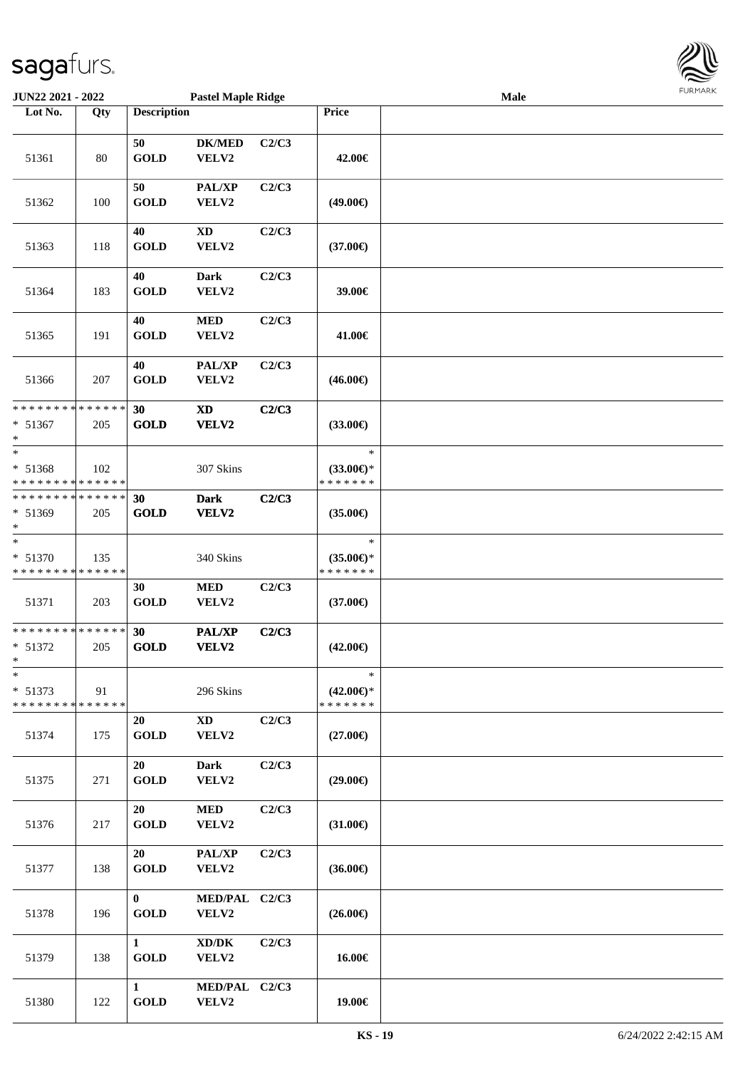

| JUN22 2021 - 2022                                               |        |                             | <b>Pastel Maple Ridge</b>       |       |                                                | Male |  |
|-----------------------------------------------------------------|--------|-----------------------------|---------------------------------|-------|------------------------------------------------|------|--|
| Lot No.                                                         | Qty    | <b>Description</b>          |                                 |       | Price                                          |      |  |
| 51361                                                           | $80\,$ | 50<br><b>GOLD</b>           | <b>DK/MED</b><br>VELV2          | C2/C3 | 42.00€                                         |      |  |
| 51362                                                           | 100    | 50<br><b>GOLD</b>           | PAL/XP<br>VELV2                 | C2/C3 | $(49.00\epsilon)$                              |      |  |
| 51363                                                           | 118    | 40<br><b>GOLD</b>           | <b>XD</b><br>VELV2              | C2/C3 | $(37.00\epsilon)$                              |      |  |
| 51364                                                           | 183    | 40<br><b>GOLD</b>           | <b>Dark</b><br>VELV2            | C2/C3 | 39.00€                                         |      |  |
| 51365                                                           | 191    | 40<br><b>GOLD</b>           | $\bf MED$<br>VELV2              | C2/C3 | 41.00€                                         |      |  |
| 51366                                                           | 207    | 40<br><b>GOLD</b>           | PAL/XP<br>VELV2                 | C2/C3 | $(46.00\epsilon)$                              |      |  |
| ******** <mark>******</mark><br>* 51367<br>$\ast$               | 205    | 30<br><b>GOLD</b>           | $\mathbf{X}\mathbf{D}$<br>VELV2 | C2/C3 | $(33.00\epsilon)$                              |      |  |
| $\ast$<br>* 51368<br>* * * * * * * * * * * * * *                | 102    |                             | 307 Skins                       |       | $\ast$<br>$(33.00\epsilon)$ *<br>* * * * * * * |      |  |
| * * * * * * * * * * * * * *<br>* 51369<br>$\ast$                | 205    | 30<br><b>GOLD</b>           | <b>Dark</b><br>VELV2            | C2/C3 | $(35.00\epsilon)$                              |      |  |
| $\ast$<br>* 51370<br>* * * * * * * * <mark>* * * * * * *</mark> | 135    |                             | 340 Skins                       |       | $\ast$<br>$(35.00\epsilon)$ *<br>* * * * * * * |      |  |
| 51371                                                           | 203    | 30<br><b>GOLD</b>           | $\bf MED$<br>VELV2              | C2/C3 | $(37.00\epsilon)$                              |      |  |
| * * * * * * * * * * * * * *<br>* 51372<br>$*$                   | 205    | 30<br><b>GOLD</b>           | PAL/XP<br>VELV2                 | C2/C3 | $(42.00\epsilon)$                              |      |  |
| $\ast$<br>$* 51373$<br>* * * * * * * * * * * * * *              | 91     |                             | 296 Skins                       |       | $\ast$<br>$(42.00\epsilon)$ *<br>* * * * * * * |      |  |
| 51374                                                           | 175    | 20<br><b>GOLD</b>           | $\mathbf{X}\mathbf{D}$<br>VELV2 | C2/C3 | $(27.00\epsilon)$                              |      |  |
| 51375                                                           | 271    | 20<br><b>GOLD</b>           | <b>Dark</b><br>VELV2            | C2/C3 | $(29.00\epsilon)$                              |      |  |
| 51376                                                           | 217    | 20<br><b>GOLD</b>           | <b>MED</b><br>VELV2             | C2/C3 | $(31.00\epsilon)$                              |      |  |
| 51377                                                           | 138    | 20<br><b>GOLD</b>           | PAL/XP<br>VELV2                 | C2/C3 | $(36.00\epsilon)$                              |      |  |
| 51378                                                           | 196    | $\mathbf{0}$<br><b>GOLD</b> | MED/PAL C2/C3<br>VELV2          |       | $(26.00\epsilon)$                              |      |  |
| 51379                                                           | 138    | $\mathbf{1}$<br><b>GOLD</b> | XD/DK<br>VELV2                  | C2/C3 | 16.00€                                         |      |  |
| 51380                                                           | 122    | $\mathbf{1}$<br><b>GOLD</b> | MED/PAL C2/C3<br>VELV2          |       | 19.00€                                         |      |  |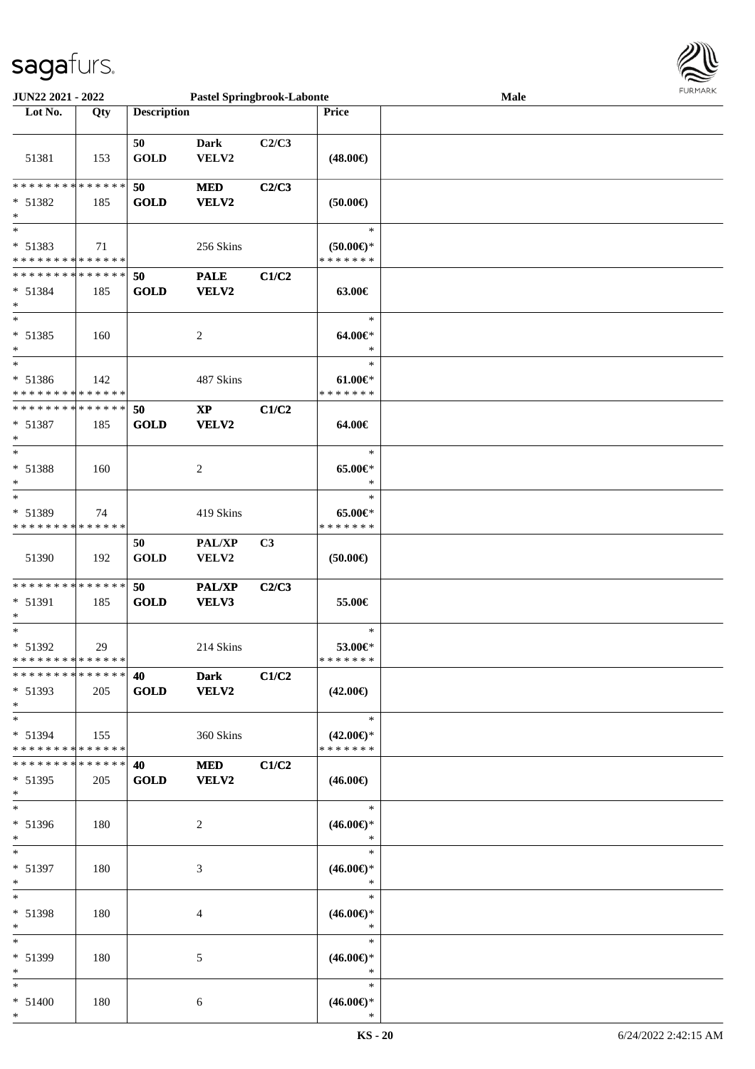

| <b>JUN22 2021 - 2022</b>                   |     |                    | <b>Pastel Springbrook-Labonte</b> |       |                     | Male | <b>FURPIARA</b> |
|--------------------------------------------|-----|--------------------|-----------------------------------|-------|---------------------|------|-----------------|
| Lot No.                                    | Qty | <b>Description</b> |                                   |       | <b>Price</b>        |      |                 |
|                                            |     |                    |                                   |       |                     |      |                 |
|                                            |     | 50                 | <b>Dark</b>                       | C2/C3 |                     |      |                 |
| 51381                                      | 153 | <b>GOLD</b>        | VELV2                             |       | $(48.00\epsilon)$   |      |                 |
|                                            |     |                    |                                   |       |                     |      |                 |
| * * * * * * * * <mark>* * * * * * *</mark> |     | 50                 | <b>MED</b>                        | C2/C3 |                     |      |                 |
| * 51382                                    | 185 | <b>GOLD</b>        | VELV2                             |       | $(50.00\epsilon)$   |      |                 |
| $\ast$                                     |     |                    |                                   |       |                     |      |                 |
| $\ast$                                     |     |                    |                                   |       | $\ast$              |      |                 |
| $* 51383$                                  | 71  |                    | 256 Skins                         |       | $(50.00\epsilon)$ * |      |                 |
| * * * * * * * * <mark>* * * * * *</mark>   |     |                    |                                   |       | * * * * * * *       |      |                 |
| * * * * * * * * * * * * * * *              |     | 50                 | <b>PALE</b>                       | C1/C2 |                     |      |                 |
| * 51384                                    | 185 | <b>GOLD</b>        | VELV2                             |       | 63.00€              |      |                 |
| $\ast$                                     |     |                    |                                   |       |                     |      |                 |
|                                            |     |                    |                                   |       | $\ast$              |      |                 |
| * 51385                                    | 160 |                    | $\overline{c}$                    |       | $64.00 \in$         |      |                 |
| $\ast$                                     |     |                    |                                   |       | $\ast$              |      |                 |
| $\ast$                                     |     |                    |                                   |       | $\ast$              |      |                 |
| $* 51386$                                  | 142 |                    | 487 Skins                         |       | $61.00 \in$         |      |                 |
| * * * * * * * * * * * * * * *              |     |                    |                                   |       | * * * * * * *       |      |                 |
| * * * * * * * * * * * * * * *              |     | 50                 | $\mathbf{X}\mathbf{P}$            | C1/C2 |                     |      |                 |
| * 51387                                    | 185 | <b>GOLD</b>        | VELV2                             |       | 64.00€              |      |                 |
| *                                          |     |                    |                                   |       |                     |      |                 |
| $\ast$                                     |     |                    |                                   |       | $\ast$              |      |                 |
| $* 51388$                                  | 160 |                    | $\overline{c}$                    |       | $65.00 \in$         |      |                 |
| $\ast$                                     |     |                    |                                   |       | $\ast$              |      |                 |
| $\ast$                                     |     |                    |                                   |       | $\ast$              |      |                 |
| * 51389                                    | 74  |                    | 419 Skins                         |       | $65.00 \in$         |      |                 |
| * * * * * * * * <mark>* * * * * *</mark>   |     |                    |                                   |       | * * * * * * *       |      |                 |
|                                            |     | 50                 | <b>PAL/XP</b>                     | C3    |                     |      |                 |
| 51390                                      | 192 | <b>GOLD</b>        | VELV2                             |       | $(50.00\epsilon)$   |      |                 |
|                                            |     |                    |                                   |       |                     |      |                 |
| * * * * * * * * <mark>* * * * * * *</mark> |     | 50                 | PAL/XP                            | C2/C3 |                     |      |                 |
| * 51391                                    | 185 | <b>GOLD</b>        | VELV3                             |       | 55.00€              |      |                 |
| $\ast$                                     |     |                    |                                   |       |                     |      |                 |
| $\ast$                                     |     |                    |                                   |       | $\ast$              |      |                 |
| $* 51392$                                  | 29  |                    | 214 Skins                         |       | 53.00€*             |      |                 |
| * * * * * * * * <mark>* * * * * *</mark>   |     |                    |                                   |       | * * * * * * *       |      |                 |
| * * * * * * * * * * * * * * *              |     | 40                 | <b>Dark</b>                       | C1/C2 |                     |      |                 |
| $* 51393$                                  | 205 | <b>GOLD</b>        | <b>VELV2</b>                      |       | $(42.00\epsilon)$   |      |                 |
| $\ast$                                     |     |                    |                                   |       |                     |      |                 |
| $\ast$                                     |     |                    |                                   |       | $\ast$              |      |                 |
| $* 51394$                                  | 155 |                    | 360 Skins                         |       | $(42.00€)$ *        |      |                 |
| * * * * * * * * <mark>* * * * * *</mark>   |     |                    |                                   |       | * * * * * * *       |      |                 |
| * * * * * * * * <mark>* * * * * *</mark>   |     | 40 — 20            | <b>MED</b>                        | C1/C2 |                     |      |                 |
| $* 51395$                                  | 205 | <b>GOLD</b>        | <b>VELV2</b>                      |       | $(46.00\epsilon)$   |      |                 |
| $\ast$                                     |     |                    |                                   |       |                     |      |                 |
| $\ast$                                     |     |                    |                                   |       | $\ast$              |      |                 |
| * 51396                                    | 180 |                    | 2                                 |       | $(46.00\epsilon)$ * |      |                 |
| $\ast$                                     |     |                    |                                   |       | $\rightarrow$       |      |                 |
| $\ast$                                     |     |                    |                                   |       | $\ast$              |      |                 |
| * 51397                                    | 180 |                    | 3                                 |       | $(46.00\epsilon)$ * |      |                 |
| $\ast$<br>$\ast$                           |     |                    |                                   |       | $\ast$<br>$\ast$    |      |                 |
|                                            |     |                    |                                   |       |                     |      |                 |
| * 51398                                    | 180 |                    | 4                                 |       | $(46.00\epsilon)$ * |      |                 |
| $\ast$                                     |     |                    |                                   |       | $\ast$              |      |                 |
| $*$ $*$                                    |     |                    |                                   |       | $\ast$              |      |                 |
| * 51399                                    | 180 |                    | 5                                 |       | $(46.00\epsilon)$ * |      |                 |
| $\ast$                                     |     |                    |                                   |       | $\ast$              |      |                 |
| $\ddot{x}$                                 |     |                    |                                   |       | $\ast$              |      |                 |
| $* 51400$                                  | 180 |                    | 6                                 |       | $(46.00\epsilon)$ * |      |                 |
| $\ast$                                     |     |                    |                                   |       | $\ast$              |      |                 |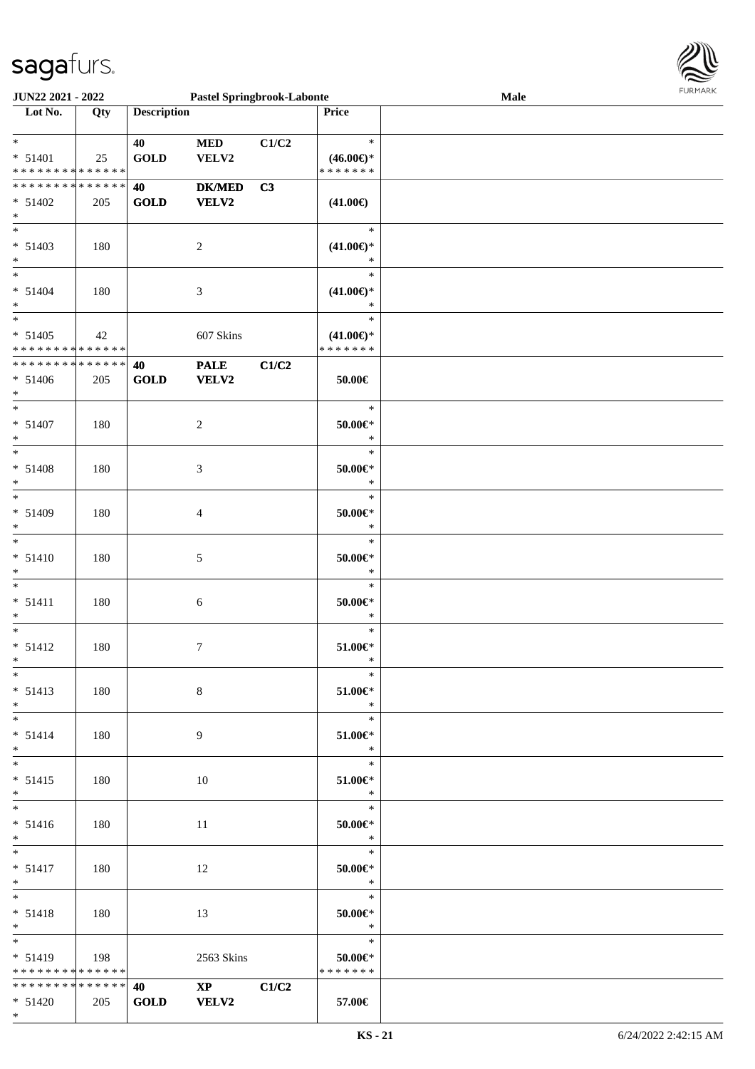

| <b>JUN22 2021 - 2022</b>                   |     |                         | <b>Pastel Springbrook-Labonte</b> |       |                            | Male |  |
|--------------------------------------------|-----|-------------------------|-----------------------------------|-------|----------------------------|------|--|
| Lot No.                                    | Qty | <b>Description</b>      |                                   |       | <b>Price</b>               |      |  |
|                                            |     |                         |                                   |       |                            |      |  |
| $*$                                        |     | 40                      | <b>MED</b>                        | C1/C2 | $\ast$                     |      |  |
| $* 51401$                                  | 25  | <b>GOLD</b>             | VELV2                             |       | $(46.00\epsilon)$ *        |      |  |
| * * * * * * * * <mark>* * * * * *</mark>   |     |                         |                                   |       | * * * * * * *              |      |  |
| * * * * * * * * <mark>* * * * * * *</mark> |     |                         |                                   |       |                            |      |  |
|                                            |     | 40                      | <b>DK/MED</b>                     | C3    |                            |      |  |
| $* 51402$                                  | 205 | <b>GOLD</b>             | VELV2                             |       | $(41.00\epsilon)$          |      |  |
| $*$                                        |     |                         |                                   |       |                            |      |  |
| $\overline{\phantom{0}}$                   |     |                         |                                   |       | $\ast$                     |      |  |
| $* 51403$                                  | 180 |                         | $\overline{c}$                    |       | $(41.00\epsilon)$ *        |      |  |
| $\ast$                                     |     |                         |                                   |       | $\ast$                     |      |  |
| $*$                                        |     |                         |                                   |       | $\ast$                     |      |  |
|                                            |     |                         |                                   |       |                            |      |  |
| $* 51404$                                  | 180 |                         | 3                                 |       | $(41.00\epsilon)$ *        |      |  |
| $*$                                        |     |                         |                                   |       | $\ast$                     |      |  |
| $\overline{\ast}$                          |     |                         |                                   |       | $\ast$                     |      |  |
| $* 51405$                                  | 42  |                         | 607 Skins                         |       | $(41.00\epsilon)$ *        |      |  |
| * * * * * * * * <mark>* * * * * *</mark>   |     |                         |                                   |       | * * * * * * *              |      |  |
| * * * * * * * * <mark>* * * * * * *</mark> |     | 40                      | <b>PALE</b>                       | C1/C2 |                            |      |  |
| $* 51406$                                  | 205 | <b>GOLD</b>             | <b>VELV2</b>                      |       | 50.00€                     |      |  |
|                                            |     |                         |                                   |       |                            |      |  |
| $\ast$<br>$*$                              |     |                         |                                   |       |                            |      |  |
|                                            |     |                         |                                   |       | $\ast$                     |      |  |
| $* 51407$                                  | 180 |                         | 2                                 |       | 50.00€*                    |      |  |
| $\ast$                                     |     |                         |                                   |       | $\ast$                     |      |  |
|                                            |     |                         |                                   |       | $\ast$                     |      |  |
| $* 51408$                                  | 180 |                         | 3                                 |       | 50.00€*                    |      |  |
| $\ast$                                     |     |                         |                                   |       | $\ast$                     |      |  |
|                                            |     |                         |                                   |       | $\ast$                     |      |  |
|                                            |     |                         |                                   |       |                            |      |  |
| $* 51409$                                  | 180 |                         | 4                                 |       | 50.00€*                    |      |  |
| $\ast$                                     |     |                         |                                   |       | $\ast$                     |      |  |
| $\ast$                                     |     |                         |                                   |       | $\ast$                     |      |  |
| $* 51410$                                  | 180 |                         | 5                                 |       | $50.00 \in$ *              |      |  |
| $\ast$                                     |     |                         |                                   |       | $\ast$                     |      |  |
| $\ast$                                     |     |                         |                                   |       | $\ast$                     |      |  |
|                                            |     |                         |                                   |       |                            |      |  |
| $* 51411$                                  | 180 |                         | 6                                 |       | $50.00 \in$ *              |      |  |
| $\ast$                                     |     |                         |                                   |       | $\ast$                     |      |  |
| $*$                                        |     |                         |                                   |       | $\ast$                     |      |  |
| $* 51412$                                  | 180 |                         | 7                                 |       | $51.00 \in$                |      |  |
| $\ddot{x}$                                 |     |                         |                                   |       | $\ast$                     |      |  |
| $*$                                        |     |                         |                                   |       | $*$                        |      |  |
| $* 51413$                                  | 180 |                         | 8                                 |       | 51.00€*                    |      |  |
|                                            |     |                         |                                   |       | $\ast$                     |      |  |
| $*$                                        |     |                         |                                   |       |                            |      |  |
| $*$ $-$                                    |     |                         |                                   |       | $\ast$                     |      |  |
| $* 51414$                                  | 180 |                         | 9                                 |       | 51.00€*                    |      |  |
| $*$                                        |     |                         |                                   |       | $\ast$                     |      |  |
| $*$                                        |     |                         |                                   |       | $*$                        |      |  |
| $* 51415$                                  | 180 |                         | 10                                |       | $51.00 \in$                |      |  |
| $*$                                        |     |                         |                                   |       | $\ast$                     |      |  |
| $\overline{\mathbf{r}}$                    |     |                         |                                   |       | $\overline{\phantom{0}}$   |      |  |
|                                            |     |                         |                                   |       |                            |      |  |
| $* 51416$                                  | 180 |                         | 11                                |       | 50.00 $\in$ *              |      |  |
| $*$                                        |     |                         |                                   |       | $\ddot{x}$                 |      |  |
| $*$ $*$                                    |     |                         |                                   |       | $\overline{\phantom{0}}$   |      |  |
| $* 51417$                                  | 180 |                         | 12                                |       | $50.00 \in$                |      |  |
| $*$                                        |     |                         |                                   |       | $\ast$                     |      |  |
| $*$ $-$                                    |     |                         |                                   |       | $\overline{\phantom{a}}$ * |      |  |
| $* 51418$                                  | 180 |                         | 13                                |       | $50.00 \in$                |      |  |
|                                            |     |                         |                                   |       | $\ast$                     |      |  |
| $*$ $-$                                    |     |                         |                                   |       |                            |      |  |
|                                            |     |                         |                                   |       | $\ddot{x}$                 |      |  |
| $* 51419$                                  | 198 |                         | 2563 Skins                        |       | 50.00 $\in$ *              |      |  |
| * * * * * * * * * * * * * * <mark>*</mark> |     |                         |                                   |       | * * * * * * *              |      |  |
| * * * * * * * * <mark>* * * * * * *</mark> |     | <b>40</b> and <b>40</b> | $\mathbf{XP}$                     | C1/C2 |                            |      |  |
| $* 51420$                                  | 205 | <b>GOLD</b>             | <b>VELV2</b>                      |       | 57.00€                     |      |  |
|                                            |     |                         |                                   |       |                            |      |  |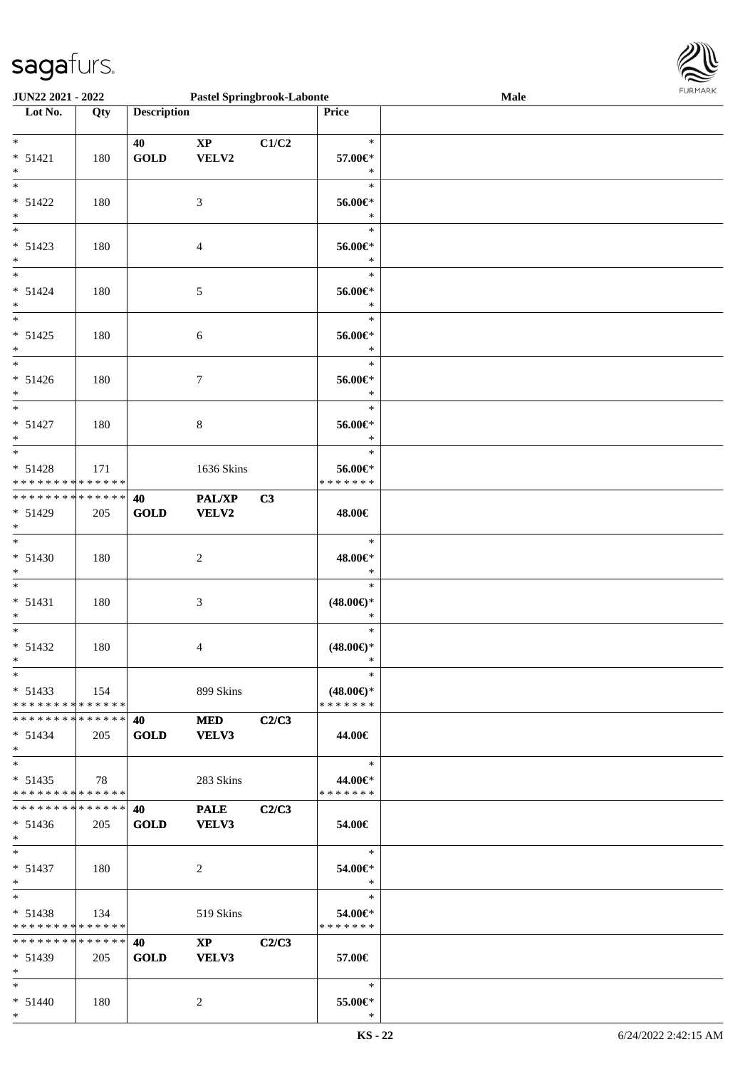

| <b>JUN22 2021 - 2022</b>                   |     |                    | <b>Pastel Springbrook-Labonte</b> |                |                     | <b>Male</b> |  |
|--------------------------------------------|-----|--------------------|-----------------------------------|----------------|---------------------|-------------|--|
| Lot No.                                    | Qty | <b>Description</b> |                                   |                | <b>Price</b>        |             |  |
|                                            |     |                    |                                   |                |                     |             |  |
| $\ast$                                     |     | 40                 | $\mathbf{X}\mathbf{P}$            | C1/C2          | $\ast$              |             |  |
|                                            |     |                    |                                   |                |                     |             |  |
| $* 51421$                                  | 180 | <b>GOLD</b>        | VELV2                             |                | 57.00€*             |             |  |
| $\ast$                                     |     |                    |                                   |                | $\ast$              |             |  |
| $\overline{\phantom{0}}$                   |     |                    |                                   |                | $\ast$              |             |  |
| $* 51422$                                  | 180 |                    | 3                                 |                | 56.00€*             |             |  |
| $*$                                        |     |                    |                                   |                | $\ast$              |             |  |
| $\overline{\phantom{0}}$                   |     |                    |                                   |                |                     |             |  |
|                                            |     |                    |                                   |                | $\ast$              |             |  |
| $* 51423$                                  | 180 |                    | 4                                 |                | 56.00€*             |             |  |
| $*$                                        |     |                    |                                   |                | $\ast$              |             |  |
| $\overline{\ast}$                          |     |                    |                                   |                | $\ast$              |             |  |
|                                            |     |                    |                                   |                |                     |             |  |
| $* 51424$                                  | 180 |                    | 5                                 |                | 56.00€*             |             |  |
| $*$                                        |     |                    |                                   |                | $\ast$              |             |  |
| $\ast$                                     |     |                    |                                   |                | $\ast$              |             |  |
| $* 51425$                                  | 180 |                    | $\sqrt{6}$                        |                | 56.00€*             |             |  |
| $*$                                        |     |                    |                                   |                | $\ast$              |             |  |
| $*$                                        |     |                    |                                   |                | $\ast$              |             |  |
|                                            |     |                    |                                   |                |                     |             |  |
| $* 51426$                                  | 180 |                    | 7                                 |                | 56.00€*             |             |  |
| $*$                                        |     |                    |                                   |                | $\ast$              |             |  |
| $\overline{\phantom{0}}$                   |     |                    |                                   |                | $\ast$              |             |  |
| $* 51427$                                  |     |                    |                                   |                | 56.00€*             |             |  |
|                                            | 180 |                    | $8\,$                             |                |                     |             |  |
| $*$                                        |     |                    |                                   |                | $\ast$              |             |  |
| $_{*}$                                     |     |                    |                                   |                | $\ast$              |             |  |
| $* 51428$                                  | 171 |                    | 1636 Skins                        |                | 56.00€*             |             |  |
| * * * * * * * * * * * * * * *              |     |                    |                                   |                | * * * * * * *       |             |  |
| * * * * * * * * * * * * * * <mark>*</mark> |     |                    |                                   |                |                     |             |  |
|                                            |     | 40                 | PAL/XP                            | C <sub>3</sub> |                     |             |  |
| $* 51429$                                  | 205 | <b>GOLD</b>        | <b>VELV2</b>                      |                | 48.00€              |             |  |
| $*$                                        |     |                    |                                   |                |                     |             |  |
| $\overline{\ast}$                          |     |                    |                                   |                | $\ast$              |             |  |
| $* 51430$                                  | 180 |                    | $\overline{c}$                    |                | 48.00€*             |             |  |
|                                            |     |                    |                                   |                |                     |             |  |
| $*$                                        |     |                    |                                   |                | $\ast$              |             |  |
| $\ast$                                     |     |                    |                                   |                | $\ast$              |             |  |
| $* 51431$                                  | 180 |                    | 3                                 |                | $(48.00\epsilon)$ * |             |  |
| $*$                                        |     |                    |                                   |                | $\ast$              |             |  |
| $*$                                        |     |                    |                                   |                | $\ast$              |             |  |
|                                            |     |                    |                                   |                |                     |             |  |
| $* 51432$                                  | 180 |                    | $\overline{4}$                    |                | $(48.00\epsilon)$ * |             |  |
| $*$                                        |     |                    |                                   |                | $\ast$              |             |  |
| $*$                                        |     |                    |                                   |                | $\ast$              |             |  |
| $* 51433$                                  | 154 |                    | 899 Skins                         |                | $(48.00€)$ *        |             |  |
|                                            |     |                    |                                   |                | *******             |             |  |
| * * * * * * * * * * * * * *                |     |                    |                                   |                |                     |             |  |
| * * * * * * * * * * * * * * <mark>*</mark> |     | 40                 | <b>MED</b>                        | C2/C3          |                     |             |  |
| $* 51434$                                  | 205 | <b>GOLD</b>        | <b>VELV3</b>                      |                | 44.00€              |             |  |
| $*$                                        |     |                    |                                   |                |                     |             |  |
| $*$                                        |     |                    |                                   |                | $\ast$              |             |  |
|                                            |     |                    |                                   |                |                     |             |  |
| $* 51435$                                  | 78  |                    | 283 Skins                         |                | 44.00€*             |             |  |
| * * * * * * * * <mark>* * * * * * *</mark> |     |                    |                                   |                | *******             |             |  |
| * * * * * * * * * * * * * * <mark>*</mark> |     | 40                 | <b>PALE</b>                       | C2/C3          |                     |             |  |
| $* 51436$                                  | 205 | <b>GOLD</b>        | VELV3                             |                | 54.00€              |             |  |
| $*$                                        |     |                    |                                   |                |                     |             |  |
|                                            |     |                    |                                   |                |                     |             |  |
| $*$                                        |     |                    |                                   |                | $\ast$              |             |  |
| $* 51437$                                  | 180 |                    | 2                                 |                | 54.00€*             |             |  |
| $*$                                        |     |                    |                                   |                | $*$                 |             |  |
| $*$ $-$                                    |     |                    |                                   |                | $\ast$              |             |  |
|                                            |     |                    |                                   |                |                     |             |  |
| $* 51438$                                  | 134 |                    | 519 Skins                         |                | 54.00€*             |             |  |
| * * * * * * * * <mark>* * * * * *</mark>   |     |                    |                                   |                | *******             |             |  |
| ******** <mark>******</mark>               |     | <b>40</b>          | $\mathbf{X}\mathbf{P}$            | C2/C3          |                     |             |  |
| $* 51439$                                  | 205 | <b>GOLD</b>        | <b>VELV3</b>                      |                | 57.00€              |             |  |
| $*$                                        |     |                    |                                   |                |                     |             |  |
|                                            |     |                    |                                   |                |                     |             |  |
| $*$                                        |     |                    |                                   |                | $\ast$              |             |  |
| $* 51440$                                  | 180 |                    | 2                                 |                | 55.00€*             |             |  |
| $*$                                        |     |                    |                                   |                | $\ast$              |             |  |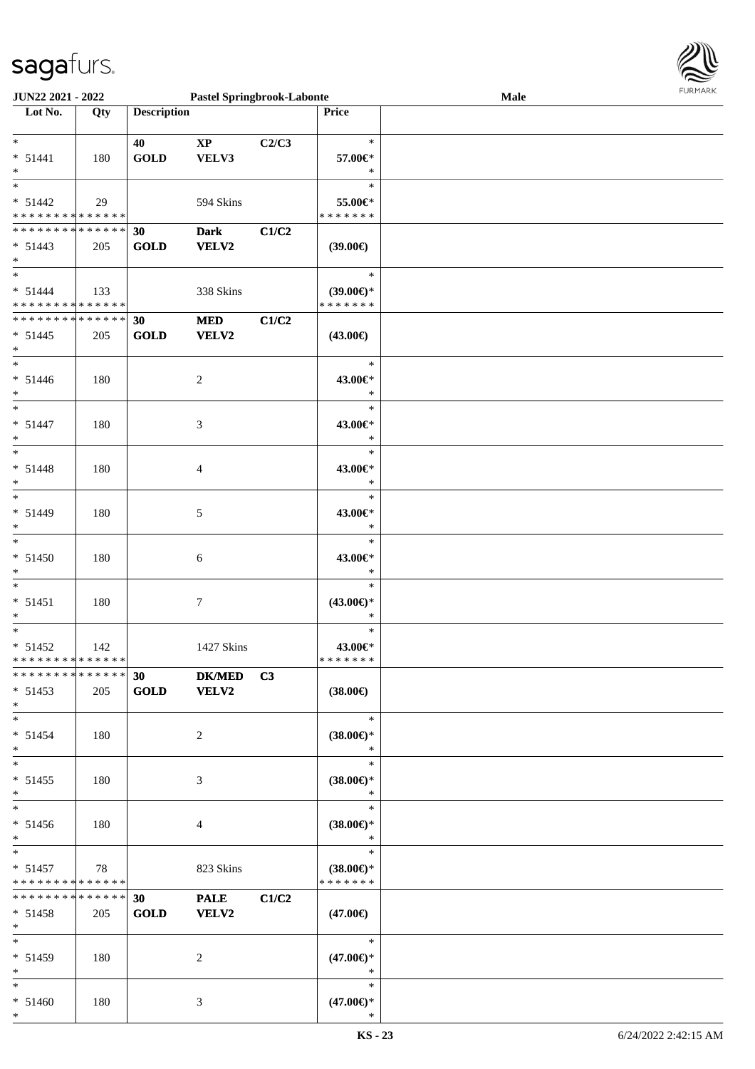

| <b>JUN22 2021 - 2022</b>                   |     |                                | <b>Pastel Springbrook-Labonte</b> |       |                     | Male | <b>FUNITANN</b> |
|--------------------------------------------|-----|--------------------------------|-----------------------------------|-------|---------------------|------|-----------------|
| Lot No.                                    | Qty | <b>Description</b>             |                                   |       | Price               |      |                 |
|                                            |     |                                |                                   |       |                     |      |                 |
| $\ast$                                     |     | 40                             | $\mathbf{X}\mathbf{P}$            | C2/C3 | $\ast$              |      |                 |
| $* 51441$                                  | 180 | GOLD                           | VELV3                             |       | 57.00€*             |      |                 |
| $\ast$                                     |     |                                |                                   |       | $\ast$              |      |                 |
|                                            |     |                                |                                   |       | $\ast$              |      |                 |
| $* 51442$                                  | 29  |                                | 594 Skins                         |       | 55.00€*             |      |                 |
| * * * * * * * * <mark>* * * * * *</mark>   |     |                                |                                   |       | * * * * * * *       |      |                 |
| * * * * * * * * <mark>* * * * * * *</mark> |     |                                |                                   |       |                     |      |                 |
|                                            |     | 30                             | <b>Dark</b>                       | C1/C2 |                     |      |                 |
| $* 51443$                                  | 205 | <b>GOLD</b>                    | VELV2                             |       | $(39.00\epsilon)$   |      |                 |
| $\ast$                                     |     |                                |                                   |       |                     |      |                 |
| $*$                                        |     |                                |                                   |       | $\ast$              |      |                 |
| $* 51444$                                  | 133 |                                | 338 Skins                         |       | $(39.00\epsilon)$ * |      |                 |
| * * * * * * * * <mark>* * * * * *</mark>   |     |                                |                                   |       | * * * * * * *       |      |                 |
| * * * * * * * * <mark>* * * * * * *</mark> |     | 30                             | <b>MED</b>                        | C1/C2 |                     |      |                 |
| $* 51445$                                  | 205 | <b>GOLD</b>                    | VELV2                             |       | $(43.00\epsilon)$   |      |                 |
| $*$                                        |     |                                |                                   |       |                     |      |                 |
| $\ast$                                     |     |                                |                                   |       | $\ast$              |      |                 |
| $* 51446$                                  | 180 |                                | $\overline{c}$                    |       | 43.00€*             |      |                 |
| $\ast$                                     |     |                                |                                   |       | $\ast$              |      |                 |
| $\ast$                                     |     |                                |                                   |       | $\ast$              |      |                 |
|                                            |     |                                |                                   |       |                     |      |                 |
| $* 51447$                                  | 180 |                                | 3                                 |       | 43.00€*             |      |                 |
| $\ast$                                     |     |                                |                                   |       | $\ast$              |      |                 |
| $\ast$                                     |     |                                |                                   |       | $\ast$              |      |                 |
| $* 51448$                                  | 180 |                                | 4                                 |       | 43.00€*             |      |                 |
| $\ast$                                     |     |                                |                                   |       | $\ast$              |      |                 |
| $*$                                        |     |                                |                                   |       | $\ast$              |      |                 |
| $* 51449$                                  | 180 |                                | 5                                 |       | 43.00€*             |      |                 |
| $\ast$                                     |     |                                |                                   |       | $\ast$              |      |                 |
|                                            |     |                                |                                   |       | $\ast$              |      |                 |
| $* 51450$                                  |     |                                |                                   |       | 43.00€*             |      |                 |
|                                            | 180 |                                | 6                                 |       |                     |      |                 |
| $\ast$                                     |     |                                |                                   |       | $\ast$              |      |                 |
| $\ast$                                     |     |                                |                                   |       | $\ast$              |      |                 |
| $* 51451$                                  | 180 |                                | 7                                 |       | $(43.00\epsilon)$ * |      |                 |
| $\ast$                                     |     |                                |                                   |       | $\ast$              |      |                 |
| $\ast$                                     |     |                                |                                   |       | $\ast$              |      |                 |
| $* 51452$                                  | 142 |                                | 1427 Skins                        |       | 43.00€*             |      |                 |
| * * * * * * * * <mark>* * * * * *</mark>   |     |                                |                                   |       | * * * * * * *       |      |                 |
| * * * * * * * * * * * * * * <mark>*</mark> |     | 30                             | DK/MED C3                         |       |                     |      |                 |
| $* 51453$                                  | 205 | <b>GOLD</b>                    | <b>VELV2</b>                      |       | $(38.00\epsilon)$   |      |                 |
| $\ast$                                     |     |                                |                                   |       |                     |      |                 |
| $\ast$                                     |     |                                |                                   |       | $\ast$              |      |                 |
| $* 51454$                                  | 180 |                                | $\overline{2}$                    |       | $(38.00\epsilon)$ * |      |                 |
| $\ast$                                     |     |                                |                                   |       | $\ast$              |      |                 |
| $*$                                        |     |                                |                                   |       |                     |      |                 |
|                                            |     |                                |                                   |       | $\ast$              |      |                 |
| $* 51455$                                  | 180 |                                | 3                                 |       | $(38.00\epsilon)$ * |      |                 |
| $\ast$                                     |     |                                |                                   |       | $*$                 |      |                 |
| $\ast$                                     |     |                                |                                   |       | $\ast$              |      |                 |
| $* 51456$                                  | 180 |                                | 4                                 |       | $(38.00\epsilon)$ * |      |                 |
| $\ast$                                     |     |                                |                                   |       | $\ast$              |      |                 |
| $\ast$                                     |     |                                |                                   |       | $\ast$              |      |                 |
| $* 51457$                                  | 78  |                                | 823 Skins                         |       | $(38.00\epsilon)$ * |      |                 |
| * * * * * * * * <mark>* * * * * *</mark>   |     |                                |                                   |       | * * * * * * *       |      |                 |
| * * * * * * * * <mark>* * * * * *</mark>   |     | 30                             | <b>PALE</b>                       | C1/C2 |                     |      |                 |
| $* 51458$                                  | 205 | $\operatorname{\mathbf{GOLD}}$ | VELV2                             |       | $(47.00\epsilon)$   |      |                 |
| $\ast$                                     |     |                                |                                   |       |                     |      |                 |
| $\ddot{x}$                                 |     |                                |                                   |       | $\ast$              |      |                 |
|                                            |     |                                |                                   |       |                     |      |                 |
| $* 51459$                                  | 180 |                                | 2                                 |       | $(47.00\epsilon)$ * |      |                 |
| $*$                                        |     |                                |                                   |       | $*$                 |      |                 |
| $*$ $*$                                    |     |                                |                                   |       | $\ast$              |      |                 |
| $* 51460$                                  | 180 |                                | 3                                 |       | $(47.00\epsilon)$ * |      |                 |
| $\ast$                                     |     |                                |                                   |       | $\ast$              |      |                 |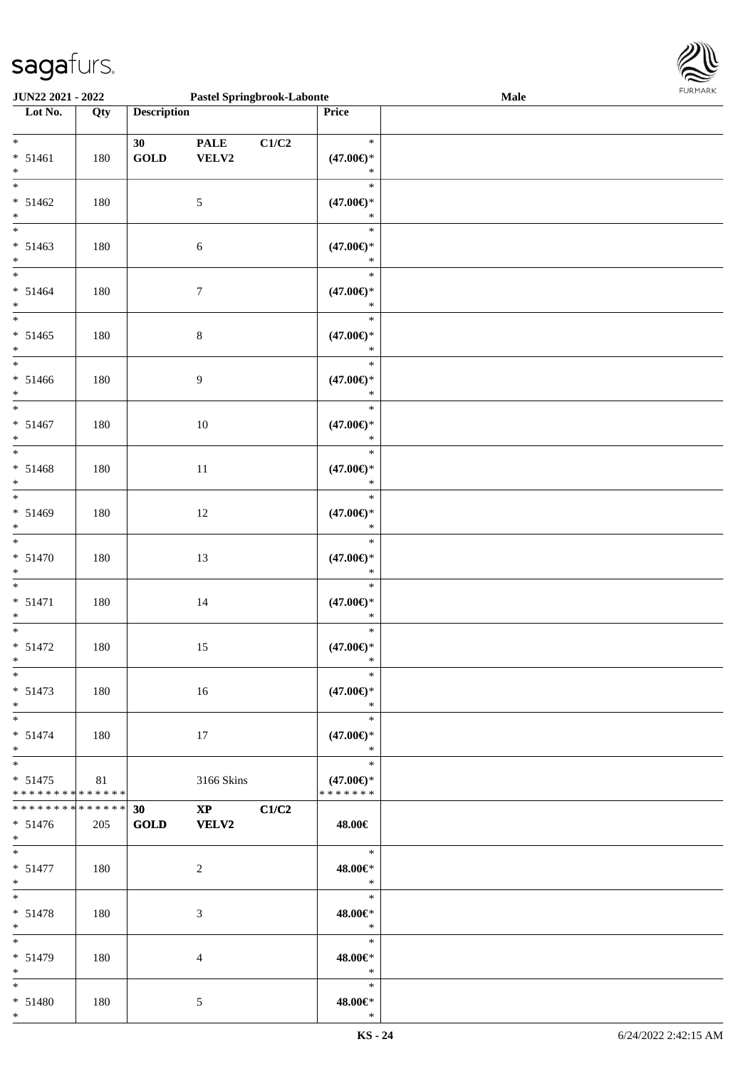

| <b>JUN22 2021 - 2022</b>                                                                            |     |                             | <b>Pastel Springbrook-Labonte</b>      |       |                                                   | Male | 1.9151 B1515 |
|-----------------------------------------------------------------------------------------------------|-----|-----------------------------|----------------------------------------|-------|---------------------------------------------------|------|--------------|
| Lot No.                                                                                             | Qty | <b>Description</b>          |                                        |       | Price                                             |      |              |
| $*$<br>$* 51461$                                                                                    | 180 | 30<br>$\operatorname{GOLD}$ | <b>PALE</b><br>VELV2                   | C1/C2 | $\ast$<br>$(47.00\epsilon)$ *<br>$\ast$           |      |              |
| $*$<br>$\overline{\ast}$<br>$* 51462$<br>$\ast$                                                     | 180 |                             | 5                                      |       | $\ast$<br>$(47.00\epsilon)$ *<br>$\ast$           |      |              |
| $* 51463$<br>$\ast$                                                                                 | 180 |                             | $\sqrt{6}$                             |       | $\ast$<br>$(47.00\epsilon)$ *<br>$\ast$           |      |              |
| $*$<br>$* 51464$<br>$*$                                                                             | 180 |                             | $\boldsymbol{7}$                       |       | $\ast$<br>$(47.00\epsilon)$ *<br>$\ast$           |      |              |
| $\overline{\ast}$<br>$* 51465$<br>$*$                                                               | 180 |                             | $8\,$                                  |       | $\ast$<br>$(47.00\epsilon)$ *<br>$\ast$           |      |              |
| $*$<br>$* 51466$<br>$\ast$<br>$*$                                                                   | 180 |                             | $\overline{9}$                         |       | $\ast$<br>$(47.00\epsilon)$ *<br>$\ast$           |      |              |
| $* 51467$<br>$*$<br>$\overline{\ast}$                                                               | 180 |                             | 10                                     |       | $\ast$<br>$(47.00\epsilon)$ *<br>$\ast$<br>$\ast$ |      |              |
| $* 51468$<br>$*$<br>$\overline{\ast}$                                                               | 180 |                             | 11                                     |       | $(47.00\epsilon)$ *<br>$\ast$<br>$\ast$           |      |              |
| $* 51469$<br>$\ast$<br>$\overline{\ast}$                                                            | 180 |                             | 12                                     |       | $(47.00\epsilon)$ *<br>$\ast$<br>$\ast$           |      |              |
| $* 51470$<br>$\ast$<br>$\ast$                                                                       | 180 |                             | 13                                     |       | $(47.00\epsilon)$ *<br>$\ast$<br>$\ast$           |      |              |
| $* 51471$<br>$\ast$<br>$\ast$                                                                       | 180 |                             | 14                                     |       | $(47.00\epsilon)$ *<br>$\ast$<br>$\ast$           |      |              |
| $* 51472$<br>$\ast$<br>$*$                                                                          | 180 |                             | 15                                     |       | $(47.00\epsilon)$ *<br>$\ast$<br>$\ast$           |      |              |
| $* 51473$<br>$*$<br>$\ast$                                                                          | 180 |                             | 16                                     |       | $(47.00\epsilon)$ *<br>$\ast$                     |      |              |
| $* 51474$<br>$*$<br>$\ast$                                                                          | 180 |                             | 17                                     |       | $\ast$<br>$(47.00\epsilon)$ *<br>$\ast$<br>$\ast$ |      |              |
| $* 51475$<br>* * * * * * * * <mark>* * * * * *</mark><br>* * * * * * * * <mark>* * * * * * *</mark> | 81  |                             | 3166 Skins                             |       | $(47.00\epsilon)$ *<br>* * * * * * *              |      |              |
| $* 51476$<br>$\ast$<br>$*$                                                                          | 205 | 30<br>GOLD                  | $\mathbf{X}\mathbf{P}$<br><b>VELV2</b> | C1/C2 | 48.00€<br>$*$                                     |      |              |
| $* 51477$<br>$*$<br>$*$ $*$                                                                         | 180 |                             | 2                                      |       | 48.00€*<br>$\mathbb{R}^2$<br>$\ast$               |      |              |
| $* 51478$<br>$\ast$<br>$\overline{\ast}$                                                            | 180 |                             | 3                                      |       | 48.00€*<br>$*$<br>$\ast$                          |      |              |
| $* 51479$<br>$\ast$<br>$\ast$                                                                       | 180 |                             | $\overline{4}$                         |       | 48.00€*<br>$\ast$<br>$\ast$                       |      |              |
| $* 51480$<br>$\ast$                                                                                 | 180 |                             | 5                                      |       | 48.00€*<br>$\ast$                                 |      |              |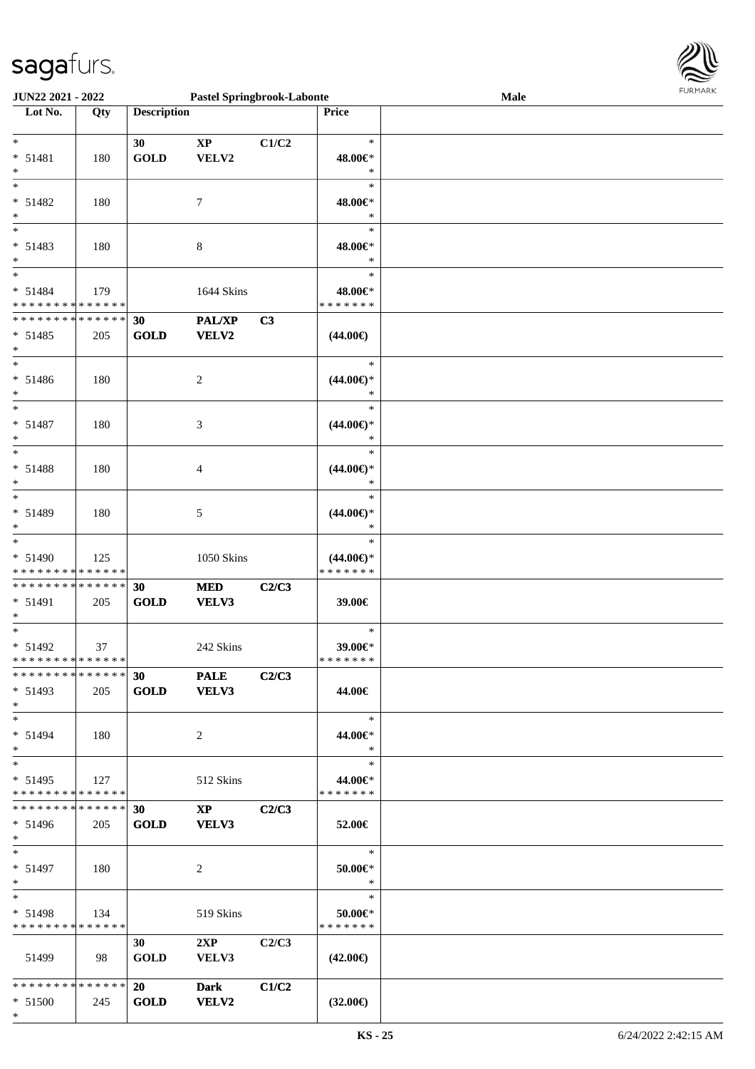

| <b>JUN22 2021 - 2022</b>                   |     |                    | <b>Pastel Springbrook-Labonte</b> |       |                     | Male |  |
|--------------------------------------------|-----|--------------------|-----------------------------------|-------|---------------------|------|--|
| Lot No.                                    | Qty | <b>Description</b> |                                   |       | <b>Price</b>        |      |  |
|                                            |     |                    |                                   |       |                     |      |  |
| $\ast$                                     |     | 30                 | $\mathbf{X}\mathbf{P}$            | C1/C2 | $\ast$              |      |  |
| $* 51481$                                  | 180 | <b>GOLD</b>        | VELV2                             |       | 48.00€*             |      |  |
| $\ast$                                     |     |                    |                                   |       | $\ast$              |      |  |
| $\overline{\ast}$                          |     |                    |                                   |       | $\ast$              |      |  |
| $* 51482$                                  | 180 |                    | 7                                 |       | 48.00€*             |      |  |
| $\ast$                                     |     |                    |                                   |       | $\ast$              |      |  |
|                                            |     |                    |                                   |       |                     |      |  |
|                                            |     |                    |                                   |       | $\ast$              |      |  |
| $* 51483$                                  | 180 |                    | 8                                 |       | 48.00€*             |      |  |
| $*$                                        |     |                    |                                   |       | $\ast$              |      |  |
| $\ddot{x}$                                 |     |                    |                                   |       | $\ast$              |      |  |
| $* 51484$                                  | 179 |                    | 1644 Skins                        |       | 48.00€*             |      |  |
| * * * * * * * * <mark>* * * * * *</mark>   |     |                    |                                   |       | * * * * * * *       |      |  |
| * * * * * * * * <mark>* * * * * *</mark>   |     | 30                 | PAL/XP                            | C3    |                     |      |  |
| $* 51485$                                  | 205 | <b>GOLD</b>        | <b>VELV2</b>                      |       | $(44.00\epsilon)$   |      |  |
| $\ast$                                     |     |                    |                                   |       |                     |      |  |
| $\ast$                                     |     |                    |                                   |       | $\ast$              |      |  |
|                                            |     |                    |                                   |       |                     |      |  |
| $* 51486$                                  | 180 |                    | 2                                 |       | $(44.00\epsilon)$ * |      |  |
| $\ast$                                     |     |                    |                                   |       | $\ast$              |      |  |
| $\overline{\ast}$                          |     |                    |                                   |       | $\ast$              |      |  |
| $* 51487$                                  | 180 |                    | 3                                 |       | $(44.00\epsilon)$ * |      |  |
| $\ast$                                     |     |                    |                                   |       | $\ast$              |      |  |
| $\ast$                                     |     |                    |                                   |       | $\ast$              |      |  |
| * 51488                                    | 180 |                    | 4                                 |       | $(44.00\epsilon)$ * |      |  |
| $\ast$                                     |     |                    |                                   |       | $\ast$              |      |  |
| $\ast$                                     |     |                    |                                   |       | $\ast$              |      |  |
|                                            |     |                    |                                   |       |                     |      |  |
| * 51489                                    | 180 |                    | 5                                 |       | $(44.00\epsilon)$ * |      |  |
| $\ast$                                     |     |                    |                                   |       | $\ast$              |      |  |
| $\ast$                                     |     |                    |                                   |       | $\ast$              |      |  |
| $* 51490$                                  | 125 |                    | 1050 Skins                        |       | $(44.00\epsilon)$ * |      |  |
| * * * * * * * * * * * * * * *              |     |                    |                                   |       | * * * * * * *       |      |  |
| * * * * * * * * <mark>* * * * * * *</mark> |     | 30                 | <b>MED</b>                        | C2/C3 |                     |      |  |
| $* 51491$                                  | 205 | <b>GOLD</b>        | VELV3                             |       | 39.00€              |      |  |
| $\ast$                                     |     |                    |                                   |       |                     |      |  |
| $\ast$                                     |     |                    |                                   |       | $\ast$              |      |  |
| $* 51492$                                  | 37  |                    | 242 Skins                         |       | 39.00€*             |      |  |
| * * * * * * * * <mark>* * * * * * *</mark> |     |                    |                                   |       | *******             |      |  |
| * * * * * * * * * * * * * * <mark>*</mark> |     | 30                 |                                   |       |                     |      |  |
|                                            |     |                    | <b>PALE</b>                       | C2/C3 |                     |      |  |
| $* 51493$                                  | 205 |                    | GOLD VELV3                        |       | 44.00€              |      |  |
| $*$                                        |     |                    |                                   |       |                     |      |  |
| $\ast$                                     |     |                    |                                   |       | $\ast$              |      |  |
| $* 51494$                                  | 180 |                    | 2                                 |       | 44.00€*             |      |  |
| $\ast$                                     |     |                    |                                   |       | $\ast$              |      |  |
| $\overline{\phantom{0}}$                   |     |                    |                                   |       | $\ast$              |      |  |
| $* 51495$                                  | 127 |                    | 512 Skins                         |       | 44.00€*             |      |  |
| * * * * * * * * <mark>* * * * * *</mark>   |     |                    |                                   |       | * * * * * * *       |      |  |
| * * * * * * * * * * * * * * <mark>*</mark> |     | 30                 | $\mathbf{X}\mathbf{P}$            | C2/C3 |                     |      |  |
|                                            |     |                    |                                   |       |                     |      |  |
| $* 51496$                                  | 205 | <b>GOLD</b>        | <b>VELV3</b>                      |       | 52.00€              |      |  |
| $*$ $-$                                    |     |                    |                                   |       |                     |      |  |
| $\ddot{x}$                                 |     |                    |                                   |       | $\ast$              |      |  |
| $* 51497$                                  | 180 |                    | 2                                 |       | 50.00€*             |      |  |
| $*$                                        |     |                    |                                   |       | $\ast$              |      |  |
| $*$ $-$                                    |     |                    |                                   |       | $\ast$              |      |  |
| $* 51498$                                  | 134 |                    | 519 Skins                         |       | 50.00€*             |      |  |
| * * * * * * * * <mark>* * * * * * *</mark> |     |                    |                                   |       | *******             |      |  |
|                                            |     | 30                 | 2XP                               | C2/C3 |                     |      |  |
| 51499                                      |     |                    |                                   |       |                     |      |  |
|                                            | 98  | <b>GOLD</b>        | VELV3                             |       | $(42.00\epsilon)$   |      |  |
|                                            |     |                    |                                   |       |                     |      |  |
| * * * * * * * * <mark>* * * * * * *</mark> |     |                    | <b>Dark</b>                       | C1/C2 |                     |      |  |
| $* 51500$                                  | 245 | <b>GOLD</b>        | <b>VELV2</b>                      |       | $(32.00\epsilon)$   |      |  |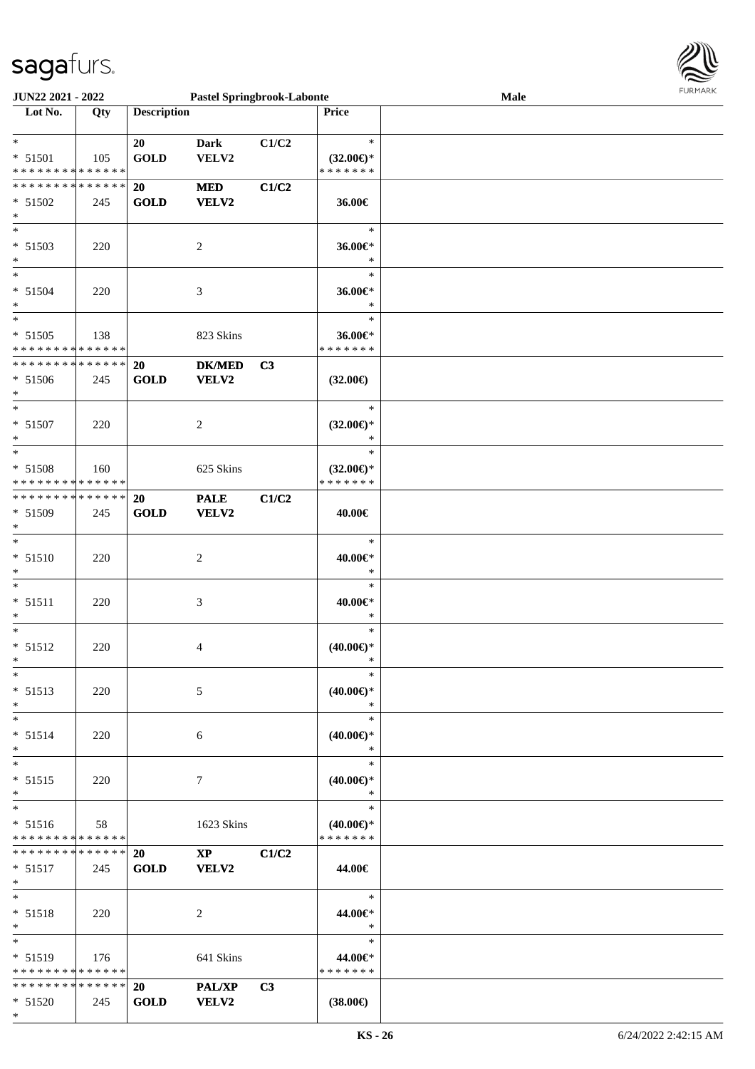

| <b>JUN22 2021 - 2022</b>                   |     |                    | <b>Pastel Springbrook-Labonte</b> |                |                          | <b>Male</b> |  |
|--------------------------------------------|-----|--------------------|-----------------------------------|----------------|--------------------------|-------------|--|
| Lot No.                                    | Qty | <b>Description</b> |                                   |                | Price                    |             |  |
|                                            |     |                    |                                   |                |                          |             |  |
| $\ast$                                     |     | 20                 | <b>Dark</b>                       | C1/C2          | $\ast$                   |             |  |
| $* 51501$                                  | 105 | <b>GOLD</b>        | VELV2                             |                | $(32.00\epsilon)$ *      |             |  |
| * * * * * * * * <mark>* * * * * * *</mark> |     |                    |                                   |                | * * * * * * *            |             |  |
| * * * * * * * * * * * * * * <mark>*</mark> |     | 20                 | $\bf MED$                         | C1/C2          |                          |             |  |
|                                            |     |                    |                                   |                |                          |             |  |
| $* 51502$                                  | 245 | <b>GOLD</b>        | VELV2                             |                | 36.00€                   |             |  |
| $\ast$                                     |     |                    |                                   |                |                          |             |  |
| $\overline{\phantom{0}}$                   |     |                    |                                   |                | $\ast$                   |             |  |
| $* 51503$                                  | 220 |                    | $\overline{c}$                    |                | 36.00€*                  |             |  |
| $\ast$                                     |     |                    |                                   |                | $\ast$                   |             |  |
| $\ast$                                     |     |                    |                                   |                | $\ast$                   |             |  |
| $* 51504$                                  | 220 |                    | 3                                 |                | 36.00€*                  |             |  |
| $\ast$                                     |     |                    |                                   |                | $\ast$                   |             |  |
|                                            |     |                    |                                   |                | $\ast$                   |             |  |
| $* 51505$                                  |     |                    |                                   |                |                          |             |  |
| * * * * * * * * <mark>* * * * * * *</mark> | 138 |                    | 823 Skins                         |                | 36.00€*<br>* * * * * * * |             |  |
|                                            |     |                    |                                   |                |                          |             |  |
| * * * * * * * * * * * * * * *              |     | 20                 | <b>DK/MED</b>                     | C <sub>3</sub> |                          |             |  |
| $* 51506$                                  | 245 | <b>GOLD</b>        | VELV2                             |                | $(32.00\epsilon)$        |             |  |
| $\ast$                                     |     |                    |                                   |                |                          |             |  |
| $\ast$                                     |     |                    |                                   |                | $\ast$                   |             |  |
| $* 51507$                                  | 220 |                    | 2                                 |                | $(32.00\epsilon)$ *      |             |  |
| $\ast$                                     |     |                    |                                   |                | $\ast$                   |             |  |
| $\ast$                                     |     |                    |                                   |                | $\ast$                   |             |  |
| * 51508                                    | 160 |                    | 625 Skins                         |                | $(32.00\epsilon)$ *      |             |  |
| * * * * * * * * <mark>* * * * * * *</mark> |     |                    |                                   |                | * * * * * * *            |             |  |
|                                            |     |                    |                                   |                |                          |             |  |
| * * * * * * * * * * * * * * *              |     | <b>20</b>          | <b>PALE</b>                       | C1/C2          |                          |             |  |
| $* 51509$                                  | 245 | <b>GOLD</b>        | VELV2                             |                | 40.00€                   |             |  |
| $\ast$                                     |     |                    |                                   |                |                          |             |  |
| $\ast$                                     |     |                    |                                   |                | $\ast$                   |             |  |
| $* 51510$                                  | 220 |                    | 2                                 |                | 40.00€*                  |             |  |
| *                                          |     |                    |                                   |                | $\ast$                   |             |  |
| $\ast$                                     |     |                    |                                   |                | $\ast$                   |             |  |
| $* 51511$                                  | 220 |                    | 3                                 |                | 40.00€*                  |             |  |
| $\ast$                                     |     |                    |                                   |                | $\ast$                   |             |  |
| $\ast$                                     |     |                    |                                   |                | $\ast$                   |             |  |
|                                            |     |                    |                                   |                |                          |             |  |
| $* 51512$                                  | 220 |                    | 4                                 |                | $(40.00\epsilon)$ *      |             |  |
| $\ast$                                     |     |                    |                                   |                | $\ast$                   |             |  |
| $\ast$                                     |     |                    |                                   |                | $\ast$                   |             |  |
| $* 51513$                                  | 220 |                    | 5                                 |                | $(40.00\epsilon)$ *      |             |  |
| $\ast$                                     |     |                    |                                   |                | $\ast$                   |             |  |
| $\ast$                                     |     |                    |                                   |                | $\ast$                   |             |  |
| $* 51514$                                  | 220 |                    | 6                                 |                | $(40.00\epsilon)$ *      |             |  |
| $\ast$                                     |     |                    |                                   |                | $\ast$                   |             |  |
| $*$                                        |     |                    |                                   |                | $\ast$                   |             |  |
|                                            |     |                    |                                   |                |                          |             |  |
| $* 51515$                                  | 220 |                    | 7                                 |                | $(40.00\epsilon)$ *      |             |  |
| $\ast$                                     |     |                    |                                   |                | $\ast$                   |             |  |
| $\ast$                                     |     |                    |                                   |                | $\ast$                   |             |  |
| $* 51516$                                  | 58  |                    | 1623 Skins                        |                | $(40.00\epsilon)$ *      |             |  |
| * * * * * * * * <mark>* * * * * *</mark>   |     |                    |                                   |                | * * * * * * *            |             |  |
| * * * * * * * * * * * * * * <mark>*</mark> |     | <b>20</b>          | $\mathbf{XP}$                     | C1/C2          |                          |             |  |
| $* 51517$                                  | 245 | <b>GOLD</b>        | VELV2                             |                | 44.00€                   |             |  |
| $*$ $-$                                    |     |                    |                                   |                |                          |             |  |
| $\ddot{x}$                                 |     |                    |                                   |                | $*$                      |             |  |
|                                            |     |                    |                                   |                |                          |             |  |
| $* 51518$                                  | 220 |                    | 2                                 |                | 44.00€*                  |             |  |
| $\ast$                                     |     |                    |                                   |                | $\ast$                   |             |  |
| $*$ $*$                                    |     |                    |                                   |                | $\ast$                   |             |  |
| $* 51519$                                  | 176 |                    | 641 Skins                         |                | 44.00€*                  |             |  |
| * * * * * * * * <mark>* * * * * *</mark>   |     |                    |                                   |                | * * * * * * *            |             |  |
| * * * * * * * * * * * * * * <mark>*</mark> |     | 20                 | <b>PAL/XP</b>                     | C3             |                          |             |  |
| $* 51520$                                  | 245 | <b>GOLD</b>        | <b>VELV2</b>                      |                | $(38.00\epsilon)$        |             |  |
|                                            |     |                    |                                   |                |                          |             |  |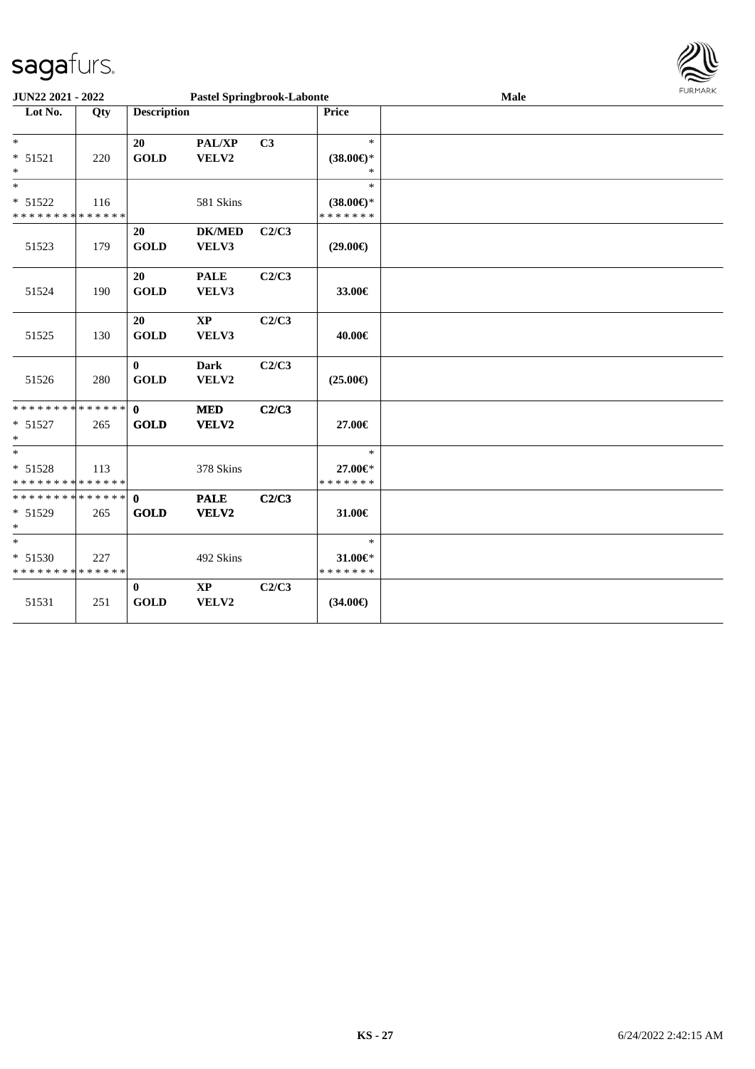| sagafurs.                                           |     |                             |                                   |       |                                                |      |                |
|-----------------------------------------------------|-----|-----------------------------|-----------------------------------|-------|------------------------------------------------|------|----------------|
| JUN22 2021 - 2022                                   |     |                             | <b>Pastel Springbrook-Labonte</b> |       |                                                | Male | <b>FURMARK</b> |
| Lot No.                                             | Qty | <b>Description</b>          |                                   |       | <b>Price</b>                                   |      |                |
| $\ast$<br>$* 51521$<br>∗                            | 220 | 20<br><b>GOLD</b>           | PAL/XP<br>VELV2                   | C3    | $\ast$<br>$(38.00\epsilon)$ *<br>∗             |      |                |
| $\ast$<br>* 51522<br>* * * * * * * * * * * * * *    | 116 |                             | 581 Skins                         |       | $\ast$<br>$(38.00\epsilon)$ *<br>* * * * * * * |      |                |
| 51523                                               | 179 | 20<br><b>GOLD</b>           | <b>DK/MED</b><br>VELV3            | C2/C3 | $(29.00\epsilon)$                              |      |                |
| 51524                                               | 190 | 20<br><b>GOLD</b>           | <b>PALE</b><br>VELV3              | C2/C3 | 33.00€                                         |      |                |
| 51525                                               | 130 | 20<br><b>GOLD</b>           | $\bold{XP}$<br>VELV3              | C2/C3 | 40.00€                                         |      |                |
| 51526                                               | 280 | $\bf{0}$<br><b>GOLD</b>     | <b>Dark</b><br>VELV2              | C2/C3 | $(25.00\epsilon)$                              |      |                |
| ******** <mark>******</mark><br>$* 51527$<br>$\ast$ | 265 | $\mathbf 0$<br><b>GOLD</b>  | <b>MED</b><br>VELV2               | C2/C3 | 27.00€                                         |      |                |
| $\ast$<br>$* 51528$<br>* * * * * * * * * * * * * *  | 113 |                             | 378 Skins                         |       | $\ast$<br>27.00€*<br>* * * * * * *             |      |                |
| * * * * * * * * * * * * * *<br>$* 51529$<br>∗       | 265 | $\mathbf{0}$<br><b>GOLD</b> | <b>PALE</b><br>VELV2              | C2/C3 | 31.00€                                         |      |                |
| $\ast$<br>$* 51530$<br>* * * * * * * * * * * * * *  | 227 |                             | 492 Skins                         |       | $\ast$<br>31.00€*<br>* * * * * * *             |      |                |
| 51531                                               | 251 | $\bf{0}$<br><b>GOLD</b>     | $\bold{XP}$<br>VELV2              | C2/C3 | $(34.00\epsilon)$                              |      |                |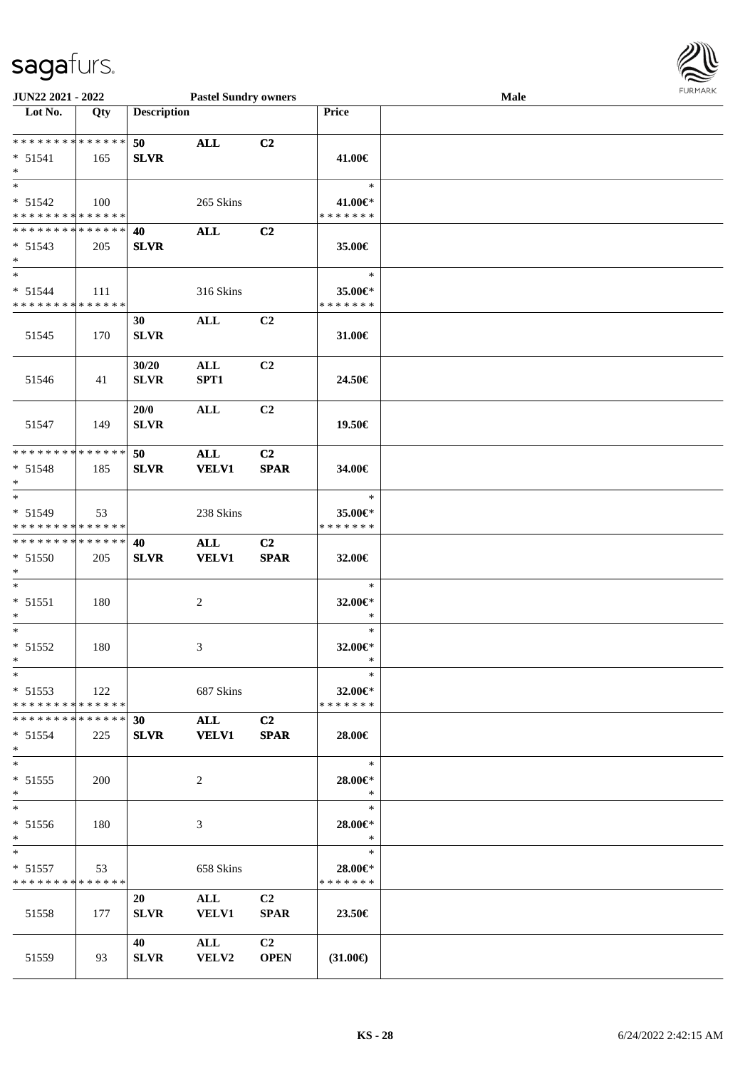

| JUN22 2021 - 2022                                  |     |                                | <b>Pastel Sundry owners</b>    |                               |                                    | Male |  |
|----------------------------------------------------|-----|--------------------------------|--------------------------------|-------------------------------|------------------------------------|------|--|
| Lot No.                                            | Qty | <b>Description</b>             |                                |                               | Price                              |      |  |
| **************<br>$* 51541$<br>$\ast$              | 165 | 50<br><b>SLVR</b>              | <b>ALL</b>                     | C <sub>2</sub>                | 41.00€                             |      |  |
| $*$<br>* 51542<br>* * * * * * * * * * * * * *      | 100 |                                | 265 Skins                      |                               | $\ast$<br>41.00€*<br>* * * * * * * |      |  |
| * * * * * * * * * * * * * *<br>$* 51543$<br>$*$    | 205 | 40<br><b>SLVR</b>              | $\mathbf{ALL}$                 | C <sub>2</sub>                | 35.00€                             |      |  |
| $\ast$<br>$* 51544$<br>* * * * * * * * * * * * * * | 111 |                                | 316 Skins                      |                               | $\ast$<br>35.00€*<br>* * * * * * * |      |  |
| 51545                                              | 170 | 30<br><b>SLVR</b>              | $\mathbf{ALL}$                 | C2                            | 31.00€                             |      |  |
| 51546                                              | 41  | 30/20<br><b>SLVR</b>           | $\mathbf{ALL}$<br>SPT1         | C <sub>2</sub>                | 24.50€                             |      |  |
| 51547                                              | 149 | 20/0<br><b>SLVR</b>            | $\mathbf{ALL}$                 | C2                            | 19.50€                             |      |  |
| * * * * * * * * * * * * * *<br>* 51548<br>$*$      | 185 | 50<br><b>SLVR</b>              | <b>ALL</b><br><b>VELV1</b>     | C <sub>2</sub><br><b>SPAR</b> | 34.00€                             |      |  |
| $*$<br>* 51549<br>* * * * * * * * * * * * * *      | 53  |                                | 238 Skins                      |                               | $\ast$<br>35.00€*<br>* * * * * * * |      |  |
| * * * * * * * * * * * * * *<br>* 51550<br>$*$      | 205 | 40<br><b>SLVR</b>              | $\mathbf{ALL}$<br><b>VELV1</b> | C <sub>2</sub><br><b>SPAR</b> | 32.00€                             |      |  |
| $\ast$<br>$* 51551$<br>$*$                         | 180 |                                | $\overline{c}$                 |                               | $\ast$<br>32.00€*<br>$\ast$        |      |  |
| $*$<br>$* 51552$<br>$*$                            | 180 |                                | 3                              |                               | $\ast$<br>32.00€*<br>$\ast$        |      |  |
| $*$<br>$* 51553$<br>* * * * * * * * * * * * * *    | 122 |                                | 687 Skins                      |                               | $\ast$<br>32.00€*<br>* * * * * * * |      |  |
| * * * * * * * * * * * * * * *<br>$* 51554$<br>$*$  | 225 | 30 <sub>1</sub><br><b>SLVR</b> | <b>ALL</b><br><b>VELV1</b>     | C2<br><b>SPAR</b>             | 28.00€                             |      |  |
| $*$<br>$* 51555$<br>$*$                            | 200 |                                | 2                              |                               | $\ast$<br>28.00€*<br>$\ast$        |      |  |
| $\ast$<br>* 51556<br>$*$                           | 180 |                                | 3                              |                               | $\ast$<br>28.00€*<br>$\ast$        |      |  |
| $*$<br>$* 51557$<br>* * * * * * * * * * * * * *    | 53  |                                | 658 Skins                      |                               | $\ast$<br>28.00€*<br>* * * * * * * |      |  |
| 51558                                              | 177 | 20<br><b>SLVR</b>              | $\mathbf{ALL}$<br><b>VELV1</b> | C <sub>2</sub><br><b>SPAR</b> | 23.50€                             |      |  |
| 51559                                              | 93  | 40<br><b>SLVR</b>              | ALL<br><b>VELV2</b>            | C2<br><b>OPEN</b>             | $(31.00\epsilon)$                  |      |  |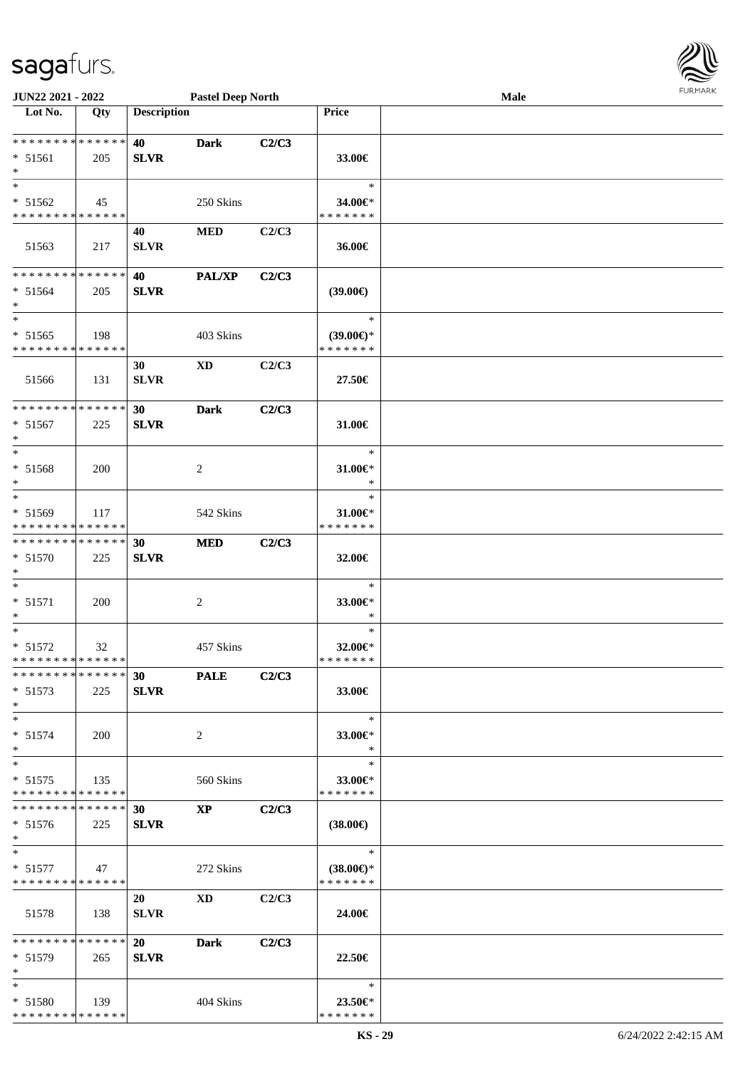

| JUN22 2021 - 2022            |     |                    | <b>Pastel Deep North</b> |       |                     | Male |  |
|------------------------------|-----|--------------------|--------------------------|-------|---------------------|------|--|
| Lot No.                      | Qty | <b>Description</b> |                          |       | <b>Price</b>        |      |  |
| **************               |     | 40                 | <b>Dark</b>              | C2/C3 |                     |      |  |
| * 51561                      | 205 | <b>SLVR</b>        |                          |       | 33.00€              |      |  |
| $\ast$                       |     |                    |                          |       |                     |      |  |
| $\ast$                       |     |                    |                          |       | $\ast$              |      |  |
| * 51562                      | 45  |                    | 250 Skins                |       | 34.00€*             |      |  |
| * * * * * * * * * * * * * *  |     |                    |                          |       | * * * * * * *       |      |  |
|                              |     | 40                 | <b>MED</b>               | C2/C3 |                     |      |  |
| 51563                        | 217 | <b>SLVR</b>        |                          |       | 36.00€              |      |  |
|                              |     |                    |                          |       |                     |      |  |
| **************               |     | 40                 | <b>PAL/XP</b>            | C2/C3 |                     |      |  |
| $* 51564$                    | 205 | <b>SLVR</b>        |                          |       | (39.00)             |      |  |
| $\ast$                       |     |                    |                          |       |                     |      |  |
| $\ast$                       |     |                    |                          |       | $\ast$              |      |  |
| $* 51565$                    | 198 |                    | 403 Skins                |       | $(39.00\epsilon)$ * |      |  |
| * * * * * * * * * * * * * *  |     |                    |                          |       | * * * * * * *       |      |  |
|                              |     | 30                 | <b>XD</b>                | C2/C3 |                     |      |  |
| 51566                        | 131 | <b>SLVR</b>        |                          |       | 27.50€              |      |  |
| ******** <mark>******</mark> |     | 30                 | <b>Dark</b>              | C2/C3 |                     |      |  |
| $* 51567$                    | 225 | <b>SLVR</b>        |                          |       | 31.00€              |      |  |
| $\ast$                       |     |                    |                          |       |                     |      |  |
| $\ast$                       |     |                    |                          |       | $\ast$              |      |  |
| * 51568                      | 200 |                    | $\overline{c}$           |       | 31.00€*             |      |  |
| $\ast$                       |     |                    |                          |       | $\ast$              |      |  |
| $\ast$                       |     |                    |                          |       | $\ast$              |      |  |
| * 51569                      | 117 |                    | 542 Skins                |       | $31.00 \in$ *       |      |  |
| * * * * * * * * * * * * * *  |     |                    |                          |       | * * * * * * *       |      |  |
| **************               |     | 30                 | <b>MED</b>               | C2/C3 |                     |      |  |
| * 51570                      | 225 | <b>SLVR</b>        |                          |       | 32.00€              |      |  |
| $\ast$                       |     |                    |                          |       |                     |      |  |
| $\ast$                       |     |                    |                          |       | $\ast$              |      |  |
| $* 51571$                    | 200 |                    | $\overline{c}$           |       | 33.00€*             |      |  |
| $\ast$<br>$\ast$             |     |                    |                          |       | $\ast$<br>$\ast$    |      |  |
| $* 51572$                    |     |                    | 457 Skins                |       | 32.00€*             |      |  |
| **************               | 32  |                    |                          |       | * * * * * * *       |      |  |
| * * * * * * * * * * * * * *  |     | <b>30</b>          | <b>PALE</b>              | C2/C3 |                     |      |  |
| $* 51573$                    | 225 | <b>SLVR</b>        |                          |       | 33.00€              |      |  |
| $*$                          |     |                    |                          |       |                     |      |  |
| $*$                          |     |                    |                          |       | $\ast$              |      |  |
| $* 51574$                    | 200 |                    | 2                        |       | 33.00€*             |      |  |
| $*$                          |     |                    |                          |       | $\ast$              |      |  |
| $\ast$                       |     |                    |                          |       | $\ast$              |      |  |
| $* 51575$                    | 135 |                    | 560 Skins                |       | 33.00€*             |      |  |
| * * * * * * * * * * * * * *  |     |                    |                          |       | * * * * * * *       |      |  |
| **************               |     | 30                 | $\mathbf{X}\mathbf{P}$   | C2/C3 |                     |      |  |
| $* 51576$                    | 225 | <b>SLVR</b>        |                          |       | $(38.00\epsilon)$   |      |  |
| $*$<br>$*$                   |     |                    |                          |       | $\equiv$<br>$\ast$  |      |  |
| $* 51577$                    | 47  |                    | 272 Skins                |       | $(38.00€)$ *        |      |  |
| * * * * * * * * * * * * * *  |     |                    |                          |       | * * * * * * *       |      |  |
|                              |     | 20                 | <b>XD</b>                | C2/C3 |                     |      |  |
| 51578                        | 138 | <b>SLVR</b>        |                          |       | 24.00€              |      |  |
|                              |     |                    |                          |       |                     |      |  |
| * * * * * * * * * * * * * *  |     | <b>20</b>          | <b>Dark</b>              | C2/C3 |                     |      |  |
| $* 51579$                    | 265 | <b>SLVR</b>        |                          |       | 22.50€              |      |  |
| $\ast$                       |     |                    |                          |       |                     |      |  |
| $*$                          |     |                    |                          |       | $\ast$              |      |  |
| $* 51580$                    | 139 |                    | 404 Skins                |       | 23.50€*             |      |  |
| * * * * * * * * * * * * * *  |     |                    |                          |       | * * * * * * *       |      |  |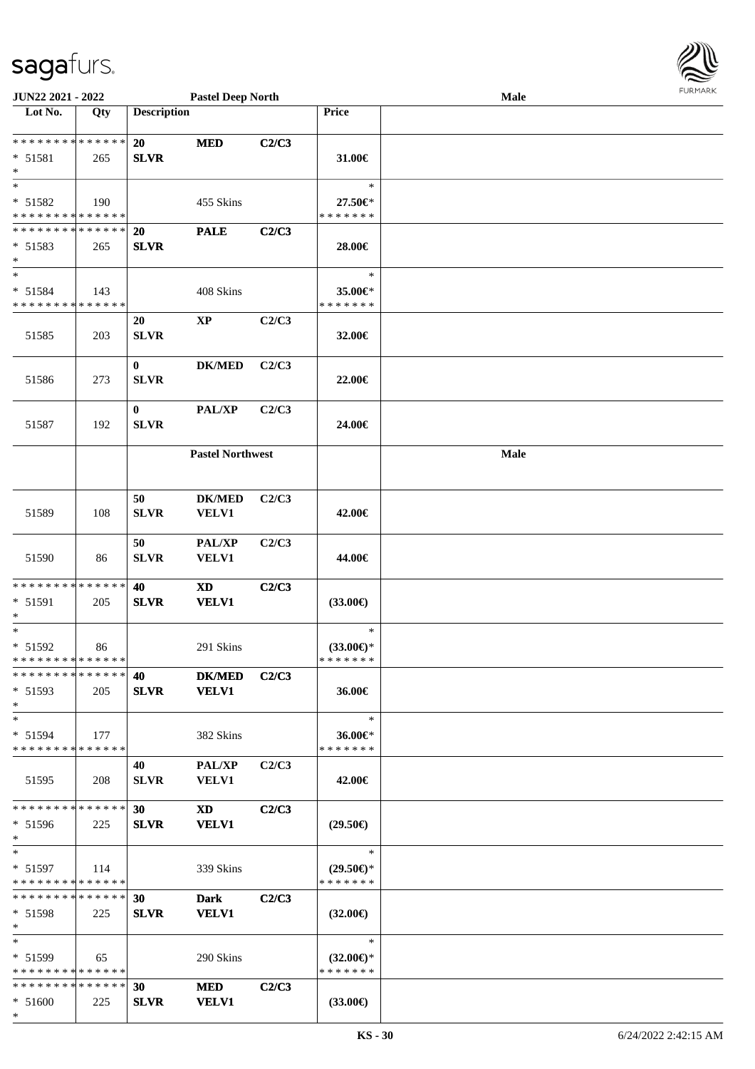

| JUN22 2021 - 2022                          |     |                    | <b>Pastel Deep North</b>   |       |                                      | Male |  |
|--------------------------------------------|-----|--------------------|----------------------------|-------|--------------------------------------|------|--|
| Lot No.                                    | Qty | <b>Description</b> |                            |       | Price                                |      |  |
|                                            |     |                    |                            |       |                                      |      |  |
| **************                             |     | 20                 | <b>MED</b>                 | C2/C3 |                                      |      |  |
| * 51581                                    | 265 | <b>SLVR</b>        |                            |       | 31.00€                               |      |  |
| $\ast$                                     |     |                    |                            |       |                                      |      |  |
| $\ast$                                     |     |                    |                            |       | $\ast$                               |      |  |
| $* 51582$                                  | 190 |                    | 455 Skins                  |       | 27.50€*                              |      |  |
| * * * * * * * * <mark>* * * * * * *</mark> |     |                    |                            |       | * * * * * * *                        |      |  |
| * * * * * * * * * * * * * *                |     | 20                 | <b>PALE</b>                | C2/C3 |                                      |      |  |
| $* 51583$                                  | 265 | <b>SLVR</b>        |                            |       | 28.00€                               |      |  |
| $\ast$                                     |     |                    |                            |       |                                      |      |  |
| $\ast$                                     |     |                    |                            |       | $\ast$                               |      |  |
| * 51584                                    | 143 |                    | 408 Skins                  |       | 35.00€*                              |      |  |
| * * * * * * * * * * * * * *                |     |                    |                            |       | * * * * * * *                        |      |  |
|                                            |     | 20                 | $\bold{XP}$                | C2/C3 |                                      |      |  |
| 51585                                      | 203 | <b>SLVR</b>        |                            |       | 32.00€                               |      |  |
|                                            |     |                    |                            |       |                                      |      |  |
|                                            |     | $\bf{0}$           | <b>DK/MED</b>              | C2/C3 |                                      |      |  |
| 51586                                      | 273 | <b>SLVR</b>        |                            |       | 22.00€                               |      |  |
|                                            |     |                    |                            |       |                                      |      |  |
|                                            |     | $\bf{0}$           | PAL/XP                     | C2/C3 |                                      |      |  |
| 51587                                      | 192 | <b>SLVR</b>        |                            |       | 24.00€                               |      |  |
|                                            |     |                    |                            |       |                                      |      |  |
|                                            |     |                    | <b>Pastel Northwest</b>    |       |                                      | Male |  |
|                                            |     |                    |                            |       |                                      |      |  |
|                                            |     |                    |                            |       |                                      |      |  |
|                                            |     |                    |                            |       |                                      |      |  |
|                                            |     | 50                 | <b>DK/MED</b>              | C2/C3 |                                      |      |  |
| 51589                                      | 108 | <b>SLVR</b>        | VELV1                      |       | 42.00€                               |      |  |
|                                            |     |                    |                            |       |                                      |      |  |
|                                            |     | 50                 | PAL/XP                     | C2/C3 |                                      |      |  |
| 51590                                      | 86  | <b>SLVR</b>        | <b>VELV1</b>               |       | 44.00€                               |      |  |
|                                            |     |                    |                            |       |                                      |      |  |
| * * * * * * * * * * * * * *                |     | 40                 | $\boldsymbol{\mathrm{XD}}$ | C2/C3 |                                      |      |  |
| * 51591                                    | 205 | <b>SLVR</b>        | <b>VELV1</b>               |       | $(33.00\epsilon)$                    |      |  |
| $\ast$<br>$\ast$                           |     |                    |                            |       | $\ast$                               |      |  |
|                                            |     |                    |                            |       |                                      |      |  |
| $* 51592$<br>**************                | 86  |                    | 291 Skins                  |       | $(33.00\epsilon)$ *<br>* * * * * * * |      |  |
| * * * * * * * * * * * * * *                |     |                    |                            |       |                                      |      |  |
|                                            |     | 40                 | <b>DK/MED</b>              | C2/C3 |                                      |      |  |
| $* 51593$                                  | 205 | <b>SLVR</b>        | <b>VELV1</b>               |       | 36.00€                               |      |  |
| $*$                                        |     |                    |                            |       |                                      |      |  |
| $\ast$                                     |     |                    |                            |       | $\ast$                               |      |  |
| $* 51594$                                  | 177 |                    | 382 Skins                  |       | 36.00€*                              |      |  |
| * * * * * * * * * * * * * *                |     |                    |                            |       | * * * * * * *                        |      |  |
|                                            |     | 40                 | <b>PAL/XP</b>              | C2/C3 |                                      |      |  |
| 51595                                      | 208 | <b>SLVR</b>        | <b>VELV1</b>               |       | 42.00€                               |      |  |
|                                            |     |                    |                            |       |                                      |      |  |
| * * * * * * * * * * * * * *                |     | 30                 | XD 1                       | C2/C3 |                                      |      |  |
| $* 51596$                                  | 225 | <b>SLVR</b>        | <b>VELV1</b>               |       | $(29.50\epsilon)$                    |      |  |
| $*$                                        |     |                    |                            |       |                                      |      |  |
| $*$                                        |     |                    |                            |       | $\ast$                               |      |  |
| $* 51597$                                  | 114 |                    | 339 Skins                  |       | $(29.50 \in )$ *                     |      |  |
| * * * * * * * * * * * * * * *              |     |                    |                            |       | * * * * * * *                        |      |  |
| ******** <mark>******</mark>               |     | 30                 | <b>Dark</b>                | C2/C3 |                                      |      |  |
| $* 51598$                                  | 225 | <b>SLVR</b>        | <b>VELV1</b>               |       | $(32.00\epsilon)$                    |      |  |
| $*$                                        |     |                    |                            |       |                                      |      |  |
| $\ast$                                     |     |                    |                            |       | $\ast$                               |      |  |
| $* 51599$                                  | 65  |                    | 290 Skins                  |       | $(32.00\epsilon)$ *                  |      |  |
| * * * * * * * * * * * * * *                |     |                    |                            |       | * * * * * * *                        |      |  |
| * * * * * * * * * * * * * *                |     | 30                 | MED                        | C2/C3 |                                      |      |  |
| $* 51600$                                  | 225 | <b>SLVR</b>        | <b>VELV1</b>               |       | $(33.00\epsilon)$                    |      |  |
| $*$                                        |     |                    |                            |       |                                      |      |  |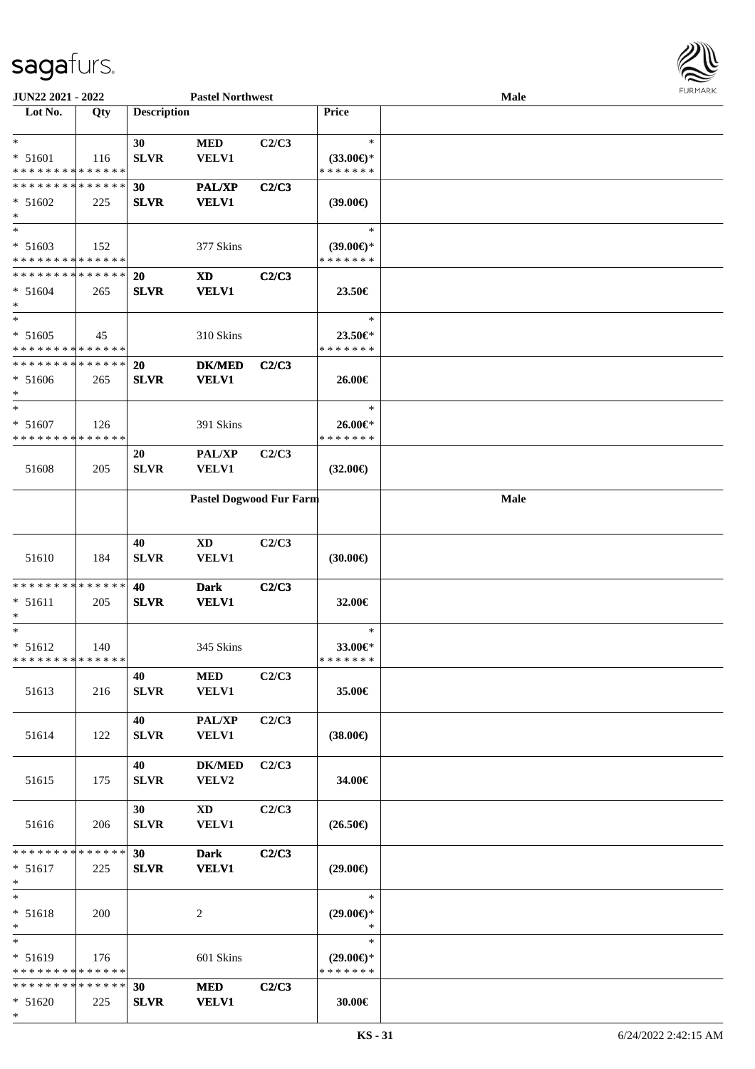

| JUN22 2021 - 2022                          |     |                    | <b>Pastel Northwest</b>    |       |                     | <b>Male</b> |  |
|--------------------------------------------|-----|--------------------|----------------------------|-------|---------------------|-------------|--|
| Lot No.                                    | Qty | <b>Description</b> |                            |       | <b>Price</b>        |             |  |
|                                            |     |                    |                            |       |                     |             |  |
| $\ast$                                     |     | 30                 | <b>MED</b>                 | C2/C3 | $\ast$              |             |  |
| * 51601                                    | 116 | <b>SLVR</b>        | VELV1                      |       | $(33.00\epsilon)$ * |             |  |
| * * * * * * * * * * * * * *                |     |                    |                            |       | * * * * * * *       |             |  |
| * * * * * * * * * * * * * *                |     | 30                 | <b>PAL/XP</b>              | C2/C3 |                     |             |  |
| $* 51602$                                  | 225 | <b>SLVR</b>        | <b>VELV1</b>               |       | $(39.00\epsilon)$   |             |  |
| $\ast$                                     |     |                    |                            |       |                     |             |  |
| $\ast$                                     |     |                    |                            |       | $\ast$              |             |  |
| $* 51603$                                  | 152 |                    | 377 Skins                  |       | $(39.00\epsilon)$ * |             |  |
| * * * * * * * * * * * * * *                |     |                    |                            |       | * * * * * * *       |             |  |
| * * * * * * * * * * * * * *                |     |                    |                            |       |                     |             |  |
|                                            |     | 20                 | <b>XD</b>                  | C2/C3 |                     |             |  |
| $* 51604$                                  | 265 | <b>SLVR</b>        | <b>VELV1</b>               |       | 23.50€              |             |  |
| $*$                                        |     |                    |                            |       |                     |             |  |
| $*$                                        |     |                    |                            |       | $\ast$              |             |  |
| $* 51605$                                  | 45  |                    | 310 Skins                  |       | 23.50€*             |             |  |
| * * * * * * * * <mark>* * * * * * *</mark> |     |                    |                            |       | * * * * * * *       |             |  |
| * * * * * * * * * * * * * *                |     | 20                 | <b>DK/MED</b>              | C2/C3 |                     |             |  |
| $* 51606$                                  | 265 | <b>SLVR</b>        | <b>VELV1</b>               |       | 26.00€              |             |  |
| $*$                                        |     |                    |                            |       |                     |             |  |
| $\ast$                                     |     |                    |                            |       | $\ast$              |             |  |
| $* 51607$                                  | 126 |                    | 391 Skins                  |       | 26.00€*             |             |  |
| * * * * * * * * * * * * * *                |     |                    |                            |       | * * * * * * *       |             |  |
|                                            |     | 20                 | PAL/XP                     | C2/C3 |                     |             |  |
| 51608                                      | 205 | <b>SLVR</b>        | <b>VELV1</b>               |       | $(32.00\epsilon)$   |             |  |
|                                            |     |                    |                            |       |                     |             |  |
|                                            |     |                    | Pastel Dogwood Fur Farm    |       |                     | <b>Male</b> |  |
|                                            |     |                    |                            |       |                     |             |  |
|                                            |     |                    |                            |       |                     |             |  |
|                                            |     | 40                 | $\mathbf{X}\mathbf{D}$     | C2/C3 |                     |             |  |
| 51610                                      | 184 | <b>SLVR</b>        | VELV1                      |       | (30.00)             |             |  |
|                                            |     |                    |                            |       |                     |             |  |
| * * * * * * * * * * * * * *                |     |                    |                            |       |                     |             |  |
|                                            |     | 40                 | <b>Dark</b>                | C2/C3 |                     |             |  |
| $* 51611$                                  | 205 | <b>SLVR</b>        | <b>VELV1</b>               |       | 32.00€              |             |  |
| $\ast$<br>$\ast$                           |     |                    |                            |       | $\ast$              |             |  |
|                                            |     |                    |                            |       |                     |             |  |
| $* 51612$                                  | 140 |                    | 345 Skins                  |       | 33.00€*             |             |  |
| * * * * * * * * * * * * * * *              |     |                    |                            |       | * * * * * * *       |             |  |
|                                            |     | 40                 | MED                        | C2/C3 |                     |             |  |
| 51613                                      | 216 | <b>SLVR</b>        | <b>VELV1</b>               |       | 35.00€              |             |  |
|                                            |     |                    |                            |       |                     |             |  |
|                                            |     | 40                 | $\mathbf{PAL}/\mathbf{XP}$ | C2/C3 |                     |             |  |
| 51614                                      | 122 | <b>SLVR</b>        | <b>VELV1</b>               |       | $(38.00\epsilon)$   |             |  |
|                                            |     |                    |                            |       |                     |             |  |
|                                            |     | 40                 | <b>DK/MED</b>              | C2/C3 |                     |             |  |
| 51615                                      | 175 | <b>SLVR</b>        | VELV2                      |       | 34.00€              |             |  |
|                                            |     |                    |                            |       |                     |             |  |
|                                            |     | 30                 | $\mathbf{X}\mathbf{D}$     | C2/C3 |                     |             |  |
| 51616                                      | 206 | <b>SLVR</b>        | <b>VELV1</b>               |       | $(26.50\epsilon)$   |             |  |
|                                            |     |                    |                            |       |                     |             |  |
| * * * * * * * * * * * * * * *              |     | 30                 | <b>Dark</b>                | C2/C3 |                     |             |  |
| $* 51617$                                  | 225 | ${\bf SLVR}$       | <b>VELV1</b>               |       | $(29.00\epsilon)$   |             |  |
| $*$                                        |     |                    |                            |       |                     |             |  |
| $*$                                        |     |                    |                            |       | $\ast$              |             |  |
| * 51618                                    | 200 |                    | 2                          |       | $(29.00\epsilon)$ * |             |  |
| $*$                                        |     |                    |                            |       | $\ast$              |             |  |
| $*$                                        |     |                    |                            |       | $\ast$              |             |  |
|                                            |     |                    |                            |       |                     |             |  |
| $* 51619$                                  | 176 |                    | 601 Skins                  |       | $(29.00\epsilon)$ * |             |  |
| * * * * * * * * * * * * * *                |     |                    |                            |       | * * * * * * *       |             |  |
| * * * * * * * * * * * * * * *              |     | 30                 | <b>MED</b>                 | C2/C3 |                     |             |  |
| $* 51620$                                  | 225 | <b>SLVR</b>        | <b>VELV1</b>               |       | 30.00€              |             |  |
| $*$                                        |     |                    |                            |       |                     |             |  |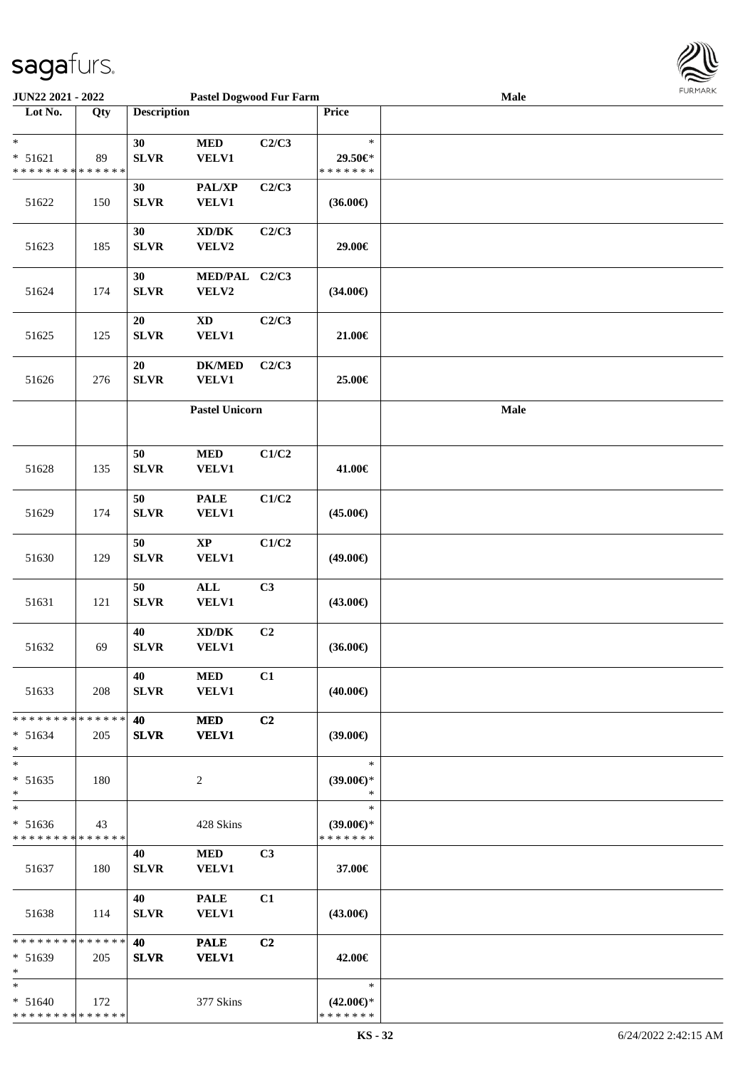

| <b>JUN22 2021 - 2022</b>                   |     |                    | <b>Pastel Dogwood Fur Farm</b>      |                |                     | Male | <b>FUNITANN</b> |
|--------------------------------------------|-----|--------------------|-------------------------------------|----------------|---------------------|------|-----------------|
| Lot No.                                    | Qty | <b>Description</b> |                                     |                | Price               |      |                 |
|                                            |     |                    |                                     |                |                     |      |                 |
| $\ast$                                     |     | 30                 | $\bf MED$                           | C2/C3          | $\ast$              |      |                 |
| $* 51621$                                  | 89  | <b>SLVR</b>        | <b>VELV1</b>                        |                | 29.50€*             |      |                 |
| * * * * * * * * <mark>* * * * * * *</mark> |     |                    |                                     |                | * * * * * * *       |      |                 |
|                                            |     | 30                 | PAL/XP                              | C2/C3          |                     |      |                 |
| 51622                                      | 150 | <b>SLVR</b>        | <b>VELV1</b>                        |                | $(36.00\epsilon)$   |      |                 |
|                                            |     |                    |                                     |                |                     |      |                 |
|                                            |     | 30                 | $\bold{X}\bold{D}/\bold{D}\bold{K}$ | C2/C3          |                     |      |                 |
| 51623                                      | 185 | <b>SLVR</b>        | VELV2                               |                | 29.00€              |      |                 |
|                                            |     |                    |                                     |                |                     |      |                 |
|                                            |     |                    |                                     |                |                     |      |                 |
|                                            |     | 30                 | MED/PAL C2/C3                       |                |                     |      |                 |
| 51624                                      | 174 | <b>SLVR</b>        | VELV2                               |                | $(34.00\epsilon)$   |      |                 |
|                                            |     |                    |                                     |                |                     |      |                 |
|                                            |     | $20\,$             | $\mathbf{X}\mathbf{D}$              | C2/C3          |                     |      |                 |
| 51625                                      | 125 | <b>SLVR</b>        | VELV1                               |                | 21.00€              |      |                 |
|                                            |     |                    |                                     |                |                     |      |                 |
|                                            |     | ${\bf 20}$         | <b>DK/MED</b>                       | C2/C3          |                     |      |                 |
| 51626                                      | 276 | ${\bf SLVR}$       | <b>VELV1</b>                        |                | 25.00€              |      |                 |
|                                            |     |                    |                                     |                |                     |      |                 |
|                                            |     |                    | <b>Pastel Unicorn</b>               |                |                     | Male |                 |
|                                            |     |                    |                                     |                |                     |      |                 |
|                                            |     |                    |                                     |                |                     |      |                 |
|                                            |     | $50\,$             | $\bf MED$                           | C1/C2          |                     |      |                 |
| 51628                                      | 135 | <b>SLVR</b>        | <b>VELV1</b>                        |                | 41.00€              |      |                 |
|                                            |     |                    |                                     |                |                     |      |                 |
|                                            |     | 50                 | <b>PALE</b>                         | C1/C2          |                     |      |                 |
| 51629                                      | 174 | <b>SLVR</b>        | <b>VELV1</b>                        |                | $(45.00\epsilon)$   |      |                 |
|                                            |     |                    |                                     |                |                     |      |                 |
|                                            |     | $50\,$             | $\mathbf{XP}$                       | C1/C2          |                     |      |                 |
| 51630                                      | 129 | ${\bf SLVR}$       | VELV1                               |                | $(49.00\epsilon)$   |      |                 |
|                                            |     |                    |                                     |                |                     |      |                 |
|                                            |     | $50\,$             | $\mathbf{ALL}$                      | C3             |                     |      |                 |
| 51631                                      | 121 | <b>SLVR</b>        | <b>VELV1</b>                        |                | $(43.00\epsilon)$   |      |                 |
|                                            |     |                    |                                     |                |                     |      |                 |
|                                            |     | 40                 | $\bold{X}\bold{D}/\bold{D}\bold{K}$ | C <sub>2</sub> |                     |      |                 |
| 51632                                      |     | ${\bf SLVR}$       | <b>VELV1</b>                        |                | $(36.00\epsilon)$   |      |                 |
|                                            | 69  |                    |                                     |                |                     |      |                 |
|                                            |     |                    |                                     |                |                     |      |                 |
|                                            |     | 40                 | <b>MED</b>                          | C1             |                     |      |                 |
| 51633                                      | 208 | <b>SLVR</b>        | <b>VELV1</b>                        |                | $(40.00\epsilon)$   |      |                 |
|                                            |     |                    |                                     |                |                     |      |                 |
| * * * * * * * * <mark>* * * * * *</mark>   |     | 40                 | <b>MED</b>                          | C2             |                     |      |                 |
| $* 51634$                                  | 205 | <b>SLVR</b>        | <b>VELV1</b>                        |                | $(39.00\epsilon)$   |      |                 |
|                                            |     |                    |                                     |                |                     |      |                 |
| $\ast$                                     |     |                    |                                     |                | $\ast$              |      |                 |
| $* 51635$                                  | 180 |                    | 2                                   |                | $(39.00€)$ *        |      |                 |
| *                                          |     |                    |                                     |                | $\ast$              |      |                 |
| $\ast$                                     |     |                    |                                     |                | $\ast$              |      |                 |
| $* 51636$                                  | 43  |                    | 428 Skins                           |                | $(39.00€)$ *        |      |                 |
| * * * * * * * * <mark>* * * * * * *</mark> |     |                    |                                     |                | * * * * * * *       |      |                 |
|                                            |     | 40                 | <b>MED</b>                          | C <sub>3</sub> |                     |      |                 |
| 51637                                      | 180 | <b>SLVR</b>        | <b>VELV1</b>                        |                | 37.00€              |      |                 |
|                                            |     |                    |                                     |                |                     |      |                 |
|                                            |     | 40                 | <b>PALE</b>                         | C1             |                     |      |                 |
| 51638                                      | 114 | <b>SLVR</b>        | <b>VELV1</b>                        |                | (43.00€)            |      |                 |
|                                            |     |                    |                                     |                |                     |      |                 |
| * * * * * * * * * * * * * * <mark>*</mark> |     | 40                 | <b>PALE</b>                         | C <sub>2</sub> |                     |      |                 |
| $* 51639$                                  | 205 | <b>SLVR</b>        | <b>VELV1</b>                        |                | 42.00€              |      |                 |
| $\ast$                                     |     |                    |                                     |                |                     |      |                 |
| $\ast$                                     |     |                    |                                     |                | $\ast$              |      |                 |
| $* 51640$                                  | 172 |                    | 377 Skins                           |                | $(42.00\epsilon)$ * |      |                 |
| * * * * * * * * <mark>* * * * * * *</mark> |     |                    |                                     |                | * * * * * * *       |      |                 |
|                                            |     |                    |                                     |                |                     |      |                 |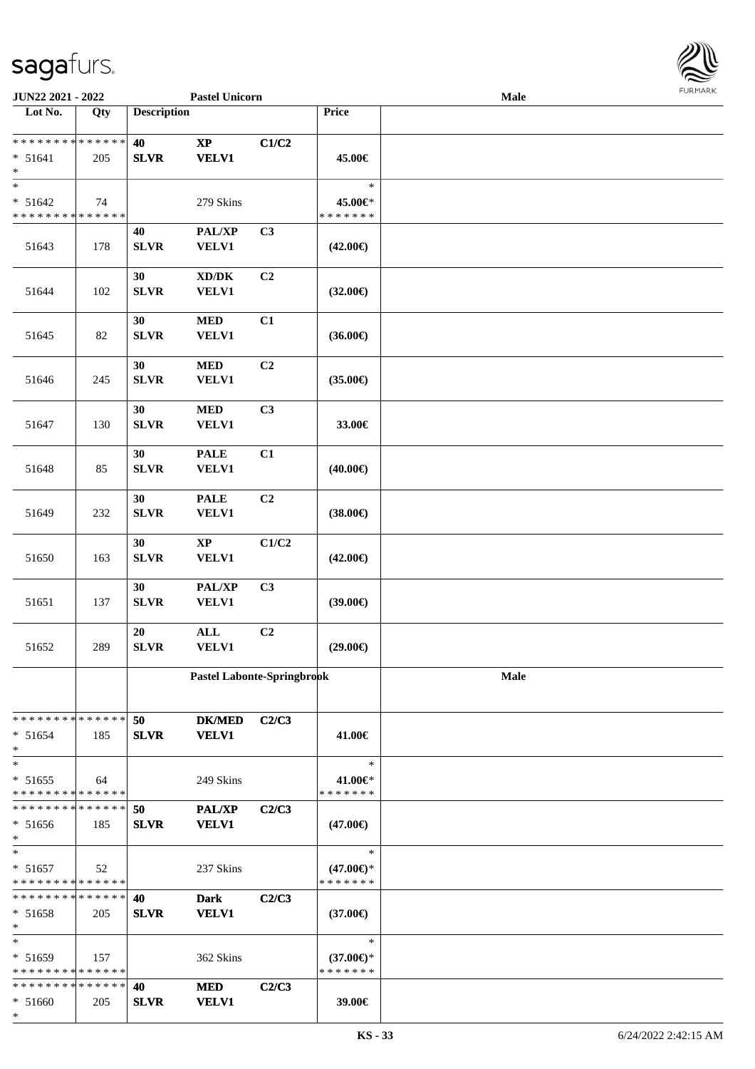

| JUN22 2021 - 2022                                    |     |                    | <b>Pastel Unicorn</b>          |                |                                                | Male        |  |
|------------------------------------------------------|-----|--------------------|--------------------------------|----------------|------------------------------------------------|-------------|--|
| Lot No.                                              | Qty | <b>Description</b> |                                |                | Price                                          |             |  |
| ******** <mark>******</mark><br>$* 51641$<br>$\ast$  | 205 | 40<br><b>SLVR</b>  | $\bold{XP}$<br><b>VELV1</b>    | C1/C2          | 45.00€                                         |             |  |
| $\ast$<br>$* 51642$<br>* * * * * * * * * * * * * *   | 74  |                    | 279 Skins                      |                | $\ast$<br>45.00€*<br>* * * * * * *             |             |  |
| 51643                                                | 178 | 40<br><b>SLVR</b>  | PAL/XP<br>VELV1                | C3             | $(42.00\epsilon)$                              |             |  |
| 51644                                                | 102 | 30<br><b>SLVR</b>  | XD/DK<br>VELV1                 | C <sub>2</sub> | $(32.00\epsilon)$                              |             |  |
| 51645                                                | 82  | 30<br><b>SLVR</b>  | $\bf MED$<br>VELV1             | C1             | $(36.00\epsilon)$                              |             |  |
| 51646                                                | 245 | 30<br><b>SLVR</b>  | $\bf MED$<br><b>VELV1</b>      | C <sub>2</sub> | $(35.00\epsilon)$                              |             |  |
| 51647                                                | 130 | 30<br><b>SLVR</b>  | $\bf MED$<br><b>VELV1</b>      | C3             | 33.00€                                         |             |  |
| 51648                                                | 85  | 30<br><b>SLVR</b>  | <b>PALE</b><br>VELV1           | C1             | $(40.00\epsilon)$                              |             |  |
| 51649                                                | 232 | 30<br><b>SLVR</b>  | <b>PALE</b><br>VELV1           | C2             | $(38.00\epsilon)$                              |             |  |
| 51650                                                | 163 | 30<br><b>SLVR</b>  | $\bold{XP}$<br>VELV1           | C1/C2          | $(42.00\epsilon)$                              |             |  |
| 51651                                                | 137 | 30<br><b>SLVR</b>  | PAL/XP<br>VELV1                | C3             | $(39.00\epsilon)$                              |             |  |
| 51652                                                | 289 | 20<br><b>SLVR</b>  | $\mathbf{ALL}$<br><b>VELV1</b> | C <sub>2</sub> | $(29.00\epsilon)$                              |             |  |
|                                                      |     |                    | Pastel Labonte-Springbrook     |                |                                                | <b>Male</b> |  |
| * * * * * * * * * * * * * *<br>$* 51654$<br>$*$      | 185 | 50<br>${\bf SLVR}$ | <b>DK/MED</b><br><b>VELV1</b>  | C2/C3          | 41.00€                                         |             |  |
| $*$<br>$* 51655$<br>* * * * * * * * * * * * * *      | 64  |                    | 249 Skins                      |                | ∗<br>41.00€*<br>* * * * * * *                  |             |  |
| * * * * * * * * * * * * * *<br>* 51656<br>$\ast$     | 185 | 50<br><b>SLVR</b>  | <b>PAL/XP</b><br><b>VELV1</b>  | C2/C3          | $(47.00\epsilon)$                              |             |  |
| $*$<br>$* 51657$<br>* * * * * * * * * * * * * *      | 52  |                    | 237 Skins                      |                | $\ast$<br>$(47.00\epsilon)$ *<br>* * * * * * * |             |  |
| * * * * * * * * * * * * * * *<br>$* 51658$<br>$\ast$ | 205 | 40<br><b>SLVR</b>  | <b>Dark</b><br><b>VELV1</b>    | C2/C3          | $(37.00\epsilon)$                              |             |  |
| $*$<br>$* 51659$<br>* * * * * * * * * * * * * *      | 157 |                    | 362 Skins                      |                | $\ast$<br>$(37.00€)$ *<br>* * * * * * *        |             |  |
| * * * * * * * * * * * * * *<br>$* 51660$<br>$\ast$   | 205 | 40<br><b>SLVR</b>  | <b>MED</b><br><b>VELV1</b>     | C2/C3          | 39.00€                                         |             |  |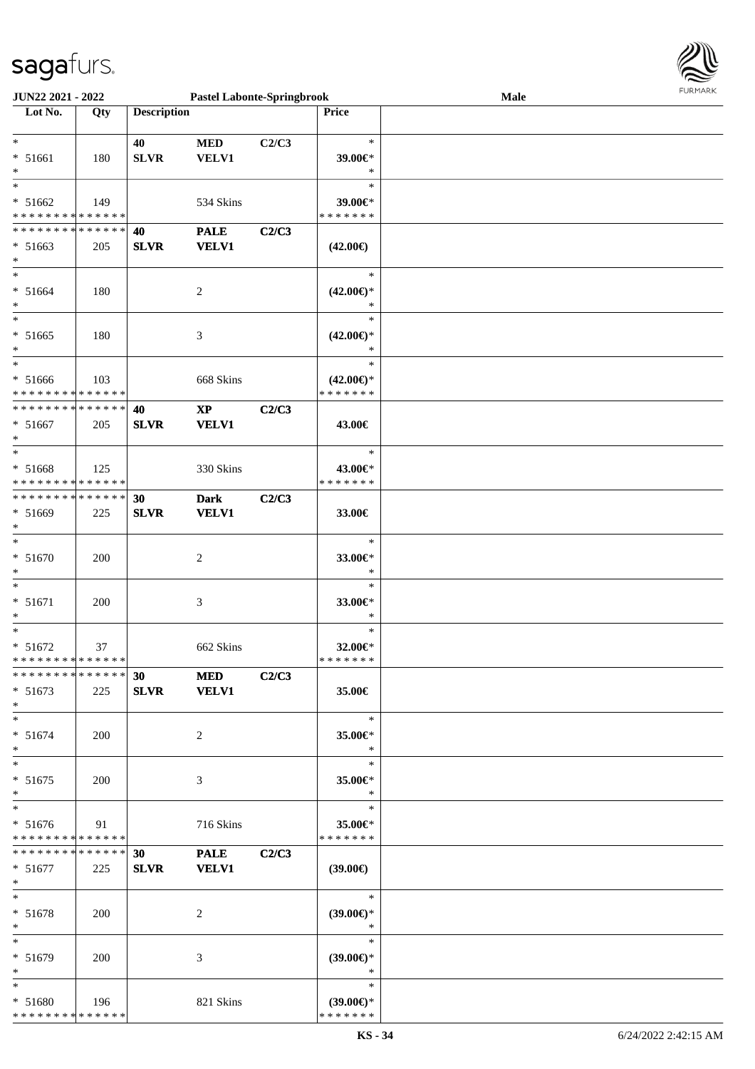

| <b>JUN22 2021 - 2022</b>                   |     |                    |                | <b>Pastel Labonte-Springbrook</b> |                               | Male | 1.91111111 |
|--------------------------------------------|-----|--------------------|----------------|-----------------------------------|-------------------------------|------|------------|
| Lot No.                                    | Qty | <b>Description</b> |                |                                   | Price                         |      |            |
|                                            |     |                    |                |                                   |                               |      |            |
| $\ast$                                     |     | 40                 | <b>MED</b>     | C2/C3                             | $\ast$                        |      |            |
| $* 51661$                                  | 180 | <b>SLVR</b>        | VELV1          |                                   | 39.00€*                       |      |            |
|                                            |     |                    |                |                                   | $\ast$                        |      |            |
| $\overline{\ast}$                          |     |                    |                |                                   | $\ast$                        |      |            |
| $* 51662$                                  | 149 |                    | 534 Skins      |                                   | $39.00 \in$                   |      |            |
| * * * * * * * * <mark>* * * * * *</mark>   |     |                    |                |                                   | * * * * * * *                 |      |            |
| * * * * * * * * <mark>* * * * * *</mark>   |     | 40                 | <b>PALE</b>    | C2/C3                             |                               |      |            |
| $* 51663$                                  | 205 | <b>SLVR</b>        | <b>VELV1</b>   |                                   | $(42.00\epsilon)$             |      |            |
| $\ast$                                     |     |                    |                |                                   |                               |      |            |
| $\ast$                                     |     |                    |                |                                   | $\ast$                        |      |            |
| $* 51664$                                  |     |                    |                |                                   |                               |      |            |
| $\ast$                                     | 180 |                    | $\overline{c}$ |                                   | $(42.00\epsilon)$ *<br>$\ast$ |      |            |
| $\overline{\phantom{0}}$                   |     |                    |                |                                   | $\ast$                        |      |            |
|                                            |     |                    |                |                                   |                               |      |            |
| $* 51665$                                  | 180 |                    | 3              |                                   | $(42.00\epsilon)$ *           |      |            |
| $\ast$                                     |     |                    |                |                                   | $\ast$                        |      |            |
| $*$                                        |     |                    |                |                                   | $\ast$                        |      |            |
| * 51666                                    | 103 |                    | 668 Skins      |                                   | $(42.00\epsilon)$ *           |      |            |
| * * * * * * * * <mark>* * * * * *</mark>   |     |                    |                |                                   | * * * * * * *                 |      |            |
| * * * * * * * * * * * * * * *              |     | 40                 | $\mathbf{XP}$  | C2/C3                             |                               |      |            |
| $* 51667$                                  | 205 | <b>SLVR</b>        | <b>VELV1</b>   |                                   | 43.00€                        |      |            |
| $\ast$                                     |     |                    |                |                                   |                               |      |            |
| $\ddot{x}$                                 |     |                    |                |                                   | $\ast$                        |      |            |
| $* 51668$                                  | 125 |                    | 330 Skins      |                                   | 43.00€*                       |      |            |
| * * * * * * * * <mark>* * * * * *</mark>   |     |                    |                |                                   | * * * * * * *                 |      |            |
| * * * * * * * * <mark>* * * * * *</mark>   |     | 30                 | <b>Dark</b>    | C2/C3                             |                               |      |            |
| * 51669                                    | 225 | <b>SLVR</b>        | <b>VELV1</b>   |                                   | 33.00€                        |      |            |
| $\ast$                                     |     |                    |                |                                   |                               |      |            |
| $\ddot{x}$                                 |     |                    |                |                                   | $\ast$                        |      |            |
|                                            |     |                    |                |                                   |                               |      |            |
| $* 51670$                                  | 200 |                    | $\overline{c}$ |                                   | 33.00€*                       |      |            |
| $\ast$<br>$\ast$                           |     |                    |                |                                   | $\ast$                        |      |            |
|                                            |     |                    |                |                                   | $\ast$                        |      |            |
| $* 51671$                                  | 200 |                    | 3              |                                   | 33.00€*                       |      |            |
| $\ast$                                     |     |                    |                |                                   | $\ast$                        |      |            |
| $\ast$                                     |     |                    |                |                                   | $\ast$                        |      |            |
| $* 51672$                                  | 37  |                    | 662 Skins      |                                   | 32.00€*                       |      |            |
| * * * * * * * * * * * * * * *              |     |                    |                |                                   | *******                       |      |            |
| * * * * * * * * * * * * * * <mark>*</mark> |     | 30                 | <b>MED</b>     | C2/C3                             |                               |      |            |
| $* 51673$                                  | 225 | <b>SLVR</b>        | <b>VELV1</b>   |                                   | 35.00€                        |      |            |
| $\ast$                                     |     |                    |                |                                   |                               |      |            |
| $\ast$                                     |     |                    |                |                                   | $\ast$                        |      |            |
| $* 51674$                                  | 200 |                    | 2              |                                   | 35.00 $\in$ *                 |      |            |
| $\ast$                                     |     |                    |                |                                   | $\ast$                        |      |            |
| $*$                                        |     |                    |                |                                   | $\ast$                        |      |            |
| $* 51675$                                  | 200 |                    | 3              |                                   | 35.00 $\in$ *                 |      |            |
| $\ast$                                     |     |                    |                |                                   | $\ast$                        |      |            |
| $*$                                        |     |                    |                |                                   | $\ast$                        |      |            |
|                                            |     |                    |                |                                   |                               |      |            |
| $* 51676$                                  | 91  |                    | 716 Skins      |                                   | 35.00€*                       |      |            |
| * * * * * * * * <mark>* * * * * *</mark>   |     |                    |                |                                   | * * * * * * *                 |      |            |
| * * * * * * * * * * * * * * <mark>*</mark> |     | 30                 | <b>PALE</b>    | C2/C3                             |                               |      |            |
| $* 51677$                                  | 225 | <b>SLVR</b>        | <b>VELV1</b>   |                                   | (39.00€)                      |      |            |
| $\ast$                                     |     |                    |                |                                   |                               |      |            |
| $\ddot{x}$                                 |     |                    |                |                                   | $\ast$                        |      |            |
| $* 51678$                                  | 200 |                    | 2              |                                   | $(39.00€)$ *                  |      |            |
| $\ast$                                     |     |                    |                |                                   | $*$                           |      |            |
| $\ddot{x}$                                 |     |                    |                |                                   | $\ast$                        |      |            |
| $* 51679$                                  | 200 |                    | 3              |                                   | $(39.00€)$ *                  |      |            |
| $\ast$                                     |     |                    |                |                                   | $*$                           |      |            |
| $\ast$                                     |     |                    |                |                                   | $\ast$                        |      |            |
| * 51680                                    | 196 |                    | 821 Skins      |                                   | $(39.00€)$ *                  |      |            |
| * * * * * * * * <mark>* * * * * * *</mark> |     |                    |                |                                   | * * * * * * *                 |      |            |
|                                            |     |                    |                |                                   |                               |      |            |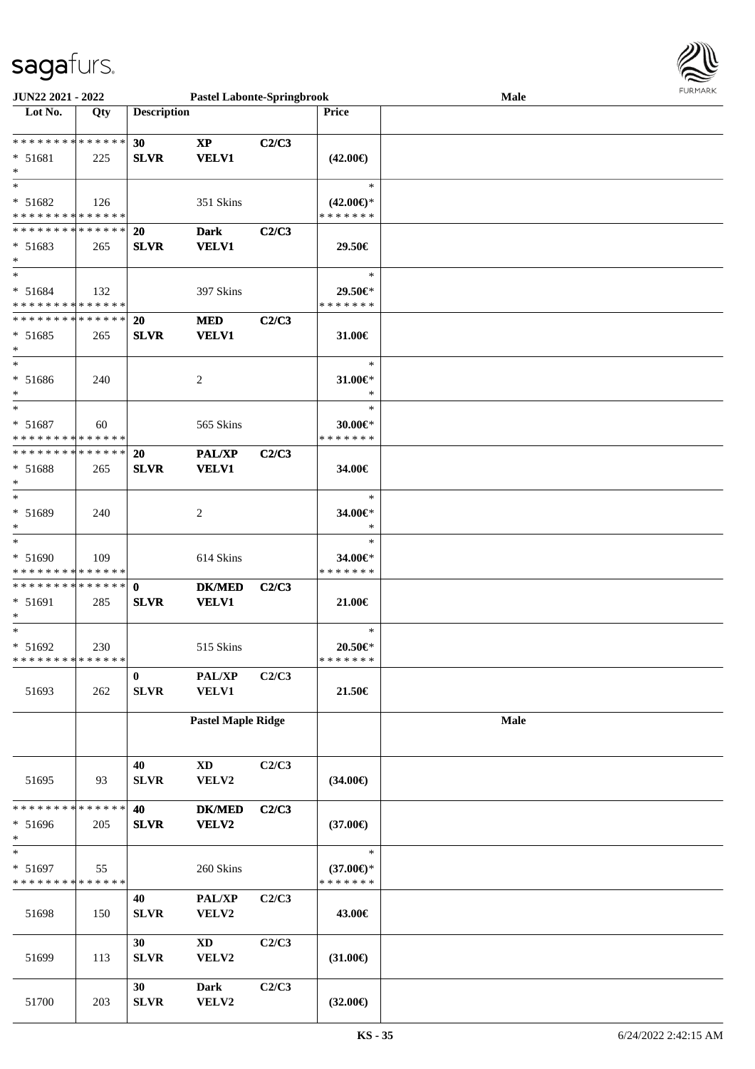

| <b>JUN22 2021 - 2022</b>                              |     |                    | <b>Pastel Labonte-Springbrook</b> |       |                                      | Male | <b>FURPIARR</b> |
|-------------------------------------------------------|-----|--------------------|-----------------------------------|-------|--------------------------------------|------|-----------------|
| Lot No.                                               | Qty | <b>Description</b> |                                   |       | <b>Price</b>                         |      |                 |
|                                                       |     |                    |                                   |       |                                      |      |                 |
| * * * * * * * * * * * * * * *                         |     | 30                 | $\bold{XP}$                       | C2/C3 |                                      |      |                 |
| * 51681                                               | 225 | <b>SLVR</b>        | <b>VELV1</b>                      |       | $(42.00\epsilon)$                    |      |                 |
| $\ast$                                                |     |                    |                                   |       |                                      |      |                 |
| $*$                                                   |     |                    |                                   |       | $\ast$                               |      |                 |
| * 51682                                               | 126 |                    | 351 Skins                         |       | $(42.00\epsilon)$ *                  |      |                 |
| * * * * * * * * * * * * * *                           |     |                    |                                   |       | * * * * * * *                        |      |                 |
| * * * * * * * * * * * * * * *                         |     | 20                 | <b>Dark</b>                       | C2/C3 |                                      |      |                 |
| $* 51683$<br>$*$                                      | 265 | <b>SLVR</b>        | <b>VELV1</b>                      |       | 29.50€                               |      |                 |
| $*$                                                   |     |                    |                                   |       | $\ast$                               |      |                 |
| $* 51684$                                             | 132 |                    | 397 Skins                         |       | 29.50€*                              |      |                 |
| * * * * * * * * * * * * * *                           |     |                    |                                   |       | * * * * * * *                        |      |                 |
| ******** <mark>******</mark>                          |     | <b>20</b>          | <b>MED</b>                        | C2/C3 |                                      |      |                 |
| $* 51685$                                             | 265 | <b>SLVR</b>        | <b>VELV1</b>                      |       | 31.00€                               |      |                 |
| $\ast$                                                |     |                    |                                   |       |                                      |      |                 |
| $\ast$                                                |     |                    |                                   |       | $\ast$                               |      |                 |
| * 51686                                               | 240 |                    | 2                                 |       | $31.00 \in$ *                        |      |                 |
| $*$                                                   |     |                    |                                   |       | $\ast$                               |      |                 |
| $\ast$                                                |     |                    |                                   |       | $\ast$                               |      |                 |
| $* 51687$                                             | 60  |                    | 565 Skins                         |       | 30.00€*                              |      |                 |
| * * * * * * * * * * * * * *                           |     |                    |                                   |       | * * * * * * *                        |      |                 |
| * * * * * * * * <mark>* * * * * *</mark>              |     | <b>20</b>          | <b>PAL/XP</b>                     | C2/C3 |                                      |      |                 |
| * 51688                                               | 265 | <b>SLVR</b>        | <b>VELV1</b>                      |       | 34.00€                               |      |                 |
| $\ast$                                                |     |                    |                                   |       |                                      |      |                 |
| $*$                                                   |     |                    |                                   |       | $\ast$                               |      |                 |
| * 51689                                               | 240 |                    | 2                                 |       | 34.00€*                              |      |                 |
| $\ast$                                                |     |                    |                                   |       | $\ast$                               |      |                 |
| $*$                                                   |     |                    |                                   |       | $\ast$                               |      |                 |
| $* 51690$                                             | 109 |                    | 614 Skins                         |       | 34.00€*                              |      |                 |
| * * * * * * * * * * * * * *                           |     |                    |                                   |       | * * * * * * *                        |      |                 |
| * * * * * * * * * * * * * * *                         |     | $\mathbf{0}$       | <b>DK/MED</b>                     | C2/C3 |                                      |      |                 |
| $* 51691$                                             | 285 | <b>SLVR</b>        | <b>VELV1</b>                      |       | 21.00€                               |      |                 |
| $*$<br>$\ast$                                         |     |                    |                                   |       |                                      |      |                 |
|                                                       |     |                    |                                   |       | $\ast$                               |      |                 |
| * 51692<br>* * * * * * * * <mark>* * * * * * *</mark> | 230 |                    | 515 Skins                         |       | $20.50 \in$ *<br>* * * * * * *       |      |                 |
|                                                       |     | $\bf{0}$           | PAL/XP                            | C2/C3 |                                      |      |                 |
| 51693                                                 | 262 | ${\bf SLVR}$       | <b>VELV1</b>                      |       | 21.50€                               |      |                 |
|                                                       |     |                    |                                   |       |                                      |      |                 |
|                                                       |     |                    | <b>Pastel Maple Ridge</b>         |       |                                      | Male |                 |
|                                                       |     |                    |                                   |       |                                      |      |                 |
|                                                       |     |                    |                                   |       |                                      |      |                 |
|                                                       |     | 40                 | $\mathbf{X}\mathbf{D}$            | C2/C3 |                                      |      |                 |
| 51695                                                 | 93  | <b>SLVR</b>        | VELV2                             |       | $(34.00\epsilon)$                    |      |                 |
|                                                       |     |                    |                                   |       |                                      |      |                 |
| * * * * * * * * * * * * * *                           |     | 40                 | <b>DK/MED</b>                     | C2/C3 |                                      |      |                 |
| $* 51696$                                             | 205 | <b>SLVR</b>        | VELV2                             |       | $(37.00\epsilon)$                    |      |                 |
| $\ast$                                                |     |                    |                                   |       |                                      |      |                 |
| $\ast$                                                |     |                    |                                   |       | $\ast$                               |      |                 |
| * 51697<br>* * * * * * * * <mark>* * * * * * *</mark> | 55  |                    | 260 Skins                         |       | $(37.00\epsilon)$ *<br>* * * * * * * |      |                 |
|                                                       |     | 40                 | PAL/XP                            | C2/C3 |                                      |      |                 |
| 51698                                                 | 150 | <b>SLVR</b>        | VELV2                             |       | 43.00€                               |      |                 |
|                                                       |     |                    |                                   |       |                                      |      |                 |
|                                                       |     | 30                 | $\mathbf{X}\mathbf{D}$            | C2/C3 |                                      |      |                 |
| 51699                                                 | 113 | <b>SLVR</b>        | VELV2                             |       | $(31.00\epsilon)$                    |      |                 |
|                                                       |     |                    |                                   |       |                                      |      |                 |
|                                                       |     | 30                 | <b>Dark</b>                       | C2/C3 |                                      |      |                 |
| 51700                                                 | 203 | ${\bf SLVR}$       | VELV2                             |       | $(32.00\epsilon)$                    |      |                 |
|                                                       |     |                    |                                   |       |                                      |      |                 |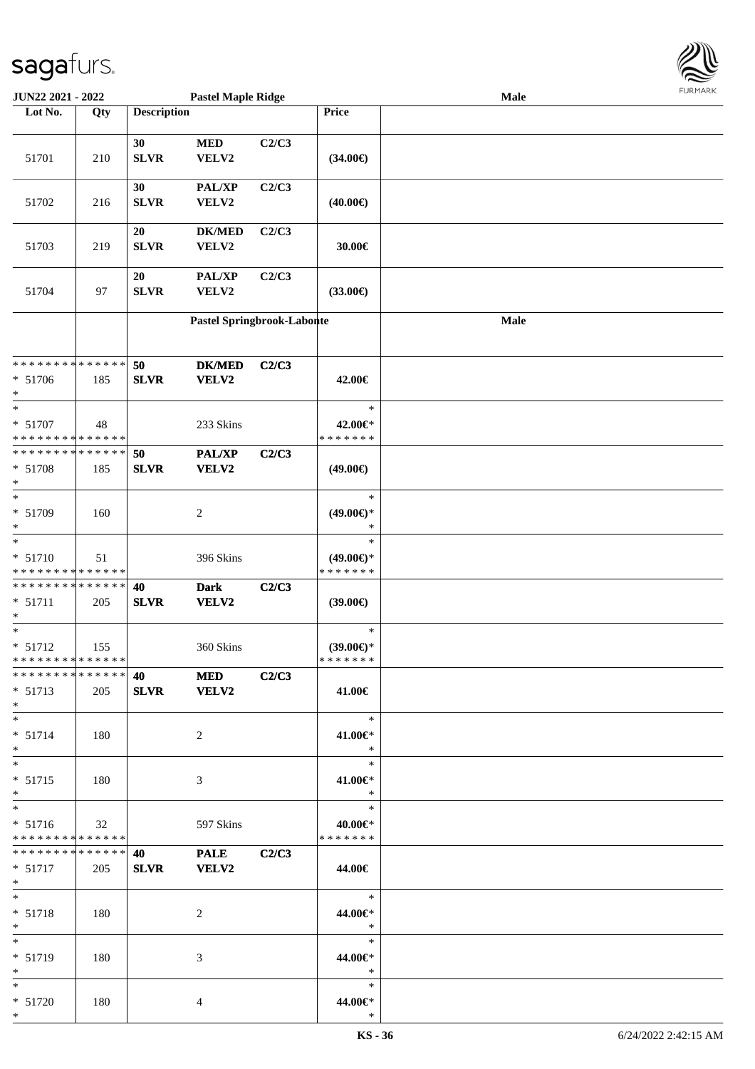

| <b>JUN22 2021 - 2022</b>                   |     |                    | <b>Pastel Maple Ridge</b>  |       |                                      | Male |  |
|--------------------------------------------|-----|--------------------|----------------------------|-------|--------------------------------------|------|--|
| Lot No.                                    | Qty | <b>Description</b> |                            |       | Price                                |      |  |
|                                            |     |                    |                            |       |                                      |      |  |
|                                            |     | 30                 | <b>MED</b>                 | C2/C3 |                                      |      |  |
| 51701                                      | 210 | <b>SLVR</b>        | VELV2                      |       | $(34.00\epsilon)$                    |      |  |
|                                            |     |                    |                            |       |                                      |      |  |
|                                            |     |                    |                            | C2/C3 |                                      |      |  |
|                                            |     | 30                 | PAL/XP                     |       |                                      |      |  |
| 51702                                      | 216 | <b>SLVR</b>        | VELV2                      |       | $(40.00\epsilon)$                    |      |  |
|                                            |     |                    |                            |       |                                      |      |  |
|                                            |     | 20                 | <b>DK/MED</b>              | C2/C3 |                                      |      |  |
| 51703                                      | 219 | <b>SLVR</b>        | VELV2                      |       | 30.00€                               |      |  |
|                                            |     |                    |                            |       |                                      |      |  |
|                                            |     | 20                 | PAL/XP                     | C2/C3 |                                      |      |  |
| 51704                                      | 97  | <b>SLVR</b>        | VELV2                      |       | $(33.00\epsilon)$                    |      |  |
|                                            |     |                    |                            |       |                                      |      |  |
|                                            |     |                    | Pastel Springbrook-Labonte |       |                                      | Male |  |
|                                            |     |                    |                            |       |                                      |      |  |
|                                            |     |                    |                            |       |                                      |      |  |
| * * * * * * * * * * * * * *                |     | 50                 | <b>DK/MED</b>              | C2/C3 |                                      |      |  |
| * 51706                                    | 185 | <b>SLVR</b>        | VELV2                      |       | 42.00€                               |      |  |
| $*$                                        |     |                    |                            |       |                                      |      |  |
| $\ast$                                     |     |                    |                            |       | $\ast$                               |      |  |
|                                            |     |                    |                            |       |                                      |      |  |
| * 51707                                    | 48  |                    | 233 Skins                  |       | 42.00€*                              |      |  |
| * * * * * * * * * * * * * *                |     |                    |                            |       | * * * * * * *                        |      |  |
| * * * * * * * * * * * * * *                |     | 50                 | PAL/XP                     | C2/C3 |                                      |      |  |
| * 51708                                    | 185 | <b>SLVR</b>        | VELV2                      |       | $(49.00\epsilon)$                    |      |  |
| $\ast$                                     |     |                    |                            |       |                                      |      |  |
| $*$                                        |     |                    |                            |       | $\ast$                               |      |  |
| * 51709                                    | 160 |                    | $\overline{c}$             |       | $(49.00\epsilon)$ *                  |      |  |
| $\ast$                                     |     |                    |                            |       | $\ast$                               |      |  |
| $\ast$                                     |     |                    |                            |       | $\ast$                               |      |  |
| $* 51710$                                  | 51  |                    | 396 Skins                  |       | $(49.00\epsilon)$ *                  |      |  |
| * * * * * * * * * * * * * *                |     |                    |                            |       | * * * * * * *                        |      |  |
| * * * * * * * * * * * * * * *              |     | 40                 | <b>Dark</b>                | C2/C3 |                                      |      |  |
| $* 51711$                                  | 205 | <b>SLVR</b>        | VELV2                      |       | $(39.00\epsilon)$                    |      |  |
| $*$                                        |     |                    |                            |       |                                      |      |  |
| $*$                                        |     |                    |                            |       | $\ast$                               |      |  |
| * 51712                                    |     |                    |                            |       |                                      |      |  |
| * * * * * * * * * * * * * * *              | 155 |                    | 360 Skins                  |       | $(39.00\epsilon)$ *<br>* * * * * * * |      |  |
| * * * * * * * * * * * * * * *              |     |                    |                            |       |                                      |      |  |
|                                            |     | 40 (1)             | <b>MED</b>                 | C2/C3 |                                      |      |  |
| $* 51713$                                  | 205 |                    | SLVR VELV2                 |       | 41.00€                               |      |  |
| $*$                                        |     |                    |                            |       |                                      |      |  |
| $*$                                        |     |                    |                            |       | $\ast$                               |      |  |
| $* 51714$                                  | 180 |                    | 2                          |       | 41.00€*                              |      |  |
| $*$                                        |     |                    |                            |       | $\ast$                               |      |  |
| $*$                                        |     |                    |                            |       | $\ast$                               |      |  |
| $* 51715$                                  | 180 |                    | 3                          |       | 41.00€*                              |      |  |
| $*$                                        |     |                    |                            |       | $\ast$                               |      |  |
| $*$                                        |     |                    |                            |       | $\ast$                               |      |  |
| $* 51716$                                  | 32  |                    | 597 Skins                  |       | 40.00€*                              |      |  |
| * * * * * * * * * * * * * * *              |     |                    |                            |       | *******                              |      |  |
| * * * * * * * * <mark>* * * * * * *</mark> |     | <b>40</b>          | <b>PALE</b>                | C2/C3 |                                      |      |  |
| $* 51717$                                  | 205 | <b>SLVR</b>        | <b>VELV2</b>               |       | 44.00€                               |      |  |
| $*$ $-$                                    |     |                    |                            |       |                                      |      |  |
| $*$ $*$                                    |     |                    |                            |       | $\ast$                               |      |  |
| $* 51718$                                  | 180 |                    | 2                          |       | 44.00€*                              |      |  |
| $*$                                        |     |                    |                            |       | $\ast$                               |      |  |
| $*$ $*$                                    |     |                    |                            |       | $\ast$                               |      |  |
|                                            |     |                    |                            |       |                                      |      |  |
| * 51719                                    | 180 |                    | 3                          |       | 44.00€*                              |      |  |
| $*$                                        |     |                    |                            |       | $\ast$                               |      |  |
| $*$ $*$                                    |     |                    |                            |       | $\ast$                               |      |  |
| * 51720                                    | 180 |                    | 4                          |       | 44.00€*                              |      |  |
| $*$                                        |     |                    |                            |       | $\ast$                               |      |  |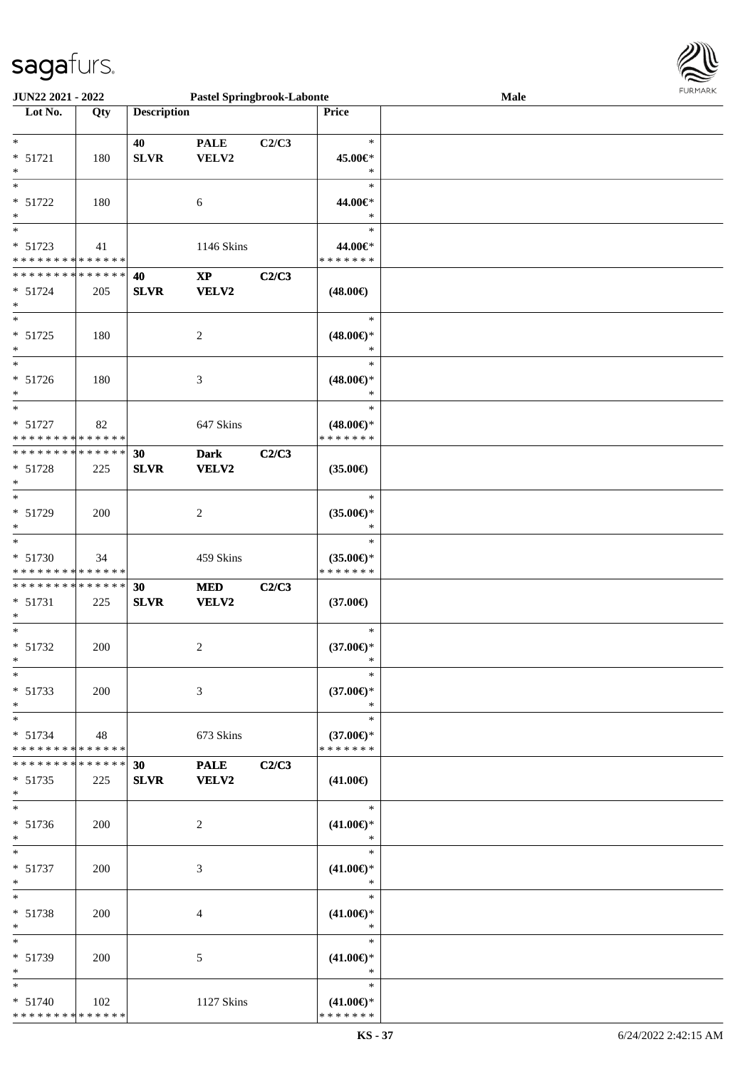

| JUN22 2021 - 2022                                                         |     |                    | <b>Pastel Springbrook-Labonte</b> |       |                                                | Male | <b>FURMARK</b> |
|---------------------------------------------------------------------------|-----|--------------------|-----------------------------------|-------|------------------------------------------------|------|----------------|
| Lot No.                                                                   | Qty | <b>Description</b> |                                   |       | Price                                          |      |                |
| $\ast$<br>$* 51721$<br>$\ast$                                             | 180 | 40<br>SLVR         | <b>PALE</b><br>VELV2              | C2/C3 | $\ast$<br>45.00€*<br>$\ast$                    |      |                |
| $\ast$<br>$* 51722$<br>$\ast$                                             | 180 |                    | $\sqrt{6}$                        |       | $\ast$<br>44.00€*<br>$\ast$                    |      |                |
| $\ast$<br>$* 51723$<br>* * * * * * * * * * * * * *                        | 41  |                    | 1146 Skins                        |       | $\ast$<br>44.00€*<br>* * * * * * *             |      |                |
| * * * * * * * * * * * * * * *<br>$* 51724$<br>$\ast$                      | 205 | 40<br><b>SLVR</b>  | $\bold{XP}$<br>VELV2              | C2/C3 | $(48.00\epsilon)$                              |      |                |
| $\ast$<br>$* 51725$<br>$\ast$                                             | 180 |                    | $\sqrt{2}$                        |       | $\ast$<br>$(48.00\epsilon)$ *<br>$\ast$        |      |                |
| $\ast$<br>$* 51726$<br>$\ast$                                             | 180 |                    | $\mathfrak{Z}$                    |       | $\ast$<br>$(48.00\epsilon)$ *<br>$\ast$        |      |                |
| $\ast$<br>* 51727<br>* * * * * * * * * * * * * *                          | 82  |                    | 647 Skins                         |       | $\ast$<br>$(48.00\epsilon)$ *<br>* * * * * * * |      |                |
| **************<br>$* 51728$<br>$\ast$                                     | 225 | 30<br><b>SLVR</b>  | <b>Dark</b><br><b>VELV2</b>       | C2/C3 | $(35.00\epsilon)$                              |      |                |
| $\overline{\phantom{0}}$<br>* 51729<br>$\ast$<br>$\overline{\phantom{0}}$ | 200 |                    | $\overline{c}$                    |       | $\ast$<br>$(35.00\epsilon)$ *<br>∗             |      |                |
| * 51730<br>* * * * * * * * * * * * * *                                    | 34  |                    | 459 Skins                         |       | $\ast$<br>$(35.00\epsilon)$ *<br>* * * * * * * |      |                |
| * * * * * * * * * * * * * *<br>$* 51731$<br>$\ast$                        | 225 | 30<br><b>SLVR</b>  | <b>MED</b><br><b>VELV2</b>        | C2/C3 | $(37.00\epsilon)$                              |      |                |
| $*$<br>$* 51732$<br>$\ast$                                                | 200 |                    | 2                                 |       | $\ast$<br>$(37.00\epsilon)$ *<br>$\ast$        |      |                |
| $\ast$<br>$* 51733$<br>$\ast$                                             | 200 |                    | 3                                 |       | $\ast$<br>$(37.00\epsilon)$ *<br>$\ast$        |      |                |
| $\ast$<br>* 51734<br>* * * * * * * * * * * * * *                          | 48  |                    | 673 Skins                         |       | $\ast$<br>$(37.00\epsilon)$ *<br>* * * * * * * |      |                |
| * * * * * * * * * * * * * *<br>$* 51735$<br>$\ast$                        | 225 | 30<br><b>SLVR</b>  | <b>PALE</b><br><b>VELV2</b>       | C2/C3 | $(41.00\epsilon)$                              |      |                |
| $\ast$<br>$* 51736$<br>$\ast$                                             | 200 |                    | $\overline{c}$                    |       | $\ast$<br>$(41.00\epsilon)$ *                  |      |                |
| $\ast$<br>$* 51737$<br>$\ast$                                             | 200 |                    | 3                                 |       | $\ast$<br>$(41.00\epsilon)$ *<br>$\ast$        |      |                |
| $\ast$<br>$* 51738$<br>$\ast$                                             | 200 |                    | 4                                 |       | $\ast$<br>$(41.00\epsilon)$ *<br>$\ast$        |      |                |
| $\ast$<br>* 51739<br>$\ast$                                               | 200 |                    | 5                                 |       | $\ast$<br>$(41.00\epsilon)$ *<br>$\ast$        |      |                |
| $\ast$<br>$* 51740$<br>* * * * * * * * * * * * * *                        | 102 |                    | 1127 Skins                        |       | $\ast$<br>$(41.00\epsilon)$ *<br>* * * * * * * |      |                |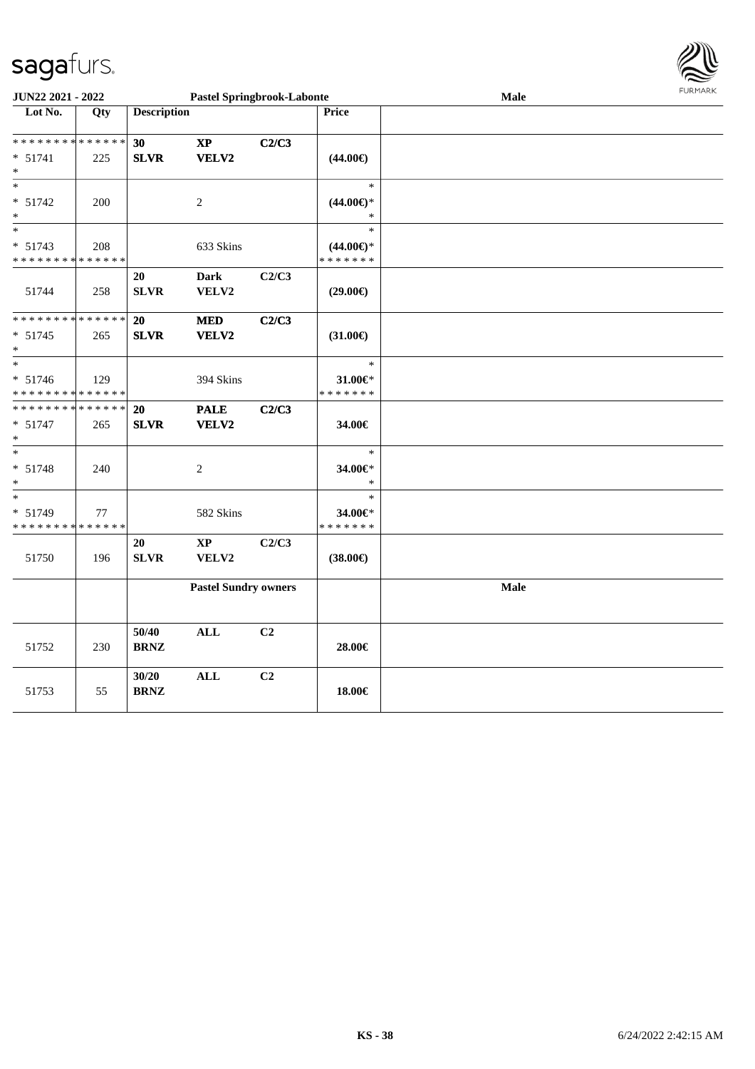

| <b>JUN22 2021 - 2022</b>                                |     |                    | <b>Pastel Springbrook-Labonte</b> |                |                          | Male | <b>FURPIARR</b> |
|---------------------------------------------------------|-----|--------------------|-----------------------------------|----------------|--------------------------|------|-----------------|
| Lot No.                                                 | Qty | <b>Description</b> |                                   |                | Price                    |      |                 |
|                                                         |     |                    |                                   |                |                          |      |                 |
| * * * * * * * * <mark>* * * * * *</mark>                |     | 30                 | $\bold{XP}$                       | C2/C3          |                          |      |                 |
| $* 51741$                                               | 225 | <b>SLVR</b>        | VELV2                             |                | $(44.00\epsilon)$        |      |                 |
| $\ast$                                                  |     |                    |                                   |                |                          |      |                 |
| $\ast$                                                  |     |                    |                                   |                | $\ast$                   |      |                 |
| $* 51742$                                               | 200 |                    | 2                                 |                | $(44.00ε)$ *             |      |                 |
| $\ast$                                                  |     |                    |                                   |                | $\ast$                   |      |                 |
| $\ast$                                                  |     |                    |                                   |                | $\ast$                   |      |                 |
| $* 51743$                                               | 208 |                    | 633 Skins                         |                | $(44.00\epsilon)$ *      |      |                 |
| * * * * * * * * <mark>* * * * * * *</mark>              |     |                    |                                   |                | * * * * * * *            |      |                 |
|                                                         |     | 20                 | <b>Dark</b>                       | C2/C3          |                          |      |                 |
| 51744                                                   | 258 | <b>SLVR</b>        | VELV2                             |                | $(29.00\epsilon)$        |      |                 |
|                                                         |     |                    |                                   |                |                          |      |                 |
| * * * * * * * * * * * * * * <mark>*</mark>              |     | 20                 | $\bf MED$                         | C2/C3          |                          |      |                 |
| $* 51745$                                               | 265 | <b>SLVR</b>        | VELV2                             |                | $(31.00\epsilon)$        |      |                 |
|                                                         |     |                    |                                   |                |                          |      |                 |
| $\ast$                                                  |     |                    |                                   |                | $\ast$                   |      |                 |
| $* 51746$                                               | 129 |                    | 394 Skins                         |                | 31.00€*                  |      |                 |
| * * * * * * * * <mark>* * * * * * *</mark>              |     |                    |                                   |                | * * * * * * *            |      |                 |
| * * * * * * * * <mark>* * * * * *</mark>                |     | <b>20</b>          | <b>PALE</b>                       | C2/C3          |                          |      |                 |
| $* 51747$                                               | 265 | <b>SLVR</b>        | VELV2                             |                | 34.00€                   |      |                 |
| $\ast$<br>$\ast$                                        |     |                    |                                   |                | $\ast$                   |      |                 |
|                                                         |     |                    |                                   |                |                          |      |                 |
| $* 51748$                                               | 240 |                    | $\overline{c}$                    |                | 34.00€*<br>$\ast$        |      |                 |
| $\ast$<br>$\ast$                                        |     |                    |                                   |                | $\ast$                   |      |                 |
|                                                         |     |                    |                                   |                |                          |      |                 |
| $* 51749$<br>* * * * * * * * <mark>* * * * * * *</mark> | 77  |                    | 582 Skins                         |                | 34.00€*<br>* * * * * * * |      |                 |
|                                                         |     | 20                 | $\mathbf{X}\mathbf{P}$            | C2/C3          |                          |      |                 |
| 51750                                                   | 196 | <b>SLVR</b>        | VELV2                             |                | $(38.00\epsilon)$        |      |                 |
|                                                         |     |                    |                                   |                |                          |      |                 |
|                                                         |     |                    | <b>Pastel Sundry owners</b>       |                |                          | Male |                 |
|                                                         |     |                    |                                   |                |                          |      |                 |
|                                                         |     |                    |                                   |                |                          |      |                 |
|                                                         |     | 50/40              | ALL                               | C <sub>2</sub> |                          |      |                 |
| 51752                                                   | 230 | <b>BRNZ</b>        |                                   |                | 28.00€                   |      |                 |
|                                                         |     |                    |                                   |                |                          |      |                 |
|                                                         |     | 30/20              | <b>ALL</b>                        | C <sub>2</sub> |                          |      |                 |
| 51753                                                   | 55  | <b>BRNZ</b>        |                                   |                | 18.00€                   |      |                 |
|                                                         |     |                    |                                   |                |                          |      |                 |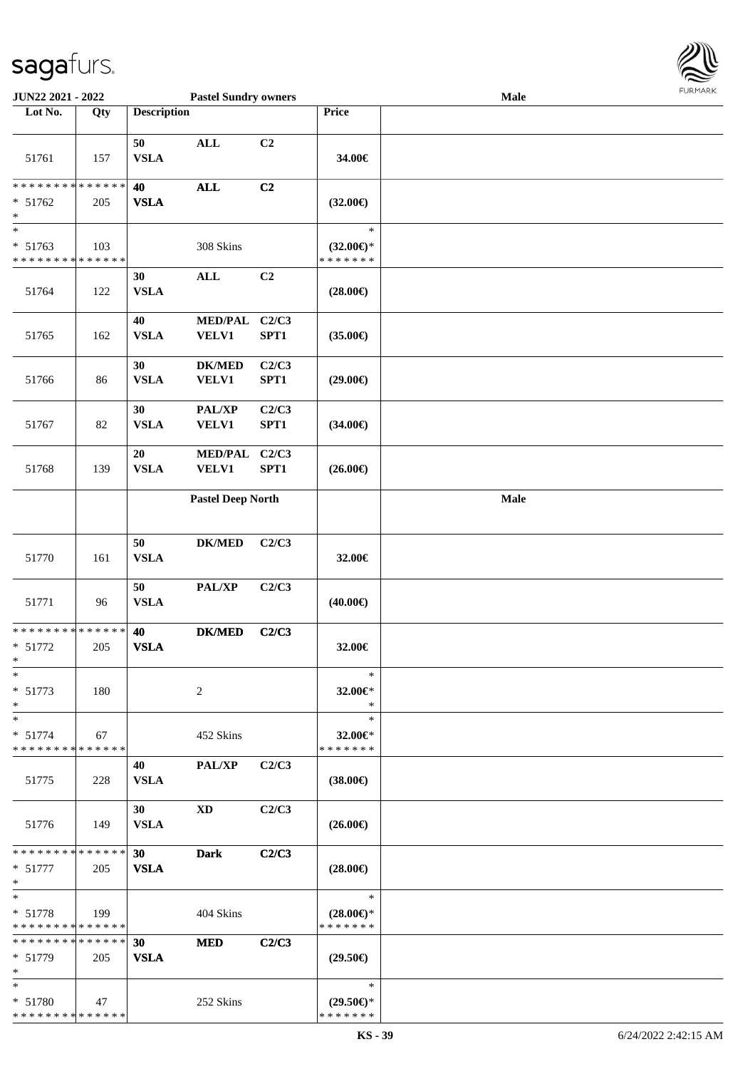

| JUN22 2021 - 2022                                                  |     |                    | <b>Pastel Sundry owners</b>    |                |                                                | Male |  |
|--------------------------------------------------------------------|-----|--------------------|--------------------------------|----------------|------------------------------------------------|------|--|
| Lot No.                                                            | Qty | <b>Description</b> |                                |                | Price                                          |      |  |
|                                                                    |     |                    |                                |                |                                                |      |  |
| 51761                                                              | 157 | 50<br><b>VSLA</b>  | $\mathbf{ALL}$                 | C2             | 34.00€                                         |      |  |
| * * * * * * * * * * * * * *<br>* 51762<br>$\ast$                   | 205 | 40<br><b>VSLA</b>  | $\mathbf{ALL}$                 | C2             | $(32.00\epsilon)$                              |      |  |
| $\overline{\phantom{0}}$<br>* 51763<br>* * * * * * * * * * * * * * | 103 |                    | 308 Skins                      |                | $\ast$<br>$(32.00\epsilon)$ *<br>* * * * * * * |      |  |
| 51764                                                              | 122 | 30<br><b>VSLA</b>  | $\mathbf{ALL}$                 | C <sub>2</sub> | $(28.00\epsilon)$                              |      |  |
|                                                                    |     | 40                 | <b>MED/PAL</b>                 | C2/C3          |                                                |      |  |
| 51765                                                              | 162 | <b>VSLA</b>        | <b>VELV1</b>                   | SPT1           | $(35.00\epsilon)$                              |      |  |
| 51766                                                              | 86  | 30<br><b>VSLA</b>  | <b>DK/MED</b><br>VELV1         | C2/C3<br>SPT1  | $(29.00\epsilon)$                              |      |  |
| 51767                                                              | 82  | 30<br>${\bf VSLA}$ | PAL/XP<br>VELV1                | C2/C3<br>SPT1  | $(34.00\epsilon)$                              |      |  |
| 51768                                                              | 139 | 20<br>${\bf VSLA}$ | <b>MED/PAL</b><br><b>VELV1</b> | C2/C3<br>SPT1  | $(26.00\epsilon)$                              |      |  |
|                                                                    |     |                    | <b>Pastel Deep North</b>       |                |                                                | Male |  |
| 51770                                                              | 161 | 50<br><b>VSLA</b>  | <b>DK/MED</b>                  | C2/C3          | 32.00€                                         |      |  |
| 51771                                                              | 96  | 50<br>${\bf VSLA}$ | PAL/XP                         | C2/C3          | $(40.00\epsilon)$                              |      |  |
| * * * * * * * * * * * * * *<br>$* 51772$<br>$*$                    | 205 | 40<br><b>VSLA</b>  | <b>DK/MED</b>                  | C2/C3          | 32.00€                                         |      |  |
| $\ast$<br>* 51773<br>$\ast$                                        | 180 |                    | 2                              |                | $\ast$<br>32.00 $\in$ *<br>$\ast$              |      |  |
| $\ast$<br>$* 51774$<br>* * * * * * * * * * * * * *                 | 67  |                    | 452 Skins                      |                | $\ast$<br>32.00€*<br>* * * * * * *             |      |  |
| 51775                                                              | 228 | 40<br><b>VSLA</b>  | <b>PAL/XP</b>                  | C2/C3          | $(38.00\epsilon)$                              |      |  |
| 51776                                                              | 149 | 30<br><b>VSLA</b>  | <b>XD</b>                      | C2/C3          | $(26.00\epsilon)$                              |      |  |
| * * * * * * * * * * * * * * *                                      |     | 30 <sub>1</sub>    | <b>Dark</b>                    | C2/C3          |                                                |      |  |
| $* 51777$<br>$*$                                                   | 205 | <b>VSLA</b>        |                                |                | $(28.00\epsilon)$                              |      |  |
| $*$<br>$* 51778$<br>* * * * * * * * * * * * * *                    | 199 |                    | 404 Skins                      |                | $\ast$<br>$(28.00\epsilon)$ *<br>* * * * * * * |      |  |
| * * * * * * * * * * * * * *<br>$* 51779$<br>$*$                    | 205 | 30<br><b>VSLA</b>  | <b>MED</b>                     | C2/C3          | $(29.50\epsilon)$                              |      |  |
| $*$<br>* 51780<br>* * * * * * * * * * * * * *                      | 47  |                    | 252 Skins                      |                | $\ast$<br>$(29.50\epsilon)$ *<br>* * * * * * * |      |  |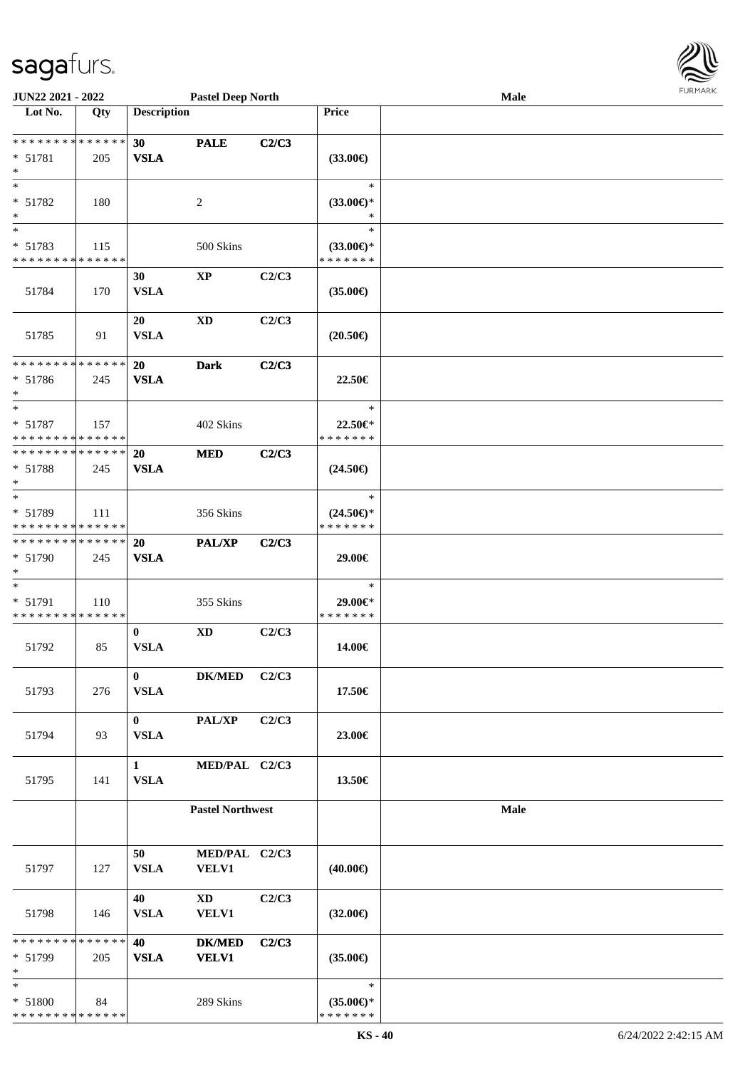| JUN22 2021 - 2022                                                  |     |                             | <b>Pastel Deep North</b>      |       |                                                | Male | <b>FURMAR</b> |
|--------------------------------------------------------------------|-----|-----------------------------|-------------------------------|-------|------------------------------------------------|------|---------------|
| Lot No.                                                            | Qty | <b>Description</b>          |                               |       | Price                                          |      |               |
| **************<br>$* 51781$<br>$\ast$                              | 205 | 30<br><b>VSLA</b>           | <b>PALE</b>                   | C2/C3 | $(33.00\epsilon)$                              |      |               |
| $\ast$<br>$* 51782$<br>∗                                           | 180 |                             | $\overline{c}$                |       | $\ast$<br>$(33.00\epsilon)$ *<br>$\ast$        |      |               |
| $\ast$<br>$* 51783$<br>* * * * * * * * * * * * * *                 | 115 |                             | 500 Skins                     |       | $\ast$<br>$(33.00\epsilon)$ *<br>* * * * * * * |      |               |
| 51784                                                              | 170 | 30<br><b>VSLA</b>           | $\mathbf{XP}$                 | C2/C3 | $(35.00\epsilon)$                              |      |               |
| 51785                                                              | 91  | 20<br><b>VSLA</b>           | $\mathbf{X}\mathbf{D}$        | C2/C3 | $(20.50\epsilon)$                              |      |               |
| **************<br>$* 51786$<br>$\ast$                              | 245 | <b>20</b><br><b>VSLA</b>    | <b>Dark</b>                   | C2/C3 | 22.50€                                         |      |               |
| $\overline{\phantom{0}}$<br>* 51787<br>* * * * * * * * * * * * * * | 157 |                             | 402 Skins                     |       | $\ast$<br>22.50€*<br>* * * * * * *             |      |               |
| **************<br>* 51788<br>∗                                     | 245 | 20<br><b>VSLA</b>           | <b>MED</b>                    | C2/C3 | $(24.50\epsilon)$                              |      |               |
| $\ast$<br>* 51789<br>**************                                | 111 |                             | 356 Skins                     |       | $\ast$<br>$(24.50\epsilon)$ *<br>* * * * * * * |      |               |
| ******** <mark>******</mark><br>* 51790<br>$\ast$                  | 245 | 20<br><b>VSLA</b>           | PAL/XP                        | C2/C3 | 29.00€                                         |      |               |
| $\ast$<br>$* 51791$<br>* * * * * * * * * * * * * *                 | 110 |                             | 355 Skins                     |       | $\ast$<br>29.00€*<br>* * * * * * *             |      |               |
| 51792                                                              | 85  | $\bf{0}$<br><b>VSLA</b>     | $\mathbf{X}\mathbf{D}$        | C2/C3 | 14.00€                                         |      |               |
| 51793                                                              | 276 | $\mathbf{0}$<br><b>VSLA</b> | <b>DK/MED</b>                 | C2/C3 | 17.50€                                         |      |               |
| 51794                                                              | 93  | $\mathbf{0}$<br><b>VSLA</b> | PAL/XP                        | C2/C3 | 23.00€                                         |      |               |
| 51795                                                              | 141 | 1<br><b>VSLA</b>            | MED/PAL C2/C3                 |       | 13.50€                                         |      |               |
|                                                                    |     |                             | <b>Pastel Northwest</b>       |       |                                                | Male |               |
| 51797                                                              | 127 | 50<br><b>VSLA</b>           | MED/PAL C2/C3<br><b>VELV1</b> |       | $(40.00\epsilon)$                              |      |               |
| 51798                                                              | 146 | 40<br><b>VSLA</b>           | XD<br>VELV1                   | C2/C3 | $(32.00\epsilon)$                              |      |               |
| * * * * * * * * * * * * * *<br>$* 51799$                           | 205 | 40<br><b>VSLA</b>           | <b>DK/MED</b><br><b>VELV1</b> | C2/C3 | $(35.00\epsilon)$                              |      |               |
| $\ast$<br>* 51800<br>**************                                | 84  |                             | 289 Skins                     |       | $\ast$<br>$(35.00\epsilon)$ *<br>* * * * * * * |      |               |

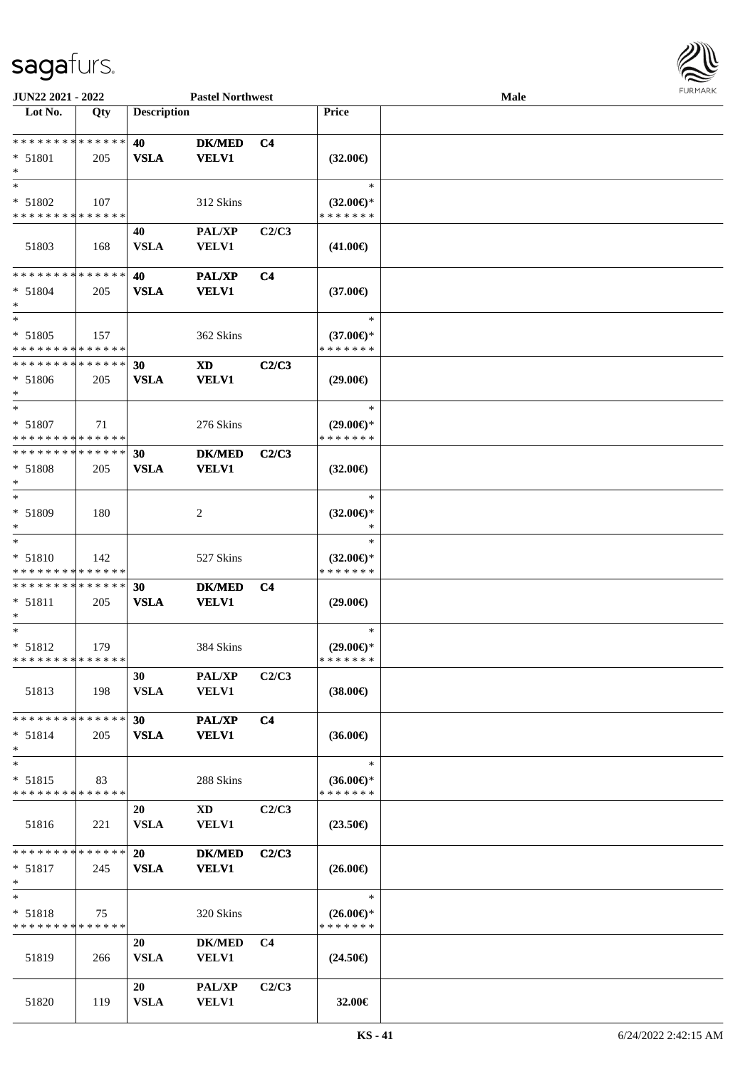

| JUN22 2021 - 2022                                  |     |                    | <b>Pastel Northwest</b>                |                |                                                | <b>Male</b> |  |
|----------------------------------------------------|-----|--------------------|----------------------------------------|----------------|------------------------------------------------|-------------|--|
| Lot No.                                            | Qty | <b>Description</b> |                                        |                | Price                                          |             |  |
| ******** <mark>******</mark><br>* 51801<br>$\ast$  | 205 | 40<br><b>VSLA</b>  | <b>DK/MED</b><br><b>VELV1</b>          | C <sub>4</sub> | $(32.00\epsilon)$                              |             |  |
| $*$<br>* 51802<br>* * * * * * * * * * * * * *      | 107 |                    | 312 Skins                              |                | $\ast$<br>$(32.00\epsilon)$ *<br>* * * * * * * |             |  |
| 51803                                              | 168 | 40<br><b>VSLA</b>  | <b>PAL/XP</b><br><b>VELV1</b>          | C2/C3          | $(41.00\epsilon)$                              |             |  |
| * * * * * * * * * * * * * *<br>$* 51804$<br>$*$    | 205 | 40<br><b>VSLA</b>  | PAL/XP<br><b>VELV1</b>                 | C <sub>4</sub> | $(37.00\epsilon)$                              |             |  |
| $*$<br>* 51805<br>* * * * * * * * * * * * * *      | 157 |                    | 362 Skins                              |                | $\ast$<br>$(37.00\epsilon)$ *<br>* * * * * * * |             |  |
| **************<br>$* 51806$<br>$*$                 | 205 | 30<br><b>VSLA</b>  | <b>XD</b><br><b>VELV1</b>              | C2/C3          | $(29.00\epsilon)$                              |             |  |
| $\ast$<br>$* 51807$<br>* * * * * * * * * * * * * * | 71  |                    | 276 Skins                              |                | $\ast$<br>$(29.00\epsilon)$ *<br>* * * * * * * |             |  |
| * * * * * * * * * * * * * *<br>* 51808<br>$\ast$   | 205 | 30<br><b>VSLA</b>  | <b>DK/MED</b><br><b>VELV1</b>          | C2/C3          | $(32.00\epsilon)$                              |             |  |
| $\ast$<br>* 51809                                  | 180 |                    | 2                                      |                | $\ast$<br>$(32.00\epsilon)$ *<br>*             |             |  |
| $\ast$<br>$* 51810$<br>* * * * * * * * * * * * * * | 142 |                    | 527 Skins                              |                | $\ast$<br>$(32.00\epsilon)$ *<br>* * * * * * * |             |  |
| * * * * * * * * * * * * * *<br>* 51811<br>$\ast$   | 205 | 30<br><b>VSLA</b>  | <b>DK/MED</b><br><b>VELV1</b>          | C <sub>4</sub> | $(29.00\epsilon)$                              |             |  |
| $\ast$<br>* 51812<br>* * * * * * * * * * * * * *   | 179 |                    | 384 Skins                              |                | $\ast$<br>$(29.00\epsilon)$ *<br>* * * * * * * |             |  |
| 51813                                              | 198 | 30<br><b>VSLA</b>  | <b>PAL/XP</b><br><b>VELV1</b>          | C2/C3          | $(38.00\epsilon)$                              |             |  |
| * * * * * * * * * * * * * *<br>$* 51814$<br>$*$    | 205 | 30<br><b>VSLA</b>  | <b>PAL/XP</b><br><b>VELV1</b>          | C <sub>4</sub> | $(36.00\epsilon)$                              |             |  |
| $\ast$<br>$* 51815$<br>* * * * * * * * * * * * * * | 83  |                    | 288 Skins                              |                | $\ast$<br>$(36.00\epsilon)$ *<br>* * * * * * * |             |  |
| 51816                                              | 221 | 20<br><b>VSLA</b>  | $\mathbf{X}\mathbf{D}$<br><b>VELV1</b> | C2/C3          | $(23.50\epsilon)$                              |             |  |
| * * * * * * * * * * * * * * *<br>$* 51817$<br>$*$  | 245 | 20<br><b>VSLA</b>  | <b>DK/MED</b><br><b>VELV1</b>          | C2/C3          | $(26.00\epsilon)$                              |             |  |
| $*$<br>$* 51818$<br>* * * * * * * * * * * * * *    | 75  |                    | 320 Skins                              |                | $\ast$<br>$(26.00\epsilon)$ *<br>* * * * * * * |             |  |
| 51819                                              | 266 | 20<br><b>VSLA</b>  | <b>DK/MED</b><br><b>VELV1</b>          | C <sub>4</sub> | $(24.50\epsilon)$                              |             |  |
| 51820                                              | 119 | 20<br><b>VSLA</b>  | <b>PAL/XP</b><br><b>VELV1</b>          | C2/C3          | 32.00€                                         |             |  |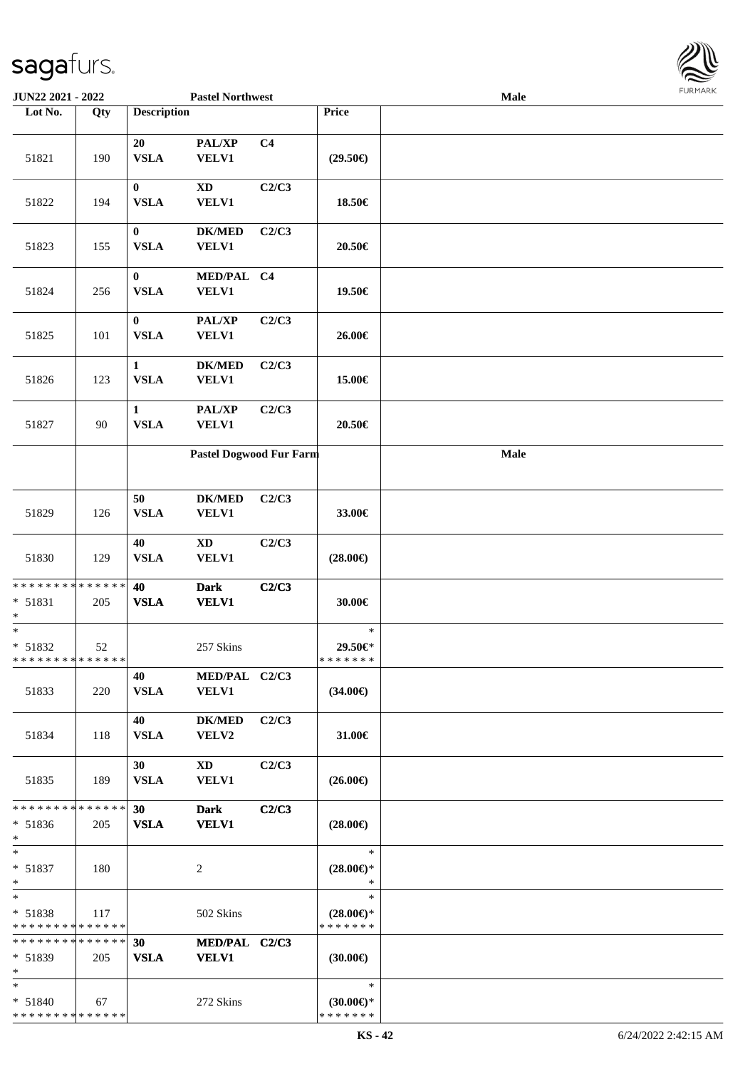| JUN22 2021 - 2022                                  |     |                             | <b>Pastel Northwest</b>                |                |                                                | Male        | 1.91111111 |
|----------------------------------------------------|-----|-----------------------------|----------------------------------------|----------------|------------------------------------------------|-------------|------------|
| Lot No.                                            | Qty | <b>Description</b>          |                                        |                | Price                                          |             |            |
| 51821                                              | 190 | 20<br><b>VSLA</b>           | PAL/XP<br><b>VELV1</b>                 | C <sub>4</sub> | $(29.50\epsilon)$                              |             |            |
| 51822                                              | 194 | $\bf{0}$<br><b>VSLA</b>     | $\mathbf{X}\mathbf{D}$<br><b>VELV1</b> | C2/C3          | 18.50€                                         |             |            |
| 51823                                              | 155 | $\bf{0}$<br><b>VSLA</b>     | <b>DK/MED</b><br><b>VELV1</b>          | C2/C3          | 20.50€                                         |             |            |
| 51824                                              | 256 | $\bf{0}$<br><b>VSLA</b>     | MED/PAL C4<br><b>VELV1</b>             |                | 19.50€                                         |             |            |
| 51825                                              | 101 | $\bf{0}$<br><b>VSLA</b>     | PAL/XP<br><b>VELV1</b>                 | C2/C3          | 26.00€                                         |             |            |
| 51826                                              | 123 | $\mathbf{1}$<br><b>VSLA</b> | <b>DK/MED</b><br><b>VELV1</b>          | C2/C3          | 15.00€                                         |             |            |
| 51827                                              | 90  | $\mathbf{1}$<br><b>VSLA</b> | PAL/XP<br><b>VELV1</b>                 | C2/C3          | 20.50€                                         |             |            |
|                                                    |     |                             | Pastel Dogwood Fur Farm                |                |                                                | <b>Male</b> |            |
| 51829                                              | 126 | 50<br><b>VSLA</b>           | $DK/MED$<br><b>VELV1</b>               | C2/C3          | 33.00€                                         |             |            |
| 51830                                              | 129 | 40<br><b>VSLA</b>           | <b>XD</b><br><b>VELV1</b>              | C2/C3          | $(28.00\epsilon)$                              |             |            |
| * * * * * * * * * * * * * *<br>$* 51831$<br>$*$    | 205 | 40<br><b>VSLA</b>           | <b>Dark</b><br><b>VELV1</b>            | C2/C3          | 30.00€                                         |             |            |
| $*$<br>* 51832<br>* * * * * * * * * * * * * *      | 52  |                             | 257 Skins                              |                | $\ast$<br>29.50€*<br>*******                   |             |            |
| 51833                                              | 220 | 40<br><b>VSLA</b>           | MED/PAL C2/C3<br><b>VELV1</b>          |                | $(34.00\epsilon)$                              |             |            |
| 51834                                              | 118 | 40<br><b>VSLA</b>           | <b>DK/MED</b><br>VELV2                 | C2/C3          | 31.00€                                         |             |            |
| 51835                                              | 189 | 30<br><b>VSLA</b>           | XD<br><b>VELV1</b>                     | C2/C3          | $(26.00\epsilon)$                              |             |            |
| * * * * * * * * * * * * * *<br>$* 51836$<br>$\ast$ | 205 | <b>30</b><br><b>VSLA</b>    | <b>Dark</b><br><b>VELV1</b>            | C2/C3          | $(28.00\epsilon)$                              |             |            |
| $*$<br>* 51837<br>$*$                              | 180 |                             | 2                                      |                | $\ast$<br>$(28.00\epsilon)$ *<br>$\ast$        |             |            |
| $*$<br>$* 51838$<br>* * * * * * * * * * * * * *    | 117 |                             | 502 Skins                              |                | $\ast$<br>$(28.00\epsilon)$ *<br>* * * * * * * |             |            |
| * * * * * * * * * * * * * *<br>* 51839<br>$\ast$   | 205 | 30<br><b>VSLA</b>           | MED/PAL C2/C3<br>VELV1                 |                | $(30.00\epsilon)$                              |             |            |
| $*$<br>* 51840<br>* * * * * * * * * * * * * *      | 67  |                             | 272 Skins                              |                | $\ast$<br>$(30.00€)$ *<br>* * * * * * *        |             |            |

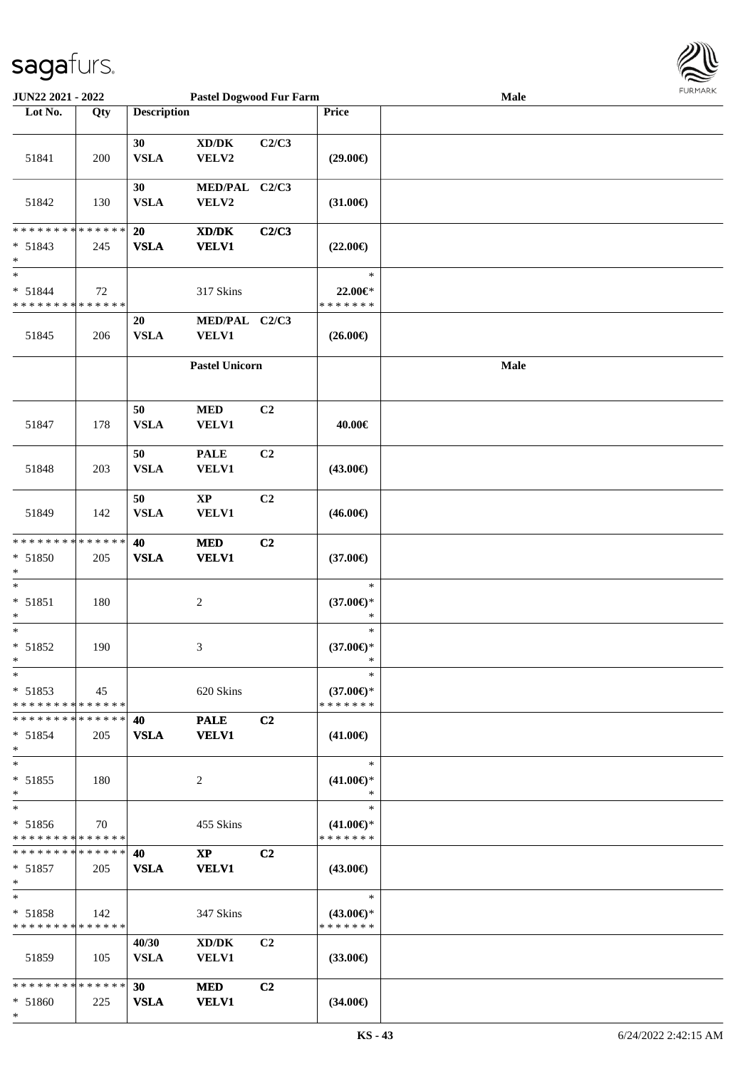

| JUN22 2021 - 2022                        |     |                    | <b>Pastel Dogwood Fur Farm</b>                                                                       |                |                                      | Male       | $1 \times 1$ |
|------------------------------------------|-----|--------------------|------------------------------------------------------------------------------------------------------|----------------|--------------------------------------|------------|--------------|
| Lot No.                                  | Qty | <b>Description</b> |                                                                                                      |                | Price                                |            |              |
|                                          |     | 30                 | $\bold{X}\bold{D}/\bold{D}\bold{K}$                                                                  | C2/C3          |                                      |            |              |
| 51841                                    | 200 | <b>VSLA</b><br>30  | VELV2<br>MED/PAL C2/C3                                                                               |                | $(29.00\epsilon)$                    |            |              |
| 51842                                    | 130 | <b>VSLA</b>        | VELV2                                                                                                |                | $(31.00\epsilon)$                    |            |              |
| * * * * * * * * * * * * * *              |     | 20                 | $\boldsymbol{\text{X}}\boldsymbol{\text{D}}\boldsymbol{/}\boldsymbol{\text{D}}\boldsymbol{\text{K}}$ | C2/C3          |                                      |            |              |
| $* 51843$<br>$\ast$<br>$\ast$            | 245 | <b>VSLA</b>        | <b>VELV1</b>                                                                                         |                | $(22.00\epsilon)$                    |            |              |
| $* 51844$<br>* * * * * * * * * * * * * * | 72  |                    | 317 Skins                                                                                            |                | $\ast$<br>22.00€*<br>* * * * * * *   |            |              |
|                                          |     | 20                 | MED/PAL C2/C3                                                                                        |                |                                      |            |              |
| 51845                                    | 206 | <b>VSLA</b>        | <b>VELV1</b>                                                                                         |                | $(26.00\epsilon)$                    |            |              |
|                                          |     |                    | <b>Pastel Unicorn</b>                                                                                |                |                                      | $\bf Male$ |              |
| 51847                                    | 178 | 50<br><b>VSLA</b>  | $\bf MED$<br><b>VELV1</b>                                                                            | C2             | 40.00€                               |            |              |
| 51848                                    | 203 | 50<br><b>VSLA</b>  | <b>PALE</b><br><b>VELV1</b>                                                                          | C2             | $(43.00\epsilon)$                    |            |              |
| 51849                                    | 142 | 50<br><b>VSLA</b>  | $\mathbf{XP}$<br><b>VELV1</b>                                                                        | C2             | $(46.00\epsilon)$                    |            |              |
| * * * * * * * * * * * * * *              |     | 40                 | <b>MED</b>                                                                                           | C2             |                                      |            |              |
| * 51850                                  | 205 | <b>VSLA</b>        | <b>VELV1</b>                                                                                         |                | $(37.00\epsilon)$                    |            |              |
| $\ast$                                   |     |                    |                                                                                                      |                |                                      |            |              |
| $\ast$                                   |     |                    |                                                                                                      |                | $\ast$                               |            |              |
| $* 51851$<br>$\ast$                      | 180 |                    | $\boldsymbol{2}$                                                                                     |                | $(37.00\epsilon)$ *<br>$\ast$        |            |              |
| $\ast$                                   |     |                    |                                                                                                      |                | $\ast$                               |            |              |
| $* 51852$<br>$*$                         | 190 |                    | $\ensuremath{\mathfrak{Z}}$                                                                          |                | $(37.00\epsilon)$ *<br>$\ast$        |            |              |
| $*$                                      |     |                    |                                                                                                      |                | $\ast$                               |            |              |
| $* 51853$<br>* * * * * * * * * * * * * * | 45  |                    | 620 Skins                                                                                            |                | $(37.00\epsilon)$ *<br>* * * * * * * |            |              |
| * * * * * * * * * * * * * *              |     | 40                 | <b>PALE</b>                                                                                          | C2             |                                      |            |              |
| $* 51854$<br>$*$                         | 205 | <b>VSLA</b>        | <b>VELV1</b>                                                                                         |                | $(41.00\epsilon)$                    |            |              |
| $*$                                      |     |                    |                                                                                                      |                | $\ast$                               |            |              |
| * 51855<br>$*$                           | 180 |                    | 2                                                                                                    |                | $(41.00\epsilon)$ *<br>$\ast$        |            |              |
| $\ast$                                   |     |                    |                                                                                                      |                | $\ast$                               |            |              |
| * 51856<br>* * * * * * * * * * * * * *   | 70  |                    | 455 Skins                                                                                            |                | $(41.00\epsilon)$ *<br>* * * * * * * |            |              |
| * * * * * * * * * * * * * *              |     | 40                 | $\mathbf{X}\mathbf{P}$                                                                               | C <sub>2</sub> |                                      |            |              |
| $* 51857$<br>$*$                         | 205 | <b>VSLA</b>        | <b>VELV1</b>                                                                                         |                | $(43.00\epsilon)$                    |            |              |
| $\ast$                                   |     |                    |                                                                                                      |                | $\ast$                               |            |              |
| * 51858<br>* * * * * * * * * * * * * *   | 142 |                    | 347 Skins                                                                                            |                | $(43.00€)$ *<br>* * * * * * *        |            |              |
|                                          |     | 40/30              | XD/DK                                                                                                | C <sub>2</sub> |                                      |            |              |
| 51859                                    | 105 | <b>VSLA</b>        | <b>VELV1</b>                                                                                         |                | $(33.00\epsilon)$                    |            |              |
| * * * * * * * * * * * * * *              |     | 30                 | <b>MED</b>                                                                                           | C2             |                                      |            |              |
| * 51860<br>$\ast$                        | 225 | <b>VSLA</b>        | <b>VELV1</b>                                                                                         |                | $(34.00\epsilon)$                    |            |              |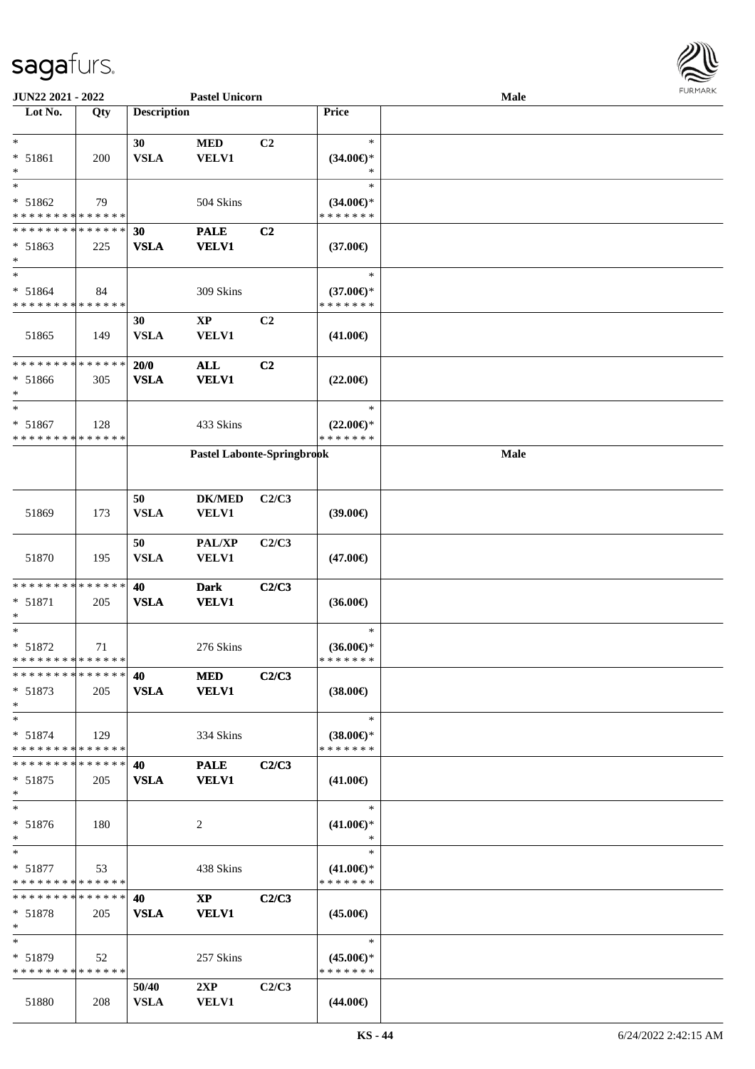

| JUN22 2021 - 2022             |     |                    | <b>Pastel Unicorn</b>      |                |                                      | <b>Male</b> |  |
|-------------------------------|-----|--------------------|----------------------------|----------------|--------------------------------------|-------------|--|
| Lot No.                       | Qty | <b>Description</b> |                            |                | Price                                |             |  |
|                               |     |                    |                            |                |                                      |             |  |
| $\ast$                        |     | 30                 | <b>MED</b>                 | C <sub>2</sub> | $\ast$                               |             |  |
| * 51861                       | 200 | <b>VSLA</b>        | <b>VELV1</b>               |                | $(34.00€)$ *                         |             |  |
| $\ast$                        |     |                    |                            |                |                                      |             |  |
| $\ast$                        |     |                    |                            |                | $\ast$                               |             |  |
| * 51862                       | 79  |                    | 504 Skins                  |                | $(34.00€)$ *                         |             |  |
| * * * * * * * * * * * * * *   |     |                    |                            |                | * * * * * * *                        |             |  |
|                               |     |                    |                            |                |                                      |             |  |
| * * * * * * * * * * * * * *   |     | 30                 | <b>PALE</b>                | C2             |                                      |             |  |
| $* 51863$                     | 225 | <b>VSLA</b>        | <b>VELV1</b>               |                | $(37.00\epsilon)$                    |             |  |
| $\ast$                        |     |                    |                            |                |                                      |             |  |
| $\ast$                        |     |                    |                            |                | $\ast$                               |             |  |
| $* 51864$                     | 84  |                    | 309 Skins                  |                | $(37.00\epsilon)$ *                  |             |  |
| * * * * * * * * * * * * * *   |     |                    |                            |                | * * * * * * *                        |             |  |
|                               |     | 30                 | $\bold{XP}$                | C <sub>2</sub> |                                      |             |  |
| 51865                         | 149 | <b>VSLA</b>        | VELV1                      |                | $(41.00\epsilon)$                    |             |  |
|                               |     |                    |                            |                |                                      |             |  |
| * * * * * * * * * * * * * *   |     | 20/0               | $\mathbf{ALL}$             | C2             |                                      |             |  |
| $* 51866$                     |     | <b>VSLA</b>        |                            |                | $(22.00\epsilon)$                    |             |  |
| $\ast$                        | 305 |                    | <b>VELV1</b>               |                |                                      |             |  |
| $\ast$                        |     |                    |                            |                |                                      |             |  |
|                               |     |                    |                            |                | $\ast$                               |             |  |
| * 51867                       | 128 |                    | 433 Skins                  |                | $(22.00\epsilon)$ *                  |             |  |
| * * * * * * * * * * * * * *   |     |                    |                            |                | * * * * * * *                        |             |  |
|                               |     |                    | Pastel Labonte-Springbrook |                |                                      | Male        |  |
|                               |     |                    |                            |                |                                      |             |  |
|                               |     |                    |                            |                |                                      |             |  |
|                               |     | 50                 | <b>DK/MED</b>              | C2/C3          |                                      |             |  |
| 51869                         | 173 | <b>VSLA</b>        | <b>VELV1</b>               |                | (39.00)                              |             |  |
|                               |     |                    |                            |                |                                      |             |  |
|                               |     | 50                 | PAL/XP                     | C2/C3          |                                      |             |  |
| 51870                         | 195 | <b>VSLA</b>        | <b>VELV1</b>               |                | $(47.00\epsilon)$                    |             |  |
|                               |     |                    |                            |                |                                      |             |  |
| **************                |     |                    |                            |                |                                      |             |  |
|                               |     | 40                 | <b>Dark</b>                | C2/C3          |                                      |             |  |
| * 51871                       | 205 | <b>VSLA</b>        | <b>VELV1</b>               |                | $(36.00\epsilon)$                    |             |  |
| ∗                             |     |                    |                            |                |                                      |             |  |
| $\ast$                        |     |                    |                            |                | $\ast$                               |             |  |
| $* 51872$                     | 71  |                    | 276 Skins                  |                | $(36.00\epsilon)$ *                  |             |  |
| **************                |     |                    |                            |                | * * * * * * *                        |             |  |
| * * * * * * * * * * * * * * * |     | 40                 | <b>MED</b>                 | C2/C3          |                                      |             |  |
| $* 51873$                     | 205 | <b>VSLA</b>        | <b>VELV1</b>               |                | $(38.00\epsilon)$                    |             |  |
| $\ast$                        |     |                    |                            |                |                                      |             |  |
| $*$                           |     |                    |                            |                | $\ast$                               |             |  |
| $* 51874$                     | 129 |                    | 334 Skins                  |                | $(38.00\epsilon)$ *                  |             |  |
| * * * * * * * * * * * * * *   |     |                    |                            |                | * * * * * * *                        |             |  |
| * * * * * * * * * * * * * * * |     | 40                 | <b>PALE</b>                | C2/C3          |                                      |             |  |
|                               |     | <b>VSLA</b>        | <b>VELV1</b>               |                |                                      |             |  |
| $* 51875$                     | 205 |                    |                            |                | $(41.00\epsilon)$                    |             |  |
| $\ast$                        |     |                    |                            |                | $\ast$                               |             |  |
|                               |     |                    |                            |                |                                      |             |  |
| $* 51876$                     | 180 |                    | 2                          |                | $(41.00\epsilon)$ *                  |             |  |
| $*$                           |     |                    |                            |                | $\ast$                               |             |  |
| $*$                           |     |                    |                            |                | $\ast$                               |             |  |
| $* 51877$                     | 53  |                    | 438 Skins                  |                | $(41.00\epsilon)$ *                  |             |  |
| * * * * * * * * * * * * * *   |     |                    |                            |                | * * * * * * *                        |             |  |
| * * * * * * * * * * * * * * * |     | 40                 | $\mathbf{X}\mathbf{P}$     | C2/C3          |                                      |             |  |
| $* 51878$                     | 205 | <b>VSLA</b>        | <b>VELV1</b>               |                | $(45.00\epsilon)$                    |             |  |
| $*$                           |     |                    |                            |                |                                      |             |  |
| $*$                           |     |                    |                            |                | $\ast$                               |             |  |
| $* 51879$                     |     |                    | 257 Skins                  |                |                                      |             |  |
| * * * * * * * * * * * * * *   | 52  |                    |                            |                | $(45.00\epsilon)$ *<br>* * * * * * * |             |  |
|                               |     |                    |                            |                |                                      |             |  |
|                               |     | 50/40              | 2XP                        | C2/C3          |                                      |             |  |
| 51880                         | 208 | <b>VSLA</b>        | <b>VELV1</b>               |                | $(44.00\epsilon)$                    |             |  |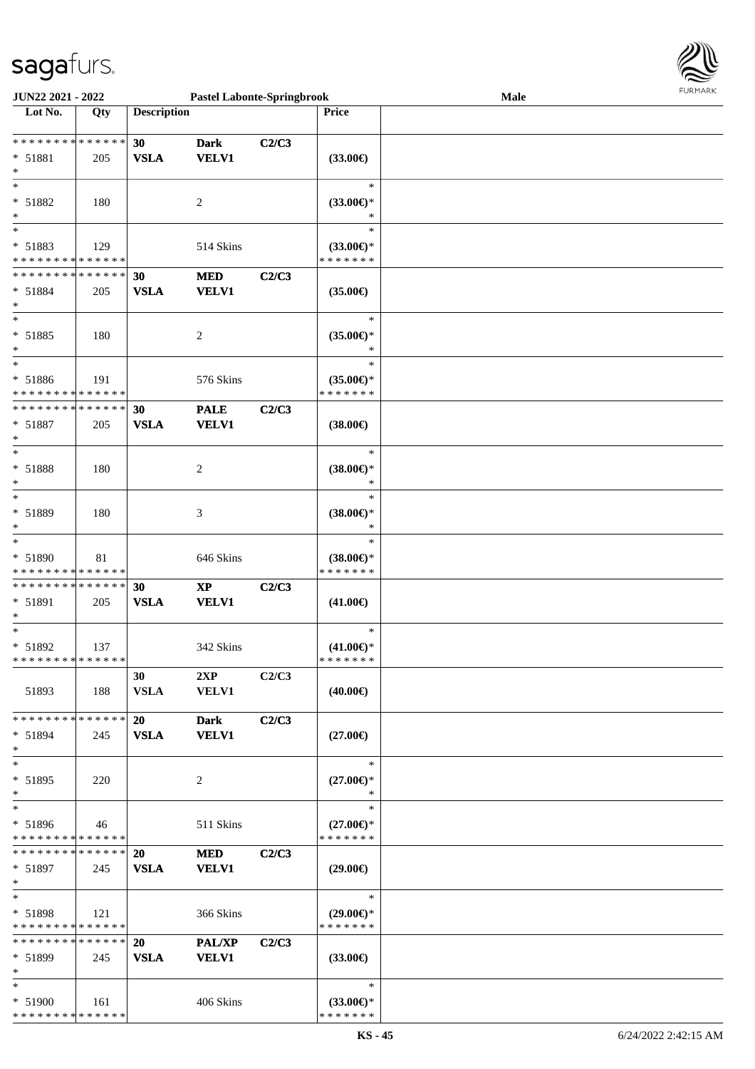

| JUN22 2021 - 2022             |     |                    | <b>Pastel Labonte-Springbrook</b>  |       |                                | Male | 1.91111111 |
|-------------------------------|-----|--------------------|------------------------------------|-------|--------------------------------|------|------------|
| Lot No.                       | Qty | <b>Description</b> |                                    |       | <b>Price</b>                   |      |            |
|                               |     |                    |                                    |       |                                |      |            |
| ******** <mark>******</mark>  |     | 30                 | <b>Dark</b>                        | C2/C3 |                                |      |            |
| * 51881                       | 205 | <b>VSLA</b>        | <b>VELV1</b>                       |       | $(33.00\epsilon)$              |      |            |
| $\ast$                        |     |                    |                                    |       |                                |      |            |
| $\ast$                        |     |                    |                                    |       | $\ast$                         |      |            |
| * 51882                       | 180 |                    |                                    |       |                                |      |            |
|                               |     |                    | 2                                  |       | $(33.00\epsilon)$ *            |      |            |
| $\ast$                        |     |                    |                                    |       | ∗                              |      |            |
| $\ast$                        |     |                    |                                    |       | $\ast$                         |      |            |
| * 51883                       | 129 |                    | 514 Skins                          |       | $(33.00\epsilon)$ *            |      |            |
| * * * * * * * * * * * * * *   |     |                    |                                    |       | * * * * * * *                  |      |            |
| * * * * * * * * * * * * * *   |     | 30                 | <b>MED</b>                         | C2/C3 |                                |      |            |
| $* 51884$                     | 205 | <b>VSLA</b>        | <b>VELV1</b>                       |       | $(35.00\epsilon)$              |      |            |
| $\ast$                        |     |                    |                                    |       |                                |      |            |
| $\ast$                        |     |                    |                                    |       | $\ast$                         |      |            |
| * 51885                       | 180 |                    | 2                                  |       | $(35.00\epsilon)$ *            |      |            |
| $\ast$                        |     |                    |                                    |       | *                              |      |            |
| $\ast$                        |     |                    |                                    |       | $\ast$                         |      |            |
|                               |     |                    |                                    |       |                                |      |            |
| * 51886                       | 191 |                    | 576 Skins                          |       | $(35.00\epsilon)$ *            |      |            |
| * * * * * * * * * * * * * *   |     |                    |                                    |       | * * * * * * *                  |      |            |
| * * * * * * * * * * * * * *   |     | 30                 | <b>PALE</b>                        | C2/C3 |                                |      |            |
| * 51887                       | 205 | <b>VSLA</b>        | <b>VELV1</b>                       |       | $(38.00\epsilon)$              |      |            |
| $\ast$                        |     |                    |                                    |       |                                |      |            |
| $\ast$                        |     |                    |                                    |       | $\ast$                         |      |            |
| * 51888                       | 180 |                    | 2                                  |       | $(38.00\epsilon)$ *            |      |            |
| $\ast$                        |     |                    |                                    |       | ∗                              |      |            |
| $\ast$                        |     |                    |                                    |       | $\ast$                         |      |            |
| * 51889                       | 180 |                    | 3                                  |       | $(38.00\epsilon)$ *            |      |            |
| $\ast$                        |     |                    |                                    |       | ∗                              |      |            |
| $\ast$                        |     |                    |                                    |       | $\ast$                         |      |            |
| * 51890                       | 81  |                    | 646 Skins                          |       | $(38.00\epsilon)$ *            |      |            |
| * * * * * * * * * * * * * *   |     |                    |                                    |       | * * * * * * *                  |      |            |
| **************                |     |                    |                                    |       |                                |      |            |
|                               |     | 30                 | $\bold{X}\bold{P}$<br><b>VELV1</b> | C2/C3 |                                |      |            |
| * 51891<br>$\ast$             | 205 | <b>VSLA</b>        |                                    |       | $(41.00\epsilon)$              |      |            |
| $\ast$                        |     |                    |                                    |       | $\ast$                         |      |            |
|                               |     |                    |                                    |       |                                |      |            |
| $* 51892$<br>**************   | 137 |                    | 342 Skins                          |       | $(41.00\epsilon)$ *<br>******* |      |            |
|                               |     |                    |                                    |       |                                |      |            |
|                               |     | 30                 | 2XP                                | C2/C3 |                                |      |            |
| 51893                         | 188 | <b>VSLA</b>        | <b>VELV1</b>                       |       | $(40.00\epsilon)$              |      |            |
|                               |     |                    |                                    |       |                                |      |            |
| * * * * * * * * * * * * * *   |     | 20                 | <b>Dark</b>                        | C2/C3 |                                |      |            |
| $* 51894$                     | 245 | <b>VSLA</b>        | <b>VELV1</b>                       |       | $(27.00\epsilon)$              |      |            |
| $\ast$                        |     |                    |                                    |       |                                |      |            |
| $\ast$                        |     |                    |                                    |       | $\ast$                         |      |            |
| * 51895                       | 220 |                    | 2                                  |       | $(27.00\epsilon)$ *            |      |            |
| $\ast$                        |     |                    |                                    |       | ∗                              |      |            |
| $\ast$                        |     |                    |                                    |       | $\ast$                         |      |            |
| * 51896                       | 46  |                    | 511 Skins                          |       | $(27.00\epsilon)$ *            |      |            |
| * * * * * * * * * * * * * *   |     |                    |                                    |       | * * * * * * *                  |      |            |
| * * * * * * * * * * * * * * * |     | 20                 | <b>MED</b>                         | C2/C3 |                                |      |            |
| $* 51897$                     | 245 | <b>VSLA</b>        | <b>VELV1</b>                       |       | $(29.00\epsilon)$              |      |            |
| $*$                           |     |                    |                                    |       |                                |      |            |
| $\ast$                        |     |                    |                                    |       | $\ast$                         |      |            |
| * 51898                       | 121 |                    | 366 Skins                          |       | $(29.00\epsilon)$ *            |      |            |
| * * * * * * * * * * * * * *   |     |                    |                                    |       | * * * * * * *                  |      |            |
| **************                |     |                    |                                    |       |                                |      |            |
|                               |     | 20                 | <b>PAL/XP</b>                      | C2/C3 |                                |      |            |
| $* 51899$                     | 245 | <b>VSLA</b>        | <b>VELV1</b>                       |       | $(33.00\epsilon)$              |      |            |
| $\ast$                        |     |                    |                                    |       |                                |      |            |
| $\ast$                        |     |                    |                                    |       | $\ast$                         |      |            |
| * 51900                       | 161 |                    | 406 Skins                          |       | $(33.00\epsilon)$ *            |      |            |
| * * * * * * * * * * * * * *   |     |                    |                                    |       | * * * * * * *                  |      |            |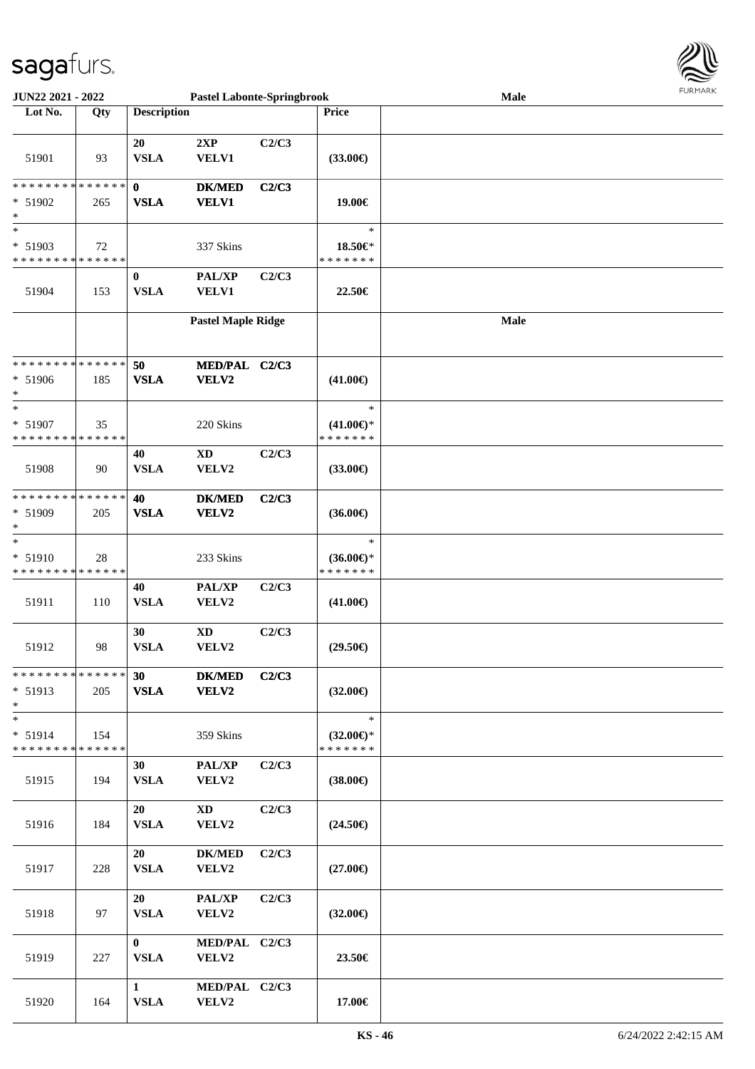

| <b>JUN22 2021 - 2022</b>                   |     |                    | <b>Pastel Labonte-Springbrook</b> |       |                                      | Male |  |
|--------------------------------------------|-----|--------------------|-----------------------------------|-------|--------------------------------------|------|--|
| Lot No.                                    | Qty | <b>Description</b> |                                   |       | Price                                |      |  |
|                                            |     |                    |                                   |       |                                      |      |  |
|                                            |     | 20                 | 2XP                               | C2/C3 |                                      |      |  |
| 51901                                      | 93  | <b>VSLA</b>        | VELV1                             |       | $(33.00\epsilon)$                    |      |  |
|                                            |     |                    |                                   |       |                                      |      |  |
| * * * * * * * * * * * * * * *              |     | $\mathbf{0}$       | <b>DK/MED</b>                     | C2/C3 |                                      |      |  |
| $* 51902$                                  | 265 | <b>VSLA</b>        | <b>VELV1</b>                      |       | 19.00€                               |      |  |
| *                                          |     |                    |                                   |       |                                      |      |  |
| $\ast$                                     |     |                    |                                   |       | $\ast$                               |      |  |
| $* 51903$                                  | 72  |                    | 337 Skins                         |       | 18.50€*                              |      |  |
| * * * * * * * * * * * * * *                |     |                    |                                   |       | * * * * * * *                        |      |  |
|                                            |     | $\bf{0}$           | PAL/XP                            | C2/C3 |                                      |      |  |
| 51904                                      | 153 | <b>VSLA</b>        | VELV1                             |       | 22.50€                               |      |  |
|                                            |     |                    |                                   |       |                                      |      |  |
|                                            |     |                    | <b>Pastel Maple Ridge</b>         |       |                                      | Male |  |
|                                            |     |                    |                                   |       |                                      |      |  |
|                                            |     |                    |                                   |       |                                      |      |  |
| * * * * * * * * <mark>* * * * * * *</mark> |     | 50                 | MED/PAL C2/C3                     |       |                                      |      |  |
| $* 51906$                                  | 185 | <b>VSLA</b>        | VELV2                             |       | $(41.00\epsilon)$                    |      |  |
| *                                          |     |                    |                                   |       |                                      |      |  |
| $\ast$                                     |     |                    |                                   |       | $\ast$                               |      |  |
| $* 51907$                                  |     |                    |                                   |       |                                      |      |  |
| * * * * * * * * * * * * * *                | 35  |                    | 220 Skins                         |       | $(41.00\epsilon)$ *<br>* * * * * * * |      |  |
|                                            |     | 40                 |                                   | C2/C3 |                                      |      |  |
|                                            |     |                    | <b>XD</b>                         |       |                                      |      |  |
| 51908                                      | 90  | <b>VSLA</b>        | VELV2                             |       | $(33.00\epsilon)$                    |      |  |
| * * * * * * * * * * * * * *                |     |                    |                                   |       |                                      |      |  |
|                                            |     | 40                 | <b>DK/MED</b>                     | C2/C3 |                                      |      |  |
| * 51909                                    | 205 | <b>VSLA</b>        | VELV2                             |       | $(36.00\epsilon)$                    |      |  |
| $\ast$<br>$\ast$                           |     |                    |                                   |       |                                      |      |  |
|                                            |     |                    |                                   |       | $\ast$                               |      |  |
| $* 51910$                                  | 28  |                    | 233 Skins                         |       | $(36.00\epsilon)$ *                  |      |  |
| * * * * * * * * * * * * * *                |     |                    |                                   |       | * * * * * * *                        |      |  |
|                                            |     | 40                 | PAL/XP                            | C2/C3 |                                      |      |  |
| 51911                                      | 110 | <b>VSLA</b>        | VELV2                             |       | $(41.00\epsilon)$                    |      |  |
|                                            |     |                    |                                   |       |                                      |      |  |
|                                            |     | 30                 | XD                                | C2/C3 |                                      |      |  |
| 51912                                      | 98  | <b>VSLA</b>        | VELV2                             |       | $(29.50\epsilon)$                    |      |  |
|                                            |     |                    |                                   |       |                                      |      |  |
| * * * * * * * * <mark>* * * * * * *</mark> |     | 30                 | <b>DK/MED</b>                     | C2/C3 |                                      |      |  |
| $* 51913$                                  | 205 | <b>VSLA</b>        | VELV2                             |       | $(32.00\epsilon)$                    |      |  |
| $*$                                        |     |                    |                                   |       |                                      |      |  |
| $\ast$                                     |     |                    |                                   |       | $\ast$                               |      |  |
| $* 51914$                                  | 154 |                    | 359 Skins                         |       | $(32.00\epsilon)$ *                  |      |  |
| * * * * * * * * <mark>* * * * * * *</mark> |     |                    |                                   |       | * * * * * * *                        |      |  |
|                                            |     | 30                 | <b>PAL/XP</b>                     | C2/C3 |                                      |      |  |
| 51915                                      | 194 | <b>VSLA</b>        | VELV2                             |       | $(38.00\epsilon)$                    |      |  |
|                                            |     |                    |                                   |       |                                      |      |  |
|                                            |     | 20                 | $\mathbf{X}\mathbf{D}$            | C2/C3 |                                      |      |  |
| 51916                                      | 184 | <b>VSLA</b>        | VELV2                             |       | $(24.50\epsilon)$                    |      |  |
|                                            |     |                    |                                   |       |                                      |      |  |
|                                            |     | 20                 | <b>DK/MED</b>                     | C2/C3 |                                      |      |  |
| 51917                                      | 228 | <b>VSLA</b>        | VELV2                             |       | $(27.00\epsilon)$                    |      |  |
|                                            |     |                    |                                   |       |                                      |      |  |
|                                            |     | 20                 | <b>PAL/XP</b>                     | C2/C3 |                                      |      |  |
| 51918                                      | 97  | <b>VSLA</b>        | VELV2                             |       | $(32.00\epsilon)$                    |      |  |
|                                            |     |                    |                                   |       |                                      |      |  |
|                                            |     | $\mathbf{0}$       | MED/PAL C2/C3                     |       |                                      |      |  |
| 51919                                      | 227 | <b>VSLA</b>        | VELV2                             |       | 23.50€                               |      |  |
|                                            |     |                    |                                   |       |                                      |      |  |
|                                            |     | $\mathbf{1}$       | MED/PAL C2/C3                     |       |                                      |      |  |
| 51920                                      | 164 | <b>VSLA</b>        | VELV2                             |       | 17.00€                               |      |  |
|                                            |     |                    |                                   |       |                                      |      |  |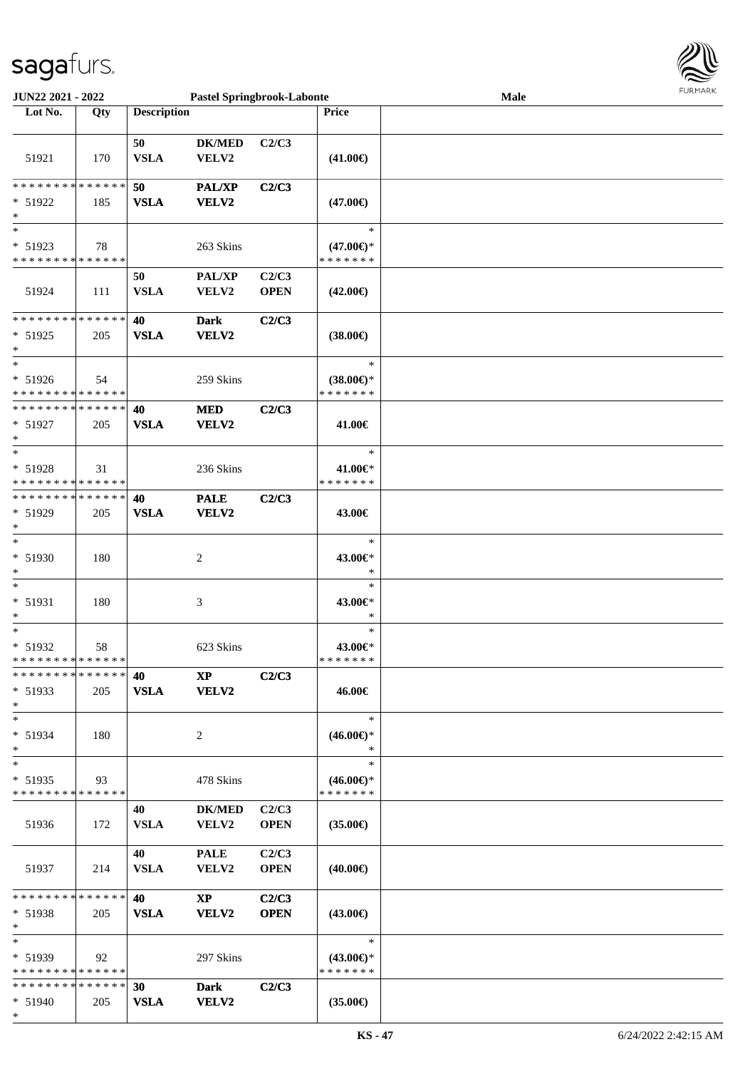\*



| <b>JUN22 2021 - 2022</b>                                                  |     |                    | <b>Pastel Springbrook-Labonte</b>      |                      |                                                | Male | <b>FURPIARA</b> |
|---------------------------------------------------------------------------|-----|--------------------|----------------------------------------|----------------------|------------------------------------------------|------|-----------------|
| Lot No.                                                                   | Qty | <b>Description</b> |                                        |                      | Price                                          |      |                 |
|                                                                           |     |                    |                                        |                      |                                                |      |                 |
| 51921                                                                     | 170 | 50<br><b>VSLA</b>  | <b>DK/MED</b><br>VELV2                 | C2/C3                | $(41.00\epsilon)$                              |      |                 |
| * * * * * * * * <mark>* * * * * * *</mark><br>$* 51922$                   | 185 | 50<br><b>VSLA</b>  | <b>PAL/XP</b><br>VELV2                 | C2/C3                | $(47.00\epsilon)$                              |      |                 |
| $\ast$                                                                    |     |                    |                                        |                      |                                                |      |                 |
| $\ast$<br>$* 51923$<br>* * * * * * * * * * * * * * *                      | 78  |                    | 263 Skins                              |                      | $\ast$<br>$(47.00€)$ *<br>* * * * * * *        |      |                 |
| 51924                                                                     | 111 | 50<br><b>VSLA</b>  | PAL/XP<br>VELV2                        | C2/C3<br><b>OPEN</b> | $(42.00\epsilon)$                              |      |                 |
| $* 51925$<br>$\ast$                                                       | 205 | 40<br><b>VSLA</b>  | <b>Dark</b><br>VELV2                   | C2/C3                | $(38.00\epsilon)$                              |      |                 |
| $\ast$<br>$* 51926$<br>* * * * * * * * * * * * * * *                      | 54  |                    | 259 Skins                              |                      | $\ast$<br>$(38.00\epsilon)$ *<br>* * * * * * * |      |                 |
| * * * * * * * * * * * * * * *<br>* 51927<br>$\ast$                        | 205 | 40<br>${\bf VSLA}$ | <b>MED</b><br>VELV2                    | C2/C3                | 41.00€                                         |      |                 |
| $\ast$<br>* 51928                                                         | 31  |                    | 236 Skins                              |                      | $\ast$<br>41.00€*                              |      |                 |
| * * * * * * * * <mark>* * * * * * *</mark><br>* * * * * * * * * * * * * * |     |                    |                                        |                      | * * * * * * *                                  |      |                 |
| * 51929<br>$\ast$                                                         | 205 | 40<br><b>VSLA</b>  | <b>PALE</b><br>VELV2                   | C2/C3                | 43.00€                                         |      |                 |
| $\ast$<br>* 51930<br>$\ast$                                               | 180 |                    | 2                                      |                      | $\ast$<br>43.00€*<br>$\ast$                    |      |                 |
| $\ast$<br>* 51931<br>$\ast$                                               | 180 |                    | 3                                      |                      | $\ast$<br>43.00€*<br>$\ast$                    |      |                 |
| $*$<br>$* 51932$<br>* * * * * * * * <mark>* * * * * * *</mark>            | 58  |                    | 623 Skins                              |                      | $\ast$<br>43.00€*<br>* * * * * * *             |      |                 |
| * * * * * * * * * * * * * * *<br>* 51933<br>$\ast$                        | 205 | 40<br><b>VSLA</b>  | $\mathbf{X}\mathbf{P}$<br><b>VELV2</b> | C2/C3                | 46.00€                                         |      |                 |
| $\ast$<br>* 51934<br>$\ast$                                               | 180 |                    | 2                                      |                      | $\ast$<br>$(46.00\epsilon)$ *<br>$\ast$        |      |                 |
| $\ast$<br>$* 51935$<br>* * * * * * * * <mark>* * * * * *</mark> *         | 93  |                    | 478 Skins                              |                      | $\ast$<br>$(46.00€)$ *<br>* * * * * * *        |      |                 |
| 51936                                                                     | 172 | 40<br><b>VSLA</b>  | $DK/MED$<br>VELV2                      | C2/C3<br><b>OPEN</b> | $(35.00\epsilon)$                              |      |                 |
| 51937                                                                     | 214 | 40<br><b>VSLA</b>  | <b>PALE</b><br>VELV2                   | C2/C3<br><b>OPEN</b> | (40.00€)                                       |      |                 |
| * * * * * * * * <mark>* * * * * *</mark><br>* 51938<br>$\ast$             | 205 | 40<br><b>VSLA</b>  | $\mathbf{X}\mathbf{P}$<br>VELV2        | C2/C3<br><b>OPEN</b> | (43.00€)                                       |      |                 |
| $\ast$<br>$* 51939$<br>* * * * * * * * <mark>* * * * * *</mark>           | 92  |                    | 297 Skins                              |                      | $\ast$<br>$(43.00\epsilon)$ *<br>* * * * * * * |      |                 |
| * * * * * * * * * * * * * * <mark>*</mark><br>$* 51940$                   | 205 | 30<br><b>VSLA</b>  | Dark<br><b>VELV2</b>                   | C2/C3                | $(35.00\epsilon)$                              |      |                 |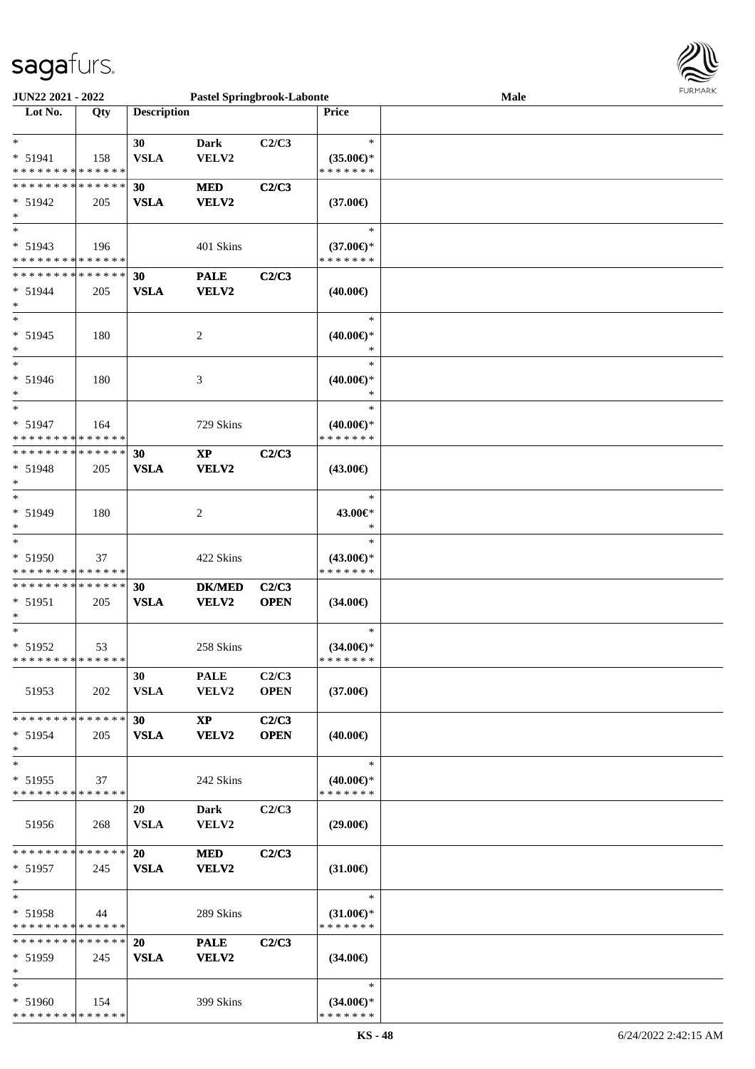

| JUN22 2021 - 2022             |     |                    | <b>Pastel Springbrook-Labonte</b> |             |                     | <b>Male</b> |  |
|-------------------------------|-----|--------------------|-----------------------------------|-------------|---------------------|-------------|--|
| Lot No.                       | Qty | <b>Description</b> |                                   |             | Price               |             |  |
|                               |     |                    |                                   |             |                     |             |  |
| $*$                           |     | 30                 | <b>Dark</b>                       | C2/C3       | $\ast$              |             |  |
| * 51941                       | 158 | <b>VSLA</b>        | VELV2                             |             | $(35.00\epsilon)$ * |             |  |
| * * * * * * * * * * * * * *   |     |                    |                                   |             | * * * * * * *       |             |  |
| * * * * * * * * * * * * * *   |     | 30                 | <b>MED</b>                        | C2/C3       |                     |             |  |
| * 51942                       |     | <b>VSLA</b>        | VELV2                             |             |                     |             |  |
|                               | 205 |                    |                                   |             | $(37.00\epsilon)$   |             |  |
| $*$                           |     |                    |                                   |             |                     |             |  |
| $*$                           |     |                    |                                   |             | $\ast$              |             |  |
| * 51943                       | 196 |                    | 401 Skins                         |             | $(37.00\epsilon)$ * |             |  |
| * * * * * * * * * * * * * *   |     |                    |                                   |             | * * * * * * *       |             |  |
| * * * * * * * * * * * * * *   |     | 30                 | <b>PALE</b>                       | C2/C3       |                     |             |  |
| * 51944                       | 205 | <b>VSLA</b>        | VELV2                             |             | $(40.00\epsilon)$   |             |  |
| $*$                           |     |                    |                                   |             |                     |             |  |
| $*$                           |     |                    |                                   |             | $\ast$              |             |  |
| * 51945                       | 180 |                    | 2                                 |             | $(40.00\epsilon)$ * |             |  |
| $*$                           |     |                    |                                   |             | *                   |             |  |
| $*$                           |     |                    |                                   |             | $\ast$              |             |  |
|                               |     |                    |                                   |             |                     |             |  |
| * 51946                       | 180 |                    | 3                                 |             | $(40.00€)$ *        |             |  |
| $*$                           |     |                    |                                   |             | $\ast$              |             |  |
| $*$                           |     |                    |                                   |             | $\ast$              |             |  |
| * 51947                       | 164 |                    | 729 Skins                         |             | $(40.00\epsilon)$ * |             |  |
| * * * * * * * * * * * * * *   |     |                    |                                   |             | * * * * * * *       |             |  |
| * * * * * * * * * * * * * *   |     | 30                 | <b>XP</b>                         | C2/C3       |                     |             |  |
| * 51948                       | 205 | <b>VSLA</b>        | VELV2                             |             | $(43.00\epsilon)$   |             |  |
| $\ast$                        |     |                    |                                   |             |                     |             |  |
| $*$                           |     |                    |                                   |             | $\ast$              |             |  |
| * 51949                       | 180 |                    | 2                                 |             | 43.00€*             |             |  |
| $\ast$                        |     |                    |                                   |             | $\ast$              |             |  |
| $*$                           |     |                    |                                   |             | $\ast$              |             |  |
|                               |     |                    |                                   |             |                     |             |  |
| * 51950                       | 37  |                    | 422 Skins                         |             | $(43.00\epsilon)$ * |             |  |
| * * * * * * * * * * * * * *   |     |                    |                                   |             | * * * * * * *       |             |  |
| * * * * * * * * * * * * * *   |     | 30                 | <b>DK/MED</b>                     | C2/C3       |                     |             |  |
| * 51951                       | 205 | <b>VSLA</b>        | VELV2                             | <b>OPEN</b> | $(34.00\epsilon)$   |             |  |
| $*$                           |     |                    |                                   |             |                     |             |  |
| $*$                           |     |                    |                                   |             | $\ast$              |             |  |
| $* 51952$                     | 53  |                    | 258 Skins                         |             | $(34.00\epsilon)$ * |             |  |
| * * * * * * * * * * * * * * * |     |                    |                                   |             | * * * * * * *       |             |  |
|                               |     | 30                 | <b>PALE</b>                       | C2/C3       |                     |             |  |
| 51953                         | 202 | <b>VSLA</b>        | <b>VELV2</b>                      | <b>OPEN</b> | $(37.00\epsilon)$   |             |  |
|                               |     |                    |                                   |             |                     |             |  |
| * * * * * * * * * * * * * *   |     | 30                 | <b>XP</b>                         | C2/C3       |                     |             |  |
| $* 51954$                     |     |                    | <b>VELV2</b>                      | <b>OPEN</b> |                     |             |  |
| $*$                           | 205 | <b>VSLA</b>        |                                   |             | $(40.00\epsilon)$   |             |  |
|                               |     |                    |                                   |             | $\ast$              |             |  |
| $*$                           |     |                    |                                   |             |                     |             |  |
| * 51955                       | 37  |                    | 242 Skins                         |             | $(40.00€)$ *        |             |  |
| * * * * * * * * * * * * * *   |     |                    |                                   |             | * * * * * * *       |             |  |
|                               |     | 20                 | Dark                              | C2/C3       |                     |             |  |
| 51956                         | 268 | <b>VSLA</b>        | VELV2                             |             | $(29.00\epsilon)$   |             |  |
|                               |     |                    |                                   |             |                     |             |  |
| * * * * * * * * * * * * * * * |     | <b>20</b>          | <b>MED</b>                        | C2/C3       |                     |             |  |
| * 51957                       | 245 | <b>VSLA</b>        | VELV2                             |             | $(31.00\epsilon)$   |             |  |
| $*$                           |     |                    |                                   |             |                     |             |  |
| $*$                           |     |                    |                                   |             | $\ast$              |             |  |
| * 51958                       | 44  |                    | 289 Skins                         |             | $(31.00 \in )$ *    |             |  |
| * * * * * * * * * * * * * *   |     |                    |                                   |             | * * * * * * *       |             |  |
| * * * * * * * * * * * * * * * |     |                    |                                   |             |                     |             |  |
|                               |     | <b>20</b>          | <b>PALE</b>                       | C2/C3       |                     |             |  |
| * 51959                       | 245 | <b>VSLA</b>        | <b>VELV2</b>                      |             | $(34.00\epsilon)$   |             |  |
| $*$                           |     |                    |                                   |             |                     |             |  |
| $*$                           |     |                    |                                   |             | $\ast$              |             |  |
| * 51960                       | 154 |                    | 399 Skins                         |             | $(34.00€)$ *        |             |  |
| * * * * * * * * * * * * * *   |     |                    |                                   |             | * * * * * * *       |             |  |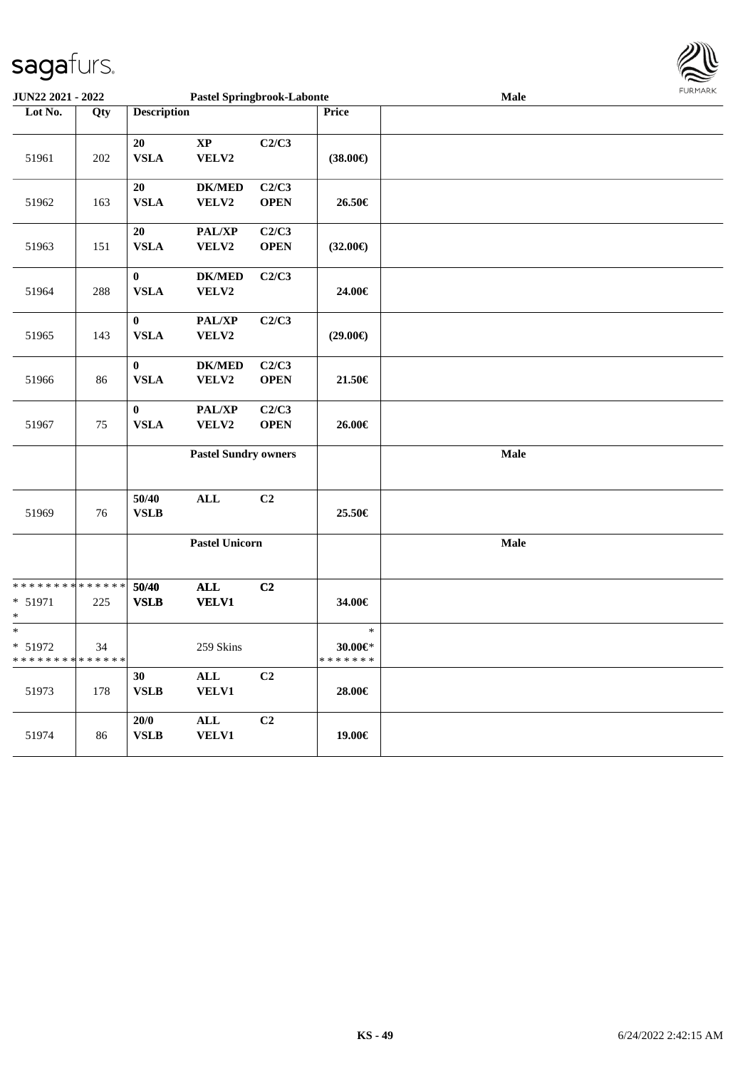| <b>JUN22 2021 - 2022</b>             |                    |                                 |                                 | <b>Pastel Springbrook-Labonte</b> |                                    | Male | . |
|--------------------------------------|--------------------|---------------------------------|---------------------------------|-----------------------------------|------------------------------------|------|---|
| Lot No.                              | Qty                | <b>Description</b>              |                                 |                                   | Price                              |      |   |
| 51961                                | $202\,$            | 20<br><b>VSLA</b>               | $\mathbf{X}\mathbf{P}$<br>VELV2 | C2/C3                             | $(38.00\epsilon)$                  |      |   |
| 51962                                | 163                | 20<br><b>VSLA</b>               | <b>DK/MED</b><br>VELV2          | C2/C3<br><b>OPEN</b>              | 26.50€                             |      |   |
| 51963                                | 151                | 20<br>${\bf VSLA}$              | PAL/XP<br>VELV2                 | C2/C3<br><b>OPEN</b>              | $(32.00\epsilon)$                  |      |   |
| 51964                                | 288                | $\boldsymbol{0}$<br><b>VSLA</b> | <b>DK/MED</b><br>VELV2          | C2/C3                             | 24.00€                             |      |   |
| 51965                                | 143                | $\boldsymbol{0}$<br><b>VSLA</b> | PAL/XP<br>VELV2                 | C2/C3                             | $(29.00\epsilon)$                  |      |   |
| 51966                                | 86                 | $\bf{0}$<br><b>VSLA</b>         | <b>DK/MED</b><br>VELV2          | C2/C3<br><b>OPEN</b>              | 21.50€                             |      |   |
| 51967                                | 75                 | $\boldsymbol{0}$<br><b>VSLA</b> | PAL/XP<br>VELV2                 | C2/C3<br><b>OPEN</b>              | 26.00€                             |      |   |
|                                      |                    |                                 | <b>Pastel Sundry owners</b>     |                                   |                                    | Male |   |
| 51969                                | 76                 | 50/40<br><b>VSLB</b>            | <b>ALL</b>                      | C2                                | 25.50€                             |      |   |
|                                      |                    |                                 | <b>Pastel Unicorn</b>           |                                   |                                    | Male |   |
| * * * * * * * *<br>$* 51971$<br>*    | * * * * * *<br>225 | 50/40<br><b>VSLB</b>            | <b>ALL</b><br><b>VELV1</b>      | C2                                | 34.00€                             |      |   |
| $\ast$<br>* 51972<br>* * * * * * * * | 34<br>* * * * * *  |                                 | 259 Skins                       |                                   | $\ast$<br>30.00€*<br>* * * * * * * |      |   |
| 51973                                | 178                | 30<br><b>VSLB</b>               | ALL<br><b>VELV1</b>             | C2                                | 28.00€                             |      |   |
| 51974                                | 86                 | 20/0<br><b>VSLB</b>             | ALL<br><b>VELV1</b>             | C2                                | 19.00€                             |      |   |

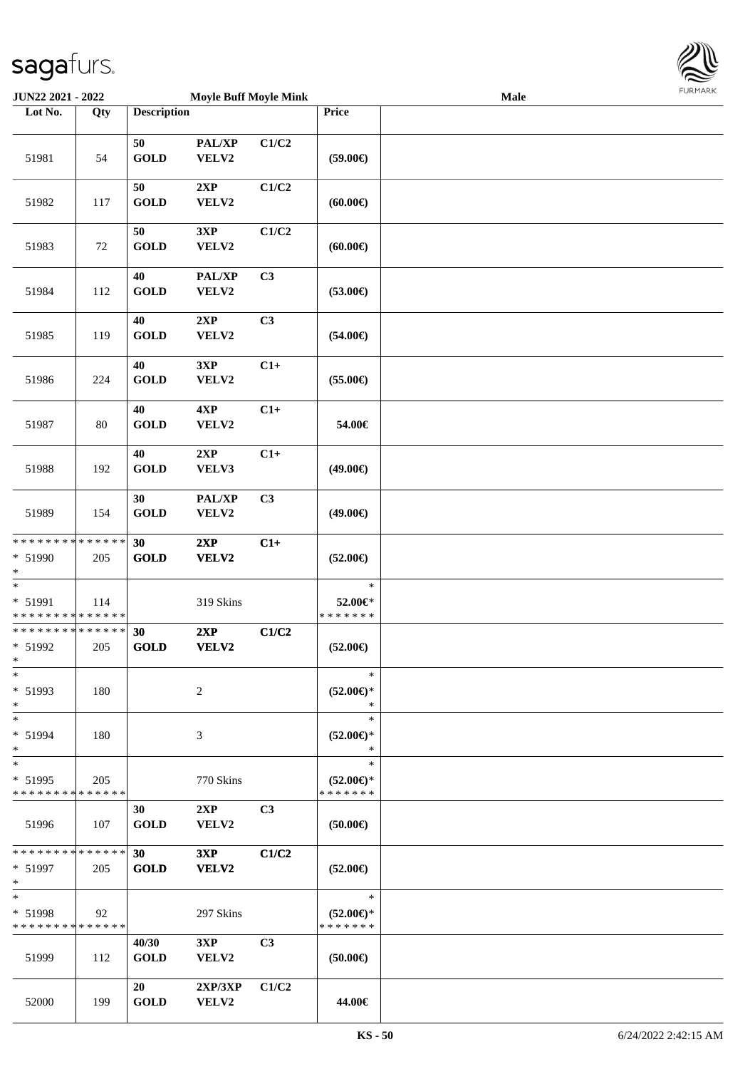

| JUN22 2021 - 2022                                     |                    |                      | <b>Moyle Buff Moyle Mink</b> |                |                                                | <b>Male</b> | <b>FUNITANN</b> |
|-------------------------------------------------------|--------------------|----------------------|------------------------------|----------------|------------------------------------------------|-------------|-----------------|
| Lot No.                                               | Qty                | <b>Description</b>   |                              |                | Price                                          |             |                 |
|                                                       |                    | 50                   | PAL/XP                       | C1/C2          |                                                |             |                 |
| 51981                                                 | 54                 | <b>GOLD</b>          | VELV2                        |                | $(59.00\epsilon)$                              |             |                 |
| 51982                                                 | 117                | 50<br><b>GOLD</b>    | 2XP<br>VELV2                 | C1/C2          | (60.00)                                        |             |                 |
| 51983                                                 | 72                 | 50<br><b>GOLD</b>    | 3XP<br>VELV2                 | C1/C2          | (60.00)                                        |             |                 |
| 51984                                                 | 112                | 40<br><b>GOLD</b>    | PAL/XP<br>VELV2              | C <sub>3</sub> | $(53.00\epsilon)$                              |             |                 |
| 51985                                                 | 119                | 40<br><b>GOLD</b>    | 2XP<br>VELV2                 | C <sub>3</sub> | $(54.00\epsilon)$                              |             |                 |
| 51986                                                 | 224                | 40<br><b>GOLD</b>    | 3XP<br>VELV2                 | $C1+$          | $(55.00\epsilon)$                              |             |                 |
| 51987                                                 | 80                 | 40<br><b>GOLD</b>    | 4XP<br>VELV2                 | $C1+$          | 54.00€                                         |             |                 |
| 51988                                                 | 192                | 40<br><b>GOLD</b>    | 2XP<br>VELV3                 | $C1+$          | $(49.00\epsilon)$                              |             |                 |
| 51989                                                 | 154                | 30<br><b>GOLD</b>    | PAL/XP<br>VELV2              | C <sub>3</sub> | $(49.00\epsilon)$                              |             |                 |
| * * * * * * * * <mark>* * * * * * *</mark>            |                    | 30                   | 2XP                          | $C1+$          |                                                |             |                 |
| * 51990<br>$\ast$                                     | 205                | <b>GOLD</b>          | VELV2                        |                | $(52.00\epsilon)$                              |             |                 |
| $*$                                                   |                    |                      |                              |                | $\ast$                                         |             |                 |
| * 51991<br>* * * * * * * * * * * * * *                | 114                |                      | 319 Skins                    |                | 52.00€*<br>* * * * * * *                       |             |                 |
| * * * * * * * * * * * * * *                           |                    | 30                   | 2XP                          | C1/C2          |                                                |             |                 |
| * 51992<br>$*$ $-$                                    | 205                | <b>GOLD</b>          | VELV2                        |                | $(52.00\epsilon)$                              |             |                 |
| $\ast$<br>* 51993                                     | 180                |                      | 2                            |                | $\ast$<br>$(52.00\epsilon)$ *                  |             |                 |
| $\ast$                                                |                    |                      |                              |                | $\ast$                                         |             |                 |
| $*$<br>* 51994<br>$\ast$                              | 180                |                      | 3                            |                | $\ast$<br>$(52.00\epsilon)$ *<br>$\ast$        |             |                 |
| $*$<br>$* 51995$<br>* * * * * * * *                   | 205<br>* * * * * * |                      | 770 Skins                    |                | $\ast$<br>$(52.00\epsilon)$ *<br>* * * * * * * |             |                 |
| 51996                                                 | 107                | 30<br><b>GOLD</b>    | 2XP<br><b>VELV2</b>          | C <sub>3</sub> | $(50.00\epsilon)$                              |             |                 |
| * * * * * * * * <mark>* * * * * *</mark><br>$* 51997$ | 205                | 30<br><b>GOLD</b>    | 3XP<br><b>VELV2</b>          | C1/C2          | $(52.00\epsilon)$                              |             |                 |
| $*$                                                   |                    |                      |                              |                |                                                |             |                 |
| $\ast$<br>* 51998<br>* * * * * * * * * * * * * * *    | 92                 |                      | 297 Skins                    |                | $\ast$<br>$(52.00\epsilon)$ *<br>* * * * * * * |             |                 |
| 51999                                                 | 112                | 40/30<br><b>GOLD</b> | 3XP<br><b>VELV2</b>          | C <sub>3</sub> | $(50.00\epsilon)$                              |             |                 |
| 52000                                                 | 199                | 20<br><b>GOLD</b>    | 2XP/3XP<br>VELV2             | C1/C2          | 44.00€                                         |             |                 |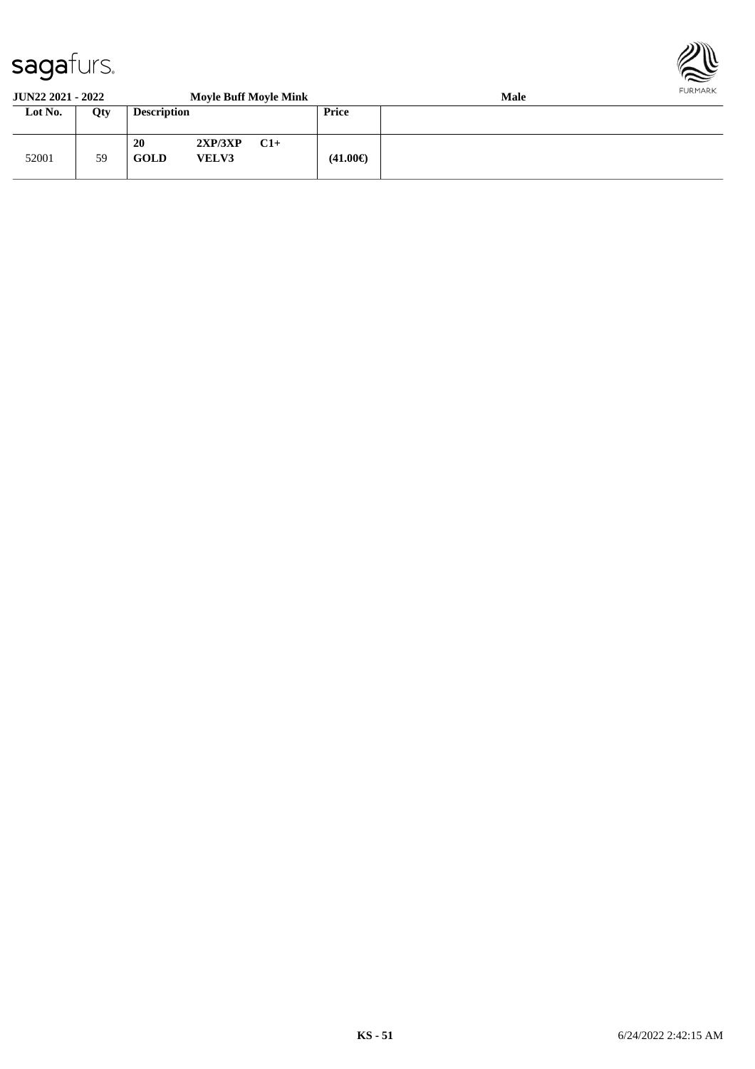

#### **JUN22 2021 - 2022 Moyle Buff Moyle Mink Male Lot No. Qty Description Price** 52001 59 **20 2XP/3XP C1+ GOLD VELV3 (41.00€)**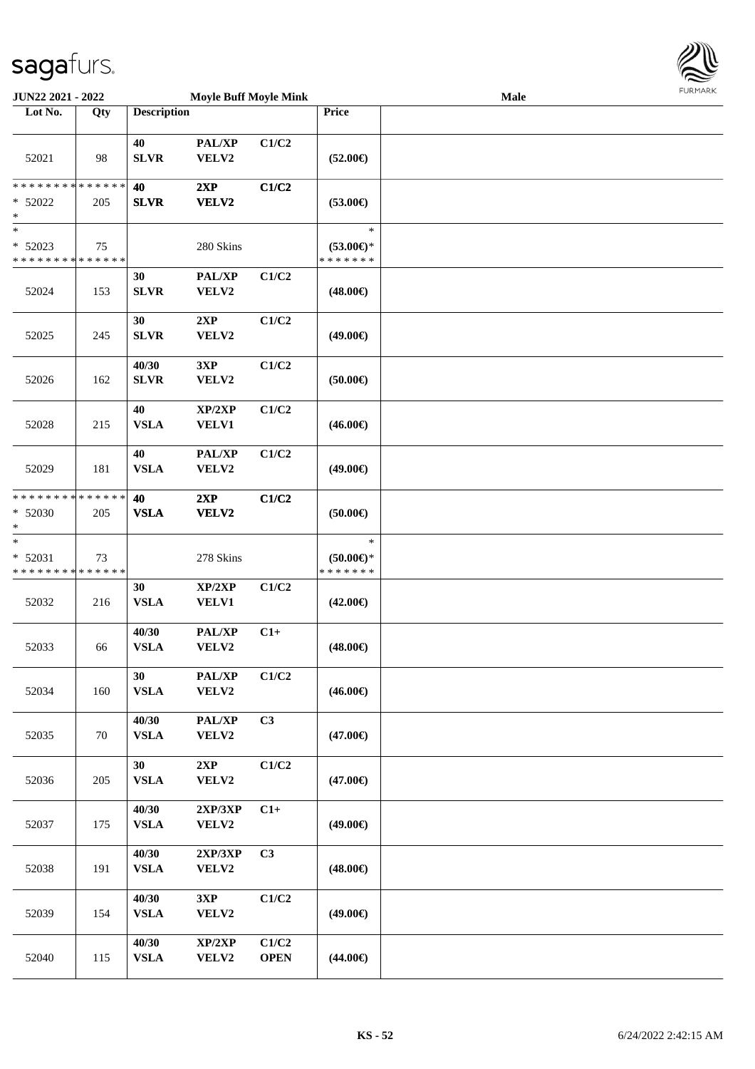

| <b>JUN22 2021 - 2022</b>                 |     |                    | <b>Moyle Buff Moyle Mink</b> |             |                                      | <b>Male</b> |  |
|------------------------------------------|-----|--------------------|------------------------------|-------------|--------------------------------------|-------------|--|
| Lot No.                                  | Qty | <b>Description</b> |                              |             | Price                                |             |  |
|                                          |     | 40                 | PAL/XP                       | C1/C2       |                                      |             |  |
| 52021                                    | 98  | <b>SLVR</b>        | VELV2                        |             | $(52.00\epsilon)$                    |             |  |
| * * * * * * * * * * * * * * *            |     | 40                 | 2XP                          | C1/C2       |                                      |             |  |
| $* 52022$<br>*                           | 205 | <b>SLVR</b>        | VELV2                        |             | $(53.00\epsilon)$                    |             |  |
| $\ast$                                   |     |                    |                              |             | $\ast$                               |             |  |
| $* 52023$<br>* * * * * * * * * * * * * * | 75  |                    | 280 Skins                    |             | $(53.00\epsilon)$ *<br>* * * * * * * |             |  |
|                                          |     | 30                 | PAL/XP                       | C1/C2       |                                      |             |  |
| 52024                                    | 153 | <b>SLVR</b>        | VELV2                        |             | $(48.00\epsilon)$                    |             |  |
|                                          |     | 30                 | 2XP                          | C1/C2       |                                      |             |  |
| 52025                                    | 245 | <b>SLVR</b>        | VELV2                        |             | $(49.00\epsilon)$                    |             |  |
|                                          |     | 40/30              | 3XP                          | C1/C2       |                                      |             |  |
| 52026                                    | 162 | <b>SLVR</b>        | VELV2                        |             | $(50.00\epsilon)$                    |             |  |
|                                          |     | 40                 | XP/2XP                       | C1/C2       |                                      |             |  |
| 52028                                    | 215 | <b>VSLA</b>        | VELV1                        |             | $(46.00\epsilon)$                    |             |  |
|                                          |     | 40                 | PAL/XP                       | C1/C2       |                                      |             |  |
| 52029                                    | 181 | <b>VSLA</b>        | VELV2                        |             | $(49.00\epsilon)$                    |             |  |
| * * * * * * * * * * * * * * *            |     | 40                 | 2XP                          | C1/C2       |                                      |             |  |
| $* 52030$<br>*                           | 205 | <b>VSLA</b>        | VELV2                        |             | (50.00)                              |             |  |
| $\ast$                                   |     |                    |                              |             | $\ast$                               |             |  |
| $* 52031$                                | 73  |                    | 278 Skins                    |             | (50.00)                              |             |  |
| * * * * * * * * * * * * * *              |     |                    |                              |             | * * * * * * *                        |             |  |
|                                          |     | 30                 | XP/2XP                       | C1/C2       |                                      |             |  |
| 52032                                    | 216 | <b>VSLA</b>        | VELV1                        |             | $(42.00\epsilon)$                    |             |  |
|                                          |     | 40/30              | PAL/XP                       | $C1+$       |                                      |             |  |
| 52033                                    | 66  | <b>VSLA</b>        | VELV2                        |             | $(48.00\epsilon)$                    |             |  |
|                                          |     | 30                 | PAL/XP                       | C1/C2       |                                      |             |  |
| 52034                                    | 160 | <b>VSLA</b>        | VELV2                        |             | $(46.00\epsilon)$                    |             |  |
|                                          |     | 40/30              | PAL/XP                       | C3          |                                      |             |  |
| 52035                                    | 70  | <b>VSLA</b>        | VELV2                        |             | $(47.00\epsilon)$                    |             |  |
|                                          |     | 30                 | 2XP                          | C1/C2       |                                      |             |  |
| 52036                                    | 205 | <b>VSLA</b>        | VELV2                        |             | $(47.00\epsilon)$                    |             |  |
|                                          |     | 40/30              | 2XP/3XP                      | $C1+$       |                                      |             |  |
| 52037                                    | 175 | ${\bf VSLA}$       | VELV2                        |             | $(49.00\epsilon)$                    |             |  |
|                                          |     | 40/30              | 2XP/3XP                      | C3          |                                      |             |  |
| 52038                                    | 191 | <b>VSLA</b>        | VELV2                        |             | $(48.00\epsilon)$                    |             |  |
|                                          |     | 40/30              | 3XP                          | C1/C2       |                                      |             |  |
| 52039                                    | 154 | <b>VSLA</b>        | VELV2                        |             | $(49.00\epsilon)$                    |             |  |
|                                          |     | 40/30              | XP/2XP                       | C1/C2       |                                      |             |  |
| 52040                                    | 115 | <b>VSLA</b>        | VELV2                        | <b>OPEN</b> | $(44.00\epsilon)$                    |             |  |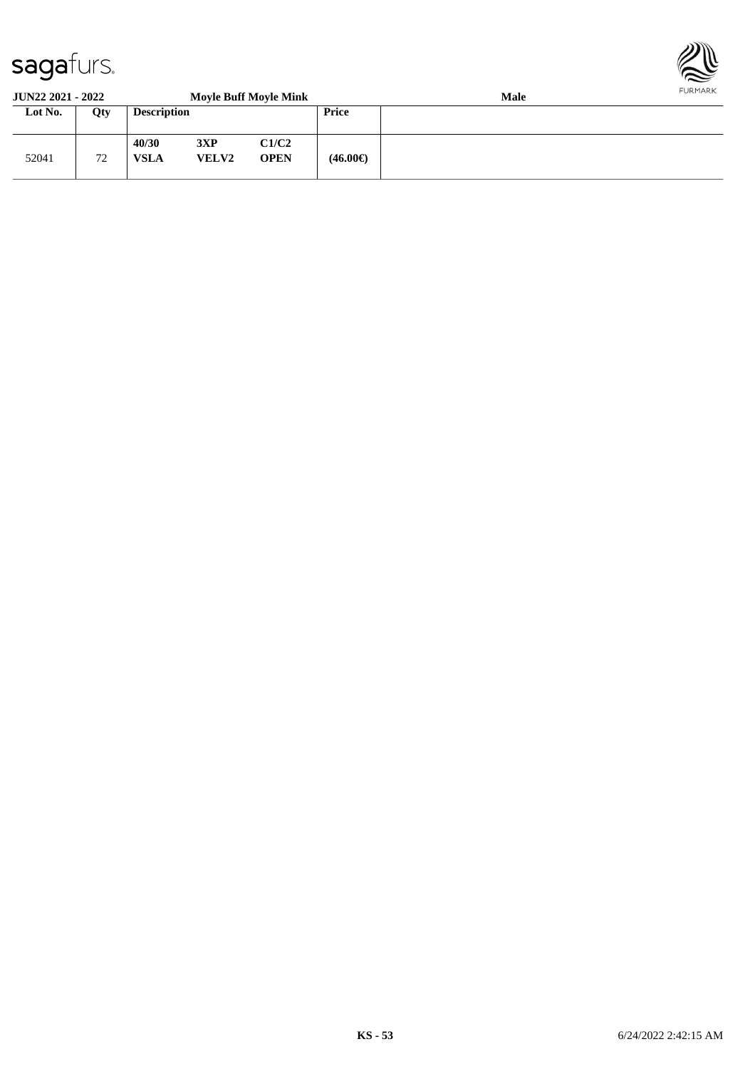

#### **JUN22 2021 - 2022 Moyle Buff Moyle Mink Male Lot No. Qty Description Price** 52041 72 **40/30 3XP C1/C2 VSLA VELV2 OPEN (46.00€)**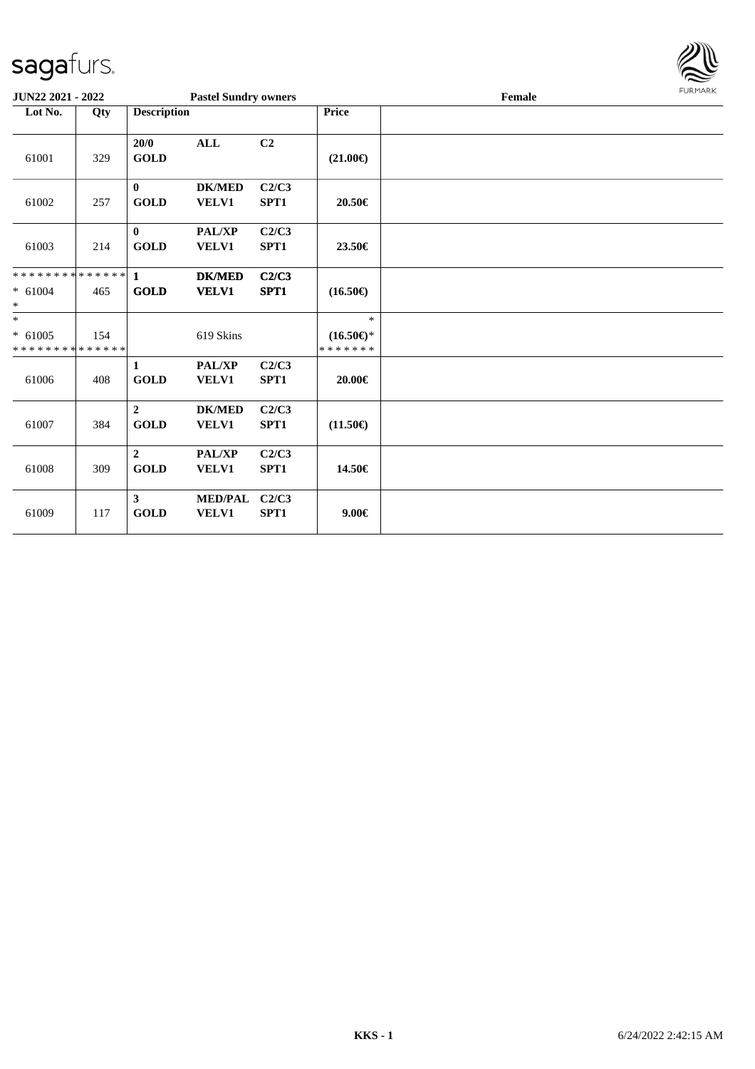

| <b>JUN22 2021 - 2022</b>                                        |                    |                               | <b>Pastel Sundry owners</b>    |               |                                                | Female | <b>LOKIJAKV</b> |
|-----------------------------------------------------------------|--------------------|-------------------------------|--------------------------------|---------------|------------------------------------------------|--------|-----------------|
| Lot No.                                                         | Qty                | <b>Description</b>            |                                |               | <b>Price</b>                                   |        |                 |
| 61001                                                           | 329                | 20/0<br><b>GOLD</b>           | $\mathbf{ALL}$                 | C2            | $(21.00\epsilon)$                              |        |                 |
| 61002                                                           | 257                | $\mathbf{0}$<br><b>GOLD</b>   | <b>DK/MED</b><br><b>VELV1</b>  | C2/C3<br>SPT1 | 20.50€                                         |        |                 |
| 61003                                                           | 214                | $\bf{0}$<br><b>GOLD</b>       | PAL/XP<br><b>VELV1</b>         | C2/C3<br>SPT1 | 23.50€                                         |        |                 |
| * * * * * * * * <mark>* * * * * *</mark><br>$* 61004$<br>$\ast$ | 465                | $\mathbf{1}$<br>GOLD          | <b>DK/MED</b><br><b>VELV1</b>  | C2/C3<br>SPT1 | $(16.50\epsilon)$                              |        |                 |
| $\ast$<br>$* 61005$<br>* * * * * * * *                          | 154<br>* * * * * * |                               | 619 Skins                      |               | $\ast$<br>$(16.50\epsilon)$ *<br>* * * * * * * |        |                 |
| 61006                                                           | 408                | 1<br><b>GOLD</b>              | PAL/XP<br><b>VELV1</b>         | C2/C3<br>SPT1 | 20.00€                                         |        |                 |
| 61007                                                           | 384                | $\overline{2}$<br><b>GOLD</b> | <b>DK/MED</b><br><b>VELV1</b>  | C2/C3<br>SPT1 | $(11.50\epsilon)$                              |        |                 |
| 61008                                                           | 309                | $\overline{2}$<br><b>GOLD</b> | <b>PAL/XP</b><br><b>VELV1</b>  | C2/C3<br>SPT1 | 14.50€                                         |        |                 |
| 61009                                                           | 117                | 3 <sup>1</sup><br><b>GOLD</b> | <b>MED/PAL</b><br><b>VELV1</b> | C2/C3<br>SPT1 | $9.00 \in$                                     |        |                 |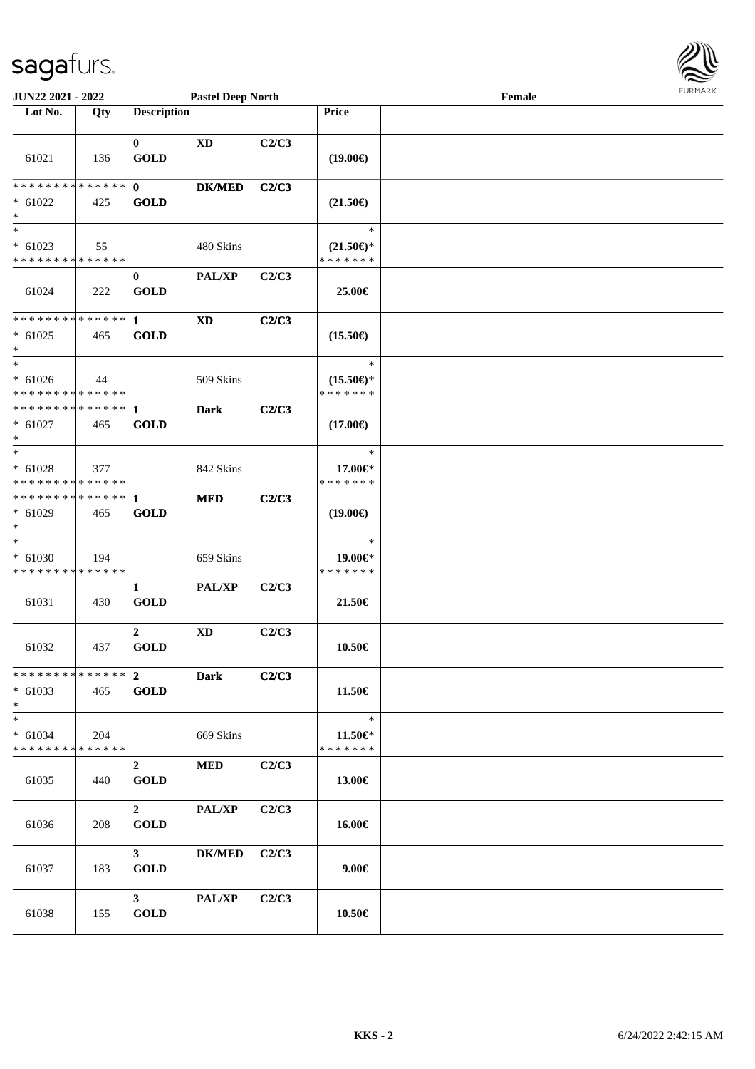

| <b>JUN22 2021 - 2022</b>                                             |     |                               | <b>Pastel Deep North</b> |       |                                                | Female | <b>FURMARK</b> |
|----------------------------------------------------------------------|-----|-------------------------------|--------------------------|-------|------------------------------------------------|--------|----------------|
| Lot No.                                                              | Qty | <b>Description</b>            |                          |       | Price                                          |        |                |
| 61021                                                                | 136 | $\mathbf{0}$<br><b>GOLD</b>   | <b>XD</b>                | C2/C3 | $(19.00\epsilon)$                              |        |                |
| * * * * * * * * * * * * * * *<br>$* 61022$<br>$\ast$                 | 425 | $\mathbf{0}$<br><b>GOLD</b>   | <b>DK/MED</b>            | C2/C3 | $(21.50\epsilon)$                              |        |                |
| $*$<br>$* 61023$<br>* * * * * * * * * * * * * *                      | 55  |                               | 480 Skins                |       | $\ast$<br>$(21.50\epsilon)$ *<br>* * * * * * * |        |                |
| 61024                                                                | 222 | $\mathbf{0}$<br><b>GOLD</b>   | PAL/XP                   | C2/C3 | 25.00€                                         |        |                |
| ************* 1<br>$* 61025$<br>$*$                                  | 465 | <b>GOLD</b>                   | XD                       | C2/C3 | $(15.50\epsilon)$                              |        |                |
| $\overline{\phantom{0}}$<br>$* 61026$<br>* * * * * * * * * * * * * * | 44  |                               | 509 Skins                |       | $\ast$<br>$(15.50\epsilon)$ *<br>* * * * * * * |        |                |
| $* 61027$<br>$*$                                                     | 465 | <b>GOLD</b>                   | <b>Dark</b>              | C2/C3 | $(17.00\epsilon)$                              |        |                |
| $* 61028$<br>* * * * * * * * * * * * * *                             | 377 |                               | 842 Skins                |       | $\ast$<br>17.00€*<br>* * * * * * *             |        |                |
| * * * * * * * * * * * * * * <mark>*</mark><br>$* 61029$<br>$*$       | 465 | $\mathbf{1}$<br><b>GOLD</b>   | <b>MED</b>               | C2/C3 | $(19.00\epsilon)$                              |        |                |
| $\ast$<br>$* 61030$<br>* * * * * * * * * * * * * *                   | 194 |                               | 659 Skins                |       | $\ast$<br>19.00€*<br>* * * * * * *             |        |                |
| 61031                                                                | 430 | $\mathbf{1}$<br><b>GOLD</b>   | PAL/XP                   | C2/C3 | 21.50€                                         |        |                |
| 61032                                                                | 437 | $\overline{2}$<br><b>GOLD</b> | XD                       | C2/C3 | 10.50€                                         |        |                |
| * * * * * * * * * * * * * * *<br>$* 61033$<br>$*$                    | 465 | $\mathbf{2}$<br>GOLD          | <b>Dark</b>              | C2/C3 | 11.50€                                         |        |                |
| $*$<br>$* 61034$<br>* * * * * * * * <mark>* * * * * *</mark>         | 204 |                               | 669 Skins                |       | $\ast$<br>$11.50 \in$<br>* * * * * * *         |        |                |
| 61035                                                                | 440 | $\overline{2}$<br>GOLD        | <b>MED</b>               | C2/C3 | 13.00€                                         |        |                |
| 61036                                                                | 208 | $2^{\circ}$<br><b>GOLD</b>    | PAL/XP                   | C2/C3 | 16.00€                                         |        |                |
| 61037                                                                | 183 | 3 <sup>1</sup><br><b>GOLD</b> | <b>DK/MED</b>            | C2/C3 | $9.00 \in$                                     |        |                |
| 61038                                                                | 155 | 3 <sup>7</sup><br><b>GOLD</b> | PAL/XP                   | C2/C3 | 10.50€                                         |        |                |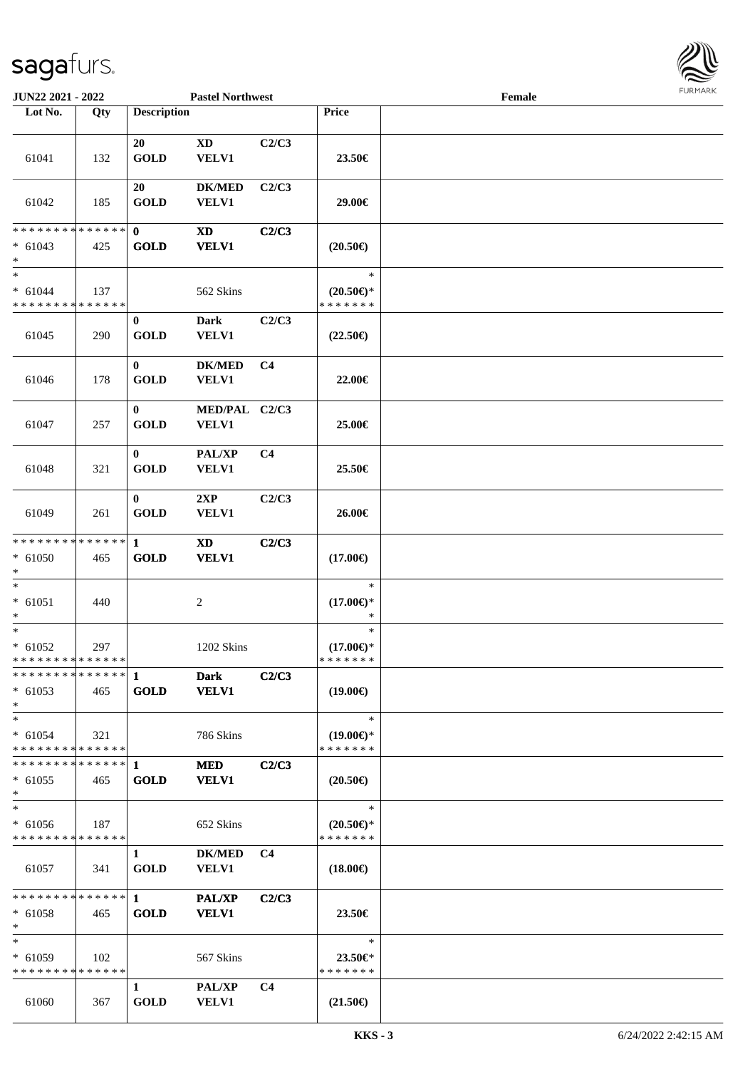

| JUN22 2021 - 2022                                     |     |                             | <b>Pastel Northwest</b>       |                |                                                | Female |  |
|-------------------------------------------------------|-----|-----------------------------|-------------------------------|----------------|------------------------------------------------|--------|--|
| Lot No.                                               | Qty | <b>Description</b>          |                               |                | Price                                          |        |  |
| 61041                                                 | 132 | 20<br><b>GOLD</b>           | <b>XD</b><br>VELV1            | C2/C3          | 23.50€                                         |        |  |
| 61042                                                 | 185 | 20<br><b>GOLD</b>           | <b>DK/MED</b><br>VELV1        | C2/C3          | 29.00€                                         |        |  |
| * * * * * * * * * * * * * *                           |     | $\mathbf{0}$                | <b>XD</b>                     | C2/C3          |                                                |        |  |
| $* 61043$<br>$*$                                      | 425 | <b>GOLD</b>                 | <b>VELV1</b>                  |                | $(20.50\epsilon)$                              |        |  |
| $\ast$<br>$* 61044$<br>* * * * * * * * * * * * * *    | 137 |                             | 562 Skins                     |                | $\ast$<br>$(20.50\epsilon)$ *<br>* * * * * * * |        |  |
| 61045                                                 | 290 | $\bf{0}$<br><b>GOLD</b>     | <b>Dark</b><br><b>VELV1</b>   | C2/C3          | $(22.50\epsilon)$                              |        |  |
| 61046                                                 | 178 | $\bf{0}$<br><b>GOLD</b>     | <b>DK/MED</b><br>VELV1        | C <sub>4</sub> | 22.00€                                         |        |  |
| 61047                                                 | 257 | $\bf{0}$<br><b>GOLD</b>     | MED/PAL C2/C3<br>VELV1        |                | 25.00€                                         |        |  |
| 61048                                                 | 321 | $\bf{0}$<br><b>GOLD</b>     | PAL/XP<br>VELV1               | C <sub>4</sub> | 25.50€                                         |        |  |
| 61049                                                 | 261 | $\bf{0}$<br><b>GOLD</b>     | 2XP<br>VELV1                  | C2/C3          | 26.00€                                         |        |  |
| * * * * * * * * * * * * * *<br>$* 61050$<br>$\ast$    | 465 | $\mathbf{1}$<br><b>GOLD</b> | <b>XD</b><br><b>VELV1</b>     | C2/C3          | $(17.00\epsilon)$                              |        |  |
| $\ast$<br>$* 61051$<br>$\ast$                         | 440 |                             | $\overline{c}$                |                | $\ast$<br>$(17.00\epsilon)$ *<br>$\ast$        |        |  |
| $\ast$<br>$* 61052$<br>* * * * * * * * * * * * * *    | 297 |                             | 1202 Skins                    |                | $\ast$<br>$(17.00\epsilon)$ *<br>* * * * * * * |        |  |
| * * * * * * * * * * * * * * *<br>$* 61053$<br>$*$     | 465 | $\mathbf{1}$<br><b>GOLD</b> | <b>Dark</b><br><b>VELV1</b>   | C2/C3          | $(19.00\epsilon)$                              |        |  |
| $*$<br>$* 61054$<br>* * * * * * * * * * * * * *       | 321 |                             | 786 Skins                     |                | $\ast$<br>$(19.00\epsilon)$ *<br>* * * * * * * |        |  |
| **************<br>$* 61055$<br>$*$                    | 465 | -1<br><b>GOLD</b>           | <b>MED</b><br><b>VELV1</b>    | C2/C3          | $(20.50\epsilon)$                              |        |  |
| $\ast$<br>$* 61056$<br>* * * * * * * * * * * * * *    | 187 |                             | 652 Skins                     |                | $\ast$<br>$(20.50\epsilon)$ *<br>* * * * * * * |        |  |
| 61057                                                 | 341 | $\mathbf{1}$<br><b>GOLD</b> | DK/MED C4<br><b>VELV1</b>     |                | $(18.00\epsilon)$                              |        |  |
| ******** <mark>******</mark> 1<br>$* 61058$<br>$\ast$ | 465 | <b>GOLD</b>                 | <b>PAL/XP</b><br><b>VELV1</b> | C2/C3          | 23.50€                                         |        |  |
| $\ast$<br>$* 61059$<br>* * * * * * * * * * * * * *    | 102 |                             | 567 Skins                     |                | $\ast$<br>$23.50 \in$ *<br>* * * * * * *       |        |  |
| 61060                                                 | 367 | $\mathbf{1}$<br><b>GOLD</b> | <b>PAL/XP</b><br><b>VELV1</b> | C <sub>4</sub> | $(21.50\epsilon)$                              |        |  |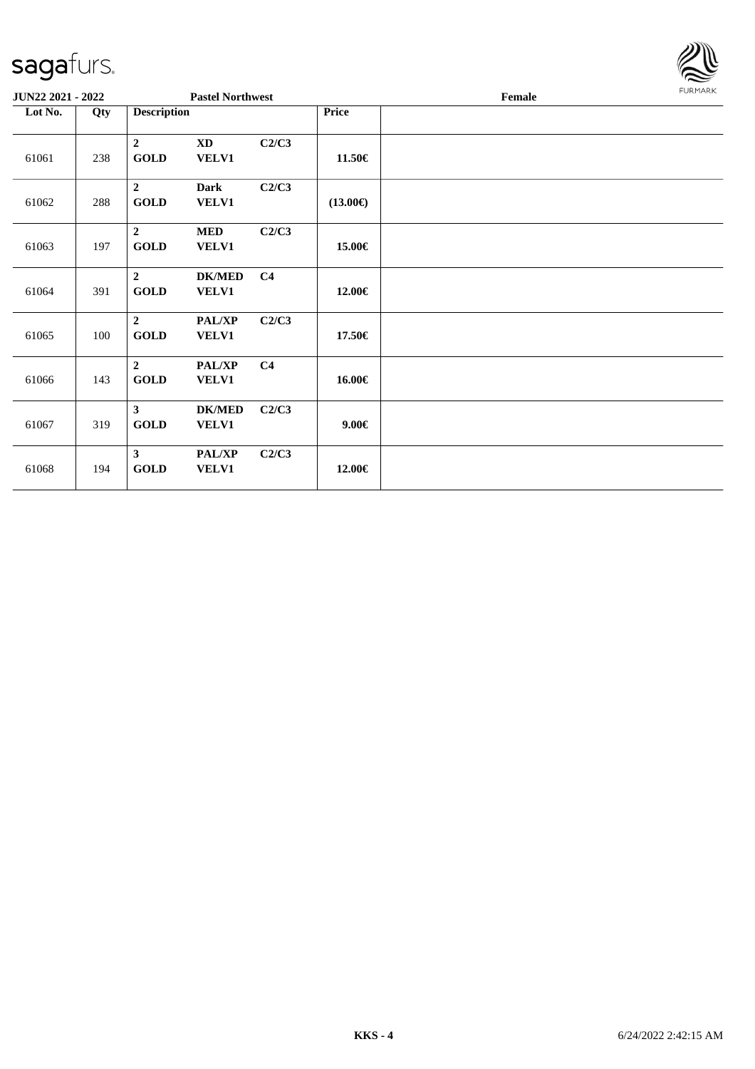| sagafurs.                |     |                               |                                 |                |                   |        |                |
|--------------------------|-----|-------------------------------|---------------------------------|----------------|-------------------|--------|----------------|
| <b>JUN22 2021 - 2022</b> |     |                               | <b>Pastel Northwest</b>         |                |                   | Female | <b>FURMARK</b> |
| Lot No.                  | Qty | <b>Description</b>            |                                 |                | <b>Price</b>      |        |                |
| 61061                    | 238 | $\overline{2}$<br><b>GOLD</b> | $\mathbf{X}\mathbf{D}$<br>VELV1 | C2/C3          | 11.50€            |        |                |
| 61062                    | 288 | $\overline{2}$<br><b>GOLD</b> | <b>Dark</b><br>VELV1            | C2/C3          | $(13.00\epsilon)$ |        |                |
| 61063                    | 197 | $\overline{2}$<br><b>GOLD</b> | <b>MED</b><br>VELV1             | C2/C3          | 15.00€            |        |                |
| 61064                    | 391 | $\overline{2}$<br><b>GOLD</b> | <b>DK/MED</b><br>VELV1          | C <sub>4</sub> | 12.00€            |        |                |
| 61065                    | 100 | $\overline{2}$<br><b>GOLD</b> | PAL/XP<br><b>VELV1</b>          | C2/C3          | 17.50€            |        |                |
| 61066                    | 143 | $\overline{2}$<br><b>GOLD</b> | PAL/XP<br>VELV1                 | C <sub>4</sub> | 16.00€            |        |                |
| 61067                    | 319 | $\mathbf{3}$<br><b>GOLD</b>   | <b>DK/MED</b><br>VELV1          | C2/C3          | $9.00 \in$        |        |                |
| 61068                    | 194 | $\mathbf{3}$<br><b>GOLD</b>   | <b>PAL/XP</b><br>VELV1          | C2/C3          | 12.00€            |        |                |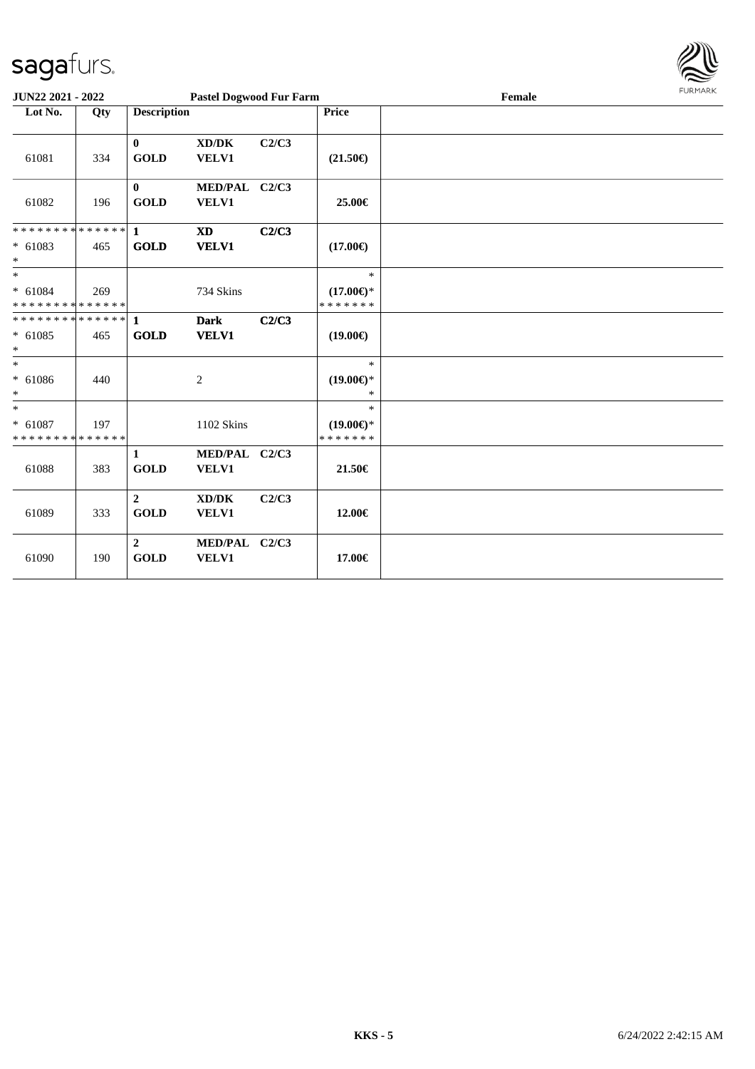

| JUN22 2021 - 2022                                                 |     |                               | <b>Pastel Dogwood Fur Farm</b>                       |       |                                                | Female | <b>FURMARK</b> |
|-------------------------------------------------------------------|-----|-------------------------------|------------------------------------------------------|-------|------------------------------------------------|--------|----------------|
| Lot No.                                                           | Qty | <b>Description</b>            |                                                      |       | Price                                          |        |                |
| 61081                                                             | 334 | $\bf{0}$<br><b>GOLD</b>       | $\mathbf{X}\mathbf{D}/\mathbf{D}\mathbf{K}$<br>VELV1 | C2/C3 | $(21.50\epsilon)$                              |        |                |
| 61082                                                             | 196 | $\mathbf{0}$<br><b>GOLD</b>   | MED/PAL C2/C3<br><b>VELV1</b>                        |       | 25.00€                                         |        |                |
| * * * * * * * * <mark>* * * * * * *</mark><br>$* 61083$<br>$*$    | 465 | $\mathbf{1}$<br><b>GOLD</b>   | <b>XD</b><br><b>VELV1</b>                            | C2/C3 | $(17.00\epsilon)$                              |        |                |
| $*$<br>$* 61084$<br>* * * * * * * * * * * * * *                   | 269 |                               | 734 Skins                                            |       | $\ast$<br>$(17.00\epsilon)$ *<br>* * * * * * * |        |                |
| * * * * * * * * * * * * * * <mark>*</mark><br>$* 61085$<br>$\ast$ | 465 | $\mathbf{1}$<br><b>GOLD</b>   | <b>Dark</b><br><b>VELV1</b>                          | C2/C3 | $(19.00\epsilon)$                              |        |                |
| $\ast$<br>$* 61086$<br>$*$                                        | 440 |                               | 2                                                    |       | $\ast$<br>$(19.00\epsilon)$ *<br>$\ast$        |        |                |
| $\ast$<br>$* 61087$<br>* * * * * * * * * * * * * *                | 197 |                               | 1102 Skins                                           |       | $\ast$<br>$(19.00\epsilon)$ *<br>* * * * * * * |        |                |
| 61088                                                             | 383 | $\mathbf{1}$<br><b>GOLD</b>   | MED/PAL C2/C3<br>VELV1                               |       | 21.50€                                         |        |                |
| 61089                                                             | 333 | $\overline{2}$<br><b>GOLD</b> | XD/DK<br>VELV1                                       | C2/C3 | 12.00€                                         |        |                |
| 61090                                                             | 190 | $\overline{2}$<br><b>GOLD</b> | MED/PAL C2/C3<br>VELV1                               |       | 17.00€                                         |        |                |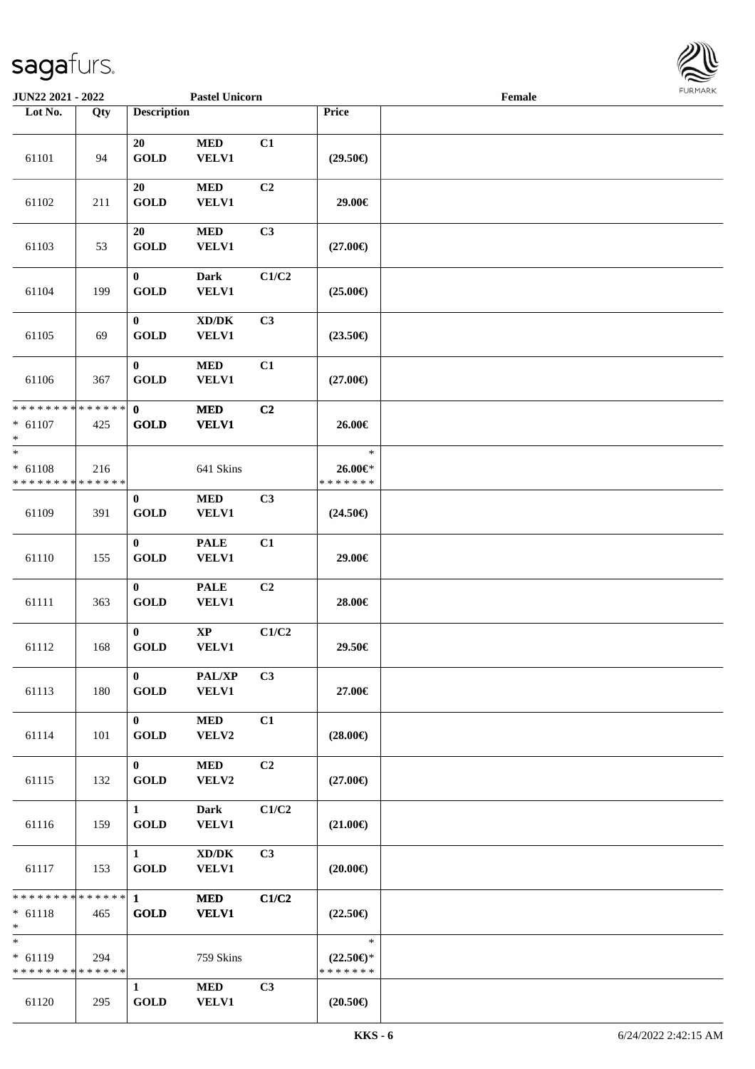

| JUN22 2021 - 2022                                   |     |                                       | <b>Pastel Unicorn</b>                        |                |                                                | Female |  |
|-----------------------------------------------------|-----|---------------------------------------|----------------------------------------------|----------------|------------------------------------------------|--------|--|
| Lot No.                                             | Qty | <b>Description</b>                    |                                              |                | Price                                          |        |  |
| 61101                                               | 94  | 20<br><b>GOLD</b>                     | $\bf MED$<br><b>VELV1</b>                    | C1             | $(29.50\epsilon)$                              |        |  |
| 61102                                               | 211 | 20<br><b>GOLD</b>                     | $\bf MED$<br><b>VELV1</b>                    | C2             | 29.00€                                         |        |  |
| 61103                                               | 53  | 20<br><b>GOLD</b>                     | <b>MED</b><br><b>VELV1</b>                   | C3             | $(27.00\epsilon)$                              |        |  |
| 61104                                               | 199 | $\bf{0}$<br><b>GOLD</b>               | <b>Dark</b><br><b>VELV1</b>                  | C1/C2          | $(25.00\epsilon)$                              |        |  |
| 61105                                               | 69  | $\pmb{0}$<br><b>GOLD</b>              | $\bold{X}\bold{D}/\bold{D}\bold{K}$<br>VELV1 | C3             | $(23.50\epsilon)$                              |        |  |
| 61106                                               | 367 | $\bf{0}$<br><b>GOLD</b>               | $\bf MED$<br>VELV1                           | C1             | $(27.00\epsilon)$                              |        |  |
| ******** <mark>******</mark><br>$* 61107$<br>$\ast$ | 425 | $\mathbf{0}$<br><b>GOLD</b>           | <b>MED</b><br><b>VELV1</b>                   | C2             | 26.00€                                         |        |  |
| $*$<br>$* 61108$<br>* * * * * * * * * * * * * *     | 216 |                                       | 641 Skins                                    |                | $\ast$<br>26.00€*<br>* * * * * * *             |        |  |
| 61109                                               | 391 | $\bf{0}$<br><b>GOLD</b>               | $\bf MED$<br>VELV1                           | C3             | $(24.50\epsilon)$                              |        |  |
| 61110                                               | 155 | $\bf{0}$<br><b>GOLD</b>               | <b>PALE</b><br>VELV1                         | C1             | 29.00€                                         |        |  |
| 61111                                               | 363 | $\bf{0}$<br><b>GOLD</b>               | <b>PALE</b><br>VELV1                         | C2             | 28.00€                                         |        |  |
| 61112                                               | 168 | $\mathbf{0}$<br><b>GOLD</b>           | $\bold{XP}$<br>VELV1                         | C1/C2          | 29.50€                                         |        |  |
| 61113                                               | 180 | $\mathbf{0}$<br><b>GOLD</b>           | PAL/XP<br><b>VELV1</b>                       | C3             | 27.00€                                         |        |  |
| 61114                                               | 101 | $\mathbf{0}$<br><b>GOLD</b>           | <b>MED</b><br>VELV2                          | C1             | $(28.00\epsilon)$                              |        |  |
| 61115                                               | 132 | $\mathbf{0}$<br><b>GOLD</b>           | <b>MED</b><br>VELV2                          | C <sub>2</sub> | $(27.00\epsilon)$                              |        |  |
| 61116                                               | 159 | $1 \quad \blacksquare$<br><b>GOLD</b> | <b>Dark</b><br><b>VELV1</b>                  | C1/C2          | $(21.00\epsilon)$                              |        |  |
| 61117                                               | 153 | $\mathbf{1}$<br><b>GOLD</b>           | $\bold{X}\bold{D}/\bold{D}\bold{K}$<br>VELV1 | C3             | $(20.00\epsilon)$                              |        |  |
| * * * * * * * * * * * * * * *<br>$* 61118$<br>$*$   | 465 | $\mathbf{1}$<br><b>GOLD</b>           | <b>MED</b><br><b>VELV1</b>                   | C1/C2          | $(22.50\epsilon)$                              |        |  |
| $\ast$<br>$* 61119$<br>* * * * * * * * * * * * * *  | 294 |                                       | 759 Skins                                    |                | $\ast$<br>$(22.50\epsilon)$ *<br>* * * * * * * |        |  |
| 61120                                               | 295 | $\mathbf{1}$<br><b>GOLD</b>           | <b>MED</b><br><b>VELV1</b>                   | C3             | $(20.50\epsilon)$                              |        |  |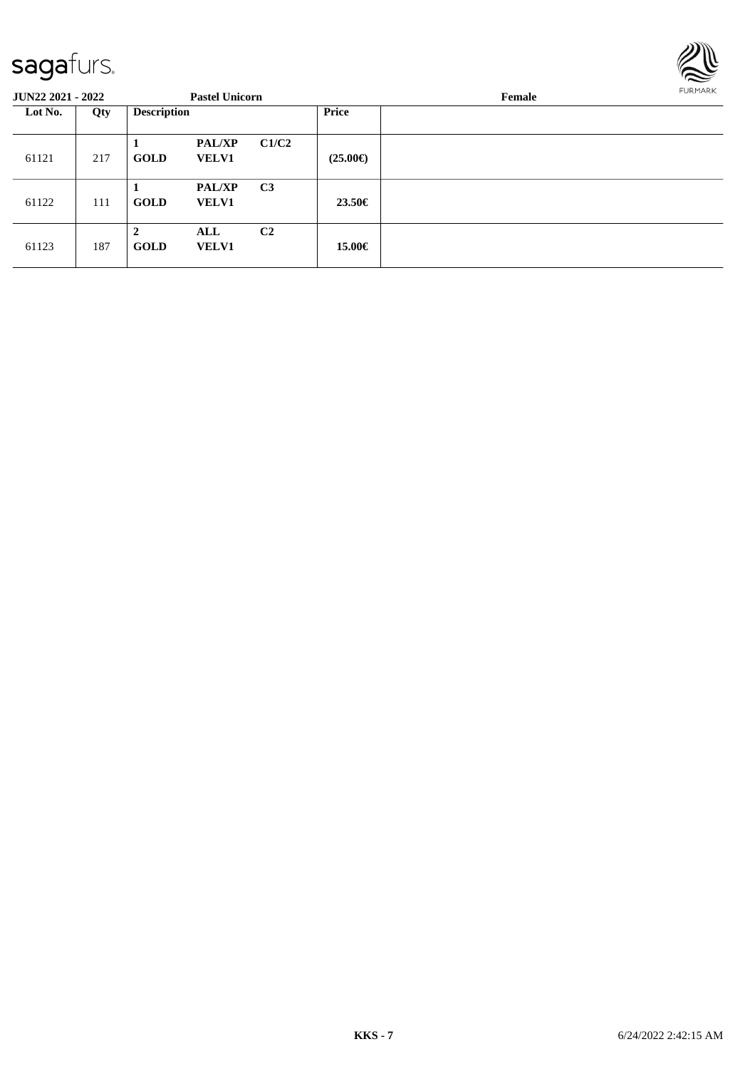

| <b>JUN22 2021 - 2022</b> |     |                               | <b>Pastel Unicorn</b>         |                |                   | Female | <b>FURMARK</b> |
|--------------------------|-----|-------------------------------|-------------------------------|----------------|-------------------|--------|----------------|
| Lot No.                  | Qty | <b>Description</b>            |                               |                | <b>Price</b>      |        |                |
| 61121                    | 217 | <b>GOLD</b>                   | <b>PAL/XP</b><br><b>VELV1</b> | C1/C2          | $(25.00\epsilon)$ |        |                |
| 61122                    | 111 | 1<br><b>GOLD</b>              | <b>PAL/XP</b><br><b>VELV1</b> | C <sub>3</sub> | 23.50€            |        |                |
| 61123                    | 187 | $\overline{2}$<br><b>GOLD</b> | ALL<br><b>VELV1</b>           | C <sub>2</sub> | 15.00€            |        |                |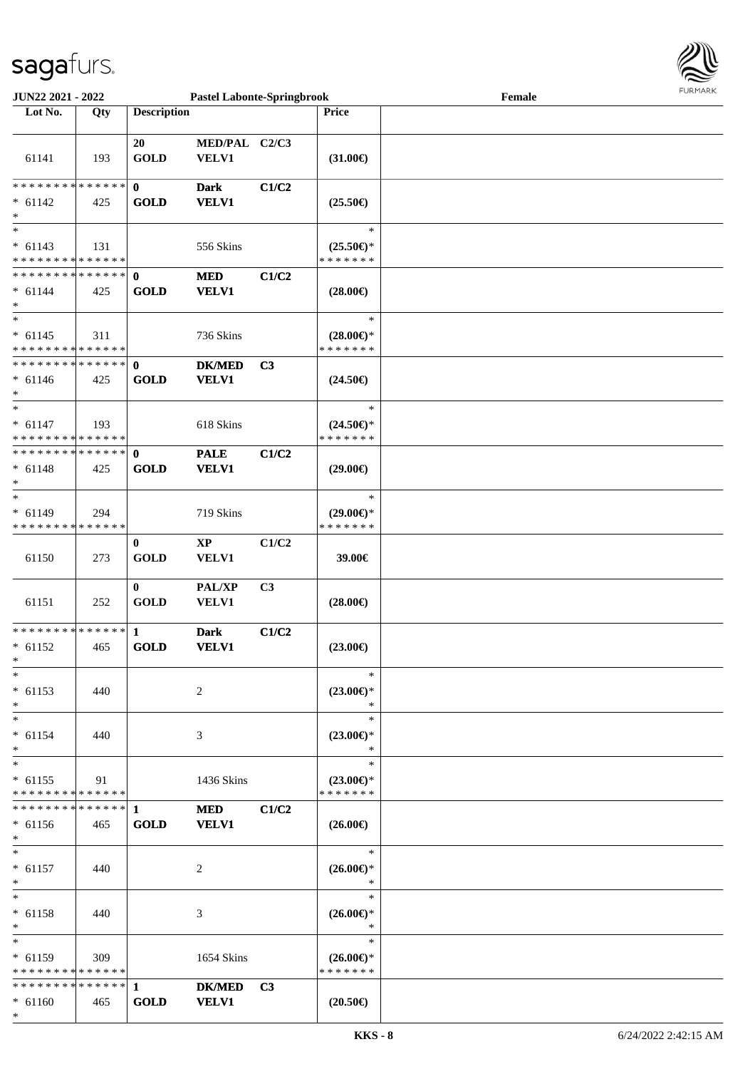

| JUN22 2021 - 2022                          |     |                    | <b>Pastel Labonte-Springbrook</b> |                |                     | Female |  |
|--------------------------------------------|-----|--------------------|-----------------------------------|----------------|---------------------|--------|--|
| Lot No.                                    | Qty | <b>Description</b> |                                   |                | <b>Price</b>        |        |  |
|                                            |     |                    |                                   |                |                     |        |  |
|                                            |     | 20                 | MED/PAL C2/C3                     |                |                     |        |  |
|                                            |     |                    |                                   |                |                     |        |  |
| 61141                                      | 193 | <b>GOLD</b>        | VELV1                             |                | $(31.00\epsilon)$   |        |  |
|                                            |     |                    |                                   |                |                     |        |  |
| * * * * * * * * <mark>* * * * * * *</mark> |     | $\mathbf 0$        | <b>Dark</b>                       | C1/C2          |                     |        |  |
| $* 61142$                                  | 425 | <b>GOLD</b>        | <b>VELV1</b>                      |                | $(25.50\epsilon)$   |        |  |
| $\ast$                                     |     |                    |                                   |                |                     |        |  |
| $_{*}$                                     |     |                    |                                   |                | $\ast$              |        |  |
|                                            |     |                    |                                   |                |                     |        |  |
| $* 61143$                                  | 131 |                    | 556 Skins                         |                | $(25.50\epsilon)$ * |        |  |
| * * * * * * * * * * * * * *                |     |                    |                                   |                | * * * * * * *       |        |  |
| ******** <mark>******</mark>               |     | $\mathbf{0}$       | <b>MED</b>                        | C1/C2          |                     |        |  |
| $* 61144$                                  | 425 | <b>GOLD</b>        | <b>VELV1</b>                      |                | $(28.00\epsilon)$   |        |  |
| $*$                                        |     |                    |                                   |                |                     |        |  |
| $*$                                        |     |                    |                                   |                | $\ast$              |        |  |
|                                            |     |                    |                                   |                |                     |        |  |
| $* 61145$                                  | 311 |                    | 736 Skins                         |                | $(28.00\epsilon)$ * |        |  |
| * * * * * * * * * * * * * *                |     |                    |                                   |                | * * * * * * *       |        |  |
| * * * * * * * * <mark>* * * * * * *</mark> |     | $\mathbf{0}$       | <b>DK/MED</b>                     | C3             |                     |        |  |
| $* 61146$                                  | 425 | <b>GOLD</b>        | <b>VELV1</b>                      |                | $(24.50\epsilon)$   |        |  |
| $\ast$                                     |     |                    |                                   |                |                     |        |  |
| $\overline{\ast}$                          |     |                    |                                   |                | $\ast$              |        |  |
| $* 61147$                                  | 193 |                    | 618 Skins                         |                | $(24.50\epsilon)$ * |        |  |
|                                            |     |                    |                                   |                |                     |        |  |
| * * * * * * * * <mark>* * * * * * *</mark> |     |                    |                                   |                | * * * * * * *       |        |  |
| ******** <mark>******</mark>               |     | $\mathbf{0}$       | <b>PALE</b>                       | C1/C2          |                     |        |  |
| $* 61148$                                  | 425 | <b>GOLD</b>        | <b>VELV1</b>                      |                | $(29.00\epsilon)$   |        |  |
| $\ast$                                     |     |                    |                                   |                |                     |        |  |
| $*$                                        |     |                    |                                   |                | $\ast$              |        |  |
| $* 61149$                                  | 294 |                    |                                   |                |                     |        |  |
|                                            |     |                    | 719 Skins                         |                | $(29.00\epsilon)$ * |        |  |
| * * * * * * * * * * * * * *                |     |                    |                                   |                | * * * * * * *       |        |  |
|                                            |     | $\bf{0}$           | <b>XP</b>                         | C1/C2          |                     |        |  |
| 61150                                      | 273 | <b>GOLD</b>        | VELV1                             |                | 39.00€              |        |  |
|                                            |     |                    |                                   |                |                     |        |  |
|                                            |     | $\mathbf{0}$       | PAL/XP                            | C <sub>3</sub> |                     |        |  |
| 61151                                      | 252 | <b>GOLD</b>        | VELV1                             |                | $(28.00\epsilon)$   |        |  |
|                                            |     |                    |                                   |                |                     |        |  |
|                                            |     |                    |                                   |                |                     |        |  |
| ******** <mark>******</mark>               |     | $\mathbf{1}$       | <b>Dark</b>                       | C1/C2          |                     |        |  |
| $* 61152$                                  | 465 | <b>GOLD</b>        | <b>VELV1</b>                      |                | $(23.00\epsilon)$   |        |  |
| $*$                                        |     |                    |                                   |                |                     |        |  |
| $*$                                        |     |                    |                                   |                | $\ast$              |        |  |
| $* 61153$                                  | 440 |                    | 2                                 |                | $(23.00\epsilon)$ * |        |  |
| $*$                                        |     |                    |                                   |                | $\ast$              |        |  |
|                                            |     |                    |                                   |                |                     |        |  |
| $*$                                        |     |                    |                                   |                | $\ast$              |        |  |
| $* 61154$                                  | 440 |                    | 3                                 |                | $(23.00\epsilon)$ * |        |  |
| $\ast$                                     |     |                    |                                   |                | $\ast$              |        |  |
| $\ast$                                     |     |                    |                                   |                | $\ast$              |        |  |
| $* 61155$                                  | 91  |                    | 1436 Skins                        |                | $(23.00\epsilon)$ * |        |  |
| * * * * * * * * * * * * * *                |     |                    |                                   |                | * * * * * * *       |        |  |
|                                            |     |                    |                                   |                |                     |        |  |
|                                            |     |                    | <b>MED</b>                        | C1/C2          |                     |        |  |
| $* 61156$                                  | 465 | <b>GOLD</b>        | <b>VELV1</b>                      |                | $(26.00\epsilon)$   |        |  |
| $\ast$                                     |     |                    |                                   |                |                     |        |  |
| $*$                                        |     |                    |                                   |                | $\ast$              |        |  |
| $* 61157$                                  | 440 |                    | 2                                 |                | $(26.00\epsilon)$ * |        |  |
| *                                          |     |                    |                                   |                | $\ast$              |        |  |
| $*$                                        |     |                    |                                   |                | $\ast$              |        |  |
|                                            |     |                    |                                   |                |                     |        |  |
| $* 61158$                                  | 440 |                    | 3                                 |                | $(26.00\epsilon)$ * |        |  |
| $\ast$                                     |     |                    |                                   |                | $\ast$              |        |  |
| $*$                                        |     |                    |                                   |                | $\ast$              |        |  |
| $* 61159$                                  | 309 |                    | 1654 Skins                        |                | $(26.00\epsilon)$ * |        |  |
| * * * * * * * * * * * * * *                |     |                    |                                   |                | * * * * * * *       |        |  |
|                                            |     |                    | <b>DK/MED</b>                     | C <sub>3</sub> |                     |        |  |
|                                            |     | <b>GOLD</b>        | <b>VELV1</b>                      |                |                     |        |  |
| $* 61160$                                  | 465 |                    |                                   |                | $(20.50\epsilon)$   |        |  |
| $\ast$                                     |     |                    |                                   |                |                     |        |  |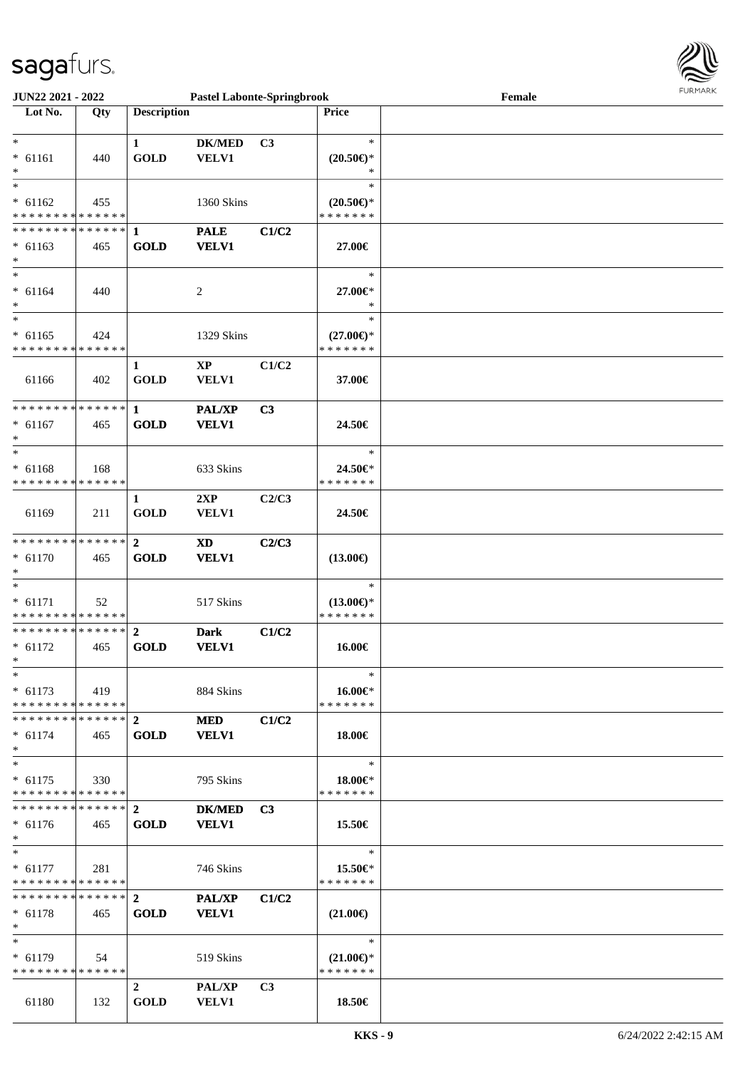

| <b>JUN22 2021 - 2022</b>                   |     |                    | <b>Pastel Labonte-Springbrook</b> |                |                                      | Female | <b>FUNITANN</b> |
|--------------------------------------------|-----|--------------------|-----------------------------------|----------------|--------------------------------------|--------|-----------------|
| Lot No.                                    | Qty | <b>Description</b> |                                   |                | <b>Price</b>                         |        |                 |
|                                            |     |                    |                                   |                |                                      |        |                 |
| $\ast$                                     |     | 1                  | <b>DK/MED</b>                     | C <sub>3</sub> | $\ast$                               |        |                 |
| $* 61161$                                  | 440 | <b>GOLD</b>        | VELV1                             |                | $(20.50\epsilon)$ *                  |        |                 |
| $\ast$                                     |     |                    |                                   |                | $\ast$                               |        |                 |
| $\overline{\ast}$                          |     |                    |                                   |                | $\ast$                               |        |                 |
| $* 61162$                                  | 455 |                    | 1360 Skins                        |                | $(20.50\epsilon)$ *                  |        |                 |
| * * * * * * * * <mark>* * * * * * *</mark> |     |                    |                                   |                | * * * * * * *                        |        |                 |
|                                            |     |                    |                                   |                |                                      |        |                 |
|                                            |     |                    | <b>PALE</b>                       | C1/C2          |                                      |        |                 |
| $* 61163$                                  | 465 | <b>GOLD</b>        | <b>VELV1</b>                      |                | 27.00€                               |        |                 |
| $\ast$                                     |     |                    |                                   |                |                                      |        |                 |
| $*$                                        |     |                    |                                   |                | $\ast$                               |        |                 |
| $* 61164$                                  | 440 |                    | $\overline{c}$                    |                | 27.00€*                              |        |                 |
| $\ast$                                     |     |                    |                                   |                | $\ast$                               |        |                 |
| $\overline{\ast}$                          |     |                    |                                   |                | $\ast$                               |        |                 |
| $* 61165$                                  | 424 |                    | 1329 Skins                        |                | $(27.00\epsilon)$ *                  |        |                 |
| * * * * * * * * <mark>* * * * * * *</mark> |     |                    |                                   |                | * * * * * * *                        |        |                 |
|                                            |     | 1                  | $\mathbf{XP}$                     | C1/C2          |                                      |        |                 |
| 61166                                      | 402 | <b>GOLD</b>        | VELV1                             |                | 37.00€                               |        |                 |
|                                            |     |                    |                                   |                |                                      |        |                 |
| * * * * * * * * * * * * * *                |     | $\mathbf{1}$       | <b>PAL/XP</b>                     | C3             |                                      |        |                 |
| $* 61167$                                  | 465 | <b>GOLD</b>        | <b>VELV1</b>                      |                | 24.50€                               |        |                 |
| $\ast$                                     |     |                    |                                   |                |                                      |        |                 |
| $\ast$                                     |     |                    |                                   |                | $\ast$                               |        |                 |
|                                            |     |                    |                                   |                |                                      |        |                 |
| $* 61168$                                  | 168 |                    | 633 Skins                         |                | 24.50€*                              |        |                 |
| * * * * * * * * <mark>* * * * * *</mark>   |     |                    |                                   |                | * * * * * * *                        |        |                 |
|                                            |     | $\mathbf{1}$       | 2XP                               | C2/C3          |                                      |        |                 |
| 61169                                      | 211 | <b>GOLD</b>        | VELV1                             |                | 24.50€                               |        |                 |
|                                            |     |                    |                                   |                |                                      |        |                 |
| * * * * * * * * <mark>* * * * * * *</mark> |     | $\overline{2}$     | XD                                | C2/C3          |                                      |        |                 |
| $* 61170$                                  | 465 | <b>GOLD</b>        | <b>VELV1</b>                      |                | $(13.00\epsilon)$                    |        |                 |
| $\ast$                                     |     |                    |                                   |                |                                      |        |                 |
| $\ast$                                     |     |                    |                                   |                | $\ast$                               |        |                 |
| $* 61171$                                  | 52  |                    | 517 Skins                         |                | $(13.00\epsilon)$ *                  |        |                 |
| * * * * * * * * * * * * * * *              |     |                    |                                   |                | * * * * * * *                        |        |                 |
|                                            |     |                    | <b>Dark</b>                       | C1/C2          |                                      |        |                 |
| $* 61172$                                  | 465 | <b>GOLD</b>        | <b>VELV1</b>                      |                | 16.00€                               |        |                 |
| $\ast$                                     |     |                    |                                   |                |                                      |        |                 |
| $\ast$                                     |     |                    |                                   |                | $\ast$                               |        |                 |
| $*$ 61173                                  | 419 |                    | 884 Skins                         |                | 16.00€*                              |        |                 |
| * * * * * * * * <mark>* * * * * * *</mark> |     |                    |                                   |                | * * * * * * *                        |        |                 |
| * * * * * * * * * * * * * * <mark>*</mark> |     | $\mathbf{2}$       |                                   | C1/C2          |                                      |        |                 |
|                                            |     |                    | <b>MED</b>                        |                |                                      |        |                 |
| $*$ 61174                                  | 465 | <b>GOLD</b>        | <b>VELV1</b>                      |                | 18.00€                               |        |                 |
|                                            |     |                    |                                   |                |                                      |        |                 |
| $*$                                        |     |                    |                                   |                | $\ast$                               |        |                 |
| $* 61175$                                  | 330 |                    | 795 Skins                         |                | 18.00€*                              |        |                 |
| * * * * * * * * * * * * * * *              |     |                    |                                   |                | * * * * * * *                        |        |                 |
|                                            |     |                    | <b>DK/MED</b>                     | C3             |                                      |        |                 |
| $* 61176$                                  | 465 | <b>GOLD</b>        | <b>VELV1</b>                      |                | 15.50€                               |        |                 |
| $\ast$                                     |     |                    |                                   |                |                                      |        |                 |
| $\ast$                                     |     |                    |                                   |                | $\ast$                               |        |                 |
| $* 61177$                                  | 281 |                    | 746 Skins                         |                | 15.50€*                              |        |                 |
| * * * * * * * * * * * * * * *              |     |                    |                                   |                | * * * * * * *                        |        |                 |
|                                            |     |                    | <b>PAL/XP</b>                     | C1/C2          |                                      |        |                 |
| $* 61178$                                  | 465 | <b>GOLD</b>        | <b>VELV1</b>                      |                | $(21.00\epsilon)$                    |        |                 |
| $\ast$                                     |     |                    |                                   |                |                                      |        |                 |
| $*$ $*$                                    |     |                    |                                   |                | $\ast$                               |        |                 |
| $* 61179$                                  |     |                    |                                   |                |                                      |        |                 |
| * * * * * * * * * * * * * * *              | 54  |                    | 519 Skins                         |                | $(21.00\epsilon)$ *<br>* * * * * * * |        |                 |
|                                            |     |                    |                                   |                |                                      |        |                 |
|                                            |     | $\mathbf{2}$       | PAL/XP                            | C <sub>3</sub> |                                      |        |                 |
| 61180                                      | 132 | <b>GOLD</b>        | <b>VELV1</b>                      |                | 18.50€                               |        |                 |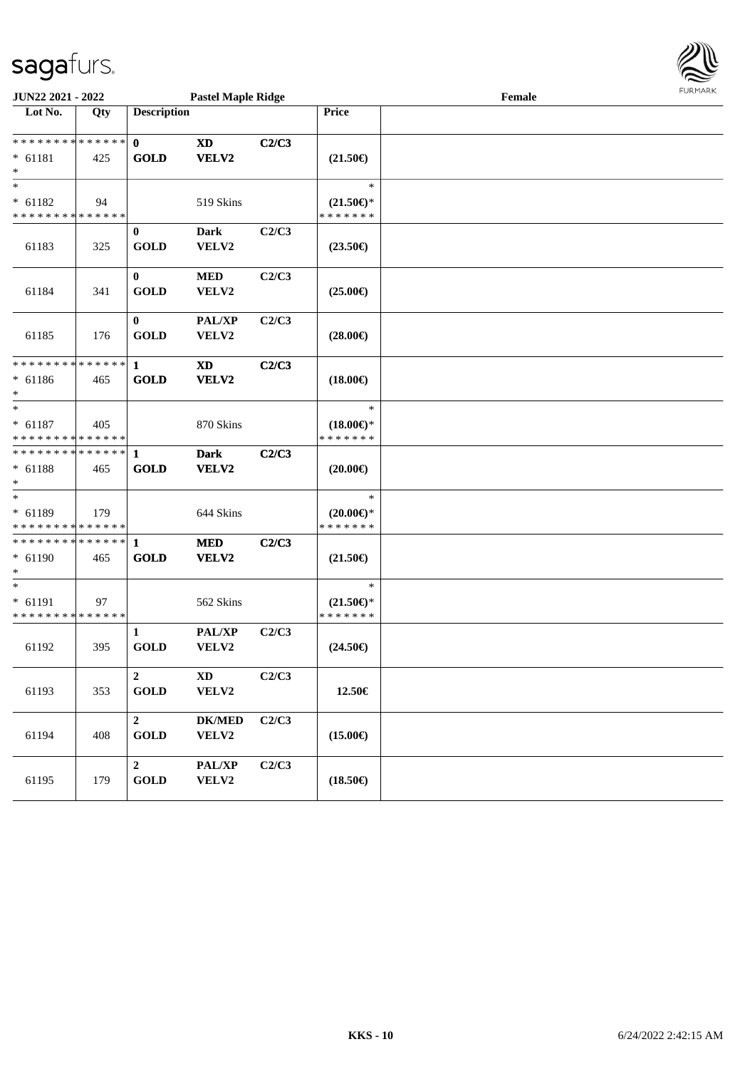

| <b>JUN22 2021 - 2022</b><br><b>Pastel Maple Ridge</b>                |     |                                           |                                 |       |                                                | Female | <b>FURMARK</b> |
|----------------------------------------------------------------------|-----|-------------------------------------------|---------------------------------|-------|------------------------------------------------|--------|----------------|
| Lot No.                                                              | Qty | <b>Description</b>                        |                                 |       | Price                                          |        |                |
| * * * * * * * * <mark>* * * * * * *</mark><br>$* 61181$<br>$*$       | 425 | $\mathbf{0}$<br><b>GOLD</b>               | <b>XD</b><br>VELV2              | C2/C3 | $(21.50\epsilon)$                              |        |                |
| $\overline{\ast}$<br>$* 61182$<br>* * * * * * * * * * * * * *        | 94  |                                           | 519 Skins                       |       | $\ast$<br>$(21.50\epsilon)$ *<br>* * * * * * * |        |                |
| 61183                                                                | 325 | $\bf{0}$<br><b>GOLD</b>                   | <b>Dark</b><br>VELV2            | C2/C3 | $(23.50\epsilon)$                              |        |                |
| 61184                                                                | 341 | $\mathbf{0}$<br><b>GOLD</b>               | <b>MED</b><br>VELV2             | C2/C3 | $(25.00\epsilon)$                              |        |                |
| 61185                                                                | 176 | $\mathbf{0}$<br><b>GOLD</b>               | PAL/XP<br>VELV2                 | C2/C3 | $(28.00\epsilon)$                              |        |                |
| * * * * * * * * * * * * * * *<br>$* 61186$<br>$*$                    | 465 | $\mathbf{1}$<br><b>GOLD</b>               | XD<br>VELV2                     | C2/C3 | $(18.00\epsilon)$                              |        |                |
| $\overline{\phantom{0}}$<br>$* 61187$<br>* * * * * * * * * * * * * * | 405 |                                           | 870 Skins                       |       | $\ast$<br>$(18.00\epsilon)$ *<br>* * * * * * * |        |                |
| * * * * * * * * <mark>* * * * * * *</mark><br>$* 61188$<br>$*$       | 465 | $\mathbf{1}$<br><b>GOLD</b>               | <b>Dark</b><br>VELV2            | C2/C3 | $(20.00\epsilon)$                              |        |                |
| $*$<br>$* 61189$<br>* * * * * * * * <mark>* * * * * * *</mark>       | 179 |                                           | 644 Skins                       |       | $\ast$<br>$(20.00\epsilon)$ *<br>* * * * * * * |        |                |
| * * * * * * * * * * * * * * *<br>$* 61190$<br>$\ast$                 | 465 | $\mathbf{1}$<br><b>GOLD</b>               | <b>MED</b><br>VELV2             | C2/C3 | $(21.50\epsilon)$                              |        |                |
| $*$<br>$* 61191$<br>* * * * * * * * * * * * * *                      | 97  |                                           | 562 Skins                       |       | $\ast$<br>$(21.50\epsilon)$ *<br>* * * * * * * |        |                |
| 61192                                                                | 395 | $\mathbf{1}$<br><b>GOLD</b>               | PAL/XP<br>VELV2                 | C2/C3 | $(24.50\epsilon)$                              |        |                |
| 61193                                                                | 353 | $\boldsymbol{2}$<br><b>GOLD</b>           | $\mathbf{X}\mathbf{D}$<br>VELV2 | C2/C3 | 12.50€                                         |        |                |
| 61194                                                                | 408 | $\boldsymbol{2}$<br>$\operatorname{GOLD}$ | <b>DK/MED</b><br>VELV2          | C2/C3 | $(15.00\epsilon)$                              |        |                |
| 61195                                                                | 179 | $\mathbf 2$<br>$\operatorname{GOLD}$      | PAL/XP<br>VELV2                 | C2/C3 | $(18.50\epsilon)$                              |        |                |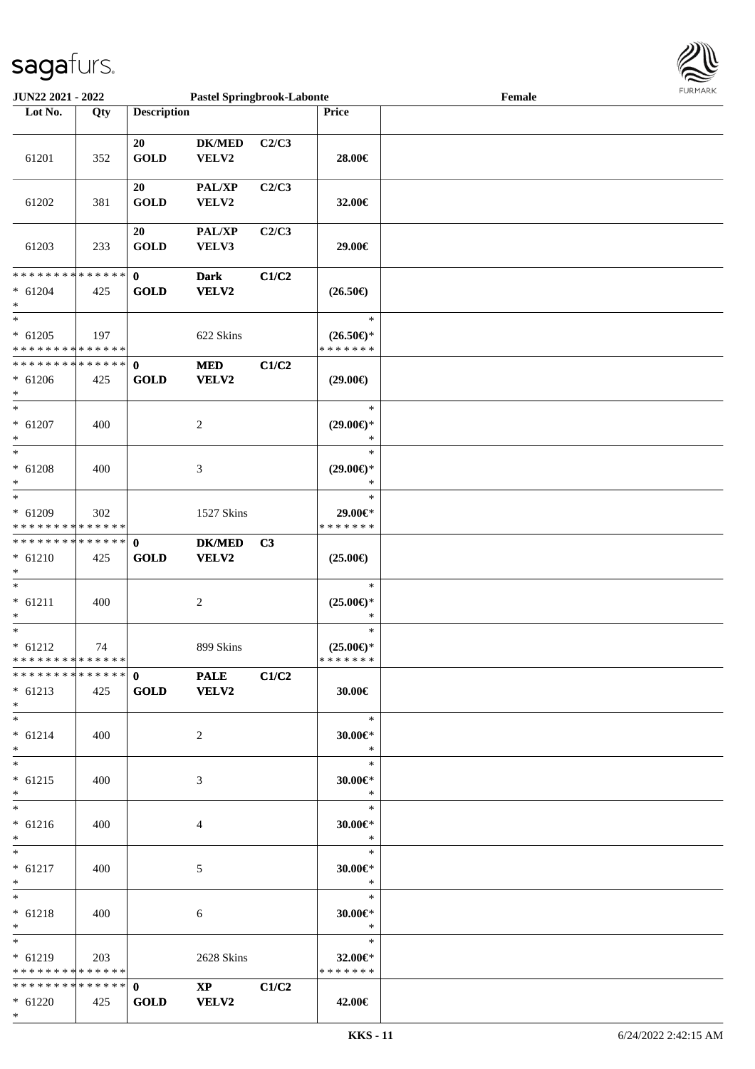

| <b>JUN22 2021 - 2022</b>                      |                                                                                        |                                                                                                                                                                                                                                                                                                                                                                                   |                                                                                                                                                                                                                                                     |                                                             | Female                                                                                                                                                                                                                                                                                                                                                                                                                                                              |
|-----------------------------------------------|----------------------------------------------------------------------------------------|-----------------------------------------------------------------------------------------------------------------------------------------------------------------------------------------------------------------------------------------------------------------------------------------------------------------------------------------------------------------------------------|-----------------------------------------------------------------------------------------------------------------------------------------------------------------------------------------------------------------------------------------------------|-------------------------------------------------------------|---------------------------------------------------------------------------------------------------------------------------------------------------------------------------------------------------------------------------------------------------------------------------------------------------------------------------------------------------------------------------------------------------------------------------------------------------------------------|
| Qty                                           |                                                                                        |                                                                                                                                                                                                                                                                                                                                                                                   |                                                                                                                                                                                                                                                     | <b>Price</b>                                                |                                                                                                                                                                                                                                                                                                                                                                                                                                                                     |
|                                               |                                                                                        |                                                                                                                                                                                                                                                                                                                                                                                   |                                                                                                                                                                                                                                                     |                                                             |                                                                                                                                                                                                                                                                                                                                                                                                                                                                     |
|                                               |                                                                                        |                                                                                                                                                                                                                                                                                                                                                                                   |                                                                                                                                                                                                                                                     |                                                             |                                                                                                                                                                                                                                                                                                                                                                                                                                                                     |
|                                               |                                                                                        |                                                                                                                                                                                                                                                                                                                                                                                   |                                                                                                                                                                                                                                                     |                                                             |                                                                                                                                                                                                                                                                                                                                                                                                                                                                     |
|                                               |                                                                                        |                                                                                                                                                                                                                                                                                                                                                                                   |                                                                                                                                                                                                                                                     |                                                             |                                                                                                                                                                                                                                                                                                                                                                                                                                                                     |
|                                               |                                                                                        |                                                                                                                                                                                                                                                                                                                                                                                   |                                                                                                                                                                                                                                                     |                                                             |                                                                                                                                                                                                                                                                                                                                                                                                                                                                     |
|                                               |                                                                                        |                                                                                                                                                                                                                                                                                                                                                                                   |                                                                                                                                                                                                                                                     |                                                             |                                                                                                                                                                                                                                                                                                                                                                                                                                                                     |
|                                               |                                                                                        |                                                                                                                                                                                                                                                                                                                                                                                   |                                                                                                                                                                                                                                                     |                                                             |                                                                                                                                                                                                                                                                                                                                                                                                                                                                     |
|                                               |                                                                                        |                                                                                                                                                                                                                                                                                                                                                                                   |                                                                                                                                                                                                                                                     |                                                             |                                                                                                                                                                                                                                                                                                                                                                                                                                                                     |
|                                               |                                                                                        |                                                                                                                                                                                                                                                                                                                                                                                   |                                                                                                                                                                                                                                                     |                                                             |                                                                                                                                                                                                                                                                                                                                                                                                                                                                     |
|                                               |                                                                                        |                                                                                                                                                                                                                                                                                                                                                                                   |                                                                                                                                                                                                                                                     |                                                             |                                                                                                                                                                                                                                                                                                                                                                                                                                                                     |
|                                               |                                                                                        |                                                                                                                                                                                                                                                                                                                                                                                   |                                                                                                                                                                                                                                                     |                                                             |                                                                                                                                                                                                                                                                                                                                                                                                                                                                     |
|                                               |                                                                                        |                                                                                                                                                                                                                                                                                                                                                                                   |                                                                                                                                                                                                                                                     |                                                             |                                                                                                                                                                                                                                                                                                                                                                                                                                                                     |
| 425                                           | <b>GOLD</b>                                                                            | VELV2                                                                                                                                                                                                                                                                                                                                                                             |                                                                                                                                                                                                                                                     | $(26.50\epsilon)$                                           |                                                                                                                                                                                                                                                                                                                                                                                                                                                                     |
|                                               |                                                                                        |                                                                                                                                                                                                                                                                                                                                                                                   |                                                                                                                                                                                                                                                     |                                                             |                                                                                                                                                                                                                                                                                                                                                                                                                                                                     |
|                                               |                                                                                        |                                                                                                                                                                                                                                                                                                                                                                                   |                                                                                                                                                                                                                                                     | $\ast$                                                      |                                                                                                                                                                                                                                                                                                                                                                                                                                                                     |
| 197                                           |                                                                                        |                                                                                                                                                                                                                                                                                                                                                                                   |                                                                                                                                                                                                                                                     |                                                             |                                                                                                                                                                                                                                                                                                                                                                                                                                                                     |
|                                               |                                                                                        |                                                                                                                                                                                                                                                                                                                                                                                   |                                                                                                                                                                                                                                                     | * * * * * * *                                               |                                                                                                                                                                                                                                                                                                                                                                                                                                                                     |
|                                               |                                                                                        |                                                                                                                                                                                                                                                                                                                                                                                   |                                                                                                                                                                                                                                                     |                                                             |                                                                                                                                                                                                                                                                                                                                                                                                                                                                     |
|                                               |                                                                                        |                                                                                                                                                                                                                                                                                                                                                                                   |                                                                                                                                                                                                                                                     |                                                             |                                                                                                                                                                                                                                                                                                                                                                                                                                                                     |
|                                               |                                                                                        |                                                                                                                                                                                                                                                                                                                                                                                   |                                                                                                                                                                                                                                                     |                                                             |                                                                                                                                                                                                                                                                                                                                                                                                                                                                     |
|                                               |                                                                                        |                                                                                                                                                                                                                                                                                                                                                                                   |                                                                                                                                                                                                                                                     |                                                             |                                                                                                                                                                                                                                                                                                                                                                                                                                                                     |
|                                               |                                                                                        |                                                                                                                                                                                                                                                                                                                                                                                   |                                                                                                                                                                                                                                                     |                                                             |                                                                                                                                                                                                                                                                                                                                                                                                                                                                     |
|                                               |                                                                                        |                                                                                                                                                                                                                                                                                                                                                                                   |                                                                                                                                                                                                                                                     |                                                             |                                                                                                                                                                                                                                                                                                                                                                                                                                                                     |
|                                               |                                                                                        |                                                                                                                                                                                                                                                                                                                                                                                   |                                                                                                                                                                                                                                                     |                                                             |                                                                                                                                                                                                                                                                                                                                                                                                                                                                     |
|                                               |                                                                                        |                                                                                                                                                                                                                                                                                                                                                                                   |                                                                                                                                                                                                                                                     |                                                             |                                                                                                                                                                                                                                                                                                                                                                                                                                                                     |
|                                               |                                                                                        |                                                                                                                                                                                                                                                                                                                                                                                   |                                                                                                                                                                                                                                                     |                                                             |                                                                                                                                                                                                                                                                                                                                                                                                                                                                     |
|                                               |                                                                                        |                                                                                                                                                                                                                                                                                                                                                                                   |                                                                                                                                                                                                                                                     | $\ast$                                                      |                                                                                                                                                                                                                                                                                                                                                                                                                                                                     |
|                                               |                                                                                        |                                                                                                                                                                                                                                                                                                                                                                                   |                                                                                                                                                                                                                                                     | $\ast$                                                      |                                                                                                                                                                                                                                                                                                                                                                                                                                                                     |
| 302                                           |                                                                                        | 1527 Skins                                                                                                                                                                                                                                                                                                                                                                        |                                                                                                                                                                                                                                                     | 29.00€*                                                     |                                                                                                                                                                                                                                                                                                                                                                                                                                                                     |
| * * * * * * * * <mark>* * * * * *</mark>      |                                                                                        |                                                                                                                                                                                                                                                                                                                                                                                   |                                                                                                                                                                                                                                                     | * * * * * * *                                               |                                                                                                                                                                                                                                                                                                                                                                                                                                                                     |
|                                               | $\mathbf{0}$                                                                           |                                                                                                                                                                                                                                                                                                                                                                                   |                                                                                                                                                                                                                                                     |                                                             |                                                                                                                                                                                                                                                                                                                                                                                                                                                                     |
|                                               |                                                                                        |                                                                                                                                                                                                                                                                                                                                                                                   |                                                                                                                                                                                                                                                     |                                                             |                                                                                                                                                                                                                                                                                                                                                                                                                                                                     |
|                                               |                                                                                        |                                                                                                                                                                                                                                                                                                                                                                                   |                                                                                                                                                                                                                                                     |                                                             |                                                                                                                                                                                                                                                                                                                                                                                                                                                                     |
|                                               |                                                                                        |                                                                                                                                                                                                                                                                                                                                                                                   |                                                                                                                                                                                                                                                     |                                                             |                                                                                                                                                                                                                                                                                                                                                                                                                                                                     |
|                                               |                                                                                        |                                                                                                                                                                                                                                                                                                                                                                                   |                                                                                                                                                                                                                                                     |                                                             |                                                                                                                                                                                                                                                                                                                                                                                                                                                                     |
|                                               |                                                                                        |                                                                                                                                                                                                                                                                                                                                                                                   |                                                                                                                                                                                                                                                     |                                                             |                                                                                                                                                                                                                                                                                                                                                                                                                                                                     |
|                                               |                                                                                        |                                                                                                                                                                                                                                                                                                                                                                                   |                                                                                                                                                                                                                                                     |                                                             |                                                                                                                                                                                                                                                                                                                                                                                                                                                                     |
|                                               |                                                                                        |                                                                                                                                                                                                                                                                                                                                                                                   |                                                                                                                                                                                                                                                     |                                                             |                                                                                                                                                                                                                                                                                                                                                                                                                                                                     |
|                                               |                                                                                        |                                                                                                                                                                                                                                                                                                                                                                                   |                                                                                                                                                                                                                                                     |                                                             |                                                                                                                                                                                                                                                                                                                                                                                                                                                                     |
|                                               |                                                                                        |                                                                                                                                                                                                                                                                                                                                                                                   |                                                                                                                                                                                                                                                     |                                                             |                                                                                                                                                                                                                                                                                                                                                                                                                                                                     |
|                                               |                                                                                        |                                                                                                                                                                                                                                                                                                                                                                                   |                                                                                                                                                                                                                                                     |                                                             |                                                                                                                                                                                                                                                                                                                                                                                                                                                                     |
|                                               |                                                                                        |                                                                                                                                                                                                                                                                                                                                                                                   |                                                                                                                                                                                                                                                     |                                                             |                                                                                                                                                                                                                                                                                                                                                                                                                                                                     |
|                                               |                                                                                        |                                                                                                                                                                                                                                                                                                                                                                                   |                                                                                                                                                                                                                                                     |                                                             |                                                                                                                                                                                                                                                                                                                                                                                                                                                                     |
|                                               |                                                                                        |                                                                                                                                                                                                                                                                                                                                                                                   |                                                                                                                                                                                                                                                     |                                                             |                                                                                                                                                                                                                                                                                                                                                                                                                                                                     |
| 400                                           |                                                                                        | 2                                                                                                                                                                                                                                                                                                                                                                                 |                                                                                                                                                                                                                                                     | $30.00 \in$                                                 |                                                                                                                                                                                                                                                                                                                                                                                                                                                                     |
|                                               |                                                                                        |                                                                                                                                                                                                                                                                                                                                                                                   |                                                                                                                                                                                                                                                     | $\ast$                                                      |                                                                                                                                                                                                                                                                                                                                                                                                                                                                     |
|                                               |                                                                                        |                                                                                                                                                                                                                                                                                                                                                                                   |                                                                                                                                                                                                                                                     | $\ast$                                                      |                                                                                                                                                                                                                                                                                                                                                                                                                                                                     |
|                                               |                                                                                        |                                                                                                                                                                                                                                                                                                                                                                                   |                                                                                                                                                                                                                                                     |                                                             |                                                                                                                                                                                                                                                                                                                                                                                                                                                                     |
|                                               |                                                                                        |                                                                                                                                                                                                                                                                                                                                                                                   |                                                                                                                                                                                                                                                     | $\ast$                                                      |                                                                                                                                                                                                                                                                                                                                                                                                                                                                     |
|                                               |                                                                                        |                                                                                                                                                                                                                                                                                                                                                                                   |                                                                                                                                                                                                                                                     | $\ast$                                                      |                                                                                                                                                                                                                                                                                                                                                                                                                                                                     |
|                                               |                                                                                        |                                                                                                                                                                                                                                                                                                                                                                                   |                                                                                                                                                                                                                                                     |                                                             |                                                                                                                                                                                                                                                                                                                                                                                                                                                                     |
|                                               |                                                                                        |                                                                                                                                                                                                                                                                                                                                                                                   |                                                                                                                                                                                                                                                     |                                                             |                                                                                                                                                                                                                                                                                                                                                                                                                                                                     |
|                                               |                                                                                        |                                                                                                                                                                                                                                                                                                                                                                                   |                                                                                                                                                                                                                                                     |                                                             |                                                                                                                                                                                                                                                                                                                                                                                                                                                                     |
|                                               |                                                                                        |                                                                                                                                                                                                                                                                                                                                                                                   |                                                                                                                                                                                                                                                     |                                                             |                                                                                                                                                                                                                                                                                                                                                                                                                                                                     |
|                                               |                                                                                        |                                                                                                                                                                                                                                                                                                                                                                                   |                                                                                                                                                                                                                                                     |                                                             |                                                                                                                                                                                                                                                                                                                                                                                                                                                                     |
|                                               |                                                                                        |                                                                                                                                                                                                                                                                                                                                                                                   |                                                                                                                                                                                                                                                     |                                                             |                                                                                                                                                                                                                                                                                                                                                                                                                                                                     |
|                                               |                                                                                        |                                                                                                                                                                                                                                                                                                                                                                                   |                                                                                                                                                                                                                                                     |                                                             |                                                                                                                                                                                                                                                                                                                                                                                                                                                                     |
| 400                                           |                                                                                        | 6                                                                                                                                                                                                                                                                                                                                                                                 |                                                                                                                                                                                                                                                     |                                                             |                                                                                                                                                                                                                                                                                                                                                                                                                                                                     |
|                                               |                                                                                        |                                                                                                                                                                                                                                                                                                                                                                                   |                                                                                                                                                                                                                                                     | $\ast$                                                      |                                                                                                                                                                                                                                                                                                                                                                                                                                                                     |
|                                               |                                                                                        |                                                                                                                                                                                                                                                                                                                                                                                   |                                                                                                                                                                                                                                                     | $\ast$                                                      |                                                                                                                                                                                                                                                                                                                                                                                                                                                                     |
| $\begin{array}{ c c } \hline \end{array}$ 203 |                                                                                        | 2628 Skins                                                                                                                                                                                                                                                                                                                                                                        |                                                                                                                                                                                                                                                     | 32.00 $\in$ *                                               |                                                                                                                                                                                                                                                                                                                                                                                                                                                                     |
|                                               |                                                                                        |                                                                                                                                                                                                                                                                                                                                                                                   |                                                                                                                                                                                                                                                     | * * * * * * *                                               |                                                                                                                                                                                                                                                                                                                                                                                                                                                                     |
|                                               |                                                                                        |                                                                                                                                                                                                                                                                                                                                                                                   |                                                                                                                                                                                                                                                     |                                                             |                                                                                                                                                                                                                                                                                                                                                                                                                                                                     |
|                                               |                                                                                        |                                                                                                                                                                                                                                                                                                                                                                                   |                                                                                                                                                                                                                                                     |                                                             |                                                                                                                                                                                                                                                                                                                                                                                                                                                                     |
| 425                                           | <b>GOLD</b>                                                                            | <b>VELV2</b>                                                                                                                                                                                                                                                                                                                                                                      |                                                                                                                                                                                                                                                     | 42.00€                                                      |                                                                                                                                                                                                                                                                                                                                                                                                                                                                     |
|                                               | 352<br>381<br>233<br>425<br>400<br>400<br>425<br>400<br>74<br>425<br>400<br>400<br>400 | 20<br><b>GOLD</b><br>20<br><b>GOLD</b><br>20<br><b>GOLD</b><br>* * * * * * * * * * * * * * *<br>$\mathbf{0}$<br>* * * * * * * * <mark>* * * * * *</mark><br>* * * * * * * * * * * * * * *<br>$\mathbf{0}$<br><b>GOLD</b><br>* * * * * * * * * * * * * * <mark>*</mark><br><b>GOLD</b><br>* * * * * * * * <mark>* * * * * * *</mark><br>* * * * * * * * * * * * * * <mark>*</mark> | <b>Description</b><br><b>DK/MED</b><br>VELV2<br><b>PAL/XP</b><br>VELV2<br><b>PAL/XP</b><br>VELV3<br><b>Dark</b><br>622 Skins<br><b>MED</b><br>VELV2<br>2<br>3<br><b>DK/MED</b><br>VELV2<br>2<br>899 Skins<br>GOLD VELV2<br>3<br>$\overline{4}$<br>5 | C2/C3<br>C2/C3<br>C2/C3<br>C1/C2<br>C1/C2<br>C <sub>3</sub> | <b>Pastel Springbrook-Labonte</b><br>28.00€<br>32.00€<br>29.00€<br>$(26.50\epsilon)$ *<br>$(29.00\epsilon)$<br>$\ast$<br>$(29.00\epsilon)$ *<br>∗<br>$\ast$<br>$(29.00\epsilon)$ *<br>$(25.00\epsilon)$<br>$\ast$<br>$(25.00\epsilon)$ *<br>$\ast$<br>$\ast$<br>$(25.00\epsilon)$ *<br>* * * * * * *<br>30.00€<br>$\overline{\phantom{a}}$<br>$30.00 \in$ *<br>30.00 $\varepsilon$ *<br>$\ast$<br>$-$<br>30.00 $\varepsilon$ *<br>$\ast$<br>$\ast$<br>$30.00 \in$ * |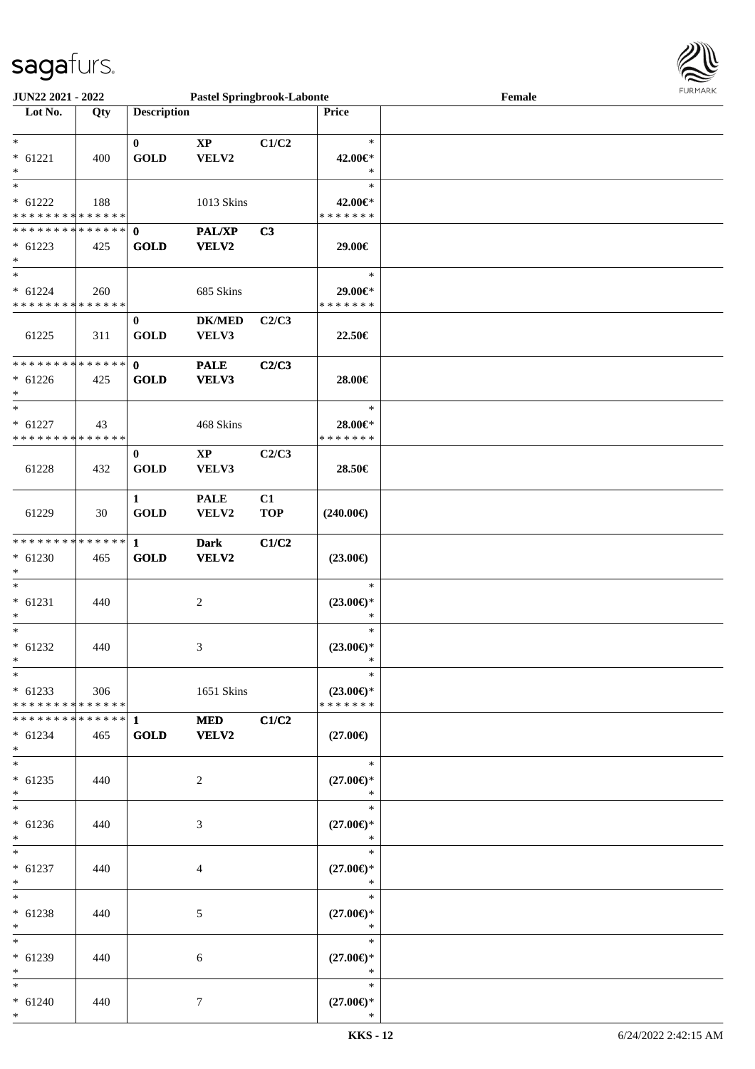

| <b>JUN22 2021 - 2022</b>                   |     |                    |                        | <b>Pastel Springbrook-Labonte</b> |                      | Female | <b>LOKIJAKV</b> |
|--------------------------------------------|-----|--------------------|------------------------|-----------------------------------|----------------------|--------|-----------------|
| Lot No.                                    | Qty | <b>Description</b> |                        |                                   | <b>Price</b>         |        |                 |
|                                            |     |                    |                        |                                   |                      |        |                 |
| $\ast$                                     |     | $\mathbf{0}$       | $\mathbf{X}\mathbf{P}$ | C1/C2                             | $\ast$               |        |                 |
| $* 61221$                                  | 400 | <b>GOLD</b>        | VELV2                  |                                   | 42.00€*              |        |                 |
| $\ast$                                     |     |                    |                        |                                   | $\ast$               |        |                 |
|                                            |     |                    |                        |                                   | $\ast$               |        |                 |
| $* 61222$                                  | 188 |                    | 1013 Skins             |                                   | 42.00€*              |        |                 |
| * * * * * * * * <mark>* * * * * *</mark>   |     |                    |                        |                                   | * * * * * * *        |        |                 |
|                                            |     |                    | PAL/XP                 | C <sub>3</sub>                    |                      |        |                 |
| $* 61223$                                  | 425 | <b>GOLD</b>        | VELV2                  |                                   | 29.00€               |        |                 |
| $\ast$                                     |     |                    |                        |                                   |                      |        |                 |
| $\ast$                                     |     |                    |                        |                                   | $\ast$               |        |                 |
| $* 61224$                                  | 260 |                    | 685 Skins              |                                   | 29.00€*              |        |                 |
| * * * * * * * * * * * * * * *              |     |                    |                        |                                   | * * * * * * *        |        |                 |
|                                            |     | $\bf{0}$           | <b>DK/MED</b>          | C2/C3                             |                      |        |                 |
| 61225                                      | 311 | <b>GOLD</b>        | VELV3                  |                                   | 22.50€               |        |                 |
|                                            |     |                    |                        |                                   |                      |        |                 |
| * * * * * * * * <mark>* * * * * * *</mark> |     | $\mathbf{0}$       | <b>PALE</b>            | C2/C3                             |                      |        |                 |
| $* 61226$                                  | 425 | <b>GOLD</b>        | VELV3                  |                                   | 28.00€               |        |                 |
| $\ast$                                     |     |                    |                        |                                   |                      |        |                 |
| $\ast$                                     |     |                    |                        |                                   | $\ast$               |        |                 |
| $* 61227$                                  | 43  |                    | 468 Skins              |                                   | 28.00€*              |        |                 |
| * * * * * * * * <mark>* * * * * * *</mark> |     |                    |                        |                                   | * * * * * * *        |        |                 |
|                                            |     | $\bf{0}$           | $\mathbf{X}\mathbf{P}$ | C2/C3                             |                      |        |                 |
| 61228                                      | 432 | <b>GOLD</b>        | VELV3                  |                                   | 28.50€               |        |                 |
|                                            |     |                    |                        |                                   |                      |        |                 |
|                                            |     | $\mathbf{1}$       | <b>PALE</b>            | C1                                |                      |        |                 |
| 61229                                      | 30  | <b>GOLD</b>        | VELV2                  | <b>TOP</b>                        | (240.00€)            |        |                 |
|                                            |     |                    |                        |                                   |                      |        |                 |
| * * * * * * * * * * * * * * *              |     | $\mathbf{1}$       | <b>Dark</b>            | C1/C2                             |                      |        |                 |
| $* 61230$                                  | 465 | <b>GOLD</b>        | <b>VELV2</b>           |                                   | $(23.00\epsilon)$    |        |                 |
| $\ast$                                     |     |                    |                        |                                   |                      |        |                 |
|                                            |     |                    |                        |                                   | $\ast$               |        |                 |
| $* 61231$                                  | 440 |                    | 2                      |                                   | $(23.00\epsilon)$ *  |        |                 |
| $\ast$                                     |     |                    |                        |                                   | $\ast$               |        |                 |
| $\ast$                                     |     |                    |                        |                                   | $\ast$               |        |                 |
| $* 61232$                                  | 440 |                    | 3                      |                                   | $(23.00\epsilon)$ *  |        |                 |
| $\ast$                                     |     |                    |                        |                                   | <b>Single Street</b> |        |                 |
| $\ast$                                     |     |                    |                        |                                   | $\ast$               |        |                 |
| $*$ 61233                                  | 306 |                    | 1651 Skins             |                                   | $(23.00\epsilon)$ *  |        |                 |
| * * * * * * * * <mark>* * * * * *</mark> * |     |                    |                        |                                   | * * * * * * *        |        |                 |
|                                            |     |                    | <b>MED</b>             | C1/C2                             |                      |        |                 |
| $* 61234$                                  | 465 | <b>GOLD</b>        | <b>VELV2</b>           |                                   | $(27.00\epsilon)$    |        |                 |
| $\ast$                                     |     |                    |                        |                                   |                      |        |                 |
| $\ast$                                     |     |                    |                        |                                   | $\ast$               |        |                 |
| $* 61235$                                  | 440 |                    | $\overline{2}$         |                                   | $(27.00\epsilon)$ *  |        |                 |
| $\ast$                                     |     |                    |                        |                                   | $\ast$               |        |                 |
| $*$ $-$                                    |     |                    |                        |                                   | $\ast$               |        |                 |
| $* 61236$                                  | 440 |                    | 3                      |                                   | $(27.00\epsilon)$ *  |        |                 |
| $\ast$                                     |     |                    |                        |                                   | $\ast$               |        |                 |
| $*$                                        |     |                    |                        |                                   | $\ast$               |        |                 |
| $* 61237$                                  | 440 |                    | 4                      |                                   | $(27.00\epsilon)$ *  |        |                 |
| $\ast$                                     |     |                    |                        |                                   | $\ast$               |        |                 |
| $*$                                        |     |                    |                        |                                   | $\ast$               |        |                 |
| $* 61238$                                  | 440 |                    | 5                      |                                   | $(27.00\epsilon)$ *  |        |                 |
| $*$                                        |     |                    |                        |                                   | $\star$              |        |                 |
| $*$ $*$                                    |     |                    |                        |                                   | $\ast$               |        |                 |
| $* 61239$                                  | 440 |                    | 6                      |                                   | $(27.00\epsilon)$ *  |        |                 |
| $\ast$                                     |     |                    |                        |                                   | $\ast$               |        |                 |
| $*$ $-$                                    |     |                    |                        |                                   | $\ast$               |        |                 |
| $* 61240$                                  | 440 |                    | 7                      |                                   | $(27.00\epsilon)$ *  |        |                 |
| $\ast$                                     |     |                    |                        |                                   | $\ast$               |        |                 |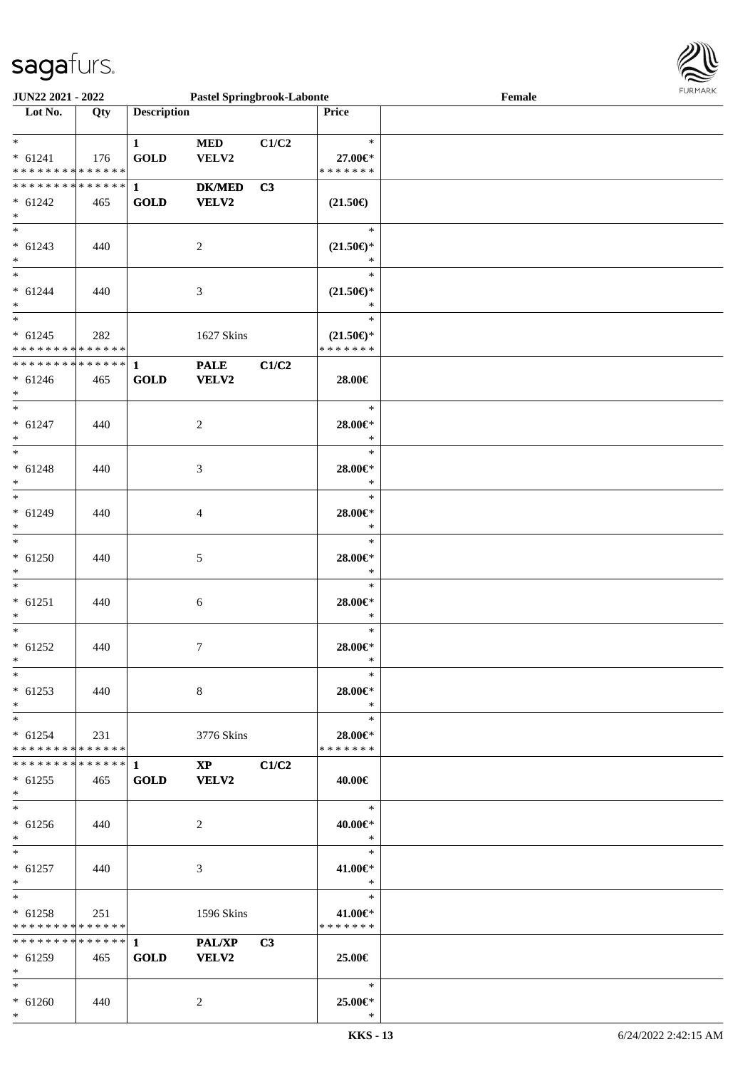

| <b>JUN22 2021 - 2022</b>                   |     |                       | <b>Pastel Springbrook-Labonte</b> |       |                                      | Female |
|--------------------------------------------|-----|-----------------------|-----------------------------------|-------|--------------------------------------|--------|
| Lot No.                                    | Qty | <b>Description</b>    |                                   |       | Price                                |        |
|                                            |     |                       |                                   |       |                                      |        |
| $*$                                        |     | $\mathbf{1}$          | <b>MED</b>                        | C1/C2 | $\ast$                               |        |
| $* 61241$                                  | 176 | $\operatorname{GOLD}$ | VELV2                             |       | 27.00€*                              |        |
| * * * * * * * * * * * * * * *              |     |                       |                                   |       | * * * * * * *                        |        |
|                                            |     |                       | $DK/MED$                          | C3    |                                      |        |
|                                            |     |                       |                                   |       |                                      |        |
| $* 61242$                                  | 465 | <b>GOLD</b>           | VELV2                             |       | $(21.50\epsilon)$                    |        |
| $\ast$                                     |     |                       |                                   |       |                                      |        |
|                                            |     |                       |                                   |       | $\ast$                               |        |
| $* 61243$                                  | 440 |                       | $\overline{c}$                    |       | $(21.50\epsilon)$ *                  |        |
| $*$                                        |     |                       |                                   |       | $\ast$                               |        |
| $*$                                        |     |                       |                                   |       | $\ast$                               |        |
| $* 61244$                                  | 440 |                       | 3                                 |       | $(21.50\epsilon)$ *                  |        |
| $*$                                        |     |                       |                                   |       | $\ast$                               |        |
| $\overline{\ast}$                          |     |                       |                                   |       | $\ast$                               |        |
| $* 61245$                                  |     |                       | 1627 Skins                        |       |                                      |        |
| * * * * * * * * <mark>* * * * * * *</mark> | 282 |                       |                                   |       | $(21.50\epsilon)$ *<br>* * * * * * * |        |
|                                            |     |                       |                                   |       |                                      |        |
|                                            |     |                       | <b>PALE</b>                       | C1/C2 |                                      |        |
| $* 61246$                                  | 465 | <b>GOLD</b>           | VELV2                             |       | 28.00€                               |        |
| $\ast$                                     |     |                       |                                   |       |                                      |        |
| $\ast$                                     |     |                       |                                   |       | $\ast$                               |        |
| $* 61247$                                  | 440 |                       | 2                                 |       | $28.00 \in$ *                        |        |
| $\ast$                                     |     |                       |                                   |       | $\ast$                               |        |
| $\ast$                                     |     |                       |                                   |       | $\ast$                               |        |
| $* 61248$                                  | 440 |                       | 3                                 |       | $28.00 \in$ *                        |        |
| $\ast$                                     |     |                       |                                   |       | $\ast$                               |        |
| $*$                                        |     |                       |                                   |       | $\ast$                               |        |
|                                            |     |                       |                                   |       |                                      |        |
| $* 61249$                                  | 440 |                       | 4                                 |       | $28.00 \in$ *                        |        |
| $\ast$                                     |     |                       |                                   |       | $\ast$                               |        |
| $\ast$                                     |     |                       |                                   |       | $\ast$                               |        |
| $* 61250$                                  | 440 |                       | 5                                 |       | 28.00€*                              |        |
| $\ast$                                     |     |                       |                                   |       | $\ast$                               |        |
| $\ast$                                     |     |                       |                                   |       | $\ast$                               |        |
| $* 61251$                                  | 440 |                       | 6                                 |       | 28.00€*                              |        |
| $\ast$                                     |     |                       |                                   |       | $\ast$                               |        |
| $*$                                        |     |                       |                                   |       | $\ast$                               |        |
| $* 61252$                                  | 440 |                       | $\tau$                            |       | 28.00€*                              |        |
| $\ddot{x}$                                 |     |                       |                                   |       | $\ast$                               |        |
| $\ast$                                     |     |                       |                                   |       | $\ast$                               |        |
| $* 61253$                                  | 440 |                       | $8\,$                             |       |                                      |        |
|                                            |     |                       |                                   |       | 28.00€*                              |        |
| $*$                                        |     |                       |                                   |       | $\ast$                               |        |
| $*$ $-$                                    |     |                       |                                   |       | $\ast$                               |        |
| $* 61254$                                  | 231 |                       | 3776 Skins                        |       | 28.00€*                              |        |
| * * * * * * * * <mark>* * * * * *</mark>   |     |                       |                                   |       | * * * * * * *                        |        |
|                                            |     |                       | $XP$ $C1/C2$                      |       |                                      |        |
| $* 61255$                                  | 465 | <b>GOLD</b>           | <b>VELV2</b>                      |       | 40.00€                               |        |
| $\ast$                                     |     |                       |                                   |       |                                      |        |
| $\ddot{x}$                                 |     |                       |                                   |       | $*$                                  |        |
| $* 61256$                                  | 440 |                       | 2                                 |       | 40.00€*                              |        |
| $*$                                        |     |                       |                                   |       | $\ast$                               |        |
| $*$ $*$                                    |     |                       |                                   |       | $\ast$                               |        |
| $* 61257$                                  |     |                       |                                   |       |                                      |        |
|                                            | 440 |                       | 3                                 |       | 41.00€*<br>$\ast$                    |        |
| $*$                                        |     |                       |                                   |       |                                      |        |
| $*$ $-$                                    |     |                       |                                   |       | $\ast$                               |        |
| $* 61258$                                  | 251 |                       | 1596 Skins                        |       | 41.00€*                              |        |
| * * * * * * * * <mark>* * * * * *</mark>   |     |                       |                                   |       | * * * * * * *                        |        |
|                                            |     |                       |                                   | C3    |                                      |        |
| $* 61259$                                  | 465 | <b>GOLD</b>           | <b>VELV2</b>                      |       | 25.00€                               |        |
| $\ast$                                     |     |                       |                                   |       |                                      |        |
| $\ast$                                     |     |                       |                                   |       | $\ast$                               |        |
| $* 61260$                                  | 440 |                       | 2                                 |       | 25.00€*                              |        |
| $\ast$                                     |     |                       |                                   |       | $\ast$                               |        |
|                                            |     |                       |                                   |       |                                      |        |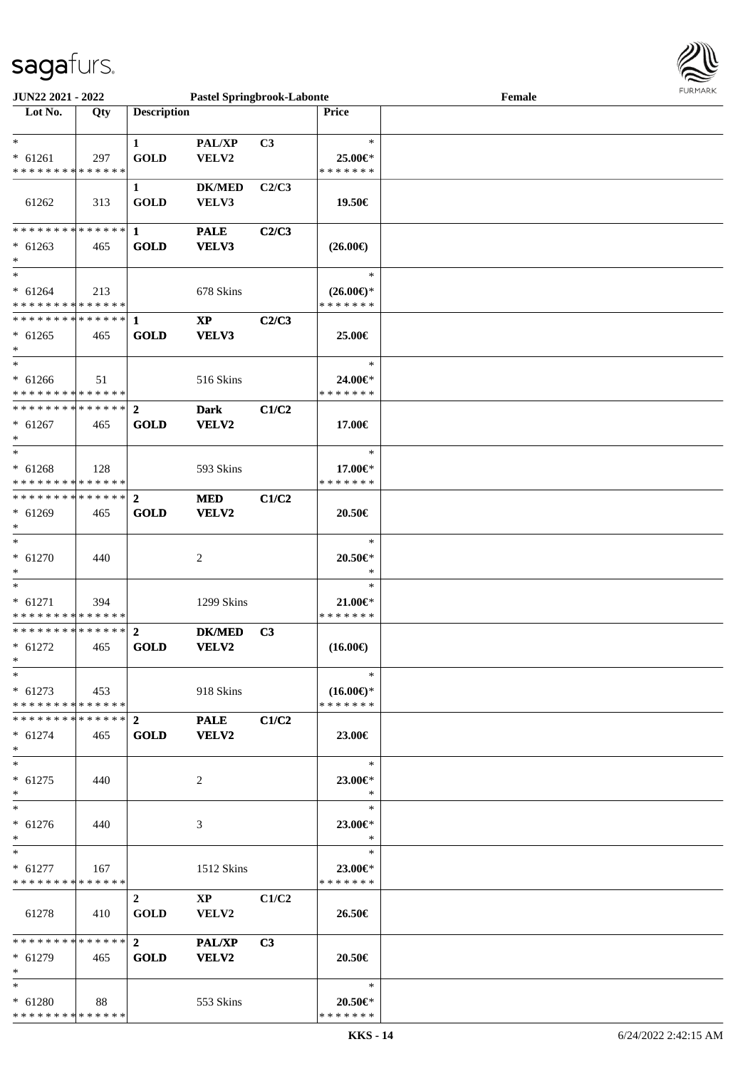

| JUN22 2021 - 2022             |                                         |                    | <b>Pastel Springbrook-Labonte</b> |                |                     | Female |
|-------------------------------|-----------------------------------------|--------------------|-----------------------------------|----------------|---------------------|--------|
| Lot No.                       | Qty                                     | <b>Description</b> |                                   |                | Price               |        |
|                               |                                         |                    |                                   |                |                     |        |
|                               |                                         |                    |                                   |                |                     |        |
| $*$                           |                                         | $\mathbf{1}$       | PAL/XP                            | C <sub>3</sub> | $\ast$              |        |
| $* 61261$                     | 297                                     | <b>GOLD</b>        | VELV2                             |                | 25.00€*             |        |
| * * * * * * * * * * * * * *   |                                         |                    |                                   |                | * * * * * * *       |        |
|                               |                                         |                    |                                   |                |                     |        |
|                               |                                         | $\mathbf{1}$       | <b>DK/MED</b>                     | C2/C3          |                     |        |
| 61262                         | 313                                     | <b>GOLD</b>        | VELV3                             |                | 19.50€              |        |
|                               |                                         |                    |                                   |                |                     |        |
| * * * * * * * * * * * * * * * |                                         | 1                  | <b>PALE</b>                       | C2/C3          |                     |        |
|                               |                                         |                    |                                   |                |                     |        |
| $* 61263$                     | 465                                     | <b>GOLD</b>        | VELV3                             |                | $(26.00\epsilon)$   |        |
| $\ast$                        |                                         |                    |                                   |                |                     |        |
| $\ast$                        |                                         |                    |                                   |                | $\ast$              |        |
| $* 61264$                     | 213                                     |                    | 678 Skins                         |                | $(26.00\epsilon)$ * |        |
| * * * * * * * * * * * * * *   |                                         |                    |                                   |                | * * * * * * *       |        |
|                               |                                         |                    |                                   |                |                     |        |
| * * * * * * * * * * * * * * * |                                         | $\mathbf{1}$       | $\bold{XP}$                       | C2/C3          |                     |        |
| $* 61265$                     | 465                                     | <b>GOLD</b>        | VELV3                             |                | 25.00€              |        |
| $\ast$                        |                                         |                    |                                   |                |                     |        |
| $\ast$                        |                                         |                    |                                   |                | $\ast$              |        |
|                               |                                         |                    |                                   |                |                     |        |
| $* 61266$                     | 51                                      |                    | 516 Skins                         |                | 24.00€*             |        |
| * * * * * * * * * * * * * *   |                                         |                    |                                   |                | * * * * * * *       |        |
| **************                |                                         | $\mathbf{2}$       | <b>Dark</b>                       | C1/C2          |                     |        |
| $* 61267$                     | 465                                     | <b>GOLD</b>        | VELV2                             |                | 17.00€              |        |
|                               |                                         |                    |                                   |                |                     |        |
| $\ast$                        |                                         |                    |                                   |                |                     |        |
| $\ast$                        |                                         |                    |                                   |                | $\ast$              |        |
| $* 61268$                     | 128                                     |                    | 593 Skins                         |                | 17.00€*             |        |
| * * * * * * * * * * * * * *   |                                         |                    |                                   |                | * * * * * * *       |        |
|                               |                                         |                    |                                   |                |                     |        |
| **************                |                                         | $\overline{2}$     | <b>MED</b>                        | C1/C2          |                     |        |
| $* 61269$                     | 465                                     | <b>GOLD</b>        | VELV2                             |                | 20.50€              |        |
| $\ast$                        |                                         |                    |                                   |                |                     |        |
| $\ast$                        |                                         |                    |                                   |                | $\ast$              |        |
|                               |                                         |                    |                                   |                |                     |        |
| $* 61270$                     | 440                                     |                    | 2                                 |                | $20.50 \in$         |        |
|                               |                                         |                    |                                   |                | $\ast$              |        |
| $\ast$                        |                                         |                    |                                   |                | $\ast$              |        |
| $* 61271$                     |                                         |                    |                                   |                |                     |        |
|                               | 394                                     |                    | 1299 Skins                        |                | $21.00 \in$ *       |        |
| * * * * * * * * * * * * * *   |                                         |                    |                                   |                | * * * * * * *       |        |
| **************                |                                         | $\overline{2}$     | <b>DK/MED</b>                     | C <sub>3</sub> |                     |        |
| $* 61272$                     | 465                                     | <b>GOLD</b>        | VELV2                             |                | $(16.00\epsilon)$   |        |
| $*$                           |                                         |                    |                                   |                |                     |        |
| $*$                           |                                         |                    |                                   |                | $\ast$              |        |
|                               |                                         |                    |                                   |                |                     |        |
| $* 61273$ 453                 |                                         |                    | 918 Skins                         |                | $(16.00\epsilon)$ * |        |
| * * * * * * * * * * * * * * * |                                         |                    |                                   |                | * * * * * * *       |        |
| ************** 2              |                                         |                    | <b>PALE</b>                       | C1/C2          |                     |        |
|                               |                                         |                    |                                   |                |                     |        |
| $* 61274$                     | 465                                     | <b>GOLD</b>        | <b>VELV2</b>                      |                | 23.00€              |        |
| $*$                           |                                         |                    |                                   |                |                     |        |
| $\ast$                        |                                         |                    |                                   |                | $\ast$              |        |
| $* 61275$                     | 440                                     |                    | 2                                 |                | 23.00€*             |        |
|                               |                                         |                    |                                   |                | $\ast$              |        |
|                               |                                         |                    |                                   |                |                     |        |
| $\ast$                        |                                         |                    |                                   |                | $\ast$              |        |
| $* 61276$                     | 440                                     |                    | 3                                 |                | 23.00€*             |        |
| $*$                           |                                         |                    |                                   |                | $\ast$              |        |
| $*$                           |                                         |                    |                                   |                | $\ast$              |        |
|                               |                                         |                    |                                   |                |                     |        |
| $* 61277$                     | 167                                     |                    | 1512 Skins                        |                | 23.00€*             |        |
| * * * * * * * * * * * * * * * |                                         |                    |                                   |                | * * * * * * *       |        |
|                               |                                         | $2^{\circ}$        | $\mathbf{X} \mathbf{P}$           | C1/C2          |                     |        |
|                               |                                         |                    |                                   |                |                     |        |
| 61278                         | 410                                     | <b>GOLD</b>        | VELV2                             |                | 26.50€              |        |
|                               |                                         |                    |                                   |                |                     |        |
|                               |                                         |                    | <b>PAL/XP</b>                     | C <sub>3</sub> |                     |        |
| $* 61279$                     | 465                                     | <b>GOLD</b>        | <b>VELV2</b>                      |                | 20.50€              |        |
|                               |                                         |                    |                                   |                |                     |        |
| $\ast$                        |                                         |                    |                                   |                |                     |        |
| $*$                           |                                         |                    |                                   |                | $\ast$              |        |
| $* 61280$                     | $\begin{array}{ccc} \ & 88 \end{array}$ |                    | 553 Skins                         |                | 20.50€*             |        |
| * * * * * * * * * * * * * *   |                                         |                    |                                   |                | * * * * * * *       |        |
|                               |                                         |                    |                                   |                |                     |        |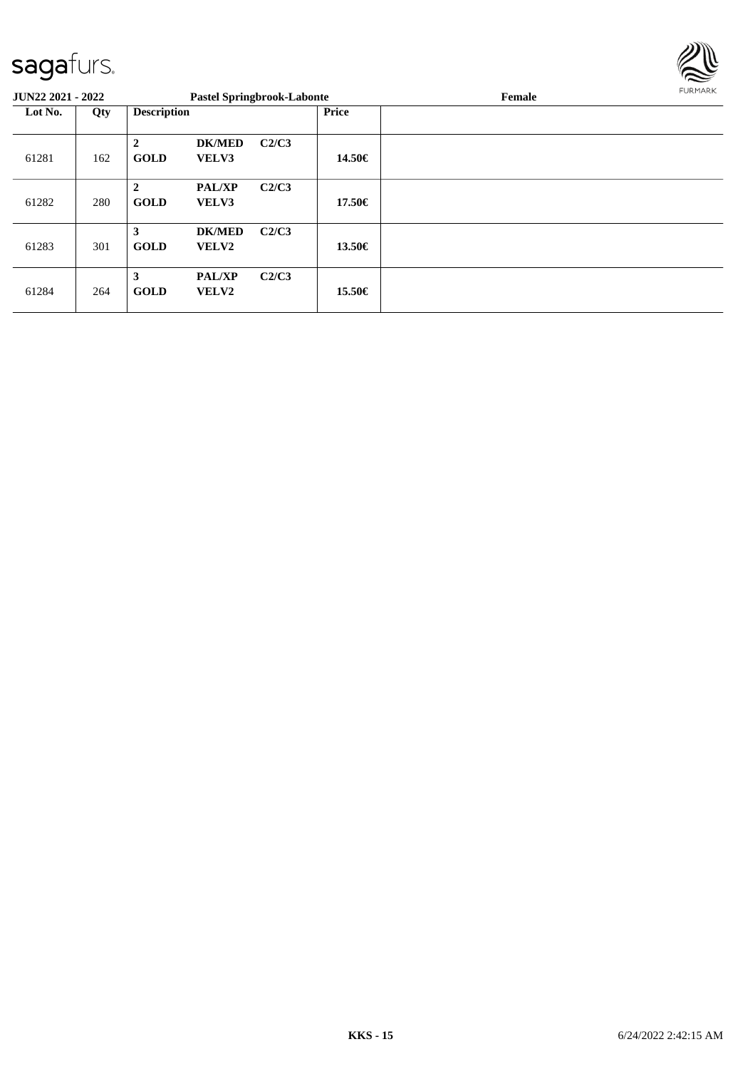

| <b>JUN22 2021 - 2022</b> |     |                               | <b>Pastel Springbrook-Labonte</b> |       |        | Female | FURMARK |
|--------------------------|-----|-------------------------------|-----------------------------------|-------|--------|--------|---------|
| Lot No.<br>Qty           |     | <b>Description</b>            |                                   |       | Price  |        |         |
| 61281                    | 162 | $\mathbf{2}$<br><b>GOLD</b>   | <b>DK/MED</b><br>VELV3            | C2/C3 | 14.50€ |        |         |
| 61282                    | 280 | $\overline{2}$<br><b>GOLD</b> | <b>PAL/XP</b><br>VELV3            | C2/C3 | 17.50€ |        |         |
| 61283                    | 301 | 3<br><b>GOLD</b>              | <b>DK/MED</b><br>VELV2            | C2/C3 | 13.50€ |        |         |
| 61284                    | 264 | 3<br><b>GOLD</b>              | <b>PAL/XP</b><br>VELV2            | C2/C3 | 15.50€ |        |         |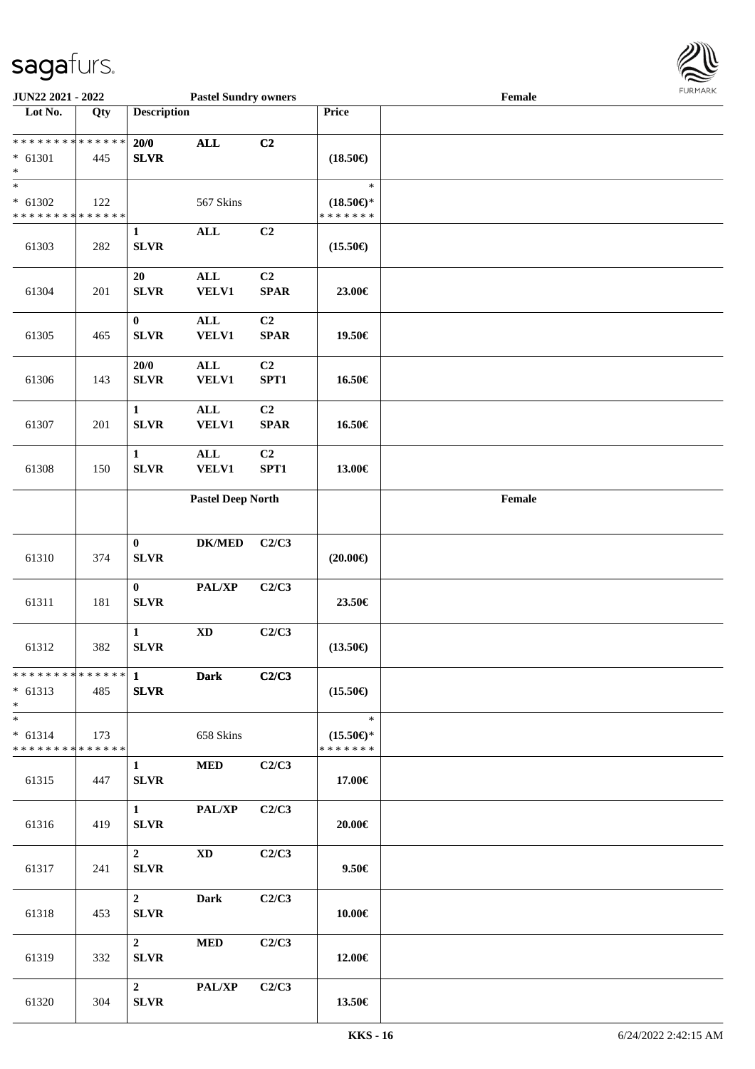

| JUN22 2021 - 2022                                                   |     |                                        | <b>Pastel Sundry owners</b>    |                                       |                                                | Female                                      |  |
|---------------------------------------------------------------------|-----|----------------------------------------|--------------------------------|---------------------------------------|------------------------------------------------|---------------------------------------------|--|
| Lot No.                                                             | Qty | <b>Description</b>                     |                                |                                       | Price                                          |                                             |  |
| ******** <mark>******</mark><br>$* 61301$<br>$\ast$                 | 445 | 20/0<br><b>SLVR</b>                    | <b>ALL</b>                     | C2                                    | $(18.50\epsilon)$                              |                                             |  |
| $* 61302$<br>* * * * * * * * * * * * * *                            | 122 |                                        | 567 Skins                      |                                       | $\ast$<br>$(18.50\epsilon)$ *<br>* * * * * * * |                                             |  |
| 61303                                                               | 282 | $\mathbf{1}$<br><b>SLVR</b>            | $\mathbf{ALL}$                 | C2                                    | $(15.50\epsilon)$                              |                                             |  |
| 61304                                                               | 201 | 20<br><b>SLVR</b>                      | $\mathbf{ALL}$<br><b>VELV1</b> | C2<br>$\pmb{\quad \text{SPAR} \quad}$ | 23.00€                                         |                                             |  |
| 61305                                                               | 465 | $\bf{0}$<br><b>SLVR</b>                | $\mathbf{ALL}$<br>VELV1        | C2<br><b>SPAR</b>                     | 19.50€                                         |                                             |  |
| 61306                                                               | 143 | 20/0<br><b>SLVR</b>                    | $\mathbf{ALL}$<br>VELV1        | C <sub>2</sub><br>SPT1                | 16.50€                                         |                                             |  |
| 61307                                                               | 201 | $\mathbf{1}$<br>SLVR                   | $\mathbf{ALL}$<br><b>VELV1</b> | C2<br>$\pmb{\quad \text{SPAR} \quad}$ | 16.50€                                         |                                             |  |
| 61308                                                               | 150 | $\mathbf{1}$<br>SLVR                   | $\mathbf{ALL}$<br><b>VELV1</b> | C2<br>SPT1                            | 13.00€                                         |                                             |  |
|                                                                     |     |                                        | <b>Pastel Deep North</b>       |                                       |                                                | $\ensuremath{\textnormal{\textbf{Female}}}$ |  |
| 61310                                                               | 374 | $\bf{0}$<br>${\bf SLVR}$               | $\mathbf{DK}/\mathbf{MED}$     | C2/C3                                 | $(20.00\epsilon)$                              |                                             |  |
| 61311                                                               | 181 | $\bf{0}$<br><b>SLVR</b>                | PAL/XP                         | C2/C3                                 | 23.50€                                         |                                             |  |
| 61312                                                               | 382 | $\mathbf 1$<br><b>SLVR</b>             | $\mathbf{X}\mathbf{D}$         | C2/C3                                 | $(13.50\epsilon)$                              |                                             |  |
| ******** <sup>*</sup> ****** <sup></sup> 1 Dark<br>$* 61313$<br>$*$ | 485 | <b>SLVR</b>                            |                                | C2/C3                                 | $(15.50\epsilon)$                              |                                             |  |
| $*$<br>$* 61314$<br>* * * * * * * * * * * * * * *                   | 173 |                                        | 658 Skins                      |                                       | $\ast$<br>$(15.50\epsilon)$ *<br>* * * * * * * |                                             |  |
| 61315                                                               | 447 | $1 \quad$<br><b>SLVR</b>               | <b>MED</b>                     | C2/C3                                 | 17.00€                                         |                                             |  |
| 61316                                                               | 419 | $1 \quad \blacksquare$<br><b>SLVR</b>  | PAL/XP                         | C2/C3                                 | 20.00€                                         |                                             |  |
| 61317                                                               | 241 | $\overline{\mathbf{2}}$<br><b>SLVR</b> | $\mathbf{X}\mathbf{D}$         | C2/C3                                 | $9.50 \in$                                     |                                             |  |
| 61318                                                               | 453 | $2^{\circ}$<br><b>SLVR</b>             | Dark                           | C2/C3                                 | 10.00€                                         |                                             |  |
| 61319                                                               | 332 | $\overline{2}$<br><b>SLVR</b>          | <b>MED</b>                     | C2/C3                                 | 12.00€                                         |                                             |  |
| 61320                                                               | 304 | $\mathbf{2}$<br><b>SLVR</b>            | <b>PAL/XP</b>                  | C2/C3                                 | 13.50€                                         |                                             |  |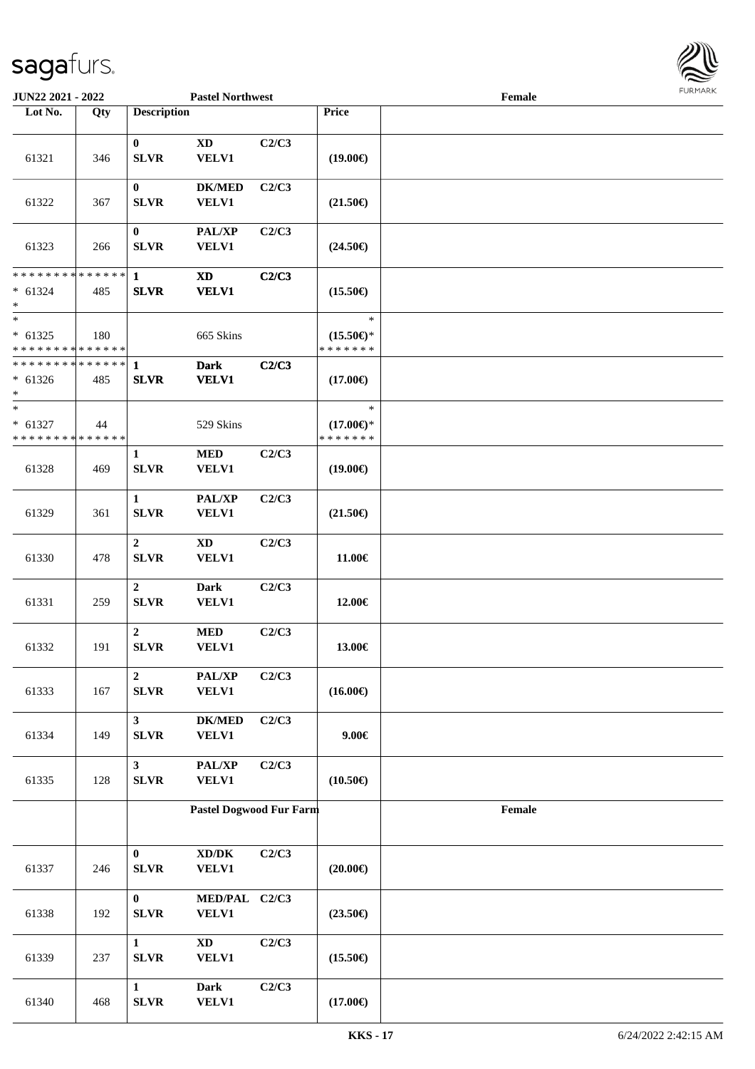

| <b>JUN22 2021 - 2022</b>                                       |     |                               | <b>Pastel Northwest</b>                             |       |                                                | Female                                      |  |
|----------------------------------------------------------------|-----|-------------------------------|-----------------------------------------------------|-------|------------------------------------------------|---------------------------------------------|--|
| Lot No.                                                        | Qty | <b>Description</b>            |                                                     |       | Price                                          |                                             |  |
| 61321                                                          | 346 | $\bf{0}$<br><b>SLVR</b>       | $\mathbf{X}\mathbf{D}$<br><b>VELV1</b>              | C2/C3 | $(19.00\epsilon)$                              |                                             |  |
| 61322                                                          | 367 | $\bf{0}$<br><b>SLVR</b>       | <b>DK/MED</b><br><b>VELV1</b>                       | C2/C3 | $(21.50\epsilon)$                              |                                             |  |
| 61323                                                          | 266 | $\bf{0}$<br><b>SLVR</b>       | <b>PAL/XP</b><br><b>VELV1</b>                       | C2/C3 | $(24.50\epsilon)$                              |                                             |  |
| * * * * * * * * * * * * * *<br>$* 61324$<br>$\ast$             | 485 | $\mathbf{1}$<br><b>SLVR</b>   | $\boldsymbol{\mathrm{XD}}$<br><b>VELV1</b>          | C2/C3 | $(15.50\epsilon)$                              |                                             |  |
| $\ast$<br>$* 61325$<br>* * * * * * * * * * * * * *             | 180 |                               | 665 Skins                                           |       | $\ast$<br>$(15.50\epsilon)$ *<br>* * * * * * * |                                             |  |
| * * * * * * * * <mark>* * * * * * *</mark><br>$* 61326$<br>$*$ | 485 | $\mathbf{1}$<br><b>SLVR</b>   | <b>Dark</b><br><b>VELV1</b>                         | C2/C3 | $(17.00\epsilon)$                              |                                             |  |
| $*$<br>$* 61327$<br>* * * * * * * * * * * * * *                | 44  |                               | 529 Skins                                           |       | $\ast$<br>$(17.00\epsilon)$ *<br>* * * * * * * |                                             |  |
| 61328                                                          | 469 | 1<br><b>SLVR</b>              | <b>MED</b><br><b>VELV1</b>                          | C2/C3 | $(19.00\epsilon)$                              |                                             |  |
| 61329                                                          | 361 | $\mathbf{1}$<br><b>SLVR</b>   | <b>PAL/XP</b><br><b>VELV1</b>                       | C2/C3 | $(21.50\epsilon)$                              |                                             |  |
| 61330                                                          | 478 | $\overline{2}$<br><b>SLVR</b> | $\mathbf{X}\mathbf{D}$<br><b>VELV1</b>              | C2/C3 | 11.00€                                         |                                             |  |
| 61331                                                          | 259 | $\overline{2}$<br><b>SLVR</b> | Dark<br>VELV1                                       | C2/C3 | 12.00€                                         |                                             |  |
| 61332                                                          | 191 | $\overline{2}$<br>SLVR        | <b>MED</b><br>VELV1                                 | C2/C3 | 13.00€                                         |                                             |  |
| 61333                                                          | 167 | $\overline{2}$<br>SLVR        | PAL/XP<br><b>VELV1</b>                              | C2/C3 | $(16.00\epsilon)$                              |                                             |  |
| 61334                                                          | 149 | $\mathbf{3}$<br><b>SLVR</b>   | <b>DK/MED</b><br><b>VELV1</b>                       | C2/C3 | $9.00 \in$                                     |                                             |  |
| 61335                                                          | 128 | $\mathbf{3}$<br><b>SLVR</b>   | PAL/XP<br><b>VELV1</b>                              | C2/C3 | $(10.50\epsilon)$                              |                                             |  |
|                                                                |     |                               | <b>Pastel Dogwood Fur Farm</b>                      |       |                                                | $\ensuremath{\textnormal{\textbf{Female}}}$ |  |
| 61337                                                          | 246 | $\bf{0}$<br><b>SLVR</b>       | $\bold{X}\bold{D}/\bold{D}\bold{K}$<br><b>VELV1</b> | C2/C3 | $(20.00\epsilon)$                              |                                             |  |
| 61338                                                          | 192 | $\bf{0}$<br><b>SLVR</b>       | MED/PAL C2/C3<br>VELV1                              |       | $(23.50\epsilon)$                              |                                             |  |
| 61339                                                          | 237 | $\mathbf{1}$<br><b>SLVR</b>   | $\mathbf{X}\mathbf{D}$<br><b>VELV1</b>              | C2/C3 | $(15.50\epsilon)$                              |                                             |  |
| 61340                                                          | 468 | $\mathbf{1}$<br>SLVR          | Dark<br><b>VELV1</b>                                | C2/C3 | $(17.00\epsilon)$                              |                                             |  |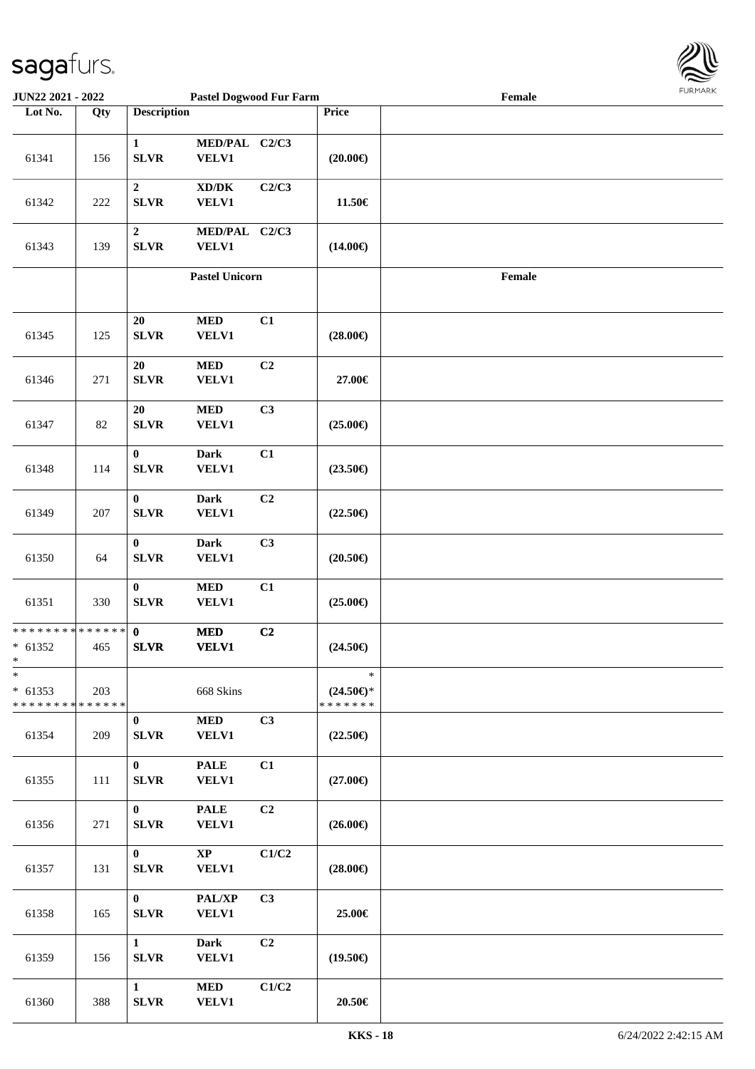

| <b>JUN22 2021 - 2022</b>                                          |        |                                  | <b>Pastel Dogwood Fur Farm</b>                      |                |                                                | Female |  |
|-------------------------------------------------------------------|--------|----------------------------------|-----------------------------------------------------|----------------|------------------------------------------------|--------|--|
| Lot No.                                                           | Qty    | <b>Description</b>               |                                                     |                | Price                                          |        |  |
| 61341                                                             | 156    | $\mathbf{1}$<br><b>SLVR</b>      | MED/PAL C2/C3<br><b>VELV1</b>                       |                | $(20.00\epsilon)$                              |        |  |
| 61342                                                             | 222    | $\boldsymbol{2}$<br><b>SLVR</b>  | $\bold{X}\bold{D}/\bold{D}\bold{K}$<br><b>VELV1</b> | C2/C3          | 11.50€                                         |        |  |
| 61343                                                             | 139    | $\boldsymbol{2}$<br>${\bf SLVR}$ | MED/PAL C2/C3<br><b>VELV1</b>                       |                | $(14.00\epsilon)$                              |        |  |
|                                                                   |        |                                  | <b>Pastel Unicorn</b>                               |                |                                                | Female |  |
| 61345                                                             | 125    | 20<br><b>SLVR</b>                | $\bf MED$<br><b>VELV1</b>                           | C1             | $(28.00\epsilon)$                              |        |  |
| 61346                                                             | 271    | 20<br>${\bf SLVR}$               | $\bf MED$<br><b>VELV1</b>                           | C <sub>2</sub> | 27.00€                                         |        |  |
| 61347                                                             | $82\,$ | $20\,$<br><b>SLVR</b>            | $\bf MED$<br><b>VELV1</b>                           | C3             | $(25.00\epsilon)$                              |        |  |
| 61348                                                             | 114    | $\bf{0}$<br>SLVR                 | <b>Dark</b><br><b>VELV1</b>                         | C1             | $(23.50\epsilon)$                              |        |  |
| 61349                                                             | 207    | $\bf{0}$<br>${\bf SLVR}$         | <b>Dark</b><br><b>VELV1</b>                         | C2             | $(22.50\epsilon)$                              |        |  |
| 61350                                                             | 64     | $\bf{0}$<br><b>SLVR</b>          | <b>Dark</b><br>VELV1                                | C3             | $(20.50\epsilon)$                              |        |  |
| 61351                                                             | 330    | $\boldsymbol{0}$<br>${\bf SLVR}$ | $\bf MED$<br><b>VELV1</b>                           | C1             | $(25.00\epsilon)$                              |        |  |
| * * * * * * * * <mark>* * * * * * *</mark><br>$* 61352$<br>$\ast$ | 465    | $\mathbf{0}$<br><b>SLVR</b>      | $\bf MED$<br><b>VELV1</b>                           | C2             | $(24.50\epsilon)$                              |        |  |
| $\ast$<br>$* 61353$<br>* * * * * * * * <mark>* * * * * * *</mark> | 203    |                                  | 668 Skins                                           |                | $\ast$<br>$(24.50\epsilon)$ *<br>* * * * * * * |        |  |
| 61354                                                             | 209    | $\bf{0}$<br><b>SLVR</b>          | <b>MED</b><br><b>VELV1</b>                          | C3             | $(22.50\epsilon)$                              |        |  |
| 61355                                                             | 111    | $\mathbf{0}$<br><b>SLVR</b>      | <b>PALE</b><br><b>VELV1</b>                         | C1             | $(27.00\epsilon)$                              |        |  |
| 61356                                                             | 271    | $\bf{0}$<br><b>SLVR</b>          | <b>PALE</b><br><b>VELV1</b>                         | C <sub>2</sub> | $(26.00\epsilon)$                              |        |  |
| 61357                                                             | 131    | $\mathbf{0}$<br><b>SLVR</b>      | $\mathbf{X}\mathbf{P}$<br><b>VELV1</b>              | C1/C2          | $(28.00\epsilon)$                              |        |  |
| 61358                                                             | 165    | $\mathbf{0}$<br><b>SLVR</b>      | PAL/XP<br><b>VELV1</b>                              | C <sub>3</sub> | 25.00€                                         |        |  |
| 61359                                                             | 156    | $\mathbf{1}$<br>SLVR             | <b>Dark</b><br><b>VELV1</b>                         | C <sub>2</sub> | $(19.50\epsilon)$                              |        |  |
| 61360                                                             | 388    | $\mathbf{1}$<br>${\bf SLVR}$     | <b>MED</b><br><b>VELV1</b>                          | C1/C2          | 20.50€                                         |        |  |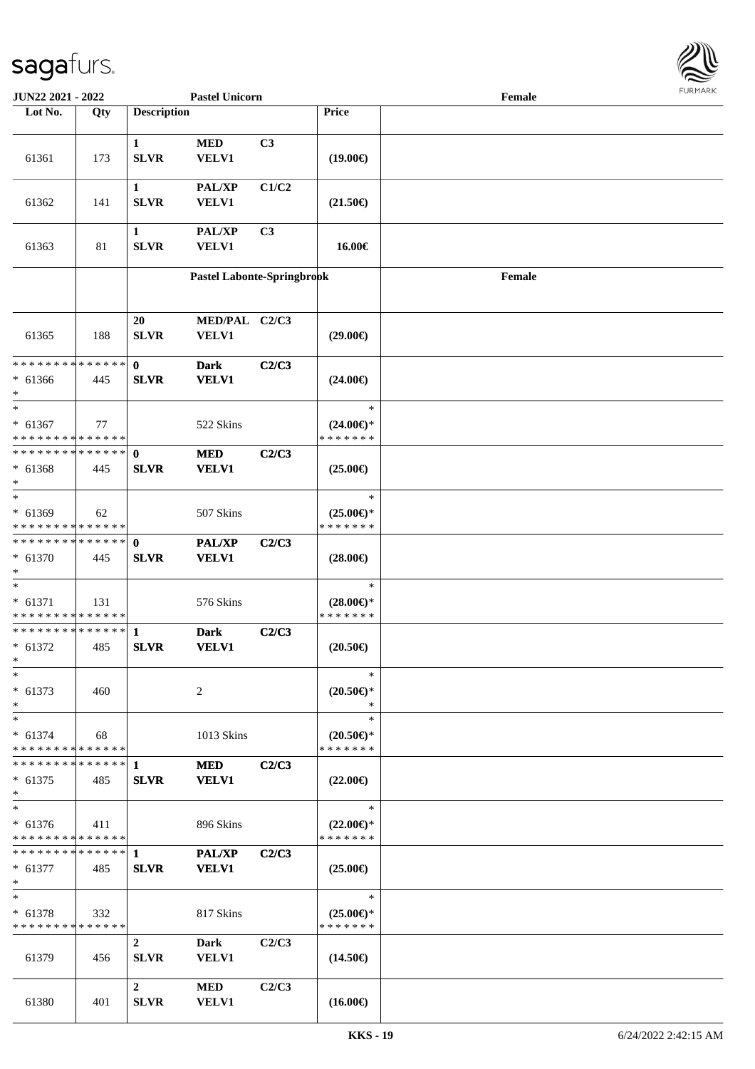

| <b>JUN22 2021 - 2022</b>                   |     |                    | <b>Pastel Unicorn</b>      |                |                     | Female |  |
|--------------------------------------------|-----|--------------------|----------------------------|----------------|---------------------|--------|--|
| Lot No.                                    | Qty | <b>Description</b> |                            |                | <b>Price</b>        |        |  |
|                                            |     |                    |                            |                |                     |        |  |
|                                            |     | $\mathbf{1}$       | <b>MED</b>                 | C3             |                     |        |  |
| 61361                                      | 173 | <b>SLVR</b>        | VELV1                      |                | $(19.00\epsilon)$   |        |  |
|                                            |     |                    |                            |                |                     |        |  |
|                                            |     | $\mathbf{1}$       | <b>PAL/XP</b>              | C1/C2          |                     |        |  |
| 61362                                      | 141 | <b>SLVR</b>        | <b>VELV1</b>               |                | $(21.50\epsilon)$   |        |  |
|                                            |     |                    |                            |                |                     |        |  |
|                                            |     | $\mathbf{1}$       | PAL/XP                     | C <sub>3</sub> |                     |        |  |
| 61363                                      | 81  | <b>SLVR</b>        | VELV1                      |                | 16.00€              |        |  |
|                                            |     |                    |                            |                |                     |        |  |
|                                            |     |                    | Pastel Labonte-Springbrook |                |                     | Female |  |
|                                            |     |                    |                            |                |                     |        |  |
|                                            |     |                    |                            |                |                     |        |  |
|                                            |     | 20                 | MED/PAL C2/C3              |                |                     |        |  |
| 61365                                      | 188 | <b>SLVR</b>        | <b>VELV1</b>               |                | $(29.00\epsilon)$   |        |  |
|                                            |     |                    |                            |                |                     |        |  |
| * * * * * * * * * * * * * * *              |     | $\mathbf{0}$       | <b>Dark</b>                | C2/C3          |                     |        |  |
| $* 61366$                                  | 445 | <b>SLVR</b>        | <b>VELV1</b>               |                | $(24.00\epsilon)$   |        |  |
| $*$                                        |     |                    |                            |                |                     |        |  |
| $*$                                        |     |                    |                            |                | $\ast$              |        |  |
| $* 61367$                                  | 77  |                    | 522 Skins                  |                | $(24.00\epsilon)$ * |        |  |
| * * * * * * * * * * * * * *                |     |                    |                            |                | * * * * * * *       |        |  |
| ******** <mark>******</mark>               |     | $\mathbf{0}$       | <b>MED</b>                 | C2/C3          |                     |        |  |
| $* 61368$                                  | 445 | <b>SLVR</b>        | <b>VELV1</b>               |                | $(25.00\epsilon)$   |        |  |
| $*$                                        |     |                    |                            |                |                     |        |  |
| $\overline{\phantom{0}}$                   |     |                    |                            |                | $\ast$              |        |  |
| $* 61369$                                  | 62  |                    | 507 Skins                  |                | $(25.00\epsilon)$ * |        |  |
| * * * * * * * * * * * * * *                |     |                    |                            |                | * * * * * * *       |        |  |
| * * * * * * * * <mark>* * * * * * *</mark> |     | $\mathbf{0}$       | <b>PAL/XP</b>              | C2/C3          |                     |        |  |
| * 61370                                    | 445 | <b>SLVR</b>        | <b>VELV1</b>               |                | $(28.00\epsilon)$   |        |  |
| $*$                                        |     |                    |                            |                |                     |        |  |
| $\ast$                                     |     |                    |                            |                | $\ast$              |        |  |
| $* 61371$                                  | 131 |                    | 576 Skins                  |                | $(28.00\epsilon)$ * |        |  |
| * * * * * * * * * * * * * *                |     |                    |                            |                | * * * * * * *       |        |  |
| ************** 1                           |     |                    | <b>Dark</b>                | C2/C3          |                     |        |  |
| $* 61372$                                  | 485 | <b>SLVR</b>        | <b>VELV1</b>               |                | $(20.50\epsilon)$   |        |  |
| $*$                                        |     |                    |                            |                |                     |        |  |
| $\ast$                                     |     |                    |                            |                | ∗                   |        |  |
| $* 61373$                                  | 460 |                    | 2                          |                | $(20.50 \in )^*$    |        |  |
| $\ast$                                     |     |                    |                            |                | ∗                   |        |  |
| $*$                                        |     |                    |                            |                | $\ast$              |        |  |
| $* 61374$                                  | 68  |                    | 1013 Skins                 |                | $(20.50 \in )^*$    |        |  |
| * * * * * * * * <mark>* * * * * *</mark>   |     |                    |                            |                | * * * * * * *       |        |  |
|                                            |     |                    | <b>MED</b>                 | C2/C3          |                     |        |  |
| $* 61375$                                  | 485 | <b>SLVR</b>        | <b>VELV1</b>               |                | $(22.00\epsilon)$   |        |  |
| $\ast$                                     |     |                    |                            |                |                     |        |  |
| $*$                                        |     |                    |                            |                | $\ast$              |        |  |
| $* 61376$                                  | 411 |                    | 896 Skins                  |                | $(22.00\epsilon)$ * |        |  |
| * * * * * * * * * * * * * *                |     |                    |                            |                | * * * * * * *       |        |  |
| ******** <mark>******</mark> 1             |     |                    | PAL/XP                     | C2/C3          |                     |        |  |
| $* 61377$                                  | 485 | <b>SLVR</b>        | <b>VELV1</b>               |                | $(25.00\epsilon)$   |        |  |
| $\ast$                                     |     |                    |                            |                |                     |        |  |
| $*$                                        |     |                    |                            |                | $\ast$              |        |  |
| $* 61378$                                  | 332 |                    | 817 Skins                  |                | $(25.00\epsilon)$ * |        |  |
| * * * * * * * * * * * * * * *              |     |                    |                            |                | * * * * * * *       |        |  |
|                                            |     | $\overline{2}$     | Dark                       | C2/C3          |                     |        |  |
| 61379                                      | 456 | <b>SLVR</b>        | <b>VELV1</b>               |                | $(14.50\epsilon)$   |        |  |
|                                            |     |                    |                            |                |                     |        |  |
|                                            |     | $\overline{2}$     | <b>MED</b>                 | C2/C3          |                     |        |  |
| 61380                                      | 401 | <b>SLVR</b>        | <b>VELV1</b>               |                | $(16.00\epsilon)$   |        |  |
|                                            |     |                    |                            |                |                     |        |  |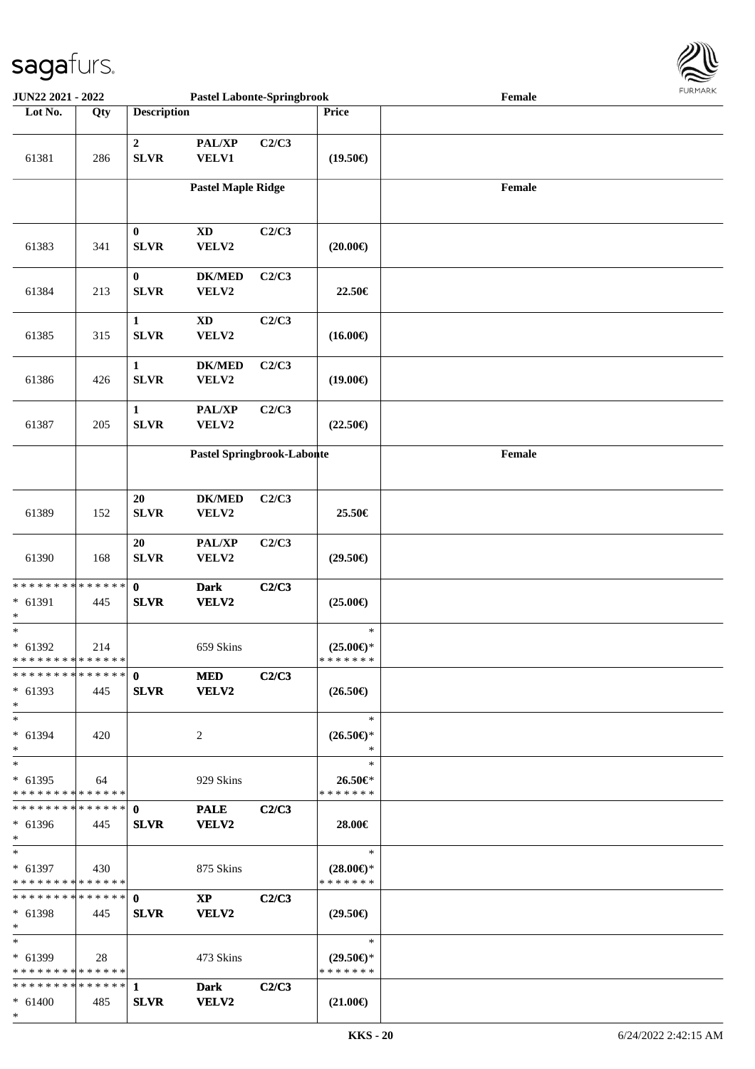

| JUN22 2021 - 2022                                                  |                      |                                 | <b>Pastel Labonte-Springbrook</b>      |       |                                                | Female | $1 \times 1$ |
|--------------------------------------------------------------------|----------------------|---------------------------------|----------------------------------------|-------|------------------------------------------------|--------|--------------|
| Lot No.                                                            | Qty                  | <b>Description</b>              |                                        |       | Price                                          |        |              |
| 61381                                                              | 286                  | $\boldsymbol{2}$<br><b>SLVR</b> | PAL/XP<br><b>VELV1</b>                 | C2/C3 | $(19.50\epsilon)$                              |        |              |
|                                                                    |                      |                                 | <b>Pastel Maple Ridge</b>              |       |                                                | Female |              |
| 61383                                                              | 341                  | $\bf{0}$<br><b>SLVR</b>         | $\mathbf{X}\mathbf{D}$<br>VELV2        | C2/C3 | $(20.00\epsilon)$                              |        |              |
| 61384                                                              | 213                  | $\pmb{0}$<br><b>SLVR</b>        | <b>DK/MED</b><br>VELV2                 | C2/C3 | 22.50€                                         |        |              |
| 61385                                                              | 315                  | $\mathbf 1$<br><b>SLVR</b>      | $\boldsymbol{\mathrm{XD}}$<br>VELV2    | C2/C3 | $(16.00\epsilon)$                              |        |              |
| 61386                                                              | 426                  | $\mathbf 1$<br><b>SLVR</b>      | <b>DK/MED</b><br>VELV2                 | C2/C3 | $(19.00\epsilon)$                              |        |              |
| 61387                                                              | 205                  | $\mathbf 1$<br><b>SLVR</b>      | PAL/XP<br>VELV2                        | C2/C3 | $(22.50\epsilon)$                              |        |              |
|                                                                    |                      |                                 | Pastel Springbrook-Labonte             |       |                                                | Female |              |
| 61389                                                              | 152                  | 20<br><b>SLVR</b>               | $DK/MED$<br>VELV2                      | C2/C3 | 25.50€                                         |        |              |
| 61390                                                              | 168                  | 20<br><b>SLVR</b>               | PAL/XP<br>VELV2                        | C2/C3 | $(29.50\epsilon)$                              |        |              |
| * * * * * * * *<br>* 61391<br>$\ast$                               | * * * * * *  <br>445 | $\mathbf{0}$<br><b>SLVR</b>     | <b>Dark</b><br>VELV2                   | C2/C3 | $(25.00\epsilon)$                              |        |              |
| $\ast$<br>$* 61392$<br>* * * * * * * * * * * * * * *               | 214                  |                                 | 659 Skins                              |       | $\ast$<br>$(25.00\epsilon)$ *<br>* * * * * * * |        |              |
| * * * * * * * * * * * * * * <mark>*</mark><br>$* 61393$<br>$\ast$  | 445                  | $\mathbf{0}$<br><b>SLVR</b>     | <b>MED</b><br><b>VELV2</b>             | C2/C3 | $(26.50\epsilon)$                              |        |              |
| $*$<br>$* 61394$<br>$\ast$                                         | 420                  |                                 | 2                                      |       | $\ast$<br>$(26.50\epsilon)$ *<br>$\rightarrow$ |        |              |
| $*$<br>$* 61395$<br>* * * * * * * * * * * * * * *                  | 64                   |                                 | 929 Skins                              |       | $\ast$<br>26.50€*<br>* * * * * * *             |        |              |
| $* 61396$<br>$*$                                                   | 445                  | <b>SLVR</b>                     | <b>PALE</b><br><b>VELV2</b>            | C2/C3 | 28.00€                                         |        |              |
| $*$<br>$* 61397$<br>* * * * * * * * * * * * * * *                  | 430                  |                                 | 875 Skins                              |       | $\ast$<br>$(28.00\epsilon)$ *<br>* * * * * * * |        |              |
| $* 61398$<br>$*$                                                   | 445                  | <b>SLVR</b>                     | $\mathbf{X}\mathbf{P}$<br><b>VELV2</b> | C2/C3 | $(29.50\epsilon)$                              |        |              |
| $*$ $-$<br>$* 61399$<br>* * * * * * * * <mark>* * * * * *</mark> * | 28                   |                                 | 473 Skins                              |       | $\ast$<br>$(29.50\epsilon)$ *<br>* * * * * * * |        |              |
| $* 61400$<br>$*$                                                   | 485                  | <b>SLVR</b>                     | <b>Dark</b><br><b>VELV2</b>            | C2/C3 | $(21.00\epsilon)$                              |        |              |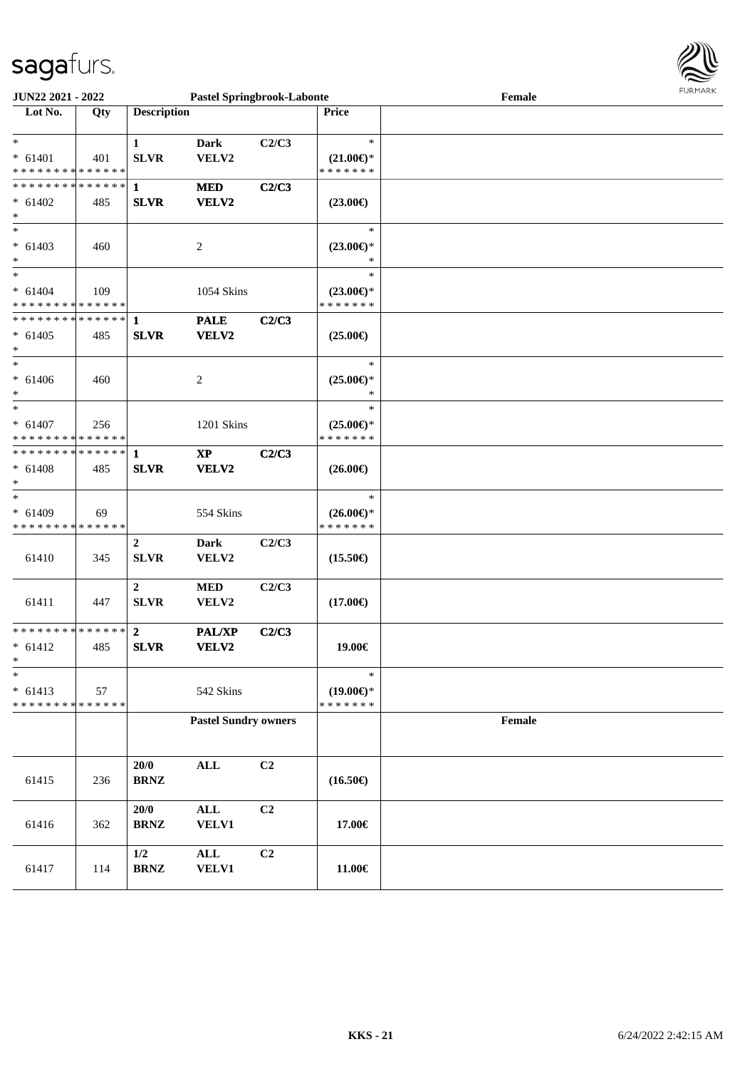

| JUN22 2021 - 2022           |     |                                 | <b>Pastel Springbrook-Labonte</b> |       |                     | Female | <b>LOKI-IWKV</b> |
|-----------------------------|-----|---------------------------------|-----------------------------------|-------|---------------------|--------|------------------|
| Lot No.                     | Qty | <b>Description</b>              |                                   |       | Price               |        |                  |
| $\ast$                      |     | $\mathbf{1}$                    | <b>Dark</b>                       | C2/C3 | $\ast$              |        |                  |
| $* 61401$                   | 401 | <b>SLVR</b>                     | VELV2                             |       | $(21.00\epsilon)$ * |        |                  |
| * * * * * * * * * * * * * * |     |                                 |                                   |       | * * * * * * *       |        |                  |
| * * * * * * * * * * * * * * |     | $\mathbf{1}$                    | <b>MED</b>                        | C2/C3 |                     |        |                  |
| $* 61402$                   | 485 | <b>SLVR</b>                     | VELV2                             |       | $(23.00\epsilon)$   |        |                  |
| $\ast$                      |     |                                 |                                   |       |                     |        |                  |
| $\ast$                      |     |                                 |                                   |       | $\ast$              |        |                  |
| $* 61403$                   | 460 |                                 | 2                                 |       | $(23.00\epsilon)$ * |        |                  |
| $\ast$                      |     |                                 |                                   |       | ∗                   |        |                  |
| $\ast$                      |     |                                 |                                   |       | $\ast$              |        |                  |
| $* 61404$                   | 109 |                                 | 1054 Skins                        |       | $(23.00\epsilon)$ * |        |                  |
| * * * * * * * * * * * * * * |     |                                 |                                   |       | * * * * * * *       |        |                  |
| * * * * * * * * * * * * * * |     | 1                               | <b>PALE</b>                       | C2/C3 |                     |        |                  |
| $* 61405$                   | 485 | <b>SLVR</b>                     | VELV2                             |       | $(25.00\epsilon)$   |        |                  |
| $\ast$                      |     |                                 |                                   |       |                     |        |                  |
| $\ast$                      |     |                                 |                                   |       | $\ast$              |        |                  |
| $* 61406$                   | 460 |                                 | $\overline{c}$                    |       | $(25.00\epsilon)$ * |        |                  |
| $\ast$                      |     |                                 |                                   |       | $\ast$              |        |                  |
| $\ast$                      |     |                                 |                                   |       | $\ast$              |        |                  |
| $* 61407$                   | 256 |                                 | 1201 Skins                        |       | $(25.00\epsilon)$ * |        |                  |
| * * * * * * * * * * * * * * |     |                                 |                                   |       | * * * * * * *       |        |                  |
| * * * * * * * * * * * * * * |     | 1                               | $\bold{XP}$                       | C2/C3 |                     |        |                  |
| $* 61408$                   | 485 | <b>SLVR</b>                     | VELV2                             |       | $(26.00\epsilon)$   |        |                  |
| $\ast$                      |     |                                 |                                   |       |                     |        |                  |
| $\ast$                      |     |                                 |                                   |       | $\ast$              |        |                  |
| $* 61409$                   | 69  |                                 | 554 Skins                         |       | $(26.00\epsilon)$ * |        |                  |
| * * * * * * * * * * * * * * |     |                                 |                                   |       | * * * * * * *       |        |                  |
|                             |     | $\boldsymbol{2}$                | <b>Dark</b>                       | C2/C3 |                     |        |                  |
| 61410                       | 345 | <b>SLVR</b>                     | VELV2                             |       | $(15.50\epsilon)$   |        |                  |
|                             |     |                                 |                                   |       |                     |        |                  |
| 61411                       |     | $\boldsymbol{2}$<br><b>SLVR</b> | <b>MED</b>                        | C2/C3 |                     |        |                  |
|                             | 447 |                                 | VELV2                             |       | $(17.00\epsilon)$   |        |                  |
| * * * * * * * * * * * * * * |     | $\mathbf{2}$                    | <b>PAL/XP</b>                     | C2/C3 |                     |        |                  |
| $* 61412$                   | 485 | <b>SLVR</b>                     | VELV2                             |       | 19.00€              |        |                  |
| $\star$                     |     |                                 |                                   |       |                     |        |                  |
| $\ast$                      |     |                                 |                                   |       | $\ast$              |        |                  |
| $* 61413$                   | 57  |                                 | 542 Skins                         |       | $(19.00\epsilon)$ * |        |                  |
| * * * * * * * * * * * * * * |     |                                 |                                   |       | * * * * * * *       |        |                  |
|                             |     |                                 | <b>Pastel Sundry owners</b>       |       |                     | Female |                  |
|                             |     |                                 |                                   |       |                     |        |                  |
|                             |     |                                 |                                   |       |                     |        |                  |
|                             |     | 20/0                            | <b>ALL</b>                        | C2    |                     |        |                  |
| 61415                       | 236 | <b>BRNZ</b>                     |                                   |       | $(16.50\epsilon)$   |        |                  |
|                             |     |                                 |                                   |       |                     |        |                  |
|                             |     | 20/0                            | <b>ALL</b>                        | C2    |                     |        |                  |
| 61416                       | 362 | <b>BRNZ</b>                     | <b>VELV1</b>                      |       | 17.00€              |        |                  |
|                             |     |                                 |                                   |       |                     |        |                  |
|                             |     | $1/2$                           | $\mathbf{ALL}$                    | C2    |                     |        |                  |
| 61417                       | 114 | <b>BRNZ</b>                     | <b>VELV1</b>                      |       | 11.00€              |        |                  |
|                             |     |                                 |                                   |       |                     |        |                  |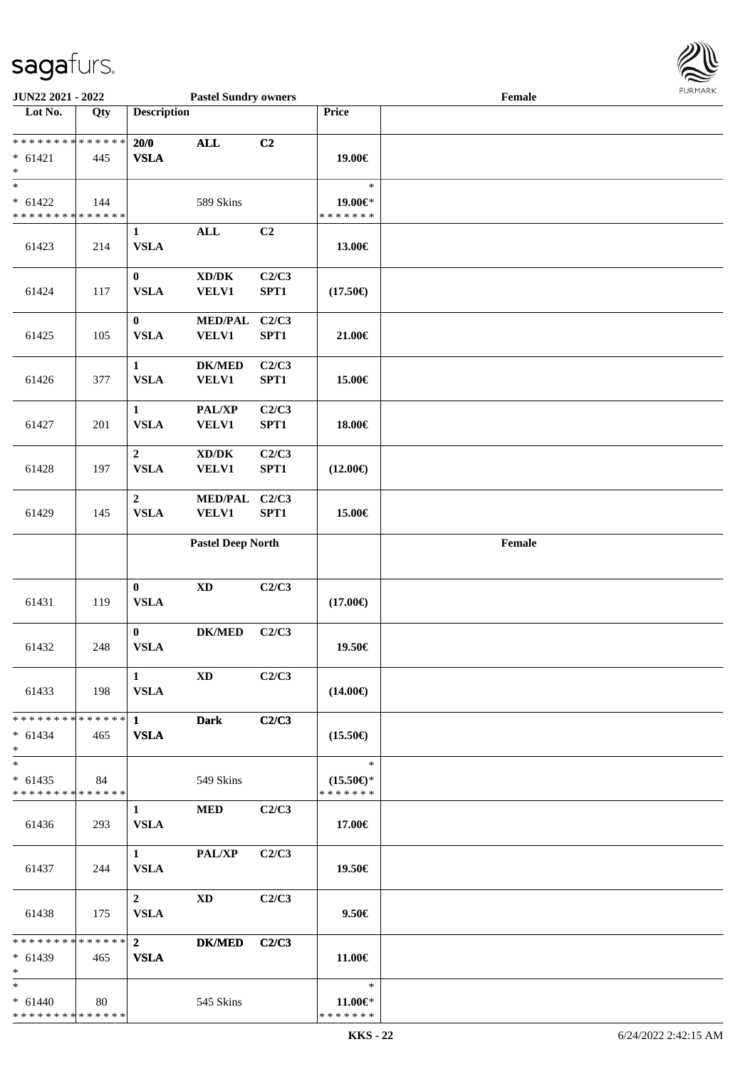

| JUN22 2021 - 2022                                                      |     |                                 | <b>Pastel Sundry owners</b>                         |                |                                                | <b>FURMARK</b><br>Female |  |  |
|------------------------------------------------------------------------|-----|---------------------------------|-----------------------------------------------------|----------------|------------------------------------------------|--------------------------|--|--|
| Lot No.                                                                | Qty | <b>Description</b>              |                                                     |                | Price                                          |                          |  |  |
| ******** <mark>******</mark><br>$* 61421$<br>$\ast$                    | 445 | 20/0<br><b>VSLA</b>             | $\mathbf{ALL}$                                      | C2             | 19.00€                                         |                          |  |  |
| $_{\ast}$<br>$* 61422$<br>******** <mark>******</mark>                 | 144 |                                 | 589 Skins                                           |                | $\ast$<br>19.00€*<br>* * * * * * *             |                          |  |  |
| 61423                                                                  | 214 | $\mathbf{1}$<br><b>VSLA</b>     | $\mathbf{ALL}$                                      | C <sub>2</sub> | 13.00€                                         |                          |  |  |
| 61424                                                                  | 117 | $\bf{0}$<br><b>VSLA</b>         | $\boldsymbol{\text{XD}/\text{DK}}$<br><b>VELV1</b>  | C2/C3<br>SPT1  | $(17.50\epsilon)$                              |                          |  |  |
| 61425                                                                  | 105 | $\bf{0}$<br><b>VSLA</b>         | <b>MED/PAL</b><br><b>VELV1</b>                      | C2/C3<br>SPT1  | 21.00€                                         |                          |  |  |
| 61426                                                                  | 377 | $\mathbf{1}$<br><b>VSLA</b>     | <b>DK/MED</b><br><b>VELV1</b>                       | C2/C3<br>SPT1  | 15.00€                                         |                          |  |  |
| 61427                                                                  | 201 | $\mathbf{1}$<br><b>VSLA</b>     | PAL/XP<br><b>VELV1</b>                              | C2/C3<br>SPT1  | 18.00€                                         |                          |  |  |
| 61428                                                                  | 197 | $\overline{2}$<br><b>VSLA</b>   | $\bold{X}\bold{D}/\bold{D}\bold{K}$<br><b>VELV1</b> | C2/C3<br>SPT1  | $(12.00\epsilon)$                              |                          |  |  |
| 61429                                                                  | 145 | $\boldsymbol{2}$<br><b>VSLA</b> | <b>MED/PAL</b><br><b>VELV1</b>                      | C2/C3<br>SPT1  | 15.00€                                         |                          |  |  |
|                                                                        |     |                                 | <b>Pastel Deep North</b>                            |                |                                                | Female                   |  |  |
| 61431                                                                  | 119 | $\bf{0}$<br><b>VSLA</b>         | $\mathbf{X}\mathbf{D}$                              | C2/C3          | $(17.00\epsilon)$                              |                          |  |  |
| 61432                                                                  | 248 | $\bf{0}$<br><b>VSLA</b>         | $DK/MED$                                            | C2/C3          | 19.50€                                         |                          |  |  |
| 61433                                                                  | 198 | $\mathbf{1}$<br><b>VSLA</b>     | $\mathbf{X}\mathbf{D}$                              | C2/C3          | $(14.00\epsilon)$                              |                          |  |  |
| * * * * * * * * * * * * * * *<br>$* 61434$<br>$*$                      | 465 | $\mathbf{1}$<br><b>VSLA</b>     | <b>Dark</b>                                         | C2/C3          | $(15.50\epsilon)$                              |                          |  |  |
| $\overline{\phantom{a}^*}$<br>$* 61435$<br>* * * * * * * * * * * * * * | 84  |                                 | 549 Skins                                           |                | $\ast$<br>$(15.50\epsilon)$ *<br>* * * * * * * |                          |  |  |
| 61436                                                                  | 293 | $\mathbf{1}$<br><b>VSLA</b>     | <b>MED</b>                                          | C2/C3          | 17.00€                                         |                          |  |  |
| 61437                                                                  | 244 | $\mathbf{1}$<br><b>VSLA</b>     | PAL/XP                                              | C2/C3          | 19.50€                                         |                          |  |  |
| 61438                                                                  | 175 | $\overline{2}$<br><b>VSLA</b>   | <b>XD</b>                                           | C2/C3          | $9.50 \in$                                     |                          |  |  |
| * * * * * * * * * * * * * * *<br>$* 61439$<br>$\ast$                   | 465 | $\overline{2}$<br><b>VSLA</b>   | $DK/MED$                                            | C2/C3          | 11.00€                                         |                          |  |  |
| $\ast$<br>$* 61440$<br>* * * * * * * * * * * * * *                     | 80  |                                 | 545 Skins                                           |                | $\ast$<br>$11.00 \in$<br>* * * * * * *         |                          |  |  |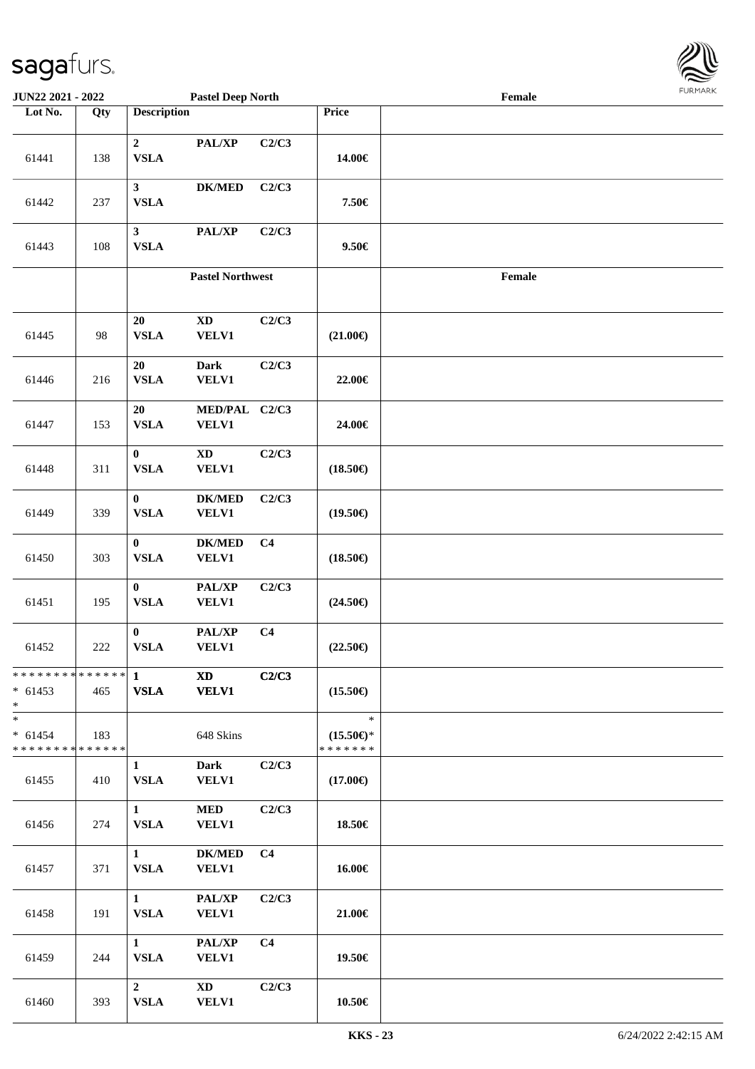

| <b>JUN22 2021 - 2022</b>                                        |     |                                       | <b>Pastel Deep North</b>               |                |                                                | $\ensuremath{\textnormal{\textbf{Female}}}$ | <b>FUNITANN</b> |
|-----------------------------------------------------------------|-----|---------------------------------------|----------------------------------------|----------------|------------------------------------------------|---------------------------------------------|-----------------|
| Lot No.                                                         | Qty | <b>Description</b>                    |                                        |                | Price                                          |                                             |                 |
| 61441                                                           | 138 | $\boldsymbol{2}$<br>${\bf VSLA}$      | PAL/XP                                 | C2/C3          | 14.00€                                         |                                             |                 |
| 61442                                                           | 237 | 3 <sup>1</sup><br><b>VSLA</b>         | <b>DK/MED</b>                          | C2/C3          | 7.50€                                          |                                             |                 |
| 61443                                                           | 108 | $\mathbf{3}$<br><b>VSLA</b>           | PAL/XP                                 | C2/C3          | $9.50 \in$                                     |                                             |                 |
|                                                                 |     |                                       | <b>Pastel Northwest</b>                |                |                                                | $\ensuremath{\textnormal{\textbf{Female}}}$ |                 |
| 61445                                                           | 98  | 20<br><b>VSLA</b>                     | $\mathbf{X}\mathbf{D}$<br><b>VELV1</b> | C2/C3          | $(21.00\epsilon)$                              |                                             |                 |
| 61446                                                           | 216 | 20<br><b>VSLA</b>                     | <b>Dark</b><br><b>VELV1</b>            | C2/C3          | 22.00€                                         |                                             |                 |
| 61447                                                           | 153 | 20<br><b>VSLA</b>                     | MED/PAL C2/C3<br><b>VELV1</b>          |                | 24.00€                                         |                                             |                 |
| 61448                                                           | 311 | $\bf{0}$<br>${\bf VSLA}$              | $\mathbf{X}\mathbf{D}$<br><b>VELV1</b> | C2/C3          | $(18.50\epsilon)$                              |                                             |                 |
| 61449                                                           | 339 | $\bf{0}$<br><b>VSLA</b>               | <b>DK/MED</b><br><b>VELV1</b>          | C2/C3          | $(19.50\epsilon)$                              |                                             |                 |
| 61450                                                           | 303 | $\bf{0}$<br>${\bf VSLA}$              | <b>DK/MED</b><br><b>VELV1</b>          | C <sub>4</sub> | $(18.50\epsilon)$                              |                                             |                 |
| 61451                                                           | 195 | $\pmb{0}$<br>${\bf VSLA}$             | PAL/XP<br><b>VELV1</b>                 | C2/C3          | $(24.50\epsilon)$                              |                                             |                 |
| 61452                                                           | 222 | $\bf{0}$<br>${\bf VSLA}$              | PAL/XP<br><b>VELV1</b>                 | C <sub>4</sub> | $(22.50\epsilon)$                              |                                             |                 |
| $* 61453$<br>$\ast$                                             | 465 | <b>VSLA</b>                           | <b>XD</b><br><b>VELV1</b>              | C2/C3          | $(15.50\epsilon)$                              |                                             |                 |
| $\ast$<br>$* 61454$<br>* * * * * * * * <mark>* * * * * *</mark> | 183 |                                       | 648 Skins                              |                | $\ast$<br>$(15.50\epsilon)$ *<br>* * * * * * * |                                             |                 |
| 61455                                                           | 410 | $\mathbf{1}$<br><b>VSLA</b>           | <b>Dark</b><br><b>VELV1</b>            | C2/C3          | $(17.00\epsilon)$                              |                                             |                 |
| 61456                                                           | 274 | 1<br><b>VSLA</b>                      | <b>MED</b><br><b>VELV1</b>             | C2/C3          | 18.50€                                         |                                             |                 |
| 61457                                                           | 371 | $1 \quad \blacksquare$<br><b>VSLA</b> | <b>DK/MED</b><br><b>VELV1</b>          | C <sub>4</sub> | 16.00€                                         |                                             |                 |
| 61458                                                           | 191 | 1<br><b>VSLA</b>                      | PAL/XP<br><b>VELV1</b>                 | C2/C3          | 21.00€                                         |                                             |                 |
| 61459                                                           | 244 | 1<br><b>VSLA</b>                      | PAL/XP<br><b>VELV1</b>                 | C <sub>4</sub> | 19.50€                                         |                                             |                 |
| 61460                                                           | 393 | $2^{\circ}$<br><b>VSLA</b>            | <b>XD</b><br><b>VELV1</b>              | C2/C3          | 10.50€                                         |                                             |                 |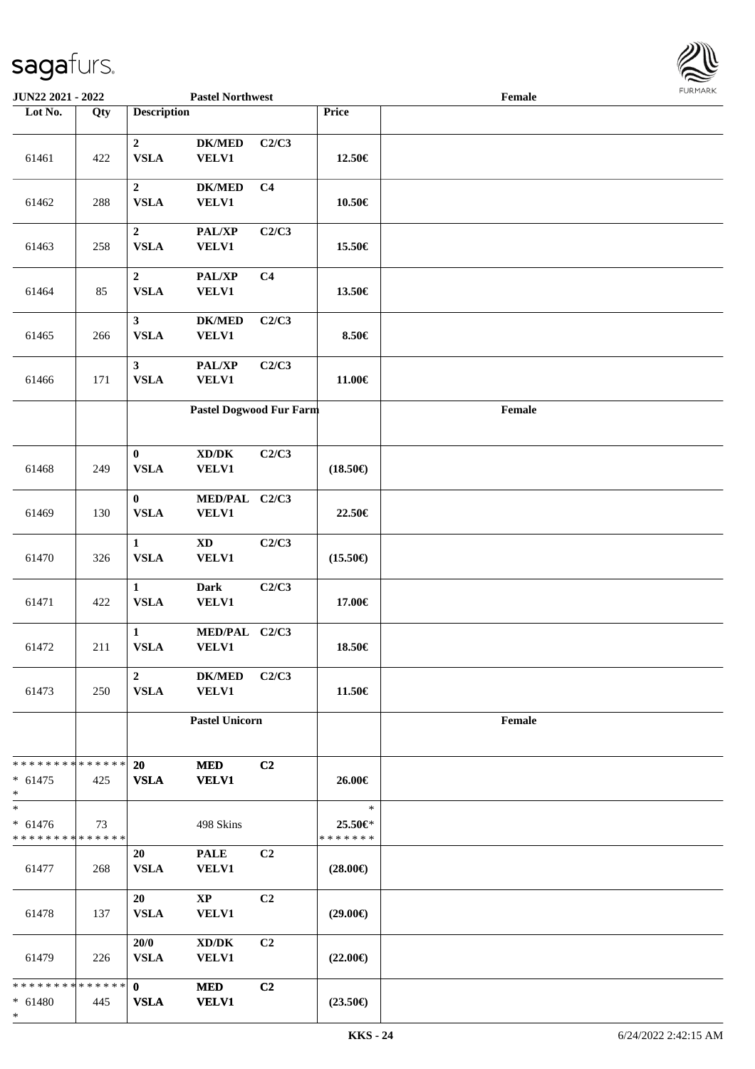\*

| JUN22 2021 - 2022                                  |     |                               | <b>Pastel Northwest</b>                             |                |                                    | Female | <b>FURMAI</b> |
|----------------------------------------------------|-----|-------------------------------|-----------------------------------------------------|----------------|------------------------------------|--------|---------------|
| Lot No.                                            | Qty | <b>Description</b>            |                                                     |                | Price                              |        |               |
| 61461                                              | 422 | $\overline{2}$<br><b>VSLA</b> | $DK/MED$<br><b>VELV1</b>                            | C2/C3          | 12.50€                             |        |               |
| 61462                                              | 288 | $\overline{2}$<br><b>VSLA</b> | <b>DK/MED</b><br><b>VELV1</b>                       | C <sub>4</sub> | $10.50\in$                         |        |               |
| 61463                                              | 258 | $\overline{2}$<br><b>VSLA</b> | PAL/XP<br><b>VELV1</b>                              | C2/C3          | 15.50€                             |        |               |
| 61464                                              | 85  | $\overline{2}$<br><b>VSLA</b> | PAL/XP<br><b>VELV1</b>                              | C <sub>4</sub> | 13.50€                             |        |               |
| 61465                                              | 266 | $\mathbf{3}$<br><b>VSLA</b>   | <b>DK/MED</b><br><b>VELV1</b>                       | C2/C3          | 8.50€                              |        |               |
| 61466                                              | 171 | $\mathbf{3}$<br><b>VSLA</b>   | PAL/XP<br><b>VELV1</b>                              | C2/C3          | 11.00€                             |        |               |
|                                                    |     |                               | Pastel Dogwood Fur Farm                             |                |                                    | Female |               |
| 61468                                              | 249 | $\bf{0}$<br><b>VSLA</b>       | $\bold{X}\bold{D}/\bold{D}\bold{K}$<br><b>VELV1</b> | C2/C3          | $(18.50\epsilon)$                  |        |               |
| 61469                                              | 130 | $\bf{0}$<br><b>VSLA</b>       | MED/PAL C2/C3<br><b>VELV1</b>                       |                | 22.50€                             |        |               |
| 61470                                              | 326 | $\mathbf{1}$<br><b>VSLA</b>   | $\mathbf{X}\mathbf{D}$<br><b>VELV1</b>              | C2/C3          | $(15.50\epsilon)$                  |        |               |
| 61471                                              | 422 | $\mathbf{1}$<br><b>VSLA</b>   | <b>Dark</b><br><b>VELV1</b>                         | C2/C3          | 17.00€                             |        |               |
| 61472                                              | 211 | $\mathbf{1}$<br><b>VSLA</b>   | MED/PAL C2/C3<br><b>VELV1</b>                       |                | 18.50€                             |        |               |
| 61473                                              | 250 | $\overline{2}$<br><b>VSLA</b> | <b>DK/MED</b><br><b>VELV1</b>                       | C2/C3          | 11.50€                             |        |               |
|                                                    |     |                               | <b>Pastel Unicorn</b>                               |                |                                    | Female |               |
| * * * * * * * * * * * * * *<br>$* 61475$<br>$\ast$ | 425 | 20<br><b>VSLA</b>             | <b>MED</b><br><b>VELV1</b>                          | C2             | 26.00€                             |        |               |
| $\ast$<br>$* 61476$<br>* * * * * * * * * * * * * * | 73  |                               | 498 Skins                                           |                | $\ast$<br>25.50€*<br>* * * * * * * |        |               |
| 61477                                              | 268 | 20<br><b>VSLA</b>             | <b>PALE</b><br><b>VELV1</b>                         | C2             | $(28.00\epsilon)$                  |        |               |
| 61478                                              | 137 | 20<br><b>VSLA</b>             | $\mathbf{X}\mathbf{P}$<br><b>VELV1</b>              | C2             | $(29.00\epsilon)$                  |        |               |
| 61479                                              | 226 | 20/0<br><b>VSLA</b>           | $\bold{X}\bold{D}/\bold{D}\bold{K}$<br><b>VELV1</b> | C2             | $(22.00\epsilon)$                  |        |               |
| * * * * * * * * * * * * * *<br>$* 61480$           | 445 | $\mathbf{0}$<br><b>VSLA</b>   | <b>MED</b><br><b>VELV1</b>                          | C2             | $(23.50\epsilon)$                  |        |               |

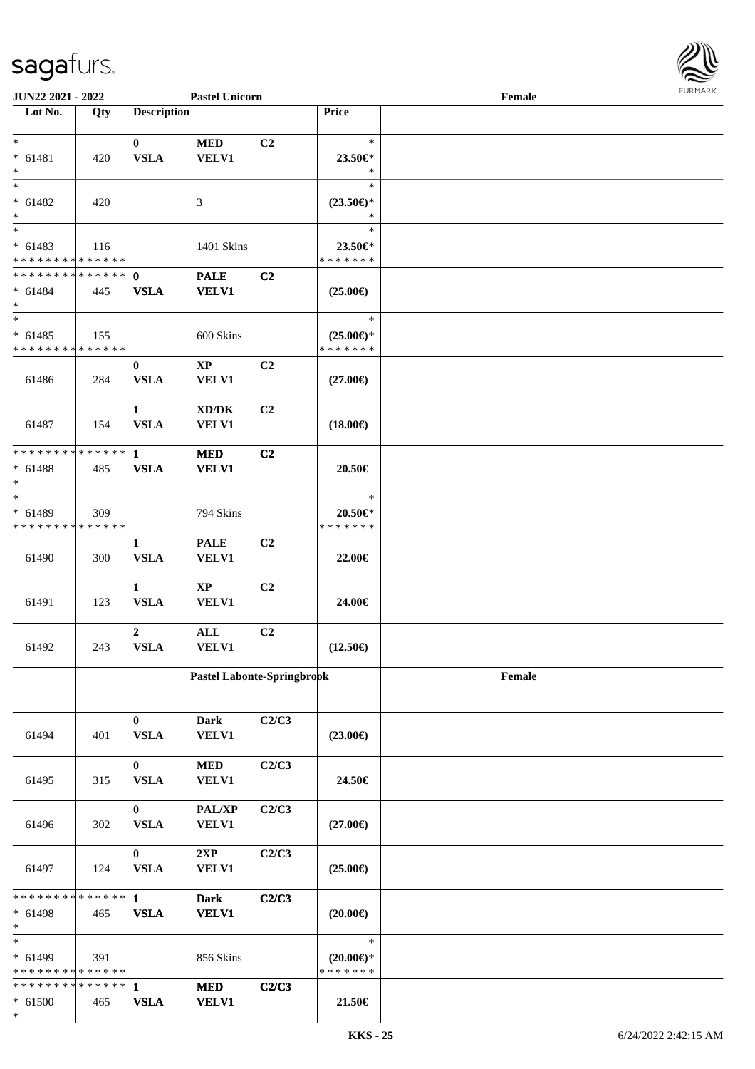

| JUN22 2021 - 2022                        |     |                    | <b>Pastel Unicorn</b>               |                |                                | Female | 1.911171777 |
|------------------------------------------|-----|--------------------|-------------------------------------|----------------|--------------------------------|--------|-------------|
| Lot No.                                  | Qty | <b>Description</b> |                                     |                | Price                          |        |             |
|                                          |     |                    |                                     |                |                                |        |             |
| $*$                                      |     | $\mathbf{0}$       | <b>MED</b>                          | C <sub>2</sub> | $\ast$                         |        |             |
| $* 61481$                                | 420 | <b>VSLA</b>        | <b>VELV1</b>                        |                | 23.50€*                        |        |             |
| $*$<br>$\overline{\phantom{0}}$          |     |                    |                                     |                | $\ast$                         |        |             |
|                                          |     |                    |                                     |                | $\ast$                         |        |             |
| $* 61482$                                | 420 |                    | 3                                   |                | $(23.50\epsilon)$ *            |        |             |
| $*$                                      |     |                    |                                     |                | ∗                              |        |             |
| $*$                                      |     |                    |                                     |                | $\ast$                         |        |             |
| $* 61483$                                | 116 |                    | 1401 Skins                          |                | 23.50€*                        |        |             |
| * * * * * * * * * * * * * * *            |     |                    |                                     |                | * * * * * * *                  |        |             |
| * * * * * * * * * * * * * * *            |     | $\mathbf 0$        | <b>PALE</b>                         | C <sub>2</sub> |                                |        |             |
| $* 61484$                                | 445 | <b>VSLA</b>        | <b>VELV1</b>                        |                | $(25.00\epsilon)$              |        |             |
| $*$<br>$\overline{\phantom{0}}$          |     |                    |                                     |                |                                |        |             |
|                                          |     |                    |                                     |                | $\ast$                         |        |             |
| $* 61485$                                | 155 |                    | 600 Skins                           |                | $(25.00\epsilon)$ *            |        |             |
| * * * * * * * * * * * * * *              |     |                    |                                     |                | * * * * * * *                  |        |             |
|                                          |     | $\bf{0}$           | $\mathbf{XP}$                       | C <sub>2</sub> |                                |        |             |
| 61486                                    | 284 | <b>VSLA</b>        | <b>VELV1</b>                        |                | $(27.00\epsilon)$              |        |             |
|                                          |     |                    |                                     |                |                                |        |             |
|                                          |     | $\mathbf{1}$       | $\bold{X}\bold{D}/\bold{D}\bold{K}$ | C2             |                                |        |             |
| 61487                                    | 154 | <b>VSLA</b>        | <b>VELV1</b>                        |                | $(18.00\epsilon)$              |        |             |
| * * * * * * * * * * * * * *              |     |                    |                                     |                |                                |        |             |
|                                          |     | $\mathbf{1}$       | <b>MED</b>                          | C <sub>2</sub> |                                |        |             |
| $* 61488$                                | 485 | <b>VSLA</b>        | <b>VELV1</b>                        |                | 20.50€                         |        |             |
| $*$<br>$*$                               |     |                    |                                     |                | $\ast$                         |        |             |
|                                          |     |                    |                                     |                |                                |        |             |
| $* 61489$<br>* * * * * * * * * * * * * * | 309 |                    | 794 Skins                           |                | $20.50 \in$ *<br>* * * * * * * |        |             |
|                                          |     |                    |                                     |                |                                |        |             |
|                                          |     | 1<br><b>VSLA</b>   | <b>PALE</b>                         | C <sub>2</sub> |                                |        |             |
| 61490                                    | 300 |                    | VELV1                               |                | 22.00€                         |        |             |
|                                          |     | $\mathbf{1}$       | $\mathbf{X}\mathbf{P}$              | C <sub>2</sub> |                                |        |             |
| 61491                                    | 123 | <b>VSLA</b>        | <b>VELV1</b>                        |                | 24.00€                         |        |             |
|                                          |     |                    |                                     |                |                                |        |             |
|                                          |     | $\overline{2}$     | $\mathbf{ALL}$                      | C <sub>2</sub> |                                |        |             |
| 61492                                    | 243 | <b>VSLA</b>        | <b>VELV1</b>                        |                | $(12.50\epsilon)$              |        |             |
|                                          |     |                    |                                     |                |                                |        |             |
|                                          |     |                    | Pastel Labonte-Springbrook          |                |                                | Female |             |
|                                          |     |                    |                                     |                |                                |        |             |
|                                          |     |                    |                                     |                |                                |        |             |
|                                          |     | $\mathbf{0}$       | <b>Dark</b>                         | C2/C3          |                                |        |             |
| 61494                                    | 401 | <b>VSLA</b>        | <b>VELV1</b>                        |                | $(23.00\epsilon)$              |        |             |
|                                          |     |                    |                                     |                |                                |        |             |
|                                          |     | $\bf{0}$           | $\bf MED$                           | C2/C3          |                                |        |             |
| 61495                                    | 315 | <b>VSLA</b>        | <b>VELV1</b>                        |                | 24.50€                         |        |             |
|                                          |     |                    |                                     |                |                                |        |             |
|                                          |     | $\bf{0}$           | PAL/XP                              | C2/C3          |                                |        |             |
| 61496                                    | 302 | <b>VSLA</b>        | VELV1                               |                | $(27.00\epsilon)$              |        |             |
|                                          |     |                    |                                     |                |                                |        |             |
|                                          |     | $\bf{0}$           | 2XP                                 | C2/C3          |                                |        |             |
| 61497                                    | 124 | <b>VSLA</b>        | <b>VELV1</b>                        |                | $(25.00\epsilon)$              |        |             |
|                                          |     |                    |                                     |                |                                |        |             |
| * * * * * * * * * * * * * * *            |     | $\mathbf{1}$       | <b>Dark</b>                         | C2/C3          |                                |        |             |
| $* 61498$                                | 465 | <b>VSLA</b>        | <b>VELV1</b>                        |                | $(20.00\epsilon)$              |        |             |
| $*$                                      |     |                    |                                     |                |                                |        |             |
| $*$                                      |     |                    |                                     |                | $\ast$                         |        |             |
| * 61499                                  | 391 |                    | 856 Skins                           |                | $(20.00\epsilon)$ *            |        |             |
| * * * * * * * * * * * * * *              |     |                    |                                     |                | * * * * * * *                  |        |             |
| * * * * * * * * * * * * * * *            |     | $\mathbf{1}$       | $\bf MED$                           | C2/C3          |                                |        |             |
| $* 61500$                                | 465 | <b>VSLA</b>        | <b>VELV1</b>                        |                | 21.50€                         |        |             |
| $\ast$                                   |     |                    |                                     |                |                                |        |             |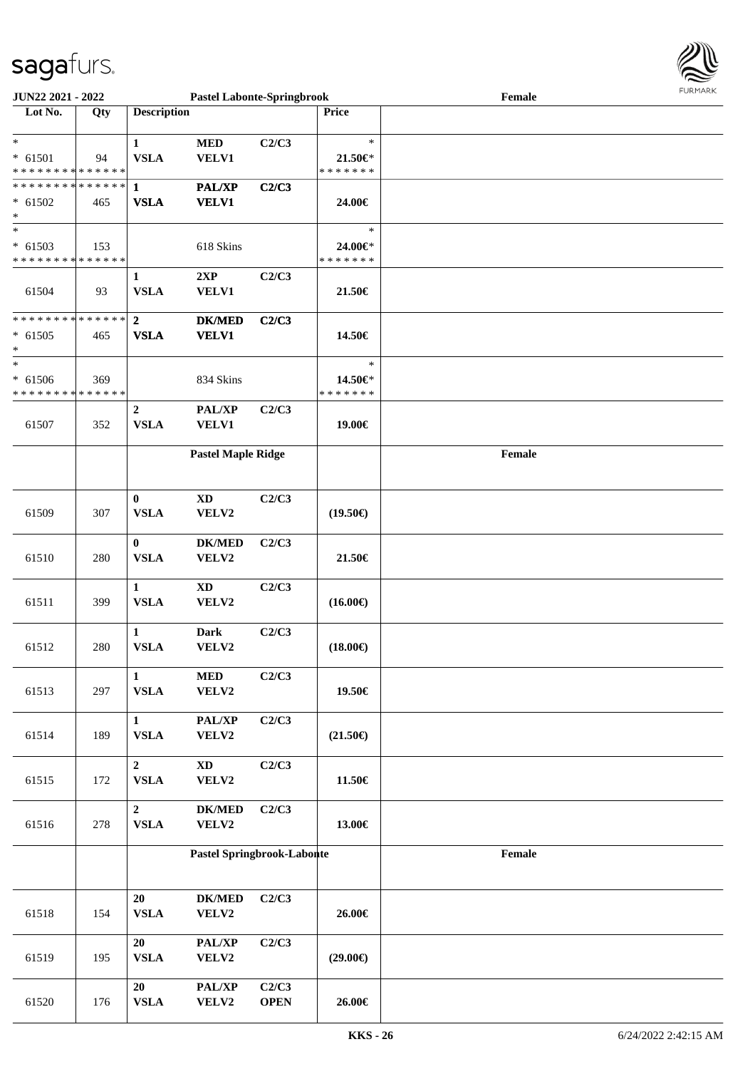

| <b>JUN22 2021 - 2022</b>                                          |     |                                | <b>Pastel Labonte-Springbrook</b> |                      |                                        | Female |  |
|-------------------------------------------------------------------|-----|--------------------------------|-----------------------------------|----------------------|----------------------------------------|--------|--|
| Lot No.                                                           | Qty | <b>Description</b>             |                                   |                      | <b>Price</b>                           |        |  |
| $\ast$<br>$* 61501$<br>* * * * * * * * * * * * * *                | 94  | $\mathbf{1}$<br><b>VSLA</b>    | <b>MED</b><br>VELV1               | C2/C3                | $\ast$<br>$21.50 \in$<br>* * * * * * * |        |  |
| * * * * * * * * * * * * * * <mark>*</mark><br>$* 61502$<br>$\ast$ | 465 | $\mathbf{1}$<br><b>VSLA</b>    | <b>PAL/XP</b><br><b>VELV1</b>     | C2/C3                | 24.00€                                 |        |  |
| $_{*}$<br>$* 61503$<br>* * * * * * * * <mark>* * * * * * *</mark> | 153 |                                | 618 Skins                         |                      | $\ast$<br>24.00€*<br>* * * * * * *     |        |  |
| 61504                                                             | 93  | $\mathbf{1}$<br><b>VSLA</b>    | 2XP<br>VELV1                      | C2/C3                | 21.50€                                 |        |  |
| * * * * * * * * <mark>* * * * * * *</mark><br>$* 61505$<br>*      | 465 | $\mathbf{2}$<br><b>VSLA</b>    | <b>DK/MED</b><br><b>VELV1</b>     | C2/C3                | 14.50€                                 |        |  |
| $\ast$<br>$* 61506$<br>* * * * * * * * <mark>* * * * * * *</mark> | 369 |                                | 834 Skins                         |                      | $\ast$<br>14.50€*<br>* * * * * * *     |        |  |
| 61507                                                             | 352 | $\overline{2}$<br><b>VSLA</b>  | PAL/XP<br>VELV1                   | C2/C3                | 19.00€                                 |        |  |
|                                                                   |     |                                | <b>Pastel Maple Ridge</b>         |                      |                                        | Female |  |
| 61509                                                             | 307 | $\bf{0}$<br><b>VSLA</b>        | <b>XD</b><br>VELV2                | C2/C3                | $(19.50\epsilon)$                      |        |  |
| 61510                                                             | 280 | $\mathbf{0}$<br><b>VSLA</b>    | <b>DK/MED</b><br>VELV2            | C2/C3                | 21.50€                                 |        |  |
| 61511                                                             | 399 | $\mathbf{1}$<br><b>VSLA</b>    | <b>XD</b><br>VELV2                | C2/C3                | $(16.00\epsilon)$                      |        |  |
| 61512                                                             | 280 | $\mathbf{1}$<br><b>VSLA</b>    | <b>Dark</b><br>VELV2              | C2/C3                | $(18.00\epsilon)$                      |        |  |
| 61513                                                             | 297 | $\mathbf{1}$<br>${\bf VSLA}$   | $\bf MED$<br>VELV2                | C2/C3                | 19.50€                                 |        |  |
| 61514                                                             | 189 | $\mathbf{1}$<br><b>VSLA</b>    | PAL/XP<br>VELV2                   | C2/C3                | $(21.50\epsilon)$                      |        |  |
| 61515                                                             | 172 | $\overline{2}$<br>${\bf VSLA}$ | $\mathbf{X}\mathbf{D}$<br>VELV2   | C2/C3                | 11.50€                                 |        |  |
| 61516                                                             | 278 | $\overline{2}$<br>${\bf VSLA}$ | $DK/MED$<br>VELV2                 | C2/C3                | 13.00€                                 |        |  |
|                                                                   |     |                                | Pastel Springbrook-Laboute        |                      |                                        | Female |  |
| 61518                                                             | 154 | 20<br>${\bf VSLA}$             | <b>DK/MED</b><br>VELV2            | C2/C3                | 26.00€                                 |        |  |
| 61519                                                             | 195 | 20<br><b>VSLA</b>              | PAL/XP<br>VELV2                   | C2/C3                | $(29.00\epsilon)$                      |        |  |
| 61520                                                             | 176 | 20<br>${\bf VSLA}$             | PAL/XP<br>VELV2                   | C2/C3<br><b>OPEN</b> | 26.00€                                 |        |  |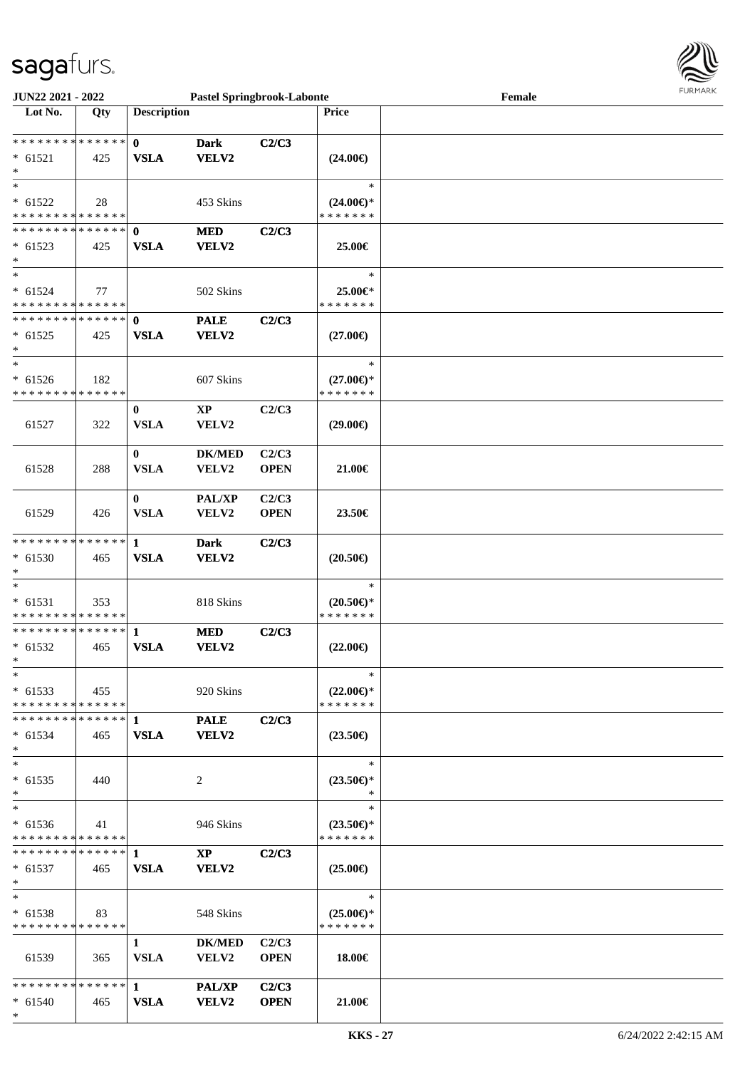\*



| <b>JUN22 2021 - 2022</b>                   |     |                    | <b>Pastel Springbrook-Labonte</b> |             |                                      | Female |  |
|--------------------------------------------|-----|--------------------|-----------------------------------|-------------|--------------------------------------|--------|--|
| Lot No.                                    | Qty | <b>Description</b> |                                   |             | <b>Price</b>                         |        |  |
|                                            |     |                    |                                   |             |                                      |        |  |
| ******** <mark>******</mark>               |     | $\mathbf{0}$       | <b>Dark</b>                       | C2/C3       |                                      |        |  |
| $* 61521$                                  | 425 | <b>VSLA</b>        | VELV2                             |             | $(24.00\epsilon)$                    |        |  |
| $\ast$                                     |     |                    |                                   |             |                                      |        |  |
| $\ast$                                     |     |                    |                                   |             | $\ast$                               |        |  |
| $* 61522$                                  | 28  |                    | 453 Skins                         |             | $(24.00\epsilon)$ *                  |        |  |
| * * * * * * * * <mark>* * * * * * *</mark> |     |                    |                                   |             | * * * * * * *                        |        |  |
| * * * * * * * * <mark>* * * * * * *</mark> |     | $\mathbf 0$        | <b>MED</b>                        | C2/C3       |                                      |        |  |
| $* 61523$                                  | 425 | <b>VSLA</b>        | VELV2                             |             | 25.00€                               |        |  |
| $\ast$                                     |     |                    |                                   |             |                                      |        |  |
| $\ast$                                     |     |                    |                                   |             | $\ast$                               |        |  |
| $* 61524$                                  | 77  |                    | 502 Skins                         |             | 25.00€*                              |        |  |
| * * * * * * * * * * * * * *                |     |                    |                                   |             | * * * * * * *                        |        |  |
| * * * * * * * * <mark>* * * * * * *</mark> |     | $\mathbf{0}$       | <b>PALE</b>                       | C2/C3       |                                      |        |  |
| $* 61525$                                  | 425 | <b>VSLA</b>        | VELV2                             |             | $(27.00\epsilon)$                    |        |  |
| *<br>$\ast$                                |     |                    |                                   |             |                                      |        |  |
|                                            |     |                    |                                   |             | $\ast$                               |        |  |
| $* 61526$<br>* * * * * * * * * * * * * *   | 182 |                    | 607 Skins                         |             | $(27.00\epsilon)$ *<br>* * * * * * * |        |  |
|                                            |     |                    |                                   |             |                                      |        |  |
|                                            |     | $\bf{0}$           | <b>XP</b>                         | C2/C3       |                                      |        |  |
| 61527                                      | 322 | <b>VSLA</b>        | VELV2                             |             | $(29.00\epsilon)$                    |        |  |
|                                            |     |                    |                                   |             |                                      |        |  |
|                                            |     | $\bf{0}$           | <b>DK/MED</b>                     | C2/C3       |                                      |        |  |
| 61528                                      | 288 | <b>VSLA</b>        | VELV2                             | <b>OPEN</b> | 21.00€                               |        |  |
|                                            |     |                    |                                   |             |                                      |        |  |
|                                            |     | $\bf{0}$           | <b>PAL/XP</b>                     | C2/C3       |                                      |        |  |
| 61529                                      | 426 | <b>VSLA</b>        | VELV2                             | <b>OPEN</b> | 23.50€                               |        |  |
| * * * * * * * * <mark>* * * * * * *</mark> |     | 1                  | <b>Dark</b>                       | C2/C3       |                                      |        |  |
| $* 61530$                                  | 465 | <b>VSLA</b>        | VELV2                             |             | $(20.50\epsilon)$                    |        |  |
|                                            |     |                    |                                   |             |                                      |        |  |
| $\ast$                                     |     |                    |                                   |             | $\ast$                               |        |  |
| $* 61531$                                  | 353 |                    | 818 Skins                         |             | $(20.50 \in )^*$                     |        |  |
| * * * * * * * * <mark>* * * * * * *</mark> |     |                    |                                   |             | * * * * * * *                        |        |  |
|                                            |     |                    | <b>MED</b>                        | C2/C3       |                                      |        |  |
| $* 61532$                                  | 465 | <b>VSLA</b>        | VELV2                             |             | $(22.00\epsilon)$                    |        |  |
| $\ast$                                     |     |                    |                                   |             |                                      |        |  |
| $\ast$                                     |     |                    |                                   |             | $\ast$                               |        |  |
| $*$ 61533                                  | 455 |                    | 920 Skins                         |             | $(22.00\epsilon)$ *                  |        |  |
| * * * * * * * * * * * * * * *              |     |                    |                                   |             | * * * * * * *                        |        |  |
|                                            |     |                    | <b>PALE</b>                       | C2/C3       |                                      |        |  |
| $* 61534$                                  | 465 | <b>VSLA</b>        | <b>VELV2</b>                      |             | $(23.50\epsilon)$                    |        |  |
| $\ast$                                     |     |                    |                                   |             |                                      |        |  |
| $\ast$                                     |     |                    |                                   |             | $\ast$                               |        |  |
| $* 61535$                                  | 440 |                    | 2                                 |             | $(23.50\epsilon)$ *                  |        |  |
|                                            |     |                    |                                   |             | $\ast$                               |        |  |
| $\ast$                                     |     |                    |                                   |             | $\ast$                               |        |  |
| $*$ 61536                                  | 41  |                    | 946 Skins                         |             | $(23.50\epsilon)$ *                  |        |  |
| * * * * * * * * * * * * * * *              |     |                    |                                   |             | * * * * * * *                        |        |  |
| ******** <mark>******</mark> 1             |     |                    | $\mathbf{X}\mathbf{P}$            | C2/C3       |                                      |        |  |
| $* 61537$                                  | 465 | <b>VSLA</b>        | <b>VELV2</b>                      |             | $(25.00\epsilon)$                    |        |  |
| $\ast$                                     |     |                    |                                   |             |                                      |        |  |
| $\ast$                                     |     |                    |                                   |             | $\ast$                               |        |  |
| $* 61538$                                  | 83  |                    | 548 Skins                         |             | $(25.00\epsilon)$ *                  |        |  |
| * * * * * * * * * * * * * * *              |     |                    |                                   |             | * * * * * * *                        |        |  |
|                                            |     | 1                  | <b>DK/MED</b>                     | C2/C3       |                                      |        |  |
| 61539                                      | 365 | <b>VSLA</b>        | <b>VELV2</b>                      | <b>OPEN</b> | 18.00€                               |        |  |
|                                            |     |                    |                                   |             |                                      |        |  |
|                                            |     |                    | <b>PAL/XP</b>                     | C2/C3       |                                      |        |  |
| $* 61540$                                  | 465 | <b>VSLA</b>        | <b>VELV2</b>                      | <b>OPEN</b> | 21.00€                               |        |  |
|                                            |     |                    |                                   |             |                                      |        |  |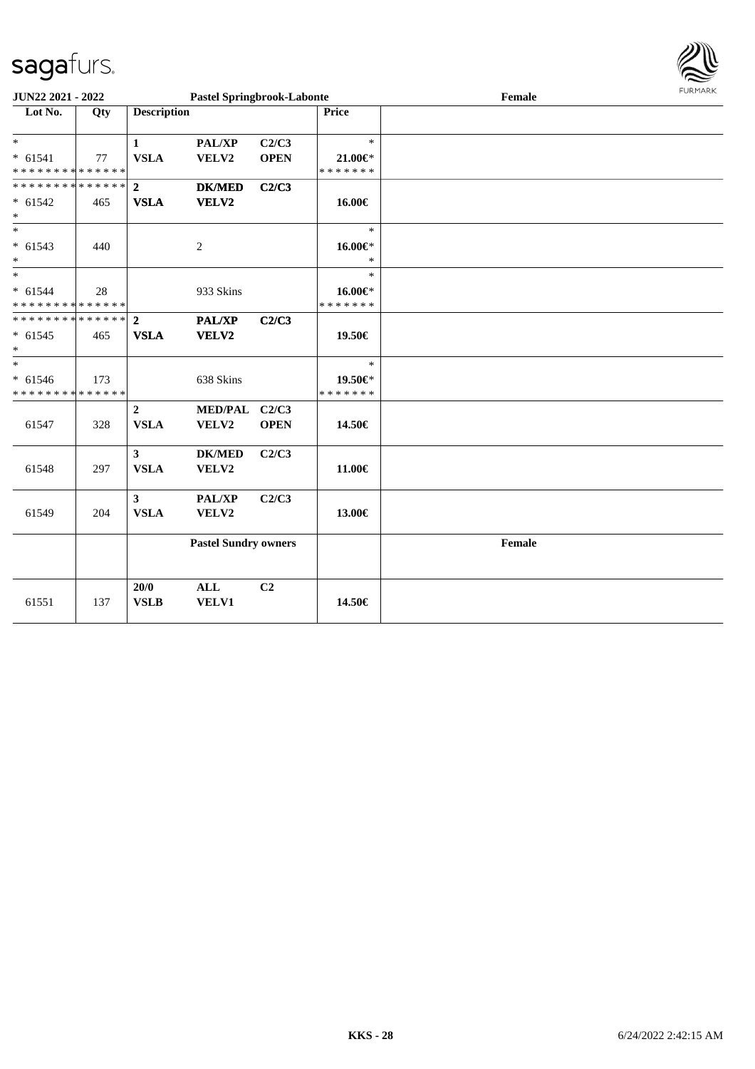\*

\*

\*

\*

\*

\*

\*



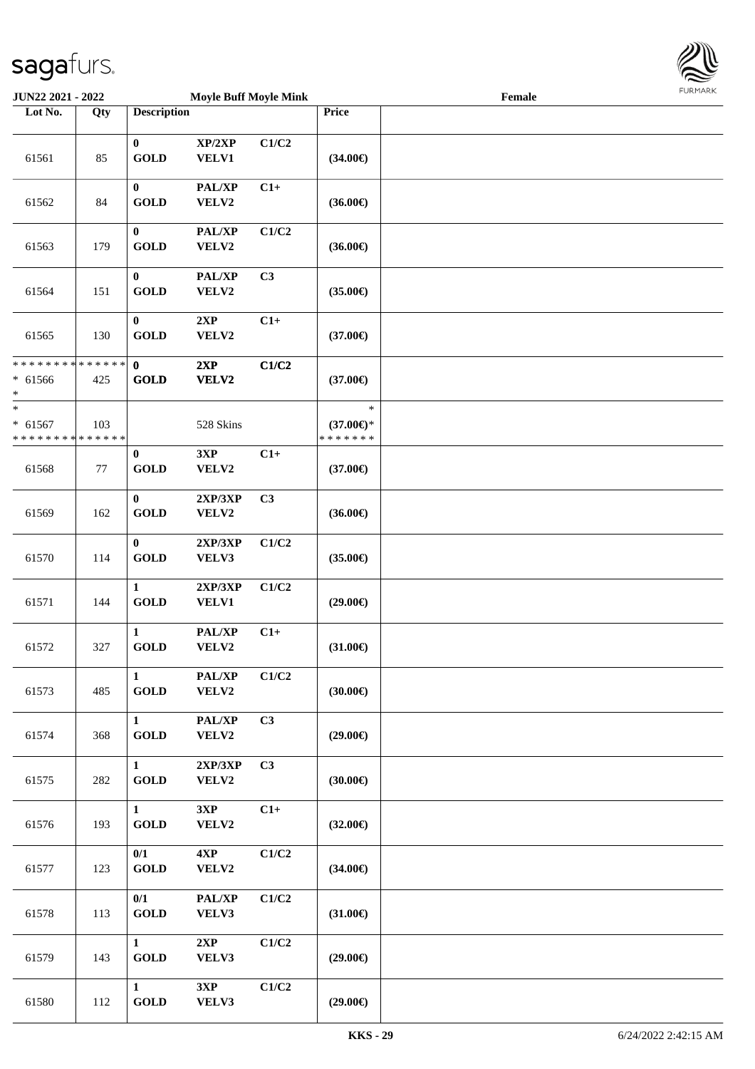

| <b>JUN22 2021 - 2022</b>                                     |     |                             | <b>Moyle Buff Moyle Mink</b> |       |                                                | Female |  |
|--------------------------------------------------------------|-----|-----------------------------|------------------------------|-------|------------------------------------------------|--------|--|
| Lot No.                                                      | Qty | <b>Description</b>          |                              |       | Price                                          |        |  |
| 61561                                                        | 85  | $\bf{0}$<br><b>GOLD</b>     | XP/2XP<br>VELV1              | C1/C2 | $(34.00\epsilon)$                              |        |  |
| 61562                                                        | 84  | $\bf{0}$<br><b>GOLD</b>     | PAL/XP<br>VELV2              | $C1+$ | $(36.00\epsilon)$                              |        |  |
| 61563                                                        | 179 | $\bf{0}$<br><b>GOLD</b>     | PAL/XP<br>VELV2              | C1/C2 | $(36.00\epsilon)$                              |        |  |
| 61564                                                        | 151 | $\bf{0}$<br><b>GOLD</b>     | PAL/XP<br>VELV2              | C3    | $(35.00\epsilon)$                              |        |  |
| 61565                                                        | 130 | $\bf{0}$<br><b>GOLD</b>     | 2XP<br>VELV2                 | $C1+$ | $(37.00\epsilon)$                              |        |  |
| * * * * * * * * <mark>* * * * * * *</mark><br>$* 61566$<br>* | 425 | $\mathbf{0}$<br><b>GOLD</b> | 2XP<br><b>VELV2</b>          | C1/C2 | $(37.00\epsilon)$                              |        |  |
| $\ast$<br>$* 61567$<br>* * * * * * * * * * * * * *           | 103 |                             | 528 Skins                    |       | $\ast$<br>$(37.00\epsilon)$ *<br>* * * * * * * |        |  |
| 61568                                                        | 77  | $\bf{0}$<br><b>GOLD</b>     | 3XP<br>VELV2                 | $C1+$ | $(37.00\epsilon)$                              |        |  |
| 61569                                                        | 162 | $\bf{0}$<br><b>GOLD</b>     | 2XP/3XP<br>VELV2             | C3    | $(36.00\epsilon)$                              |        |  |
| 61570                                                        | 114 | $\bf{0}$<br><b>GOLD</b>     | 2XP/3XP<br>VELV3             | C1/C2 | $(35.00\epsilon)$                              |        |  |
| 61571                                                        | 144 | $\mathbf{1}$<br><b>GOLD</b> | 2XP/3XP<br><b>VELV1</b>      | C1/C2 | $(29.00\epsilon)$                              |        |  |
| 61572                                                        | 327 | $\mathbf{1}$<br><b>GOLD</b> | PAL/XP<br>VELV2              | $C1+$ | $(31.00\epsilon)$                              |        |  |
| 61573                                                        | 485 | $\mathbf{1}$<br><b>GOLD</b> | PAL/XP<br>VELV2              | C1/C2 | $(30.00\epsilon)$                              |        |  |
| 61574                                                        | 368 | $\mathbf{1}$<br><b>GOLD</b> | PAL/XP<br>VELV2              | C3    | $(29.00\epsilon)$                              |        |  |
| 61575                                                        | 282 | $\mathbf{1}$<br><b>GOLD</b> | 2XP/3XP<br>VELV2             | C3    | (30.00)                                        |        |  |
| 61576                                                        | 193 | $\mathbf{1}$<br><b>GOLD</b> | 3XP<br>VELV2                 | $C1+$ | $(32.00\epsilon)$                              |        |  |
| 61577                                                        | 123 | 0/1<br><b>GOLD</b>          | 4XP<br>VELV2                 | C1/C2 | $(34.00\epsilon)$                              |        |  |
| 61578                                                        | 113 | 0/1<br><b>GOLD</b>          | PAL/XP<br>VELV3              | C1/C2 | $(31.00\epsilon)$                              |        |  |
| 61579                                                        | 143 | $\mathbf{1}$<br><b>GOLD</b> | 2XP<br>VELV3                 | C1/C2 | $(29.00\epsilon)$                              |        |  |
| 61580                                                        | 112 | $\mathbf{1}$<br><b>GOLD</b> | 3XP<br>VELV3                 | C1/C2 | $(29.00\epsilon)$                              |        |  |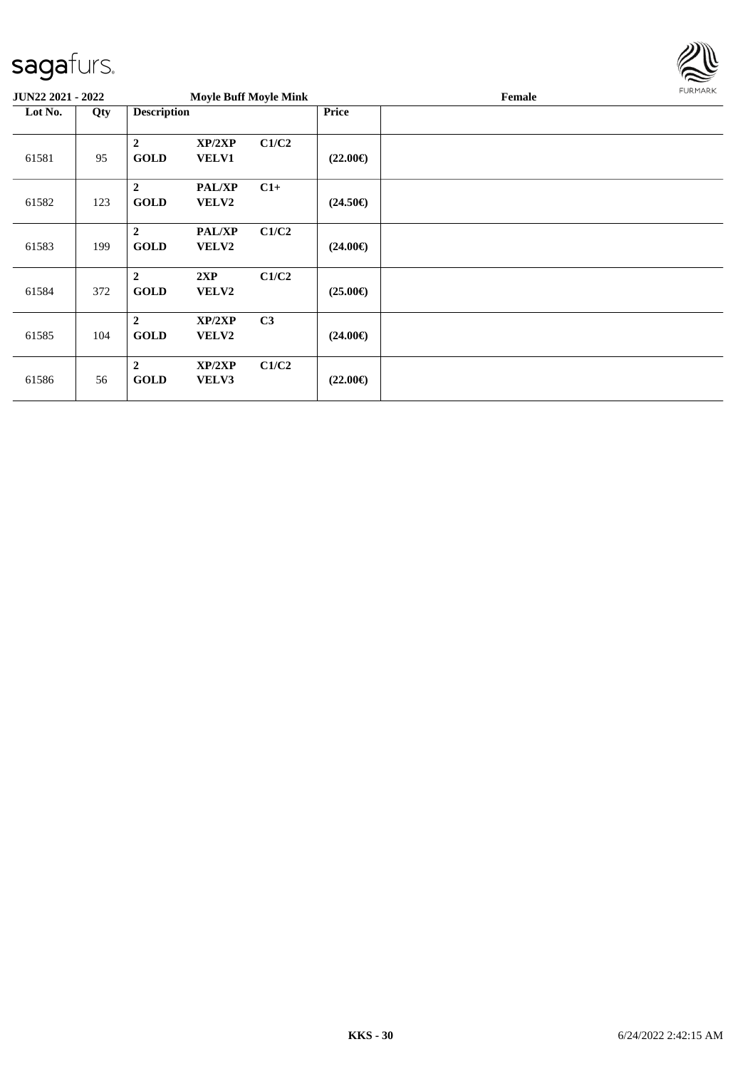

|         | <b>Moyle Buff Moyle Mink</b><br><b>JUN22 2021 - 2022</b> |                                 |                               |                |                   | Female | FURMARK |
|---------|----------------------------------------------------------|---------------------------------|-------------------------------|----------------|-------------------|--------|---------|
| Lot No. | Qty                                                      | <b>Description</b>              |                               |                | <b>Price</b>      |        |         |
| 61581   | 95                                                       | $\boldsymbol{2}$<br><b>GOLD</b> | XP/2XP<br><b>VELV1</b>        | C1/C2          | $(22.00\epsilon)$ |        |         |
| 61582   | 123                                                      | $\overline{2}$<br><b>GOLD</b>   | PAL/XP<br><b>VELV2</b>        | $C1+$          | $(24.50\epsilon)$ |        |         |
| 61583   | 199                                                      | $\overline{2}$<br><b>GOLD</b>   | <b>PAL/XP</b><br><b>VELV2</b> | C1/C2          | $(24.00\epsilon)$ |        |         |
| 61584   | 372                                                      | $\boldsymbol{2}$<br><b>GOLD</b> | 2XP<br><b>VELV2</b>           | C1/C2          | $(25.00\epsilon)$ |        |         |
| 61585   | 104                                                      | $\overline{2}$<br><b>GOLD</b>   | XP/2XP<br><b>VELV2</b>        | C <sub>3</sub> | $(24.00\epsilon)$ |        |         |
| 61586   | 56                                                       | $\overline{2}$<br><b>GOLD</b>   | XP/2XP<br>VELV3               | C1/C2          | $(22.00\epsilon)$ |        |         |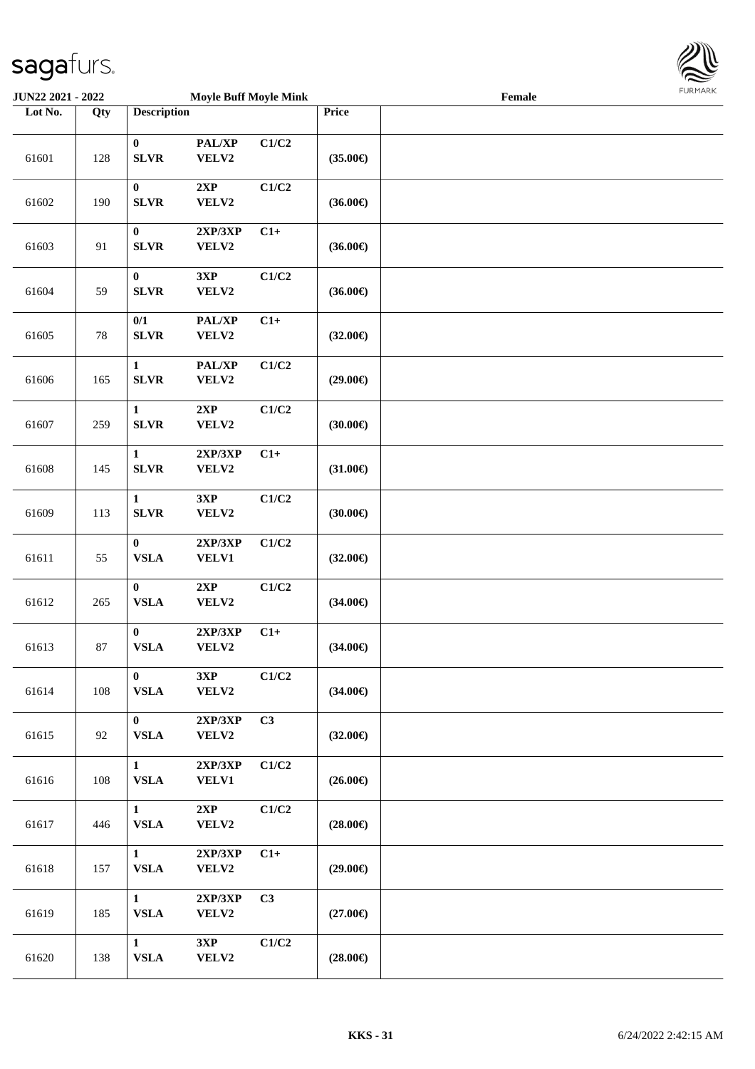

| <b>JUN22 2021 - 2022</b> |     |                              | <b>Moyle Buff Moyle Mink</b> |       |                   | Female | <b>FUNITANN</b> |
|--------------------------|-----|------------------------------|------------------------------|-------|-------------------|--------|-----------------|
| Lot No.                  | Qty | <b>Description</b>           |                              |       | Price             |        |                 |
| 61601                    | 128 | $\bf{0}$<br><b>SLVR</b>      | PAL/XP<br>VELV2              | C1/C2 | $(35.00\epsilon)$ |        |                 |
| 61602                    | 190 | $\bf{0}$<br><b>SLVR</b>      | 2XP<br>VELV2                 | C1/C2 | $(36.00\epsilon)$ |        |                 |
| 61603                    | 91  | $\bf{0}$<br><b>SLVR</b>      | 2XP/3XP<br>VELV2             | $C1+$ | $(36.00\epsilon)$ |        |                 |
| 61604                    | 59  | $\bf{0}$<br><b>SLVR</b>      | 3XP<br>VELV2                 | C1/C2 | $(36.00\epsilon)$ |        |                 |
| 61605                    | 78  | 0/1<br><b>SLVR</b>           | PAL/XP<br>VELV2              | $C1+$ | $(32.00\epsilon)$ |        |                 |
| 61606                    | 165 | $\mathbf{1}$<br><b>SLVR</b>  | PAL/XP<br>VELV2              | C1/C2 | $(29.00\epsilon)$ |        |                 |
| 61607                    | 259 | $\mathbf{1}$<br><b>SLVR</b>  | 2XP<br>VELV2                 | C1/C2 | (30.00)           |        |                 |
| 61608                    | 145 | $\mathbf{1}$<br><b>SLVR</b>  | 2XP/3XP<br>VELV2             | $C1+$ | $(31.00\epsilon)$ |        |                 |
| 61609                    | 113 | $\mathbf{1}$<br><b>SLVR</b>  | 3XP<br>VELV2                 | C1/C2 | (30.00)           |        |                 |
| 61611                    | 55  | $\bf{0}$<br>${\bf VSLA}$     | 2XP/3XP<br><b>VELV1</b>      | C1/C2 | $(32.00\epsilon)$ |        |                 |
| 61612                    | 265 | $\bf{0}$<br>${\bf VSLA}$     | 2XP<br>VELV2                 | C1/C2 | $(34.00\epsilon)$ |        |                 |
| 61613                    | 87  | $\bf{0}$<br>${\bf VSLA}$     | 2XP/3XP<br>VELV2             | $C1+$ | $(34.00\epsilon)$ |        |                 |
| 61614                    | 108 | $\mathbf{0}$<br>${\bf VSLA}$ | 3XP<br>VELV2                 | C1/C2 | $(34.00\epsilon)$ |        |                 |
| 61615                    | 92  | $\mathbf{0}$<br><b>VSLA</b>  | 2XP/3XP<br>VELV2             | C3    | $(32.00\epsilon)$ |        |                 |
| 61616                    | 108 | $\mathbf{1}$<br><b>VSLA</b>  | 2XP/3XP<br><b>VELV1</b>      | C1/C2 | $(26.00\epsilon)$ |        |                 |
| 61617                    | 446 | $\mathbf{1}$<br><b>VSLA</b>  | 2XP<br>VELV2                 | C1/C2 | $(28.00\epsilon)$ |        |                 |
| 61618                    | 157 | $\mathbf{1}$<br><b>VSLA</b>  | 2XP/3XP<br>VELV2             | $C1+$ | $(29.00\epsilon)$ |        |                 |
| 61619                    | 185 | $\mathbf{1}$<br><b>VSLA</b>  | 2XP/3XP<br>VELV2             | C3    | $(27.00\epsilon)$ |        |                 |
| 61620                    | 138 | $\mathbf{1}$<br>${\bf VSLA}$ | 3XP<br>VELV2                 | C1/C2 | $(28.00\epsilon)$ |        |                 |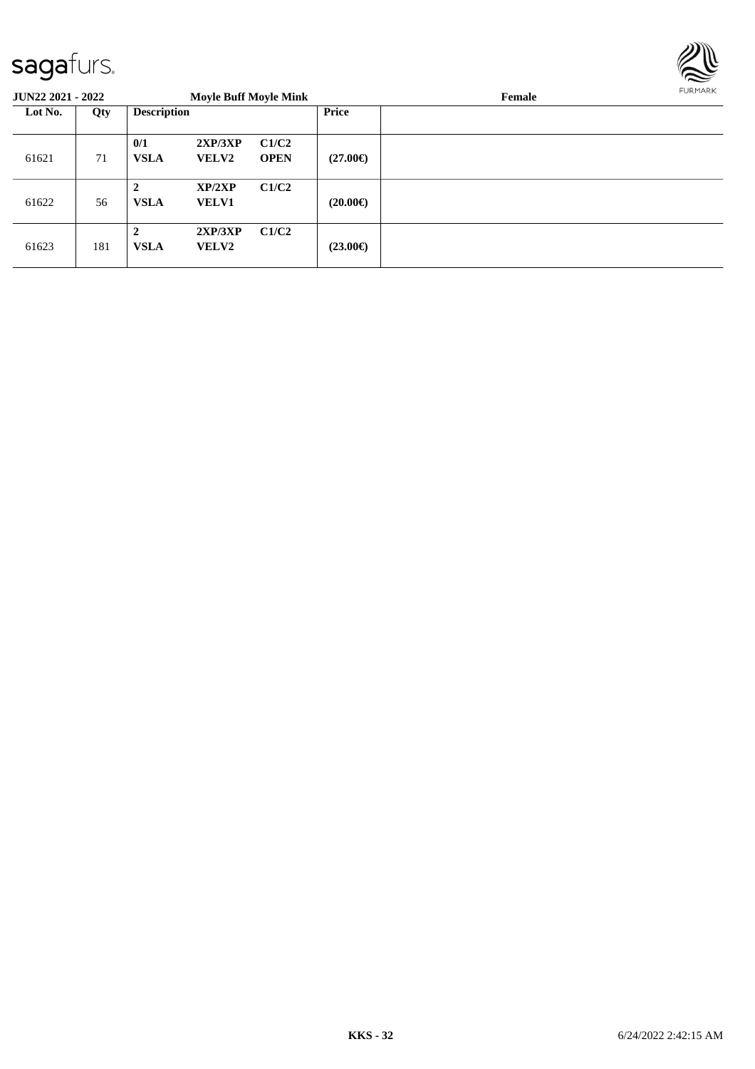

| <b>JUN22 2021 - 2022</b> |     |                               | <b>Moyle Buff Moyle Mink</b> |                      |                   | FURMARK |  |
|--------------------------|-----|-------------------------------|------------------------------|----------------------|-------------------|---------|--|
| Lot No.                  | Qty | <b>Description</b>            |                              |                      | Price             |         |  |
| 61621                    | 71  | 0/1<br><b>VSLA</b>            | 2XP/3XP<br><b>VELV2</b>      | C1/C2<br><b>OPEN</b> | $(27.00\epsilon)$ |         |  |
| 61622                    | 56  | $\overline{2}$<br><b>VSLA</b> | XP/2XP<br><b>VELV1</b>       | C1/C2                | $(20.00\epsilon)$ |         |  |
| 61623                    | 181 | $\overline{2}$<br><b>VSLA</b> | 2XP/3XP<br><b>VELV2</b>      | C1/C2                | $(23.00\epsilon)$ |         |  |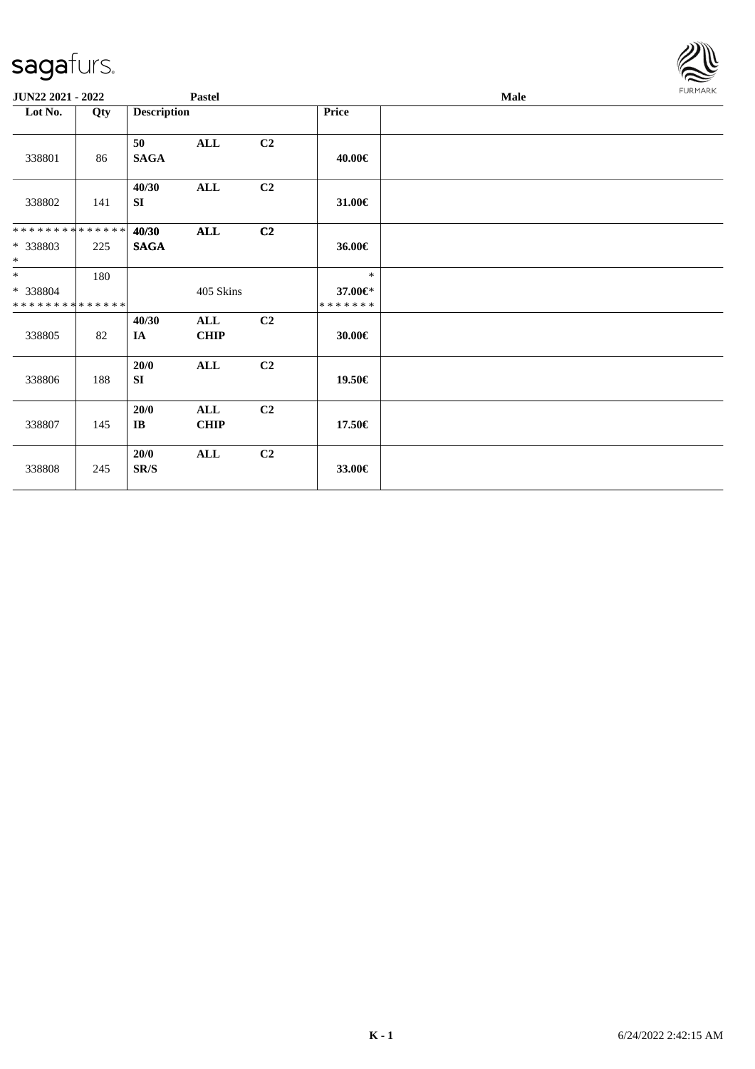| <b>JUN22 2021 - 2022</b>                          |     |                      | <b>Pastel</b>      |                |                                    | Male |  |  |
|---------------------------------------------------|-----|----------------------|--------------------|----------------|------------------------------------|------|--|--|
| Lot No.                                           | Qty | <b>Description</b>   |                    |                | <b>Price</b>                       |      |  |  |
| 338801                                            | 86  | 50<br><b>SAGA</b>    | <b>ALL</b>         | C <sub>2</sub> | 40.00€                             |      |  |  |
| 338802                                            | 141 | 40/30<br>SI          | ALL                | C <sub>2</sub> | 31.00€                             |      |  |  |
| * * * * * * * * * * * * * *<br>* 338803<br>$\ast$ | 225 | 40/30<br><b>SAGA</b> | $\mathbf{ALL}$     | C2             | 36.00€                             |      |  |  |
| $*$<br>* 338804<br>* * * * * * * * * * * * * *    | 180 |                      | 405 Skins          |                | $\ast$<br>37.00€*<br>* * * * * * * |      |  |  |
| 338805                                            | 82  | 40/30<br><b>IA</b>   | ALL<br><b>CHIP</b> | C2             | 30.00€                             |      |  |  |
| 338806                                            | 188 | 20/0<br>SI           | ALL                | C2             | 19.50€                             |      |  |  |
| 338807                                            | 145 | 20/0<br>$\bf{IB}$    | <b>ALL</b><br>CHIP | C <sub>2</sub> | 17.50€                             |      |  |  |
| 338808                                            | 245 | 20/0<br>SR/S         | ALL                | C2             | 33.00€                             |      |  |  |

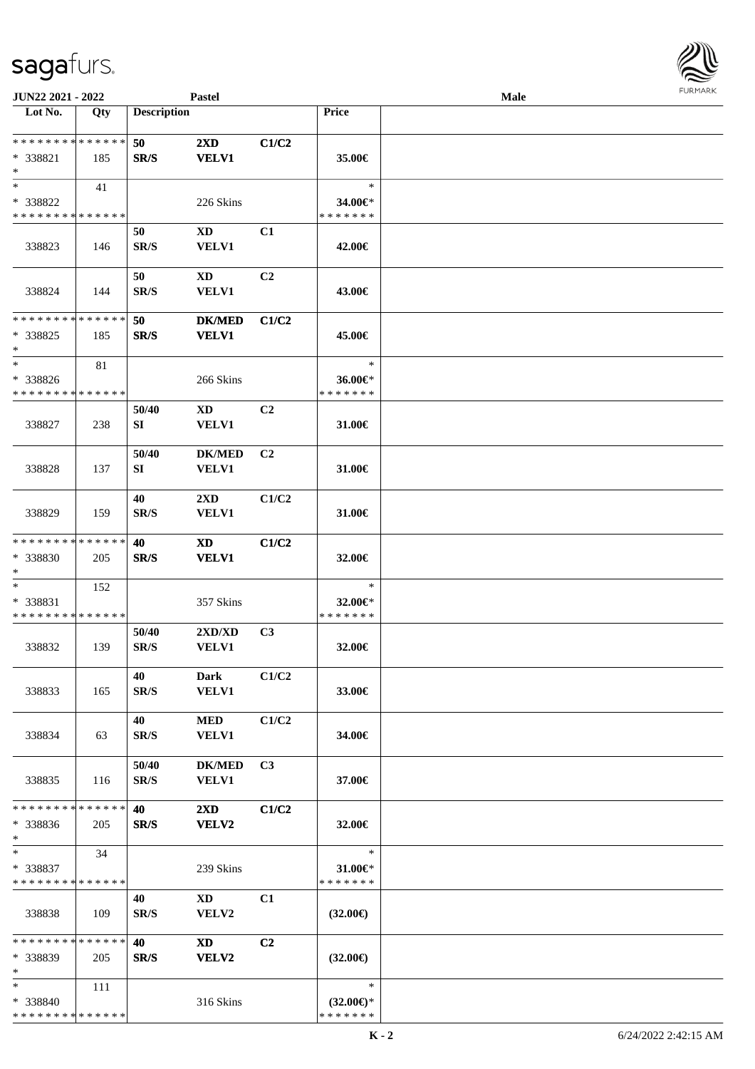| JUN22 2021 - 2022                                 |                    |                    | <b>Pastel</b>                           |                |                                                | Male |  |
|---------------------------------------------------|--------------------|--------------------|-----------------------------------------|----------------|------------------------------------------------|------|--|
| Lot No.                                           | Qty                | <b>Description</b> |                                         |                | Price                                          |      |  |
| * * * * * * * * * * * * * *<br>* 338821<br>$*$    | 185                | 50<br>SR/S         | $2\mathbf{X}\mathbf{D}$<br><b>VELV1</b> | C1/C2          | 35.00€                                         |      |  |
| $\ast$<br>* 338822<br>* * * * * * * * * * * * * * | 41                 |                    | 226 Skins                               |                | $\ast$<br>34.00€*<br>* * * * * * *             |      |  |
| 338823                                            | 146                | 50<br>SR/S         | XD<br><b>VELV1</b>                      | C1             | 42.00€                                         |      |  |
| 338824                                            | 144                | 50<br>SR/S         | $\mathbf{X}\mathbf{D}$<br><b>VELV1</b>  | C2             | 43.00€                                         |      |  |
| * * * * * * * * * * * * * *<br>* 338825<br>$*$    | 185                | 50<br>SR/S         | <b>DK/MED</b><br><b>VELV1</b>           | C1/C2          | 45.00€                                         |      |  |
| $\ast$<br>* 338826<br>* * * * * * * * * * * * * * | 81                 |                    | 266 Skins                               |                | $\ast$<br>36.00€*<br>* * * * * * *             |      |  |
| 338827                                            | 238                | 50/40<br>SI        | <b>XD</b><br>VELV1                      | C2             | 31.00€                                         |      |  |
| 338828                                            | 137                | 50/40<br>SI        | <b>DK/MED</b><br>VELV1                  | C <sub>2</sub> | 31.00€                                         |      |  |
| 338829                                            | 159                | 40<br>SR/S         | $2\mathbf{X}\mathbf{D}$<br><b>VELV1</b> | C1/C2          | 31.00€                                         |      |  |
| * * * * * * * *<br>* 338830<br>$\ast$             | * * * * * *<br>205 | 40<br>SR/S         | <b>XD</b><br><b>VELV1</b>               | C1/C2          | 32.00€                                         |      |  |
| $\ast$<br>* 338831<br>* * * * * * * * * * * * * * | 152                |                    | 357 Skins                               |                | $\ast$<br>32.00€*<br>* * * * * * *             |      |  |
| 338832                                            | 139                | 50/40<br>SR/S      | 2XD/XD<br><b>VELV1</b>                  | C3             | 32.00€                                         |      |  |
| 338833                                            | 165                | 40<br>SR/S         | Dark<br><b>VELV1</b>                    | C1/C2          | 33.00€                                         |      |  |
| 338834                                            | 63                 | 40<br>SR/S         | <b>MED</b><br><b>VELV1</b>              | C1/C2          | 34.00€                                         |      |  |
| 338835                                            | 116                | 50/40<br>SR/S      | <b>DK/MED</b><br>VELV1                  | C <sub>3</sub> | 37.00€                                         |      |  |
| * * * * * * * *<br>* 338836<br>$\ast$             | * * * * * *<br>205 | 40<br>SR/S         | $2\mathbf{X}\mathbf{D}$<br>VELV2        | C1/C2          | 32.00€                                         |      |  |
| $*$<br>* 338837<br>* * * * * * * * * * * * * *    | 34                 |                    | 239 Skins                               |                | $\ast$<br>31.00€*<br>* * * * * * *             |      |  |
| 338838                                            | 109                | 40<br>SR/S         | XD<br><b>VELV2</b>                      | C1             | $(32.00\epsilon)$                              |      |  |
| * * * * * * * * * * * * * *<br>* 338839<br>$\ast$ | 205                | 40<br>SR/S         | <b>XD</b><br>VELV2                      | C <sub>2</sub> | $(32.00\epsilon)$                              |      |  |
| $*$<br>* 338840<br>* * * * * * * * * * * * * *    | 111                |                    | 316 Skins                               |                | $\ast$<br>$(32.00\epsilon)$ *<br>* * * * * * * |      |  |

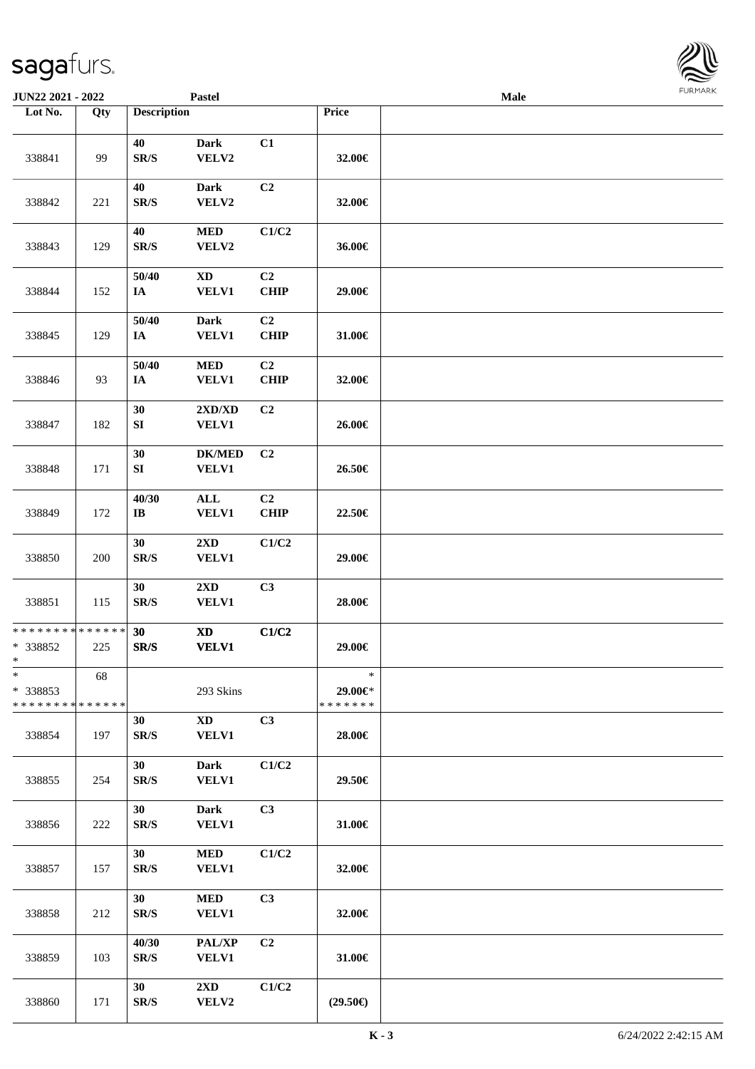| <b>JUN22 2021 - 2022</b>                                      |     |                                 | <b>Pastel</b>                              |                               |                                    | <b>Male</b> |  |
|---------------------------------------------------------------|-----|---------------------------------|--------------------------------------------|-------------------------------|------------------------------------|-------------|--|
| Lot No.                                                       | Qty | <b>Description</b>              |                                            |                               | Price                              |             |  |
| 338841                                                        | 99  | 40<br>SR/S                      | <b>Dark</b><br>VELV2                       | C1                            | 32.00€                             |             |  |
| 338842                                                        | 221 | 40<br>SR/S                      | <b>Dark</b><br>VELV2                       | C2                            | 32.00€                             |             |  |
| 338843                                                        | 129 | 40<br>SR/S                      | <b>MED</b><br>VELV2                        | C1/C2                         | 36.00€                             |             |  |
| 338844                                                        | 152 | 50/40<br>IA                     | $\mathbf{X}\mathbf{D}$<br><b>VELV1</b>     | C2<br><b>CHIP</b>             | 29.00€                             |             |  |
| 338845                                                        | 129 | 50/40<br>$I\!\!A$               | Dark<br><b>VELV1</b>                       | C2<br><b>CHIP</b>             | 31.00€                             |             |  |
| 338846                                                        | 93  | 50/40<br>$I\!\!A$               | $\bf MED$<br><b>VELV1</b>                  | C <sub>2</sub><br><b>CHIP</b> | 32.00€                             |             |  |
| 338847                                                        | 182 | 30<br>${\bf S}{\bf I}$          | 2XD/XD<br><b>VELV1</b>                     | C2                            | 26.00€                             |             |  |
| 338848                                                        | 171 | 30<br>SI                        | <b>DK/MED</b><br><b>VELV1</b>              | C2                            | 26.50€                             |             |  |
| 338849                                                        | 172 | 40/30<br>$\mathbf{I}\mathbf{B}$ | $\mathbf{ALL}$<br><b>VELV1</b>             | C <sub>2</sub><br><b>CHIP</b> | 22.50€                             |             |  |
| 338850                                                        | 200 | 30<br>SR/S                      | 2XD<br>VELV1                               | C1/C2                         | 29.00€                             |             |  |
| 338851                                                        | 115 | 30<br>SR/S                      | 2XD<br><b>VELV1</b>                        | C3                            | 28.00€                             |             |  |
| * * * * * * * * <mark>* * * * * * *</mark><br>* 338852<br>$*$ | 225 | 30<br>SR/S                      | $\boldsymbol{\mathrm{XD}}$<br><b>VELV1</b> | C1/C2                         | 29.00€                             |             |  |
| $\ast$<br>* 338853<br>* * * * * * * * * * * * * *             | 68  |                                 | 293 Skins                                  |                               | $\ast$<br>29.00€*<br>* * * * * * * |             |  |
| 338854                                                        | 197 | 30<br>SR/S                      | $\mathbf{X}\mathbf{D}$<br><b>VELV1</b>     | C3                            | 28.00€                             |             |  |
| 338855                                                        | 254 | 30<br>SR/S                      | <b>Dark</b><br><b>VELV1</b>                | C1/C2                         | 29.50€                             |             |  |
| 338856                                                        | 222 | 30<br>SR/S                      | <b>Dark</b><br>VELV1                       | C3                            | 31.00€                             |             |  |
| 338857                                                        | 157 | 30<br>SR/S                      | <b>MED</b><br><b>VELV1</b>                 | C1/C2                         | 32.00€                             |             |  |
| 338858                                                        | 212 | 30<br>SR/S                      | <b>MED</b><br>VELV1                        | C <sub>3</sub>                | 32.00€                             |             |  |
| 338859                                                        | 103 | 40/30<br>SR/S                   | PAL/XP<br><b>VELV1</b>                     | C <sub>2</sub>                | 31.00€                             |             |  |
| 338860                                                        | 171 | 30<br>SR/S                      | $2\mathbf{X}\mathbf{D}$<br>VELV2           | C1/C2                         | $(29.50\epsilon)$                  |             |  |

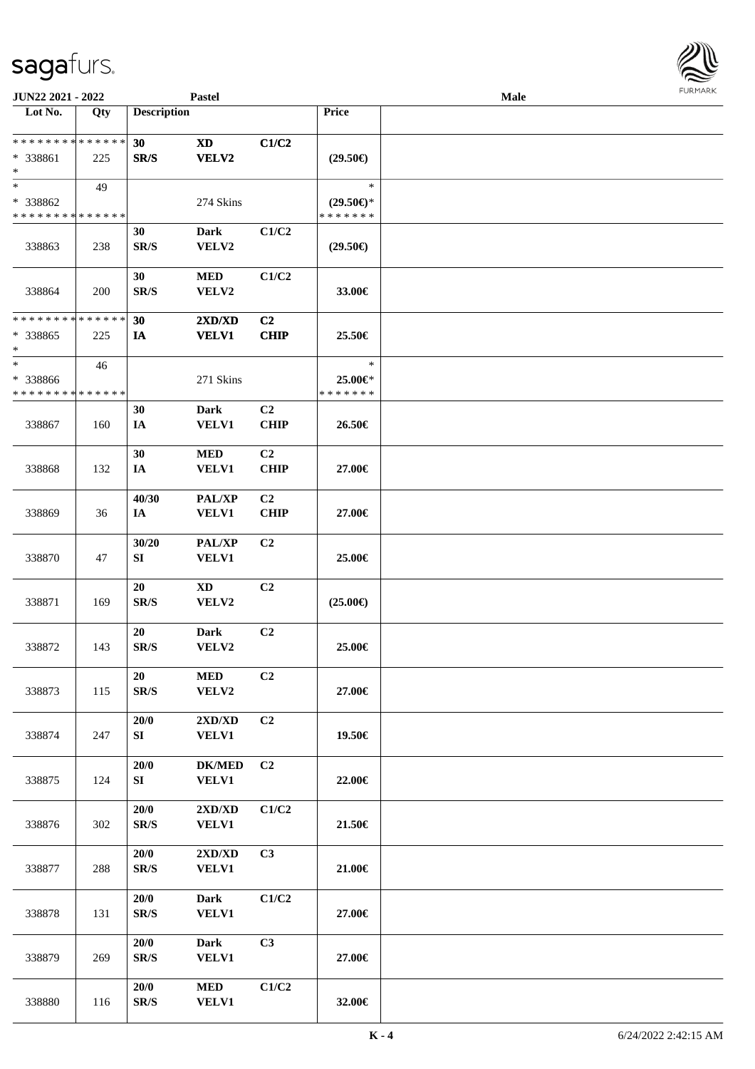| <b>JUN22 2021 - 2022</b>                                         |                    |                                | Pastel                        |                   |                                                | <b>Male</b> |  |
|------------------------------------------------------------------|--------------------|--------------------------------|-------------------------------|-------------------|------------------------------------------------|-------------|--|
| Lot No.                                                          | Qty                | <b>Description</b>             |                               |                   | Price                                          |             |  |
| * * * * * * * * <mark>* * * * * * *</mark><br>* 338861<br>$\ast$ | 225                | 30<br>SR/S                     | <b>XD</b><br>VELV2            | C1/C2             | $(29.50\epsilon)$                              |             |  |
| $\ast$<br>* 338862<br>* * * * * * * * <mark>* * * * * * *</mark> | 49                 |                                | 274 Skins                     |                   | $\ast$<br>$(29.50\epsilon)$ *<br>* * * * * * * |             |  |
| 338863                                                           | 238                | 30<br>SR/S                     | <b>Dark</b><br>VELV2          | C1/C2             | $(29.50\epsilon)$                              |             |  |
| 338864                                                           | 200                | 30<br>SR/S                     | $\bf MED$<br>VELV2            | C1/C2             | 33.00€                                         |             |  |
| * * * * * * * *<br>* 338865<br>*                                 | * * * * * *<br>225 | 30<br>IA                       | 2XD/XD<br><b>VELV1</b>        | C2<br><b>CHIP</b> | 25.50€                                         |             |  |
| $\ast$<br>* 338866<br>* * * * * * * *                            | 46<br>* * * * * *  |                                | 271 Skins                     |                   | $\ast$<br>25.00€*<br>* * * * * * *             |             |  |
| 338867                                                           | 160                | 30<br>IA                       | <b>Dark</b><br><b>VELV1</b>   | C2<br><b>CHIP</b> | 26.50€                                         |             |  |
| 338868                                                           | 132                | 30<br>IA                       | <b>MED</b><br>VELV1           | C2<br><b>CHIP</b> | 27.00€                                         |             |  |
| 338869                                                           | 36                 | 40/30<br>IA                    | PAL/XP<br><b>VELV1</b>        | C2<br><b>CHIP</b> | 27.00€                                         |             |  |
| 338870                                                           | 47                 | 30/20<br>${\bf S}{\bf I}$      | PAL/XP<br><b>VELV1</b>        | C2                | 25.00€                                         |             |  |
| 338871                                                           | 169                | 20<br>$\mathbf{SR}/\mathbf{S}$ | <b>XD</b><br>VELV2            | C2                | $(25.00\epsilon)$                              |             |  |
| 338872                                                           | 143                | 20<br>SR/S                     | <b>Dark</b><br>VELV2          | C2                | 25.00€                                         |             |  |
| 338873                                                           | 115                | 20<br>SR/S                     | $\bf MED$<br>VELV2            | C <sub>2</sub>    | 27.00€                                         |             |  |
| 338874                                                           | 247                | 20/0<br>SI                     | 2XD/XD<br><b>VELV1</b>        | C <sub>2</sub>    | 19.50€                                         |             |  |
| 338875                                                           | 124                | 20/0<br>SI                     | <b>DK/MED</b><br><b>VELV1</b> | C2                | 22.00€                                         |             |  |
| 338876                                                           | 302                | $20/0$<br>SR/S                 | 2XD/XD<br><b>VELV1</b>        | C1/C2             | 21.50€                                         |             |  |
| 338877                                                           | 288                | 20/0<br>SR/S                   | 2XD/XD<br><b>VELV1</b>        | C3                | 21.00€                                         |             |  |
| 338878                                                           | 131                | 20/0<br>SR/S                   | <b>Dark</b><br><b>VELV1</b>   | C1/C2             | 27.00€                                         |             |  |
| 338879                                                           | 269                | 20/0<br>SR/S                   | <b>Dark</b><br><b>VELV1</b>   | C3                | 27.00€                                         |             |  |
| 338880                                                           | 116                | 20/0<br>SR/S                   | <b>MED</b><br><b>VELV1</b>    | C1/C2             | 32.00€                                         |             |  |

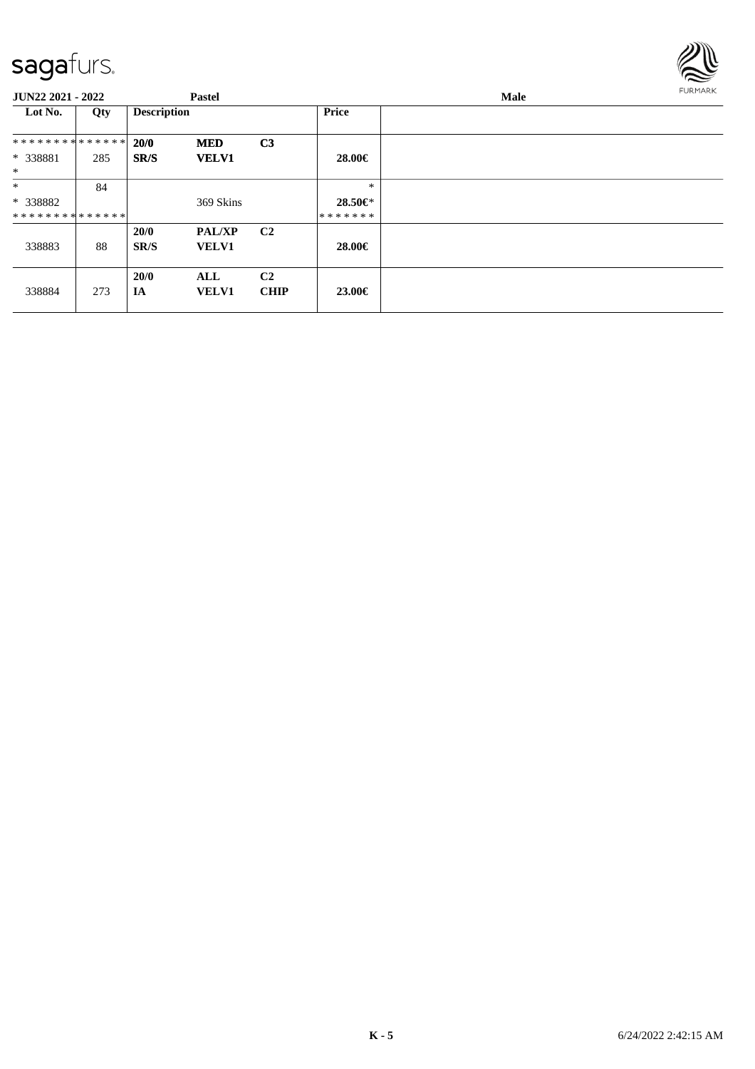

| JUN22 2021 - 2022  |     | <b>Pastel</b>      |                               |                               |              | <b>FURMARK</b> |  |
|--------------------|-----|--------------------|-------------------------------|-------------------------------|--------------|----------------|--|
| Lot No.            | Qty | <b>Description</b> |                               |                               | <b>Price</b> |                |  |
| **************     |     | 20/0               | <b>MED</b>                    | C <sub>3</sub>                |              |                |  |
| * 338881<br>$\ast$ | 285 | SR/S               | <b>VELV1</b>                  |                               | 28.00€       |                |  |
| $\ast$             | 84  |                    |                               |                               | $\ast$       |                |  |
| * 338882           |     |                    | 369 Skins                     |                               | 28.50€*      |                |  |
| **************     |     |                    |                               |                               | *******      |                |  |
| 338883             | 88  | 20/0<br>SR/S       | <b>PAL/XP</b><br><b>VELV1</b> | C <sub>2</sub>                | 28.00€       |                |  |
| 338884             | 273 | 20/0<br>IA         | ALL<br><b>VELV1</b>           | C <sub>2</sub><br><b>CHIP</b> | 23.00€       |                |  |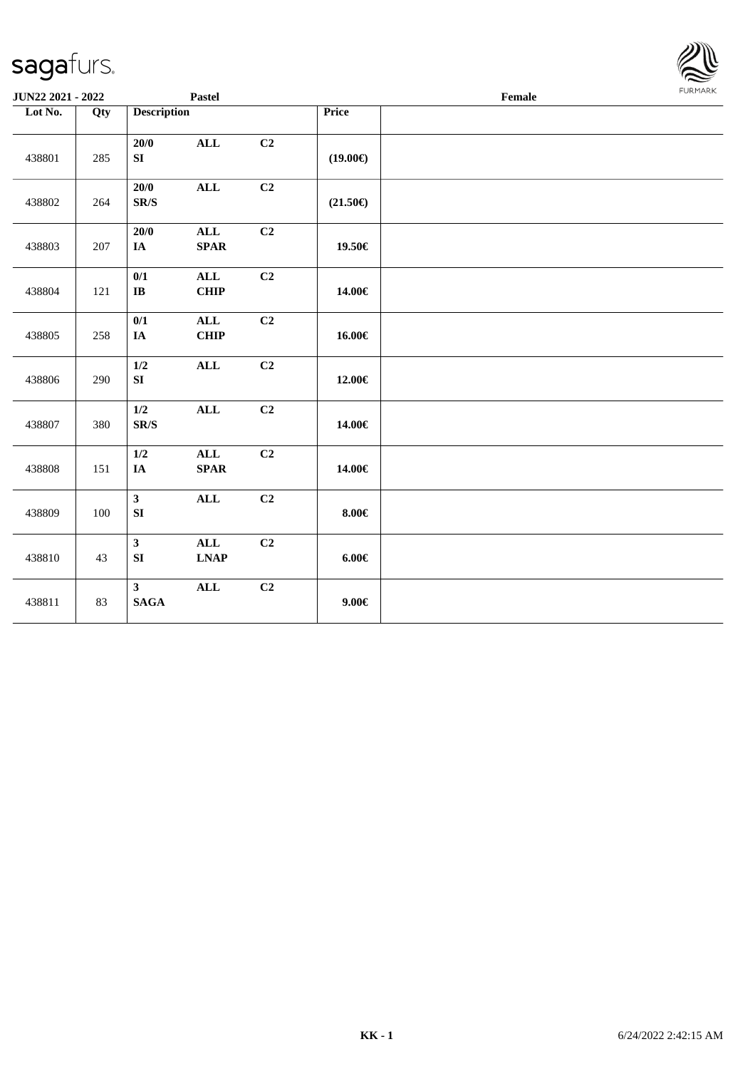| <b>JUN22 2021 - 2022</b> |     |                                     | Pastel                                                       |    | Female            |  |  |  |  |
|--------------------------|-----|-------------------------------------|--------------------------------------------------------------|----|-------------------|--|--|--|--|
| Lot No.                  | Qty | <b>Description</b>                  |                                                              |    | Price             |  |  |  |  |
| 438801                   | 285 | 20/0<br>SI                          | $\mathbf{ALL}$                                               | C2 | $(19.00\epsilon)$ |  |  |  |  |
| 438802                   | 264 | 20/0<br>$\mbox{S}\mbox{R}/\mbox{S}$ | $\mathbf{ALL}$                                               | C2 | $(21.50\epsilon)$ |  |  |  |  |
| 438803                   | 207 | 20/0<br>IA                          | $\mathbf{ALL}$<br><b>SPAR</b>                                | C2 | 19.50€            |  |  |  |  |
| 438804                   | 121 | 0/1<br>$\bf{IB}$                    | ALL<br><b>CHIP</b>                                           | C2 | 14.00€            |  |  |  |  |
| 438805                   | 258 | 0/1<br>IA                           | $\mathbf{ALL}$<br>CHIP                                       | C2 | 16.00€            |  |  |  |  |
| 438806                   | 290 | 1/2<br>SI                           | <b>ALL</b>                                                   | C2 | 12.00€            |  |  |  |  |
| 438807                   | 380 | $1/2$<br>$\mathbf{SR}/\mathbf{S}$   | $\mathbf{ALL}$                                               | C2 | 14.00€            |  |  |  |  |
| 438808                   | 151 | 1/2<br>IA                           | $\mathbf{ALL}$<br>$\textbf{SPAR}$                            | C2 | 14.00€            |  |  |  |  |
| 438809                   | 100 | $\mathbf{3}$<br>SI                  | $\mathbf{ALL}$                                               | C2 | $8.00 \in$        |  |  |  |  |
| 438810                   | 43  | $\mathbf{3}$<br>SI                  | $\mathbf{ALL}$<br>$\mathbf{L}\mathbf{N}\mathbf{A}\mathbf{P}$ | C2 | $6.00 \in$        |  |  |  |  |
| 438811                   | 83  | $\mathbf{3}$<br>$\mathbf{SAGA}$     | $\mathbf{ALL}$                                               | C2 | $9.00 \in$        |  |  |  |  |

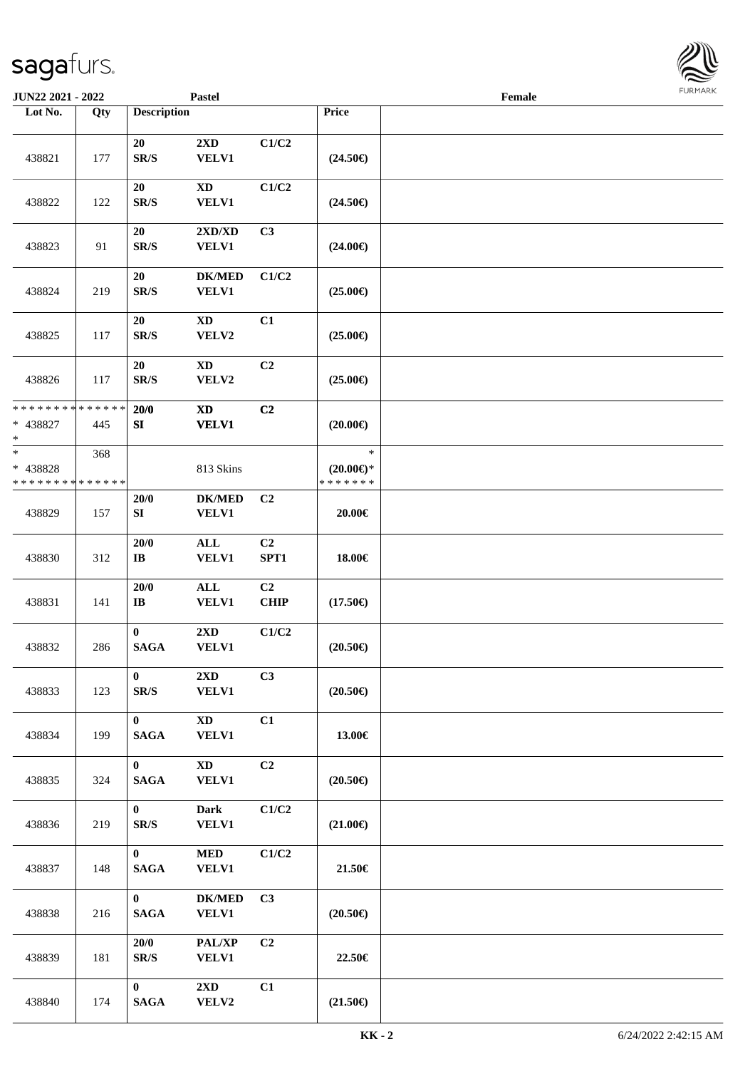| <b>JUN22 2021 - 2022</b>                                    |                    |                                      | <b>Pastel</b>                          |                   |                                                | Female |  |
|-------------------------------------------------------------|--------------------|--------------------------------------|----------------------------------------|-------------------|------------------------------------------------|--------|--|
| Lot No.                                                     | Qty                | <b>Description</b>                   |                                        |                   | Price                                          |        |  |
| 438821                                                      | 177                | 20<br>SR/S                           | 2XD<br><b>VELV1</b>                    | C1/C2             | $(24.50\epsilon)$                              |        |  |
| 438822                                                      | 122                | 20<br>SR/S                           | $\mathbf{X}\mathbf{D}$<br><b>VELV1</b> | C1/C2             | $(24.50\epsilon)$                              |        |  |
| 438823                                                      | 91                 | 20<br>SR/S                           | 2XD/XD<br><b>VELV1</b>                 | C3                | $(24.00\epsilon)$                              |        |  |
| 438824                                                      | 219                | 20<br>$\mathbf{SR}/\mathbf{S}$       | <b>DK/MED</b><br><b>VELV1</b>          | C1/C2             | $(25.00\epsilon)$                              |        |  |
| 438825                                                      | 117                | 20<br>SR/S                           | $\boldsymbol{\mathrm{XD}}$<br>VELV2    | C1                | $(25.00\epsilon)$                              |        |  |
| 438826                                                      | 117                | 20<br>SR/S                           | <b>XD</b><br>VELV2                     | C2                | $(25.00\epsilon)$                              |        |  |
| * * * * * * * * <mark>* * * * * * *</mark><br>* 438827<br>* | 445                | 20/0<br>SI                           | $\mathbf{X}\mathbf{D}$<br><b>VELV1</b> | C2                | $(20.00\epsilon)$                              |        |  |
| $\ast$<br>* 438828<br>* * * * * * * *                       | 368<br>* * * * * * |                                      | 813 Skins                              |                   | $\ast$<br>$(20.00\epsilon)$ *<br>* * * * * * * |        |  |
| 438829                                                      | 157                | 20/0<br>SI                           | <b>DK/MED</b><br><b>VELV1</b>          | C <sub>2</sub>    | 20.00€                                         |        |  |
| 438830                                                      | 312                | 20/0<br>$\bf{IB}$                    | $\mathbf{ALL}$<br><b>VELV1</b>         | C2<br>SPT1        | 18.00€                                         |        |  |
| 438831                                                      | 141                | 20/0<br>$\mathbf{I}\mathbf{B}$       | $\mathbf{ALL}$<br><b>VELV1</b>         | C2<br><b>CHIP</b> | $(17.50\epsilon)$                              |        |  |
| 438832                                                      | 286                | $\bf{0}$<br><b>SAGA</b>              | 2XD<br><b>VELV1</b>                    | C1/C2             | $(20.50\epsilon)$                              |        |  |
| 438833                                                      | 123                | $\bf{0}$<br>$\mathbf{SR}/\mathbf{S}$ | $2\mathbf{X}\mathbf{D}$<br>VELV1       | C3                | $(20.50\epsilon)$                              |        |  |
| 438834                                                      | 199                | $\mathbf{0}$<br><b>SAGA</b>          | <b>XD</b><br><b>VELV1</b>              | C1                | 13.00€                                         |        |  |
| 438835                                                      | 324                | $\mathbf{0}$<br><b>SAGA</b>          | <b>XD</b><br><b>VELV1</b>              | C2                | $(20.50\epsilon)$                              |        |  |
| 438836                                                      | 219                | $\mathbf{0}$<br>SR/S                 | Dark<br><b>VELV1</b>                   | C1/C2             | $(21.00\epsilon)$                              |        |  |
| 438837                                                      | 148                | $\mathbf{0}$<br><b>SAGA</b>          | <b>MED</b><br><b>VELV1</b>             | C1/C2             | 21.50€                                         |        |  |
| 438838                                                      | 216                | $\mathbf{0}$<br><b>SAGA</b>          | <b>DK/MED</b><br><b>VELV1</b>          | C3                | $(20.50\epsilon)$                              |        |  |
| 438839                                                      | 181                | 20/0<br>SR/S                         | PAL/XP<br><b>VELV1</b>                 | C2                | 22.50€                                         |        |  |
| 438840                                                      | 174                | $\mathbf{0}$<br><b>SAGA</b>          | 2XD<br><b>VELV2</b>                    | C1                | $(21.50\epsilon)$                              |        |  |

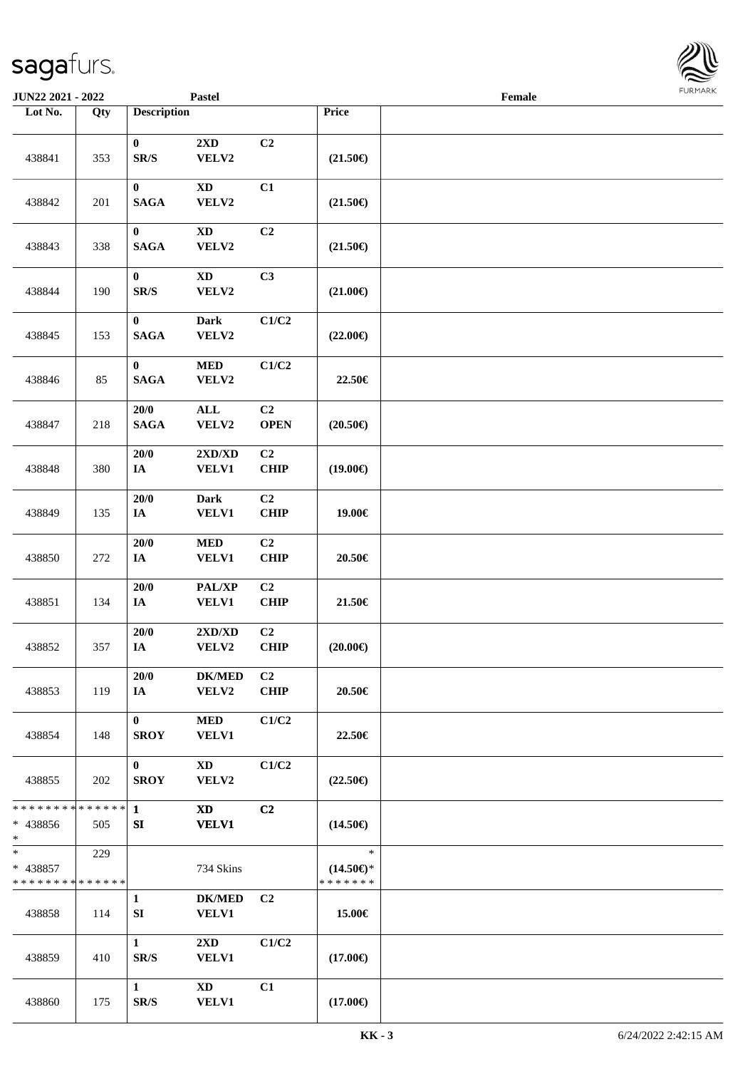| <b>JUN22 2021 - 2022</b>                         |     |                                      | <b>Pastel</b>                           |                               |                                                | Female |  |
|--------------------------------------------------|-----|--------------------------------------|-----------------------------------------|-------------------------------|------------------------------------------------|--------|--|
| Lot No.                                          | Qty | <b>Description</b>                   |                                         |                               | Price                                          |        |  |
| 438841                                           | 353 | $\mathbf{0}$<br>SR/S                 | $2{\bf X}{\bf D}$<br>VELV2              | C <sub>2</sub>                | $(21.50\epsilon)$                              |        |  |
| 438842                                           | 201 | $\boldsymbol{0}$<br><b>SAGA</b>      | $\mathbf{X}\mathbf{D}$<br>VELV2         | C1                            | $(21.50\epsilon)$                              |        |  |
| 438843                                           | 338 | $\bf{0}$<br><b>SAGA</b>              | <b>XD</b><br>${\bf VELV2}$              | C <sub>2</sub>                | $(21.50\epsilon)$                              |        |  |
| 438844                                           | 190 | $\bf{0}$<br>$\mathbf{SR}/\mathbf{S}$ | $\mathbf{X}\mathbf{D}$<br>VELV2         | C3                            | $(21.00\epsilon)$                              |        |  |
| 438845                                           | 153 | $\pmb{0}$<br><b>SAGA</b>             | Dark<br>VELV2                           | C1/C2                         | $(22.00\epsilon)$                              |        |  |
| 438846                                           | 85  | $\bf{0}$<br><b>SAGA</b>              | $\bf MED$<br>VELV2                      | C1/C2                         | 22.50€                                         |        |  |
| 438847                                           | 218 | 20/0<br><b>SAGA</b>                  | <b>ALL</b><br>VELV2                     | C2<br><b>OPEN</b>             | $(20.50\epsilon)$                              |        |  |
| 438848                                           | 380 | 20/0<br>IA                           | 2XD/XD<br><b>VELV1</b>                  | C <sub>2</sub><br><b>CHIP</b> | $(19.00\epsilon)$                              |        |  |
| 438849                                           | 135 | $20/0$<br>IA                         | <b>Dark</b><br>VELV1                    | C <sub>2</sub><br><b>CHIP</b> | 19.00€                                         |        |  |
| 438850                                           | 272 | $20/0$<br>$I\!\!A$                   | $\bf MED$<br>VELV1                      | C2<br><b>CHIP</b>             | 20.50€                                         |        |  |
| 438851                                           | 134 | $20/0$<br>$I\!\!A$                   | PAL/XP<br><b>VELV1</b>                  | C2<br>CHIP                    | 21.50€                                         |        |  |
| 438852                                           | 357 | 20/0<br>$I\!\!A$                     | 2XD/XD<br>VELV2                         | C <sub>2</sub><br><b>CHIP</b> | $(20.00\epsilon)$                              |        |  |
| 438853                                           | 119 | 20/0<br><b>IA</b>                    | <b>DK/MED</b><br>VELV2                  | C <sub>2</sub><br><b>CHIP</b> | 20.50€                                         |        |  |
| 438854                                           | 148 | $\bf{0}$<br><b>SROY</b>              | <b>MED</b><br><b>VELV1</b>              | C1/C2                         | 22.50€                                         |        |  |
| 438855                                           | 202 | $\mathbf{0}$<br><b>SROY</b>          | XD<br>VELV2                             | C1/C2                         | $(22.50\epsilon)$                              |        |  |
| * * * * * * * * * * * * * * *<br>* 438856<br>$*$ | 505 | $\mathbf{1}$<br>SI                   | <b>XD</b><br><b>VELV1</b>               | C <sub>2</sub>                | $(14.50\epsilon)$                              |        |  |
| $*$<br>* 438857<br>* * * * * * * * * * * * * *   | 229 |                                      | 734 Skins                               |                               | $\ast$<br>$(14.50\epsilon)$ *<br>* * * * * * * |        |  |
| 438858                                           | 114 | $\mathbf{1}$<br>SI                   | <b>DK/MED</b><br>VELV1                  | C <sub>2</sub>                | 15.00€                                         |        |  |
| 438859                                           | 410 | $\mathbf{1}$<br>SR/S                 | $2\mathbf{X}\mathbf{D}$<br><b>VELV1</b> | C1/C2                         | $(17.00\epsilon)$                              |        |  |
| 438860                                           | 175 | $\mathbf{1}$<br>SR/S                 | XD<br><b>VELV1</b>                      | C1                            | $(17.00\epsilon)$                              |        |  |

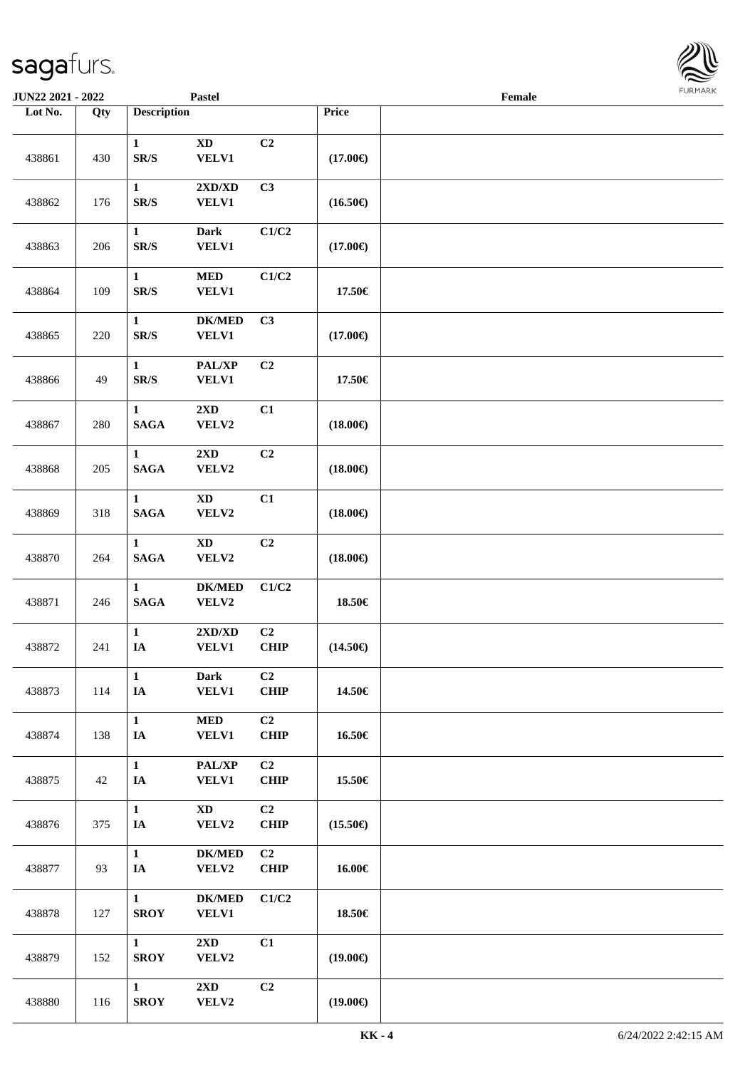| <b>JUN22 2021 - 2022</b> |         |                                 | <b>Pastel</b>                          |                               |                   | Female |  |
|--------------------------|---------|---------------------------------|----------------------------------------|-------------------------------|-------------------|--------|--|
| Lot No.                  | Qty     | <b>Description</b>              |                                        |                               | Price             |        |  |
| 438861                   | 430     | $\mathbf{1}$<br>SR/S            | $\mathbf{X}\mathbf{D}$<br><b>VELV1</b> | C <sub>2</sub>                | $(17.00\epsilon)$ |        |  |
| 438862                   | 176     | $\mathbf{1}$<br>SR/S            | 2XD/XD<br><b>VELV1</b>                 | C3                            | $(16.50\epsilon)$ |        |  |
| 438863                   | 206     | $\mathbf{1}$<br>SR/S            | Dark<br>VELV1                          | C1/C2                         | $(17.00\epsilon)$ |        |  |
| 438864                   | 109     | $\mathbf{1}$<br>SR/S            | $\bf MED$<br><b>VELV1</b>              | C1/C2                         | 17.50€            |        |  |
| 438865                   | 220     | $\mathbf{1}$<br>SR/S            | <b>DK/MED</b><br><b>VELV1</b>          | C3                            | $(17.00\epsilon)$ |        |  |
| 438866                   | 49      | $\mathbf{1}$<br>SR/S            | PAL/XP<br><b>VELV1</b>                 | C2                            | 17.50€            |        |  |
| 438867                   | 280     | $\mathbf{1}$<br><b>SAGA</b>     | $2\mathbf{X}\mathbf{D}$<br>VELV2       | C1                            | $(18.00\epsilon)$ |        |  |
| 438868                   | $205\,$ | $\mathbf{1}$<br><b>SAGA</b>     | 2XD<br>VELV2                           | C2                            | $(18.00\epsilon)$ |        |  |
| 438869                   | 318     | $\mathbf{1}$<br><b>SAGA</b>     | <b>XD</b><br>VELV2                     | C1                            | $(18.00\in)$      |        |  |
| 438870                   | 264     | $\mathbf{1}$<br>$\mathbf{SAGA}$ | <b>XD</b><br>VELV2                     | C2                            | $(18.00\epsilon)$ |        |  |
| 438871                   | 246     | $\mathbf{1}$<br><b>SAGA</b>     | <b>DK/MED</b><br>VELV2                 | C1/C2                         | 18.50€            |        |  |
| 438872                   | 241     | $\mathbf{1}$<br>IA              | 2XD/XD<br><b>VELV1</b>                 | C2<br><b>CHIP</b>             | $(14.50\epsilon)$ |        |  |
| 438873                   | 114     | $\mathbf{1}$<br>IA              | <b>Dark</b><br><b>VELV1</b>            | C2<br><b>CHIP</b>             | 14.50€            |        |  |
| 438874                   | 138     | $\mathbf{1}$<br>IA              | $\bf MED$<br><b>VELV1</b>              | C2<br><b>CHIP</b>             | 16.50€            |        |  |
| 438875                   | 42      | $\mathbf{1}$<br>IA              | PAL/XP<br><b>VELV1</b>                 | C <sub>2</sub><br><b>CHIP</b> | 15.50€            |        |  |
| 438876                   | 375     | $\mathbf{1}$<br>IA              | $\mathbf{X}\mathbf{D}$<br>VELV2        | C <sub>2</sub><br><b>CHIP</b> | $(15.50\epsilon)$ |        |  |
| 438877                   | 93      | $\mathbf{1}$<br>$I\!\!A$        | <b>DK/MED</b><br>VELV2                 | C2<br><b>CHIP</b>             | 16.00€            |        |  |
| 438878                   | 127     | $\mathbf{1}$<br><b>SROY</b>     | <b>DK/MED</b><br><b>VELV1</b>          | C1/C2                         | 18.50€            |        |  |
| 438879                   | 152     | $\mathbf{1}$<br><b>SROY</b>     | $2\mathbf{X}\mathbf{D}$<br>VELV2       | C1                            | $(19.00\epsilon)$ |        |  |
| 438880                   | 116     | $\mathbf{1}$<br><b>SROY</b>     | 2XD<br>VELV2                           | C <sub>2</sub>                | $(19.00\epsilon)$ |        |  |